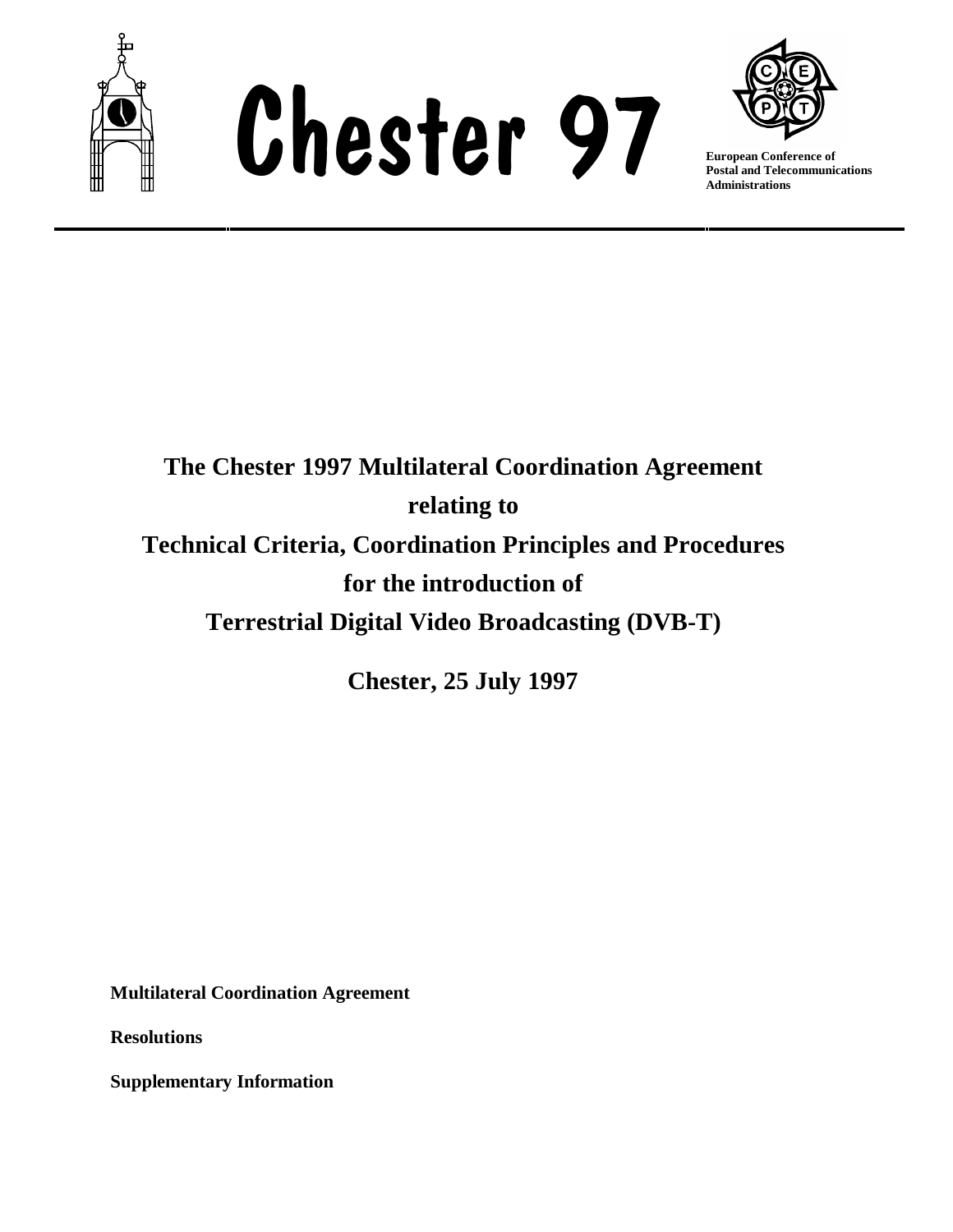





**Postal and Telecommunications Administrations**

# **The Chester 1997 Multilateral Coordination Agreement relating to Technical Criteria, Coordination Principles and Procedures for the introduction of Terrestrial Digital Video Broadcasting (DVB-T)**

**Chester, 25 July 1997**

**Multilateral Coordination Agreement**

**Resolutions**

**Supplementary Information**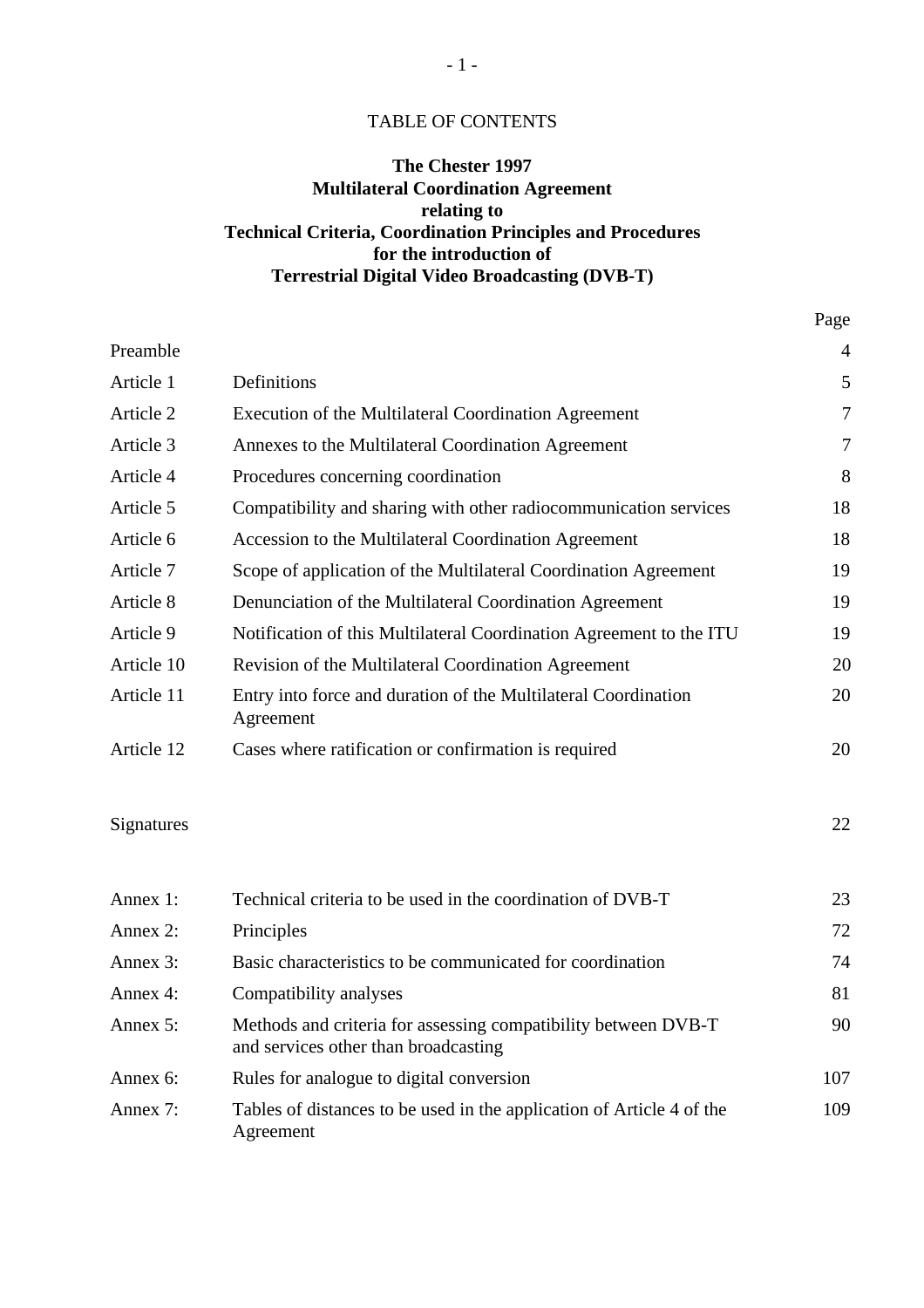## TABLE OF CONTENTS

# **The Chester 1997 Multilateral Coordination Agreement relating to Technical Criteria, Coordination Principles and Procedures for the introduction of Terrestrial Digital Video Broadcasting (DVB-T)**

Page

| Preamble   |                                                                             | $\overline{4}$   |
|------------|-----------------------------------------------------------------------------|------------------|
| Article 1  | Definitions                                                                 | 5                |
| Article 2  | Execution of the Multilateral Coordination Agreement                        | 7                |
| Article 3  | Annexes to the Multilateral Coordination Agreement                          | $\boldsymbol{7}$ |
| Article 4  | Procedures concerning coordination                                          | 8                |
| Article 5  | Compatibility and sharing with other radiocommunication services            | 18               |
| Article 6  | Accession to the Multilateral Coordination Agreement                        | 18               |
| Article 7  | Scope of application of the Multilateral Coordination Agreement             | 19               |
| Article 8  | Denunciation of the Multilateral Coordination Agreement                     | 19               |
| Article 9  | Notification of this Multilateral Coordination Agreement to the ITU         | 19               |
| Article 10 | Revision of the Multilateral Coordination Agreement                         | 20               |
| Article 11 | Entry into force and duration of the Multilateral Coordination<br>Agreement | 20               |
| Article 12 | Cases where ratification or confirmation is required                        | 20               |
| Signatures |                                                                             | 22               |
| Annex 1:   | Technical criteria to be used in the coordination of DVB-T                  | 23               |
| Annex $2$  | Principles                                                                  | 72               |

| Annex 2:    | Principles                                                                                             | 72  |
|-------------|--------------------------------------------------------------------------------------------------------|-----|
| Annex 3:    | Basic characteristics to be communicated for coordination                                              | 74  |
| Annex 4:    | Compatibility analyses                                                                                 | 81  |
| Annex $5$ : | Methods and criteria for assessing compatibility between DVB-T<br>and services other than broadcasting | 90  |
| Annex 6:    | Rules for analogue to digital conversion                                                               | 107 |
| Annex 7:    | Tables of distances to be used in the application of Article 4 of the<br>Agreement                     | 109 |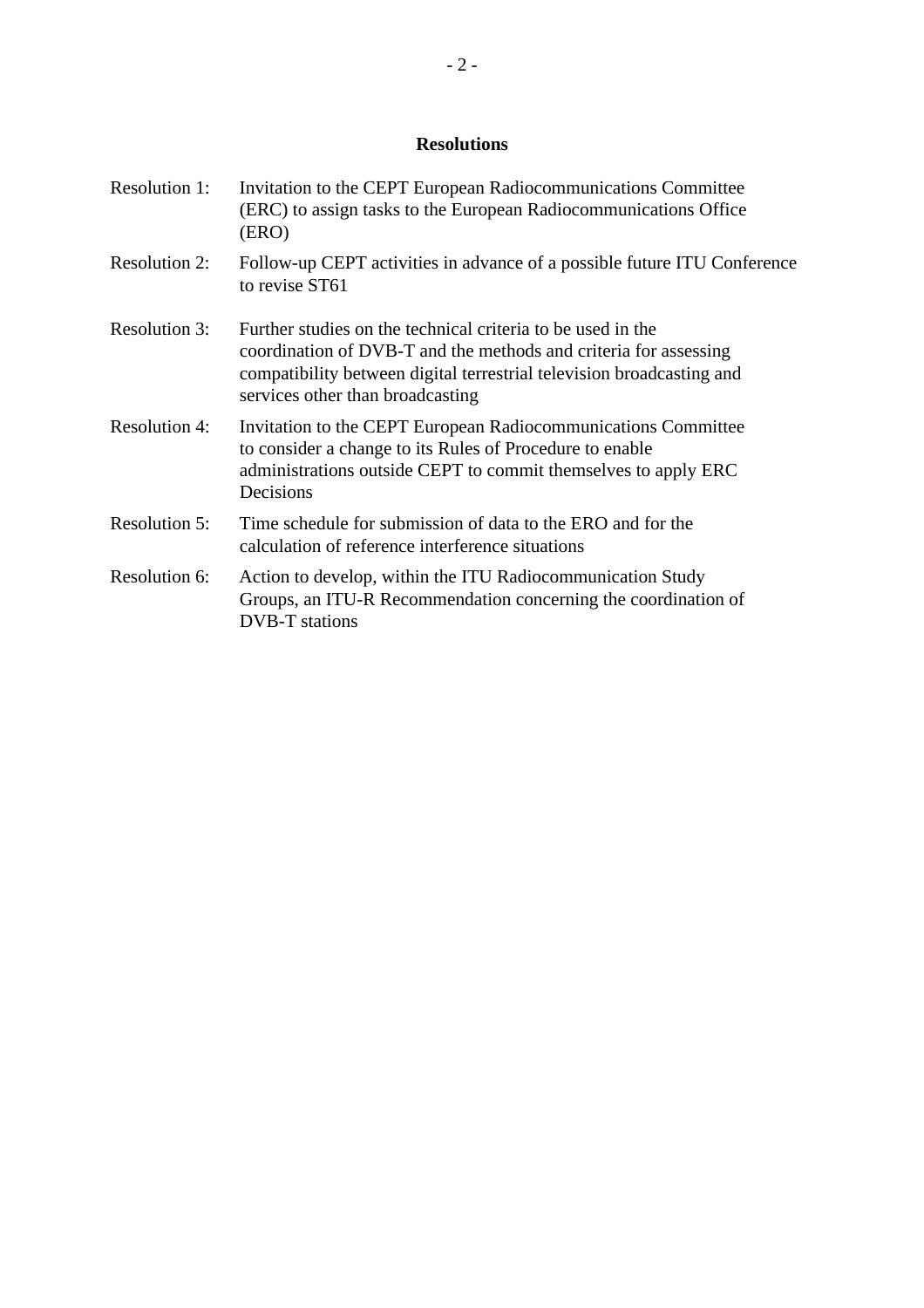# **Resolutions**

| <b>Resolution 1:</b> | Invitation to the CEPT European Radiocommunications Committee<br>(ERC) to assign tasks to the European Radiocommunications Office<br>(ERO)                                                                                                   |
|----------------------|----------------------------------------------------------------------------------------------------------------------------------------------------------------------------------------------------------------------------------------------|
| <b>Resolution 2:</b> | Follow-up CEPT activities in advance of a possible future ITU Conference<br>to revise ST61                                                                                                                                                   |
| <b>Resolution 3:</b> | Further studies on the technical criteria to be used in the<br>coordination of DVB-T and the methods and criteria for assessing<br>compatibility between digital terrestrial television broadcasting and<br>services other than broadcasting |
| <b>Resolution 4:</b> | Invitation to the CEPT European Radiocommunications Committee<br>to consider a change to its Rules of Procedure to enable<br>administrations outside CEPT to commit themselves to apply ERC<br>Decisions                                     |
| <b>Resolution 5:</b> | Time schedule for submission of data to the ERO and for the<br>calculation of reference interference situations                                                                                                                              |
| Resolution 6:        | Action to develop, within the ITU Radiocommunication Study<br>Groups, an ITU-R Recommendation concerning the coordination of<br><b>DVB-T</b> stations                                                                                        |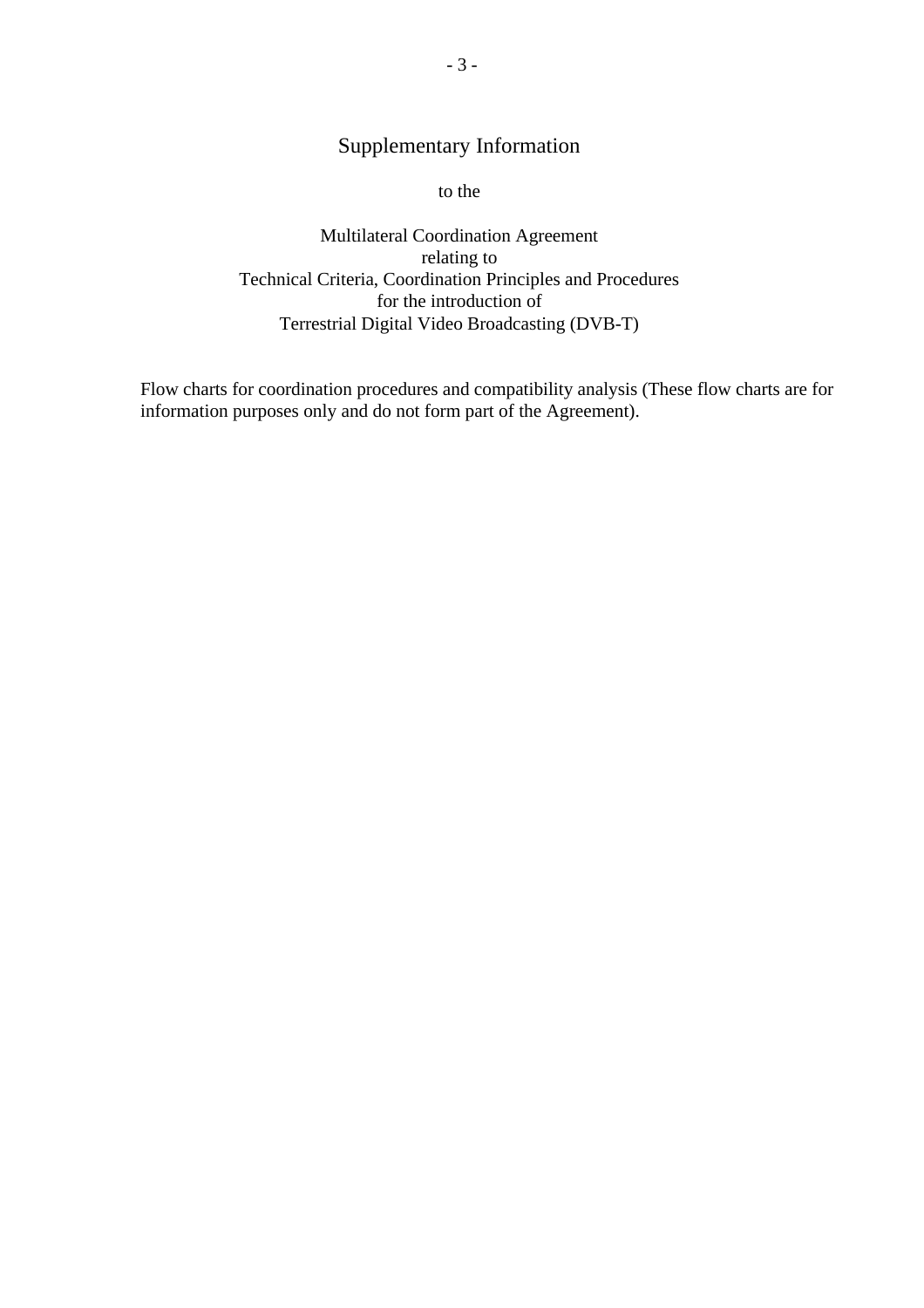# Supplementary Information

to the

Multilateral Coordination Agreement relating to Technical Criteria, Coordination Principles and Procedures for the introduction of Terrestrial Digital Video Broadcasting (DVB-T)

Flow charts for coordination procedures and compatibility analysis (These flow charts are for information purposes only and do not form part of the Agreement).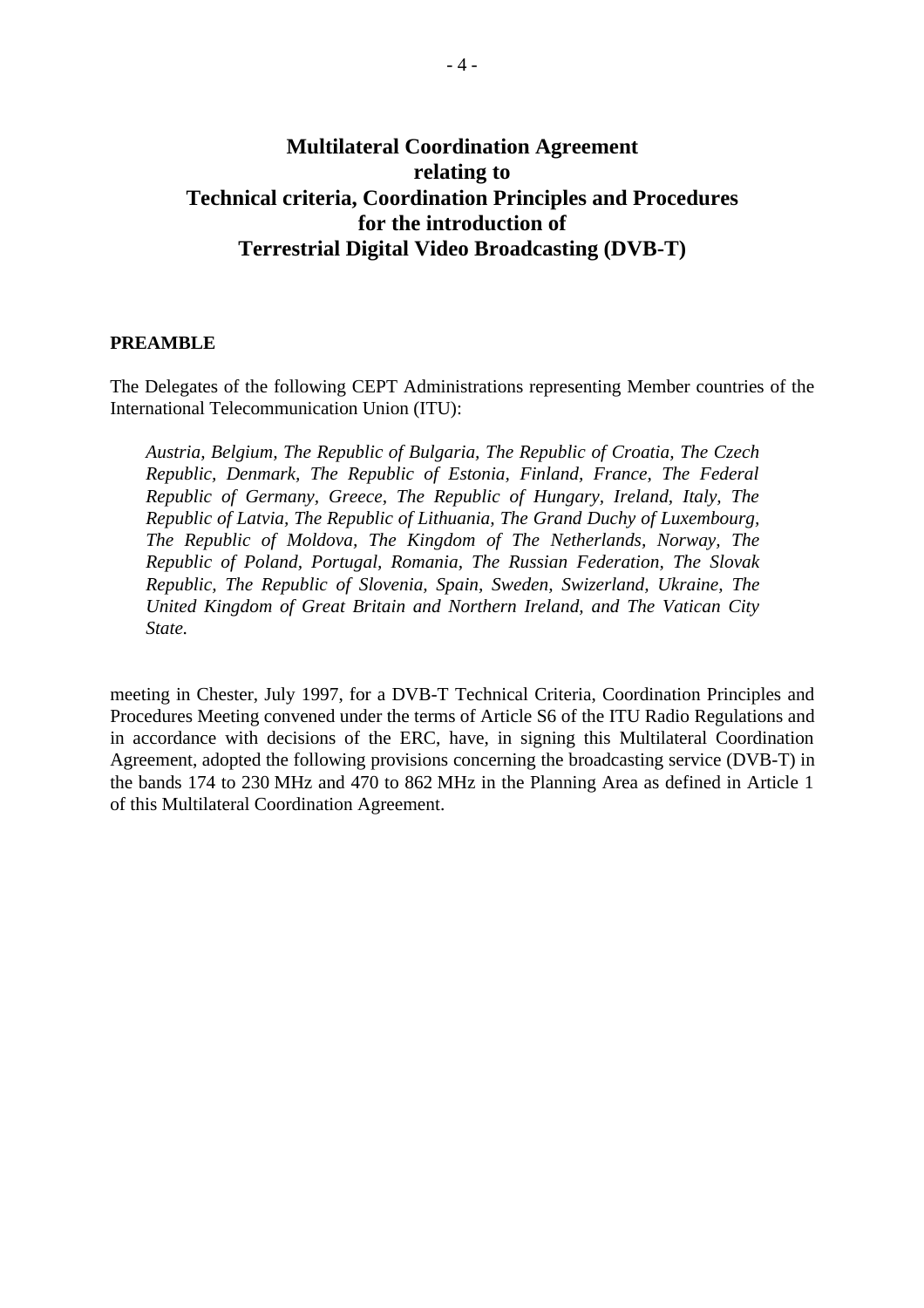# **Multilateral Coordination Agreement relating to Technical criteria, Coordination Principles and Procedures for the introduction of Terrestrial Digital Video Broadcasting (DVB-T)**

#### **PREAMBLE**

The Delegates of the following CEPT Administrations representing Member countries of the International Telecommunication Union (ITU):

*Austria, Belgium, The Republic of Bulgaria, The Republic of Croatia, The Czech Republic, Denmark, The Republic of Estonia, Finland, France, The Federal Republic of Germany, Greece, The Republic of Hungary, Ireland, Italy, The Republic of Latvia, The Republic of Lithuania, The Grand Duchy of Luxembourg, The Republic of Moldova, The Kingdom of The Netherlands, Norway, The Republic of Poland, Portugal, Romania, The Russian Federation, The Slovak Republic, The Republic of Slovenia, Spain, Sweden, Swizerland, Ukraine, The United Kingdom of Great Britain and Northern Ireland, and The Vatican City State.*

meeting in Chester, July 1997, for a DVB-T Technical Criteria, Coordination Principles and Procedures Meeting convened under the terms of Article S6 of the ITU Radio Regulations and in accordance with decisions of the ERC, have, in signing this Multilateral Coordination Agreement, adopted the following provisions concerning the broadcasting service (DVB-T) in the bands 174 to 230 MHz and 470 to 862 MHz in the Planning Area as defined in Article 1 of this Multilateral Coordination Agreement.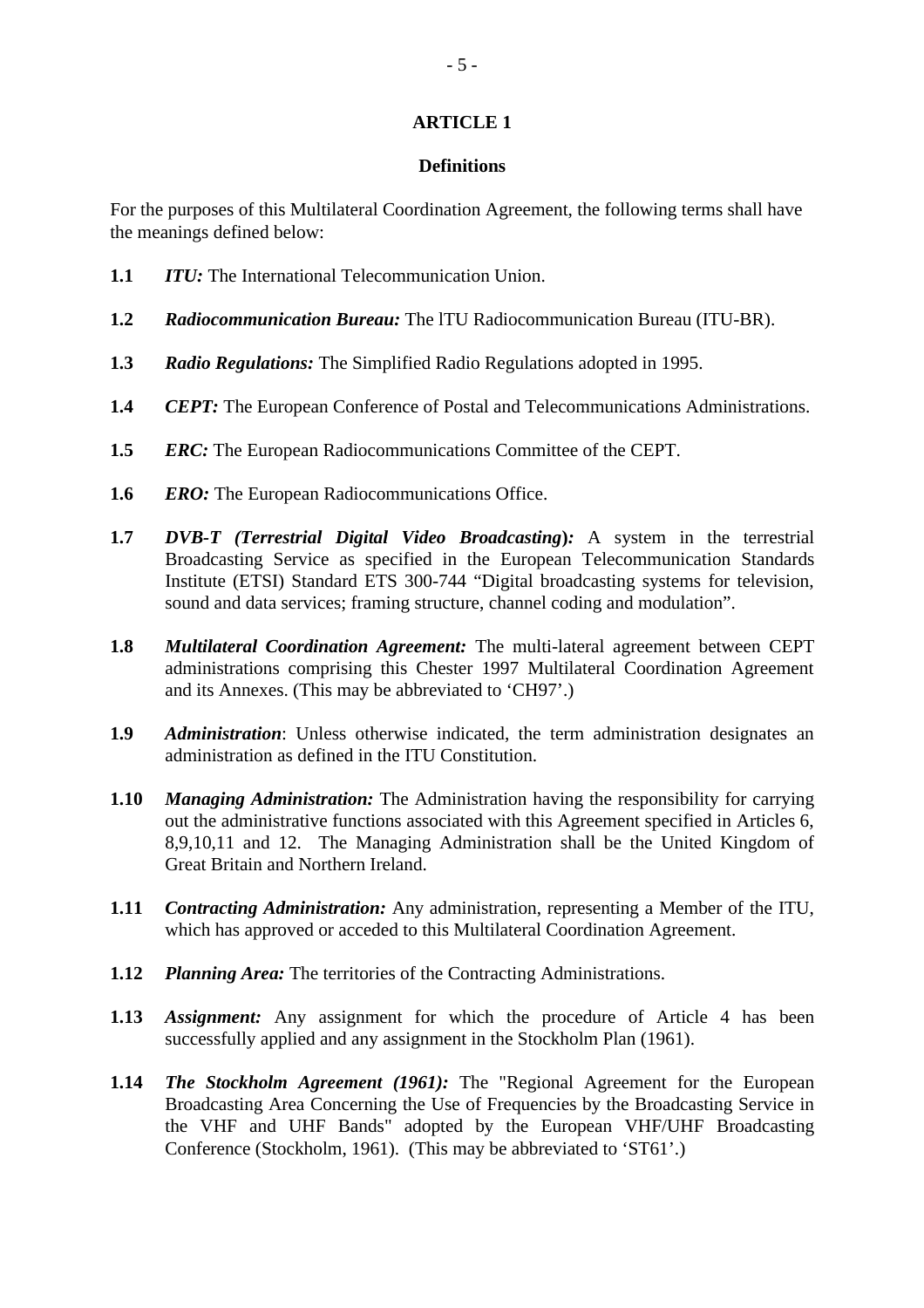#### **Definitions**

For the purposes of this Multilateral Coordination Agreement, the following terms shall have the meanings defined below:

- **1.1** *ITU:* The International Telecommunication Union.
- **1.2** *Radiocommunication Bureau:* The lTU Radiocommunication Bureau (ITU-BR).
- **1.3** *Radio Regulations:* The Simplified Radio Regulations adopted in 1995.
- **1.4** *CEPT:* The European Conference of Postal and Telecommunications Administrations.
- **1.5** *ERC:* The European Radiocommunications Committee of the CEPT.
- **1.6** *ERO:* The European Radiocommunications Office.
- **1.7** *DVB-T (Terrestrial Digital Video Broadcasting***)***:* A system in the terrestrial Broadcasting Service as specified in the European Telecommunication Standards Institute (ETSI) Standard ETS 300-744 "Digital broadcasting systems for television, sound and data services; framing structure, channel coding and modulation".
- **1.8** *Multilateral Coordination Agreement:* The multi-lateral agreement between CEPT administrations comprising this Chester 1997 Multilateral Coordination Agreement and its Annexes. (This may be abbreviated to 'CH97'.)
- **1.9** *Administration*: Unless otherwise indicated, the term administration designates an administration as defined in the ITU Constitution.
- **1.10** *Managing Administration:* The Administration having the responsibility for carrying out the administrative functions associated with this Agreement specified in Articles 6, 8,9,10,11 and 12. The Managing Administration shall be the United Kingdom of Great Britain and Northern Ireland.
- **1.11** *Contracting Administration:* Any administration, representing a Member of the ITU, which has approved or acceded to this Multilateral Coordination Agreement.
- **1.12** *Planning Area:* The territories of the Contracting Administrations.
- **1.13** *Assignment:* Any assignment for which the procedure of Article 4 has been successfully applied and any assignment in the Stockholm Plan (1961).
- **1.14** *The Stockholm Agreement (1961):* The "Regional Agreement for the European Broadcasting Area Concerning the Use of Frequencies by the Broadcasting Service in the VHF and UHF Bands" adopted by the European VHF/UHF Broadcasting Conference (Stockholm, 1961). (This may be abbreviated to 'ST61'.)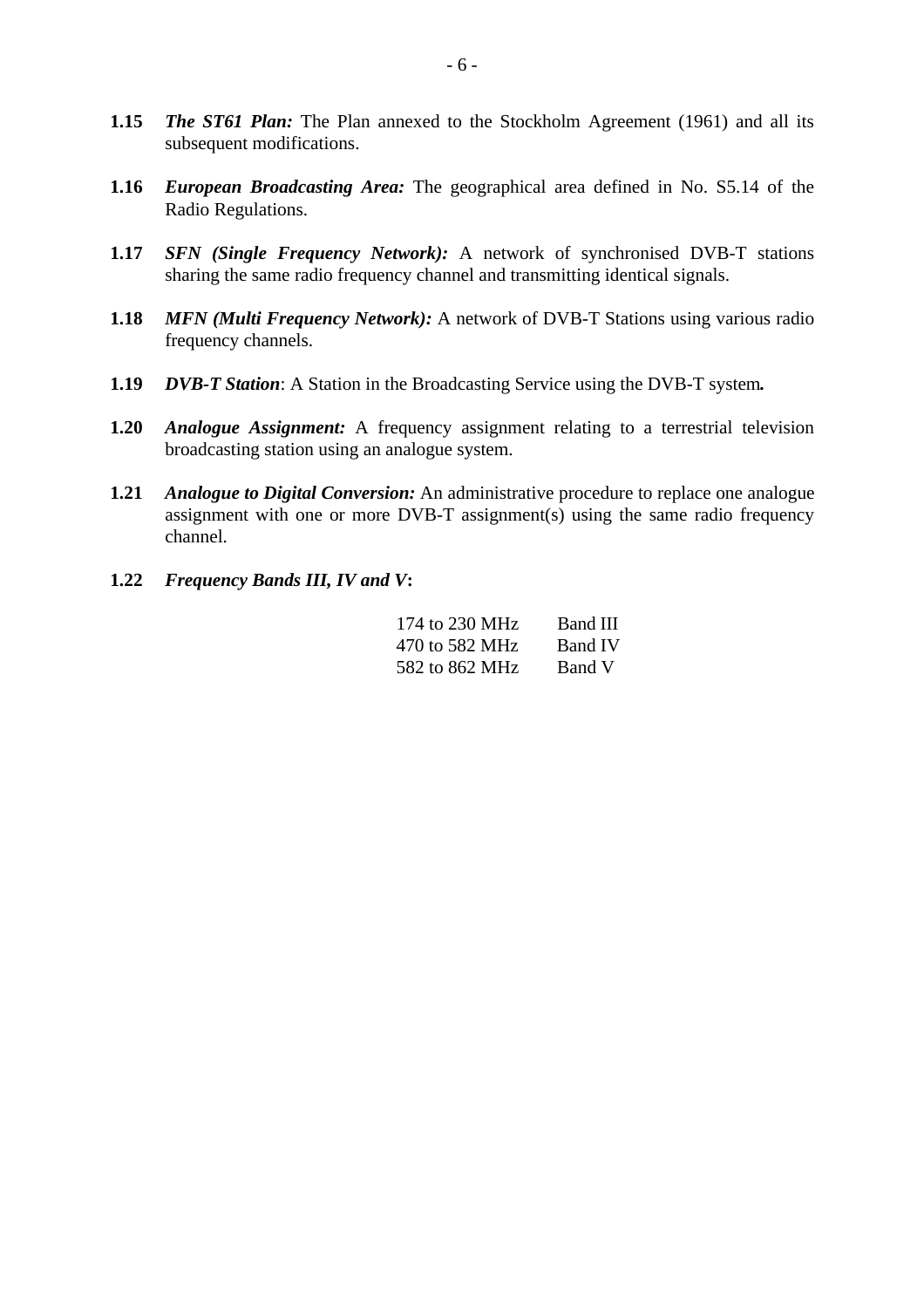- **1.15** *The ST61 Plan:* The Plan annexed to the Stockholm Agreement (1961) and all its subsequent modifications.
- **1.16** *European Broadcasting Area:* The geographical area defined in No. S5.14 of the Radio Regulations.
- **1.17** *SFN (Single Frequency Network):* A network of synchronised DVB-T stations sharing the same radio frequency channel and transmitting identical signals.
- **1.18** *MFN (Multi Frequency Network):* A network of DVB-T Stations using various radio frequency channels.
- **1.19** *DVB-T Station*: A Station in the Broadcasting Service using the DVB-T system*.*
- **1.20** *Analogue Assignment:* A frequency assignment relating to a terrestrial television broadcasting station using an analogue system.
- **1.21** *Analogue to Digital Conversion:* An administrative procedure to replace one analogue assignment with one or more DVB-T assignment(s) using the same radio frequency channel.
- **1.22** *Frequency Bands III, IV and V***:**

| 174 to 230 MHz | Band III       |
|----------------|----------------|
| 470 to 582 MHz | <b>Band IV</b> |
| 582 to 862 MHz | Band V         |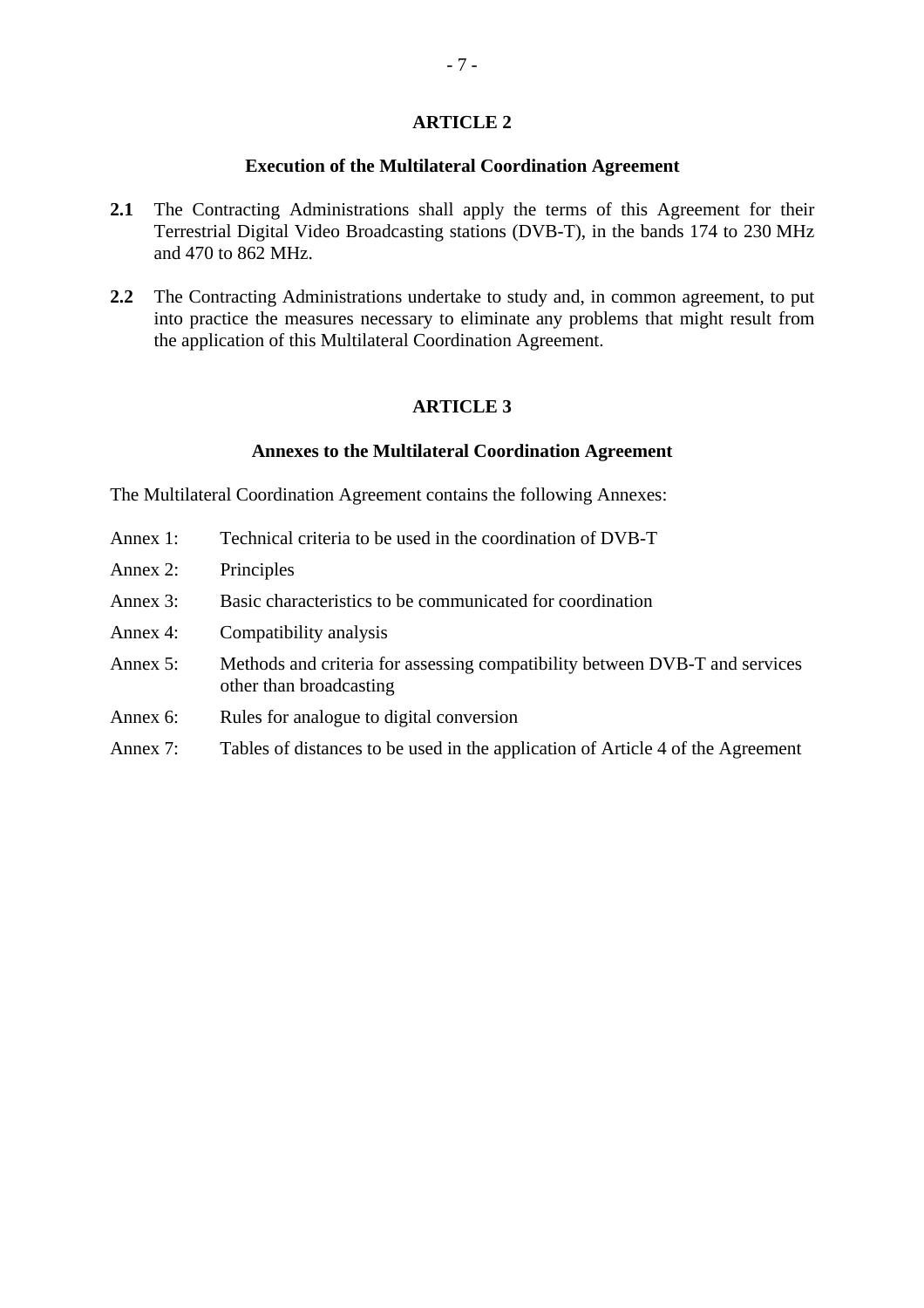#### **Execution of the Multilateral Coordination Agreement**

- 2.1 The Contracting Administrations shall apply the terms of this Agreement for their Terrestrial Digital Video Broadcasting stations (DVB-T), in the bands 174 to 230 MHz and 470 to 862 MHz.
- **2.2** The Contracting Administrations undertake to study and, in common agreement, to put into practice the measures necessary to eliminate any problems that might result from the application of this Multilateral Coordination Agreement.

#### **ARTICLE 3**

#### **Annexes to the Multilateral Coordination Agreement**

The Multilateral Coordination Agreement contains the following Annexes:

- Annex 1: Technical criteria to be used in the coordination of DVB-T
- Annex 2: Principles
- Annex 3: Basic characteristics to be communicated for coordination
- Annex 4: Compatibility analysis
- Annex 5: Methods and criteria for assessing compatibility between DVB-T and services other than broadcasting
- Annex 6: Rules for analogue to digital conversion
- Annex 7: Tables of distances to be used in the application of Article 4 of the Agreement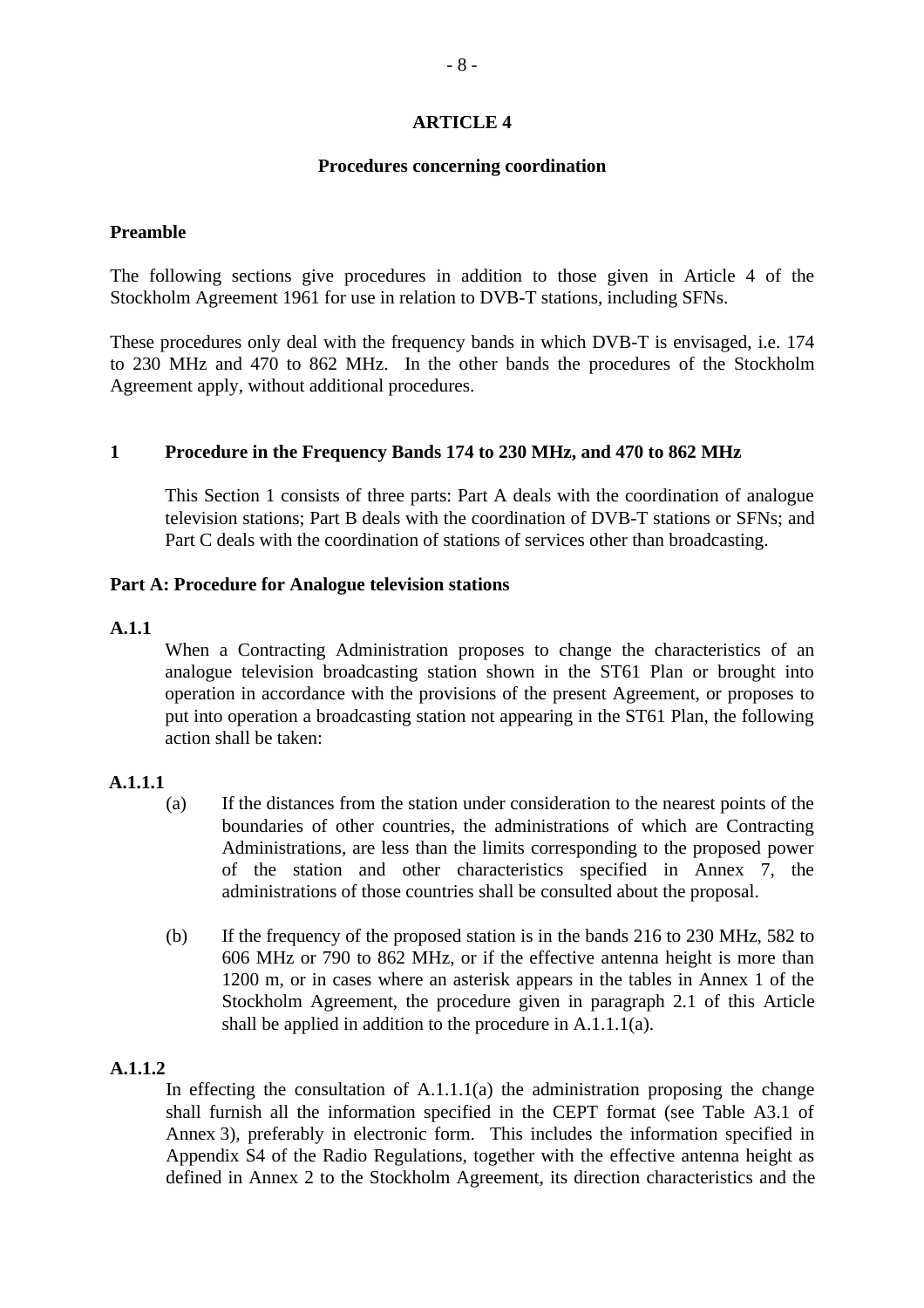#### **Procedures concerning coordination**

#### **Preamble**

The following sections give procedures in addition to those given in Article 4 of the Stockholm Agreement 1961 for use in relation to DVB-T stations, including SFNs.

These procedures only deal with the frequency bands in which DVB-T is envisaged, i.e. 174 to 230 MHz and 470 to 862 MHz. In the other bands the procedures of the Stockholm Agreement apply, without additional procedures.

# **1 Procedure in the Frequency Bands 174 to 230 MHz, and 470 to 862 MHz**

This Section 1 consists of three parts: Part A deals with the coordination of analogue television stations; Part B deals with the coordination of DVB-T stations or SFNs; and Part C deals with the coordination of stations of services other than broadcasting.

#### **Part A: Procedure for Analogue television stations**

#### **A.1.1**

When a Contracting Administration proposes to change the characteristics of an analogue television broadcasting station shown in the ST61 Plan or brought into operation in accordance with the provisions of the present Agreement, or proposes to put into operation a broadcasting station not appearing in the ST61 Plan, the following action shall be taken:

#### **A.1.1.1**

- (a) If the distances from the station under consideration to the nearest points of the boundaries of other countries, the administrations of which are Contracting Administrations, are less than the limits corresponding to the proposed power of the station and other characteristics specified in Annex 7, the administrations of those countries shall be consulted about the proposal.
- (b) If the frequency of the proposed station is in the bands 216 to 230 MHz, 582 to 606 MHz or 790 to 862 MHz, or if the effective antenna height is more than 1200 m, or in cases where an asterisk appears in the tables in Annex 1 of the Stockholm Agreement, the procedure given in paragraph 2.1 of this Article shall be applied in addition to the procedure in A.1.1.1(a).

#### **A.1.1.2**

In effecting the consultation of  $A.1.1.1(a)$  the administration proposing the change shall furnish all the information specified in the CEPT format (see Table A3.1 of Annex 3), preferably in electronic form. This includes the information specified in Appendix S4 of the Radio Regulations, together with the effective antenna height as defined in Annex 2 to the Stockholm Agreement, its direction characteristics and the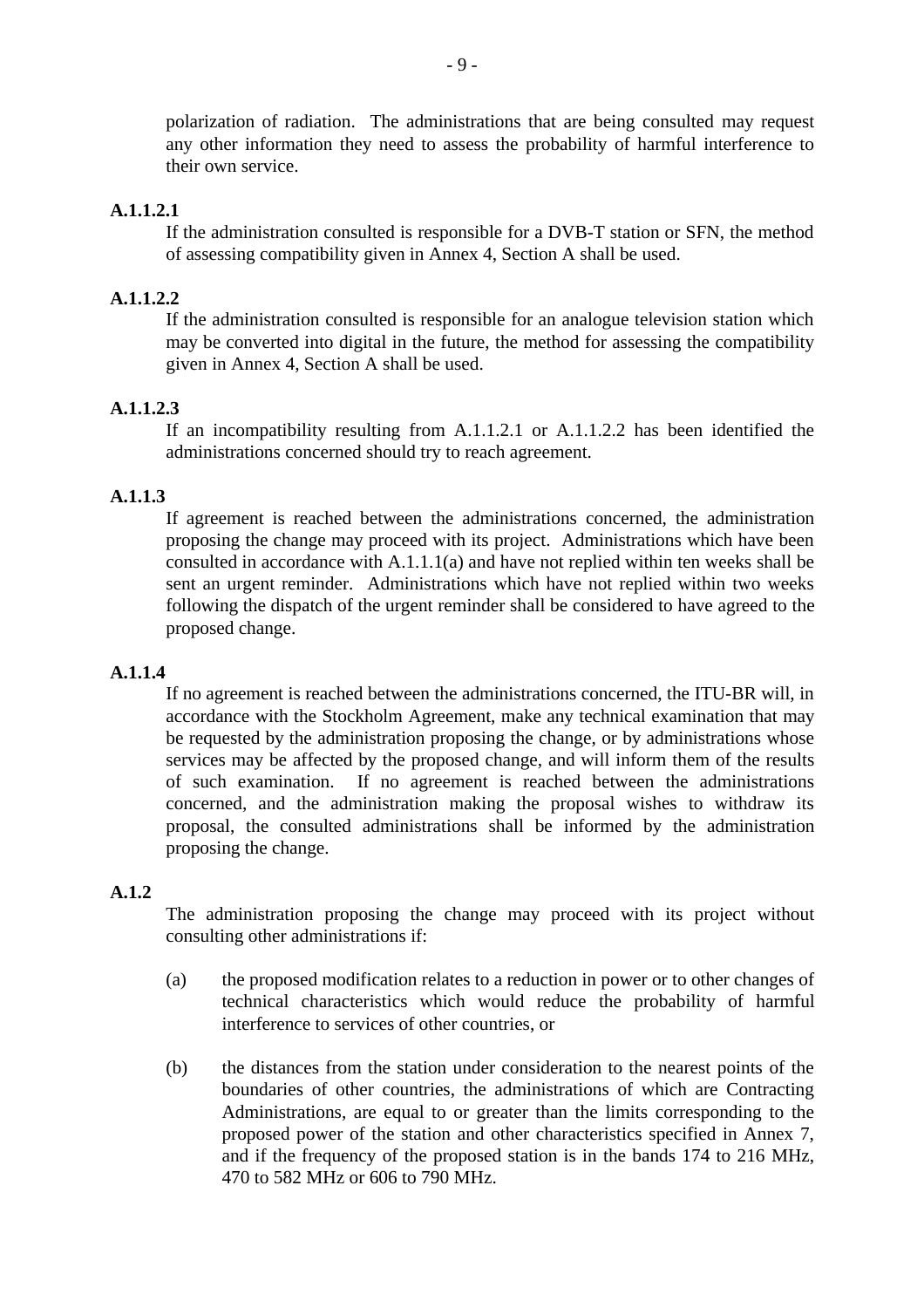polarization of radiation. The administrations that are being consulted may request any other information they need to assess the probability of harmful interference to their own service.

# **A.1.1.2.1**

If the administration consulted is responsible for a DVB-T station or SFN, the method of assessing compatibility given in Annex 4, Section A shall be used.

# **A.1.1.2.2**

If the administration consulted is responsible for an analogue television station which may be converted into digital in the future, the method for assessing the compatibility given in Annex 4, Section A shall be used.

# **A.1.1.2.3**

If an incompatibility resulting from A.1.1.2.1 or A.1.1.2.2 has been identified the administrations concerned should try to reach agreement.

#### **A.1.1.3**

If agreement is reached between the administrations concerned, the administration proposing the change may proceed with its project. Administrations which have been consulted in accordance with A.1.1.1(a) and have not replied within ten weeks shall be sent an urgent reminder. Administrations which have not replied within two weeks following the dispatch of the urgent reminder shall be considered to have agreed to the proposed change.

#### **A.1.1.4**

If no agreement is reached between the administrations concerned, the ITU-BR will, in accordance with the Stockholm Agreement, make any technical examination that may be requested by the administration proposing the change, or by administrations whose services may be affected by the proposed change, and will inform them of the results of such examination. If no agreement is reached between the administrations concerned, and the administration making the proposal wishes to withdraw its proposal, the consulted administrations shall be informed by the administration proposing the change.

#### **A.1.2**

The administration proposing the change may proceed with its project without consulting other administrations if:

- (a) the proposed modification relates to a reduction in power or to other changes of technical characteristics which would reduce the probability of harmful interference to services of other countries, or
- (b) the distances from the station under consideration to the nearest points of the boundaries of other countries, the administrations of which are Contracting Administrations, are equal to or greater than the limits corresponding to the proposed power of the station and other characteristics specified in Annex 7, and if the frequency of the proposed station is in the bands 174 to 216 MHz, 470 to 582 MHz or 606 to 790 MHz.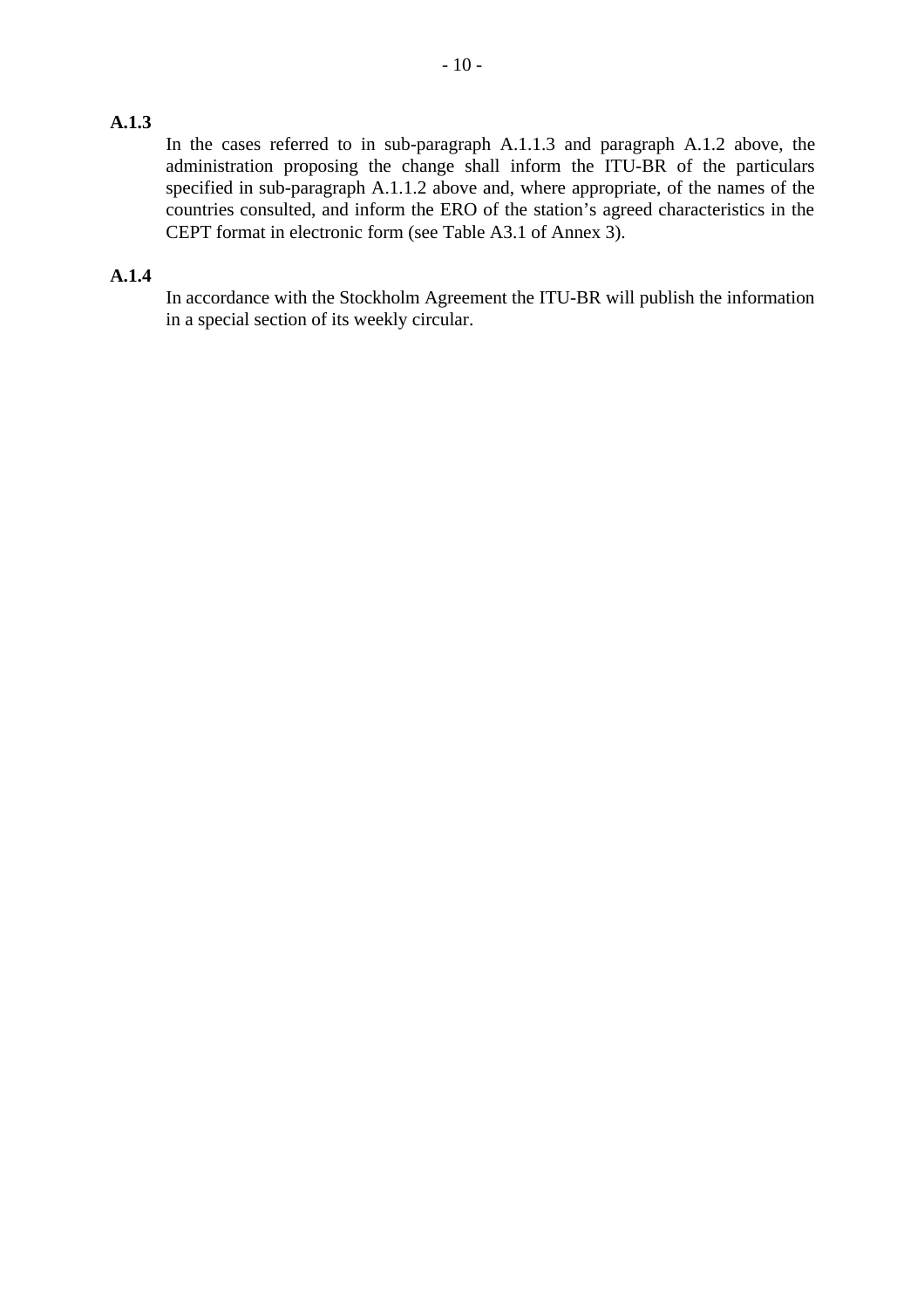# **A.1.3**

In the cases referred to in sub-paragraph A.1.1.3 and paragraph A.1.2 above, the administration proposing the change shall inform the ITU-BR of the particulars specified in sub-paragraph A.1.1.2 above and, where appropriate, of the names of the countries consulted, and inform the ERO of the station's agreed characteristics in the CEPT format in electronic form (see Table A3.1 of Annex 3).

## **A.1.4**

In accordance with the Stockholm Agreement the ITU-BR will publish the information in a special section of its weekly circular.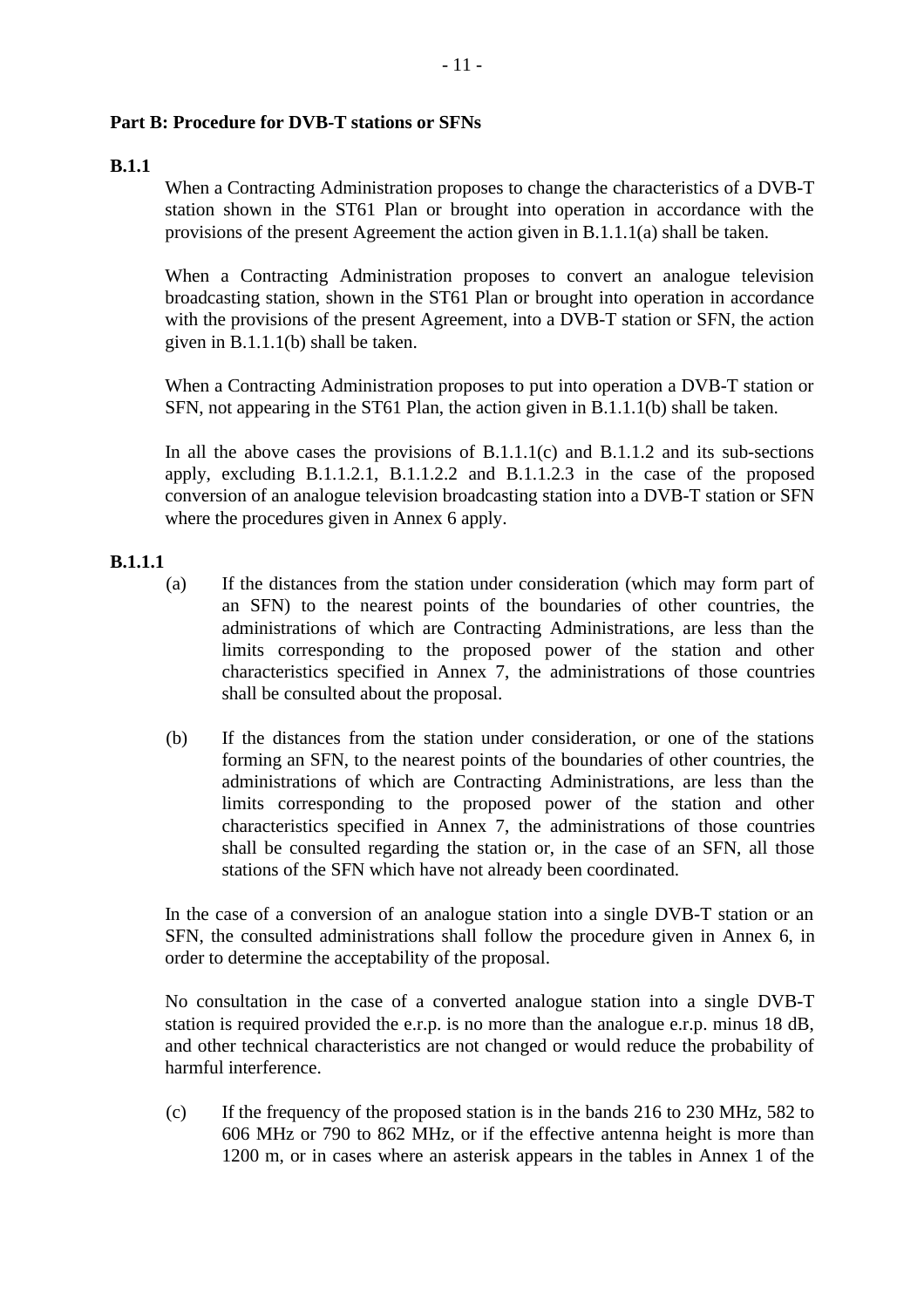# **Part B: Procedure for DVB-T stations or SFNs**

# **B.1.1**

When a Contracting Administration proposes to change the characteristics of a DVB-T station shown in the ST61 Plan or brought into operation in accordance with the provisions of the present Agreement the action given in B.1.1.1(a) shall be taken.

When a Contracting Administration proposes to convert an analogue television broadcasting station, shown in the ST61 Plan or brought into operation in accordance with the provisions of the present Agreement, into a DVB-T station or SFN, the action given in B.1.1.1(b) shall be taken.

When a Contracting Administration proposes to put into operation a DVB-T station or SFN, not appearing in the ST61 Plan, the action given in B.1.1.1(b) shall be taken.

In all the above cases the provisions of  $B.1.1.1(c)$  and  $B.1.1.2$  and its sub-sections apply, excluding B.1.1.2.1, B.1.1.2.2 and B.1.1.2.3 in the case of the proposed conversion of an analogue television broadcasting station into a DVB-T station or SFN where the procedures given in Annex 6 apply.

# **B.1.1.1**

- (a) If the distances from the station under consideration (which may form part of an SFN) to the nearest points of the boundaries of other countries, the administrations of which are Contracting Administrations, are less than the limits corresponding to the proposed power of the station and other characteristics specified in Annex 7, the administrations of those countries shall be consulted about the proposal.
- (b) If the distances from the station under consideration, or one of the stations forming an SFN, to the nearest points of the boundaries of other countries, the administrations of which are Contracting Administrations, are less than the limits corresponding to the proposed power of the station and other characteristics specified in Annex 7, the administrations of those countries shall be consulted regarding the station or, in the case of an SFN, all those stations of the SFN which have not already been coordinated.

In the case of a conversion of an analogue station into a single DVB-T station or an SFN, the consulted administrations shall follow the procedure given in Annex 6, in order to determine the acceptability of the proposal.

No consultation in the case of a converted analogue station into a single DVB-T station is required provided the e.r.p. is no more than the analogue e.r.p. minus 18 dB, and other technical characteristics are not changed or would reduce the probability of harmful interference.

(c) If the frequency of the proposed station is in the bands 216 to 230 MHz, 582 to 606 MHz or 790 to 862 MHz, or if the effective antenna height is more than 1200 m, or in cases where an asterisk appears in the tables in Annex 1 of the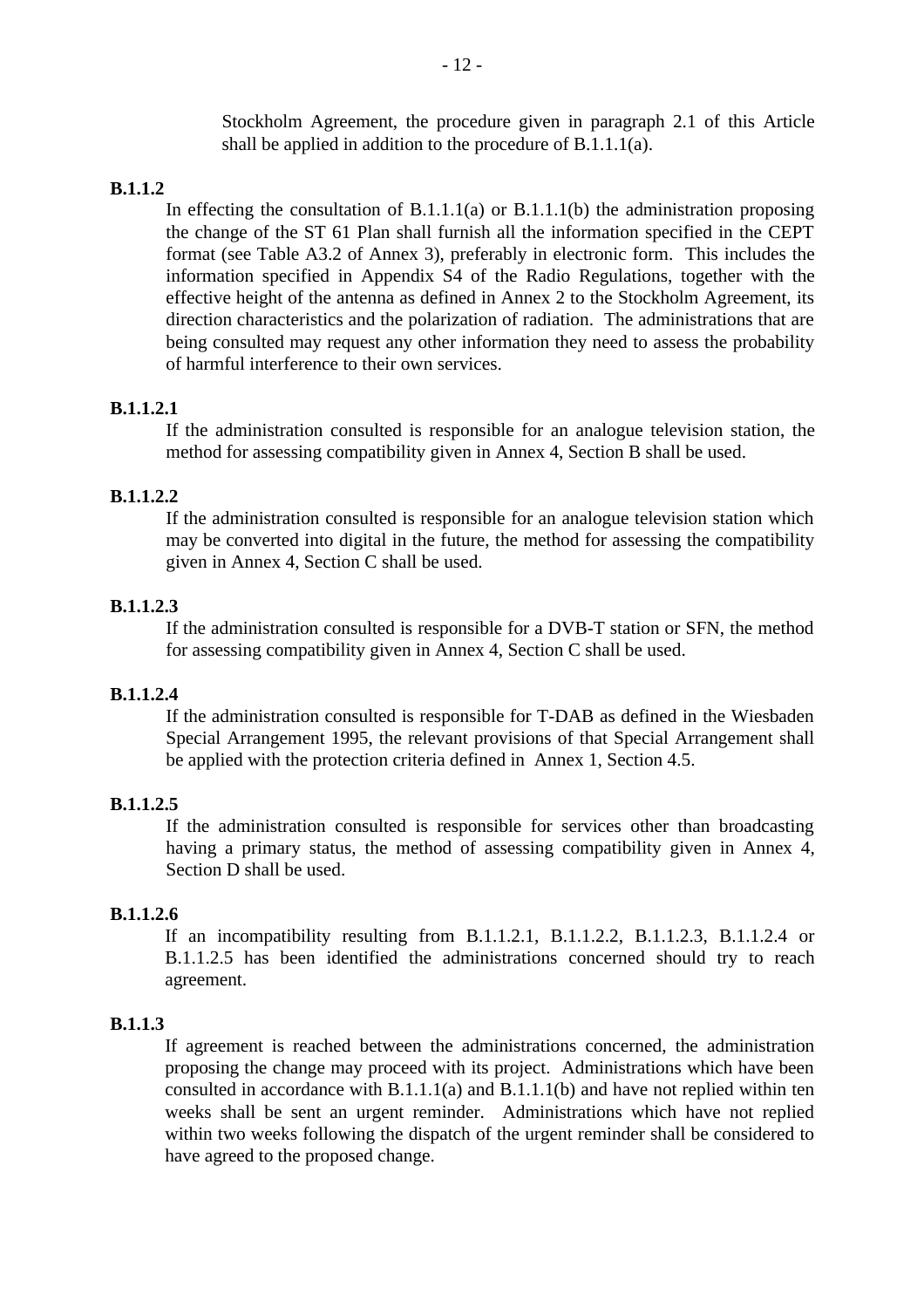Stockholm Agreement, the procedure given in paragraph 2.1 of this Article shall be applied in addition to the procedure of B.1.1.1(a).

#### **B.1.1.2**

In effecting the consultation of  $B.1.1.1(a)$  or  $B.1.1.1(b)$  the administration proposing the change of the ST 61 Plan shall furnish all the information specified in the CEPT format (see Table A3.2 of Annex 3), preferably in electronic form. This includes the information specified in Appendix S4 of the Radio Regulations, together with the effective height of the antenna as defined in Annex 2 to the Stockholm Agreement, its direction characteristics and the polarization of radiation. The administrations that are being consulted may request any other information they need to assess the probability of harmful interference to their own services.

#### **B.1.1.2.1**

If the administration consulted is responsible for an analogue television station, the method for assessing compatibility given in Annex 4, Section B shall be used.

#### **B.1.1.2.2**

If the administration consulted is responsible for an analogue television station which may be converted into digital in the future, the method for assessing the compatibility given in Annex 4, Section C shall be used.

#### **B.1.1.2.3**

If the administration consulted is responsible for a DVB-T station or SFN, the method for assessing compatibility given in Annex 4, Section C shall be used.

#### **B.1.1.2.4**

If the administration consulted is responsible for T-DAB as defined in the Wiesbaden Special Arrangement 1995, the relevant provisions of that Special Arrangement shall be applied with the protection criteria defined in Annex 1, Section 4.5.

#### **B.1.1.2.5**

If the administration consulted is responsible for services other than broadcasting having a primary status, the method of assessing compatibility given in Annex 4, Section D shall be used.

#### **B.1.1.2.6**

If an incompatibility resulting from B.1.1.2.1, B.1.1.2.2, B.1.1.2.3, B.1.1.2.4 or B.1.1.2.5 has been identified the administrations concerned should try to reach agreement.

#### **B.1.1.3**

If agreement is reached between the administrations concerned, the administration proposing the change may proceed with its project. Administrations which have been consulted in accordance with B.1.1.1(a) and B.1.1.1(b) and have not replied within ten weeks shall be sent an urgent reminder. Administrations which have not replied within two weeks following the dispatch of the urgent reminder shall be considered to have agreed to the proposed change.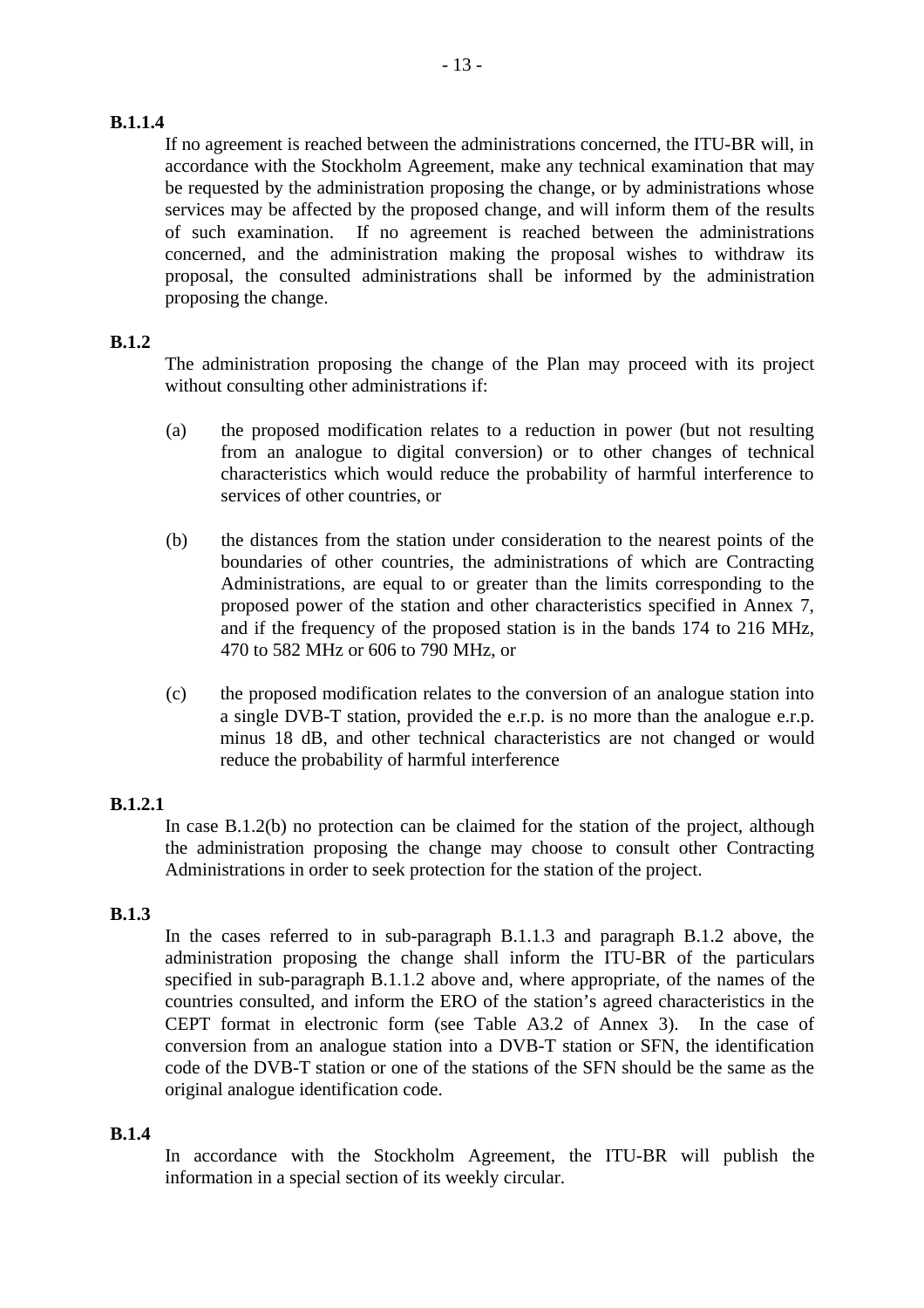# **B.1.1.4**

If no agreement is reached between the administrations concerned, the ITU-BR will, in accordance with the Stockholm Agreement, make any technical examination that may be requested by the administration proposing the change, or by administrations whose services may be affected by the proposed change, and will inform them of the results of such examination. If no agreement is reached between the administrations concerned, and the administration making the proposal wishes to withdraw its proposal, the consulted administrations shall be informed by the administration proposing the change.

# **B.1.2**

The administration proposing the change of the Plan may proceed with its project without consulting other administrations if:

- (a) the proposed modification relates to a reduction in power (but not resulting from an analogue to digital conversion) or to other changes of technical characteristics which would reduce the probability of harmful interference to services of other countries, or
- (b) the distances from the station under consideration to the nearest points of the boundaries of other countries, the administrations of which are Contracting Administrations, are equal to or greater than the limits corresponding to the proposed power of the station and other characteristics specified in Annex 7, and if the frequency of the proposed station is in the bands 174 to 216 MHz, 470 to 582 MHz or 606 to 790 MHz, or
- (c) the proposed modification relates to the conversion of an analogue station into a single DVB-T station, provided the e.r.p. is no more than the analogue e.r.p. minus 18 dB, and other technical characteristics are not changed or would reduce the probability of harmful interference

# **B.1.2.1**

In case B.1.2(b) no protection can be claimed for the station of the project, although the administration proposing the change may choose to consult other Contracting Administrations in order to seek protection for the station of the project.

# **B.1.3**

In the cases referred to in sub-paragraph B.1.1.3 and paragraph B.1.2 above, the administration proposing the change shall inform the ITU-BR of the particulars specified in sub-paragraph B.1.1.2 above and, where appropriate, of the names of the countries consulted, and inform the ERO of the station's agreed characteristics in the CEPT format in electronic form (see Table A3.2 of Annex 3). In the case of conversion from an analogue station into a DVB-T station or SFN, the identification code of the DVB-T station or one of the stations of the SFN should be the same as the original analogue identification code.

# **B.1.4**

In accordance with the Stockholm Agreement, the ITU-BR will publish the information in a special section of its weekly circular.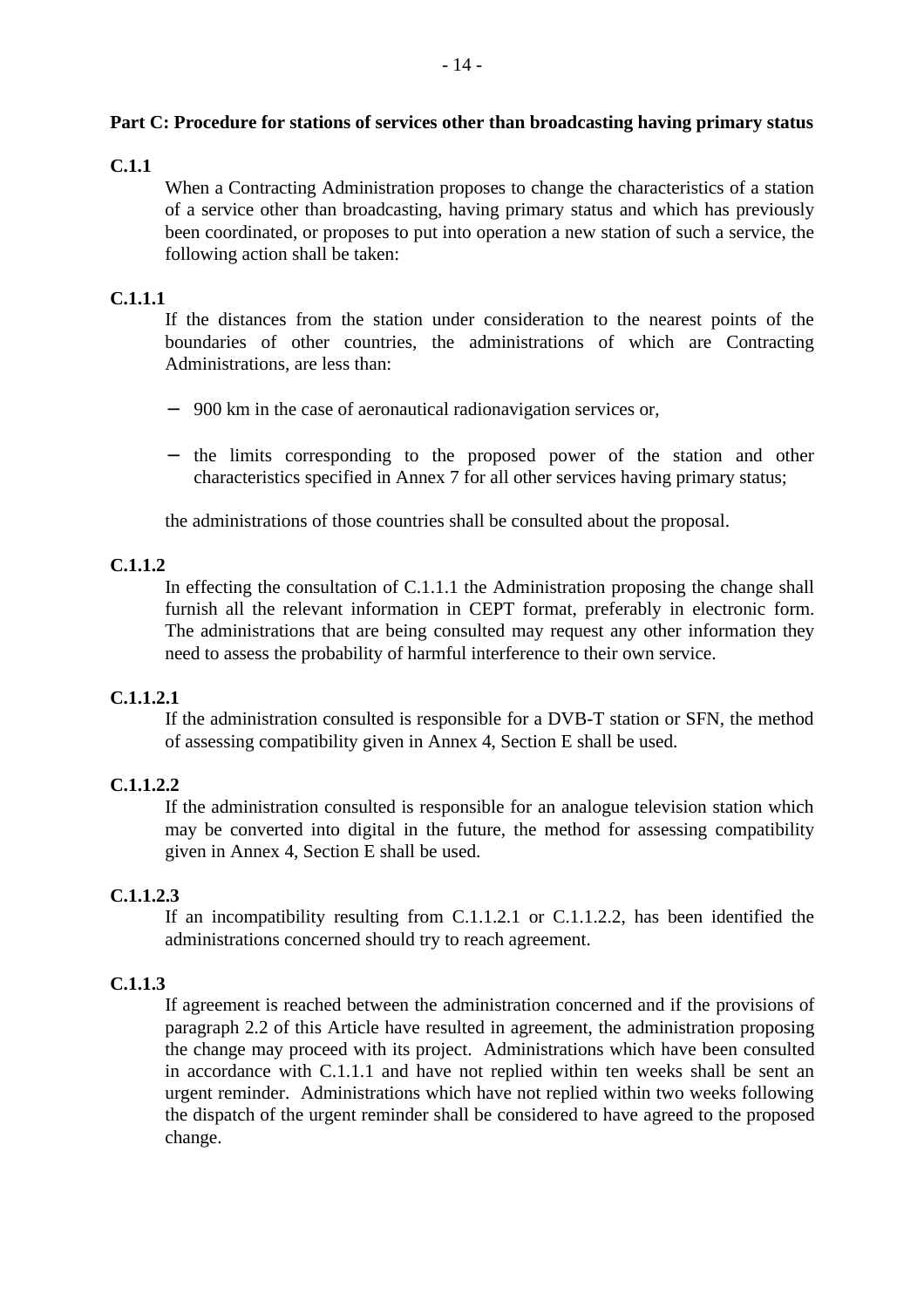#### **Part C: Procedure for stations of services other than broadcasting having primary status**

## **C.1.1**

When a Contracting Administration proposes to change the characteristics of a station of a service other than broadcasting, having primary status and which has previously been coordinated, or proposes to put into operation a new station of such a service, the following action shall be taken:

# **C.1.1.1**

If the distances from the station under consideration to the nearest points of the boundaries of other countries, the administrations of which are Contracting Administrations, are less than:

- − 900 km in the case of aeronautical radionavigation services or,
- − the limits corresponding to the proposed power of the station and other characteristics specified in Annex 7 for all other services having primary status;

the administrations of those countries shall be consulted about the proposal.

# **C.1.1.2**

In effecting the consultation of C.1.1.1 the Administration proposing the change shall furnish all the relevant information in CEPT format, preferably in electronic form. The administrations that are being consulted may request any other information they need to assess the probability of harmful interference to their own service.

# **C.1.1.2.1**

If the administration consulted is responsible for a DVB-T station or SFN, the method of assessing compatibility given in Annex 4, Section E shall be used.

# **C.1.1.2.2**

If the administration consulted is responsible for an analogue television station which may be converted into digital in the future, the method for assessing compatibility given in Annex 4, Section E shall be used.

#### **C.1.1.2.3**

If an incompatibility resulting from C.1.1.2.1 or C.1.1.2.2, has been identified the administrations concerned should try to reach agreement.

#### **C.1.1.3**

If agreement is reached between the administration concerned and if the provisions of paragraph 2.2 of this Article have resulted in agreement, the administration proposing the change may proceed with its project. Administrations which have been consulted in accordance with C.1.1.1 and have not replied within ten weeks shall be sent an urgent reminder. Administrations which have not replied within two weeks following the dispatch of the urgent reminder shall be considered to have agreed to the proposed change.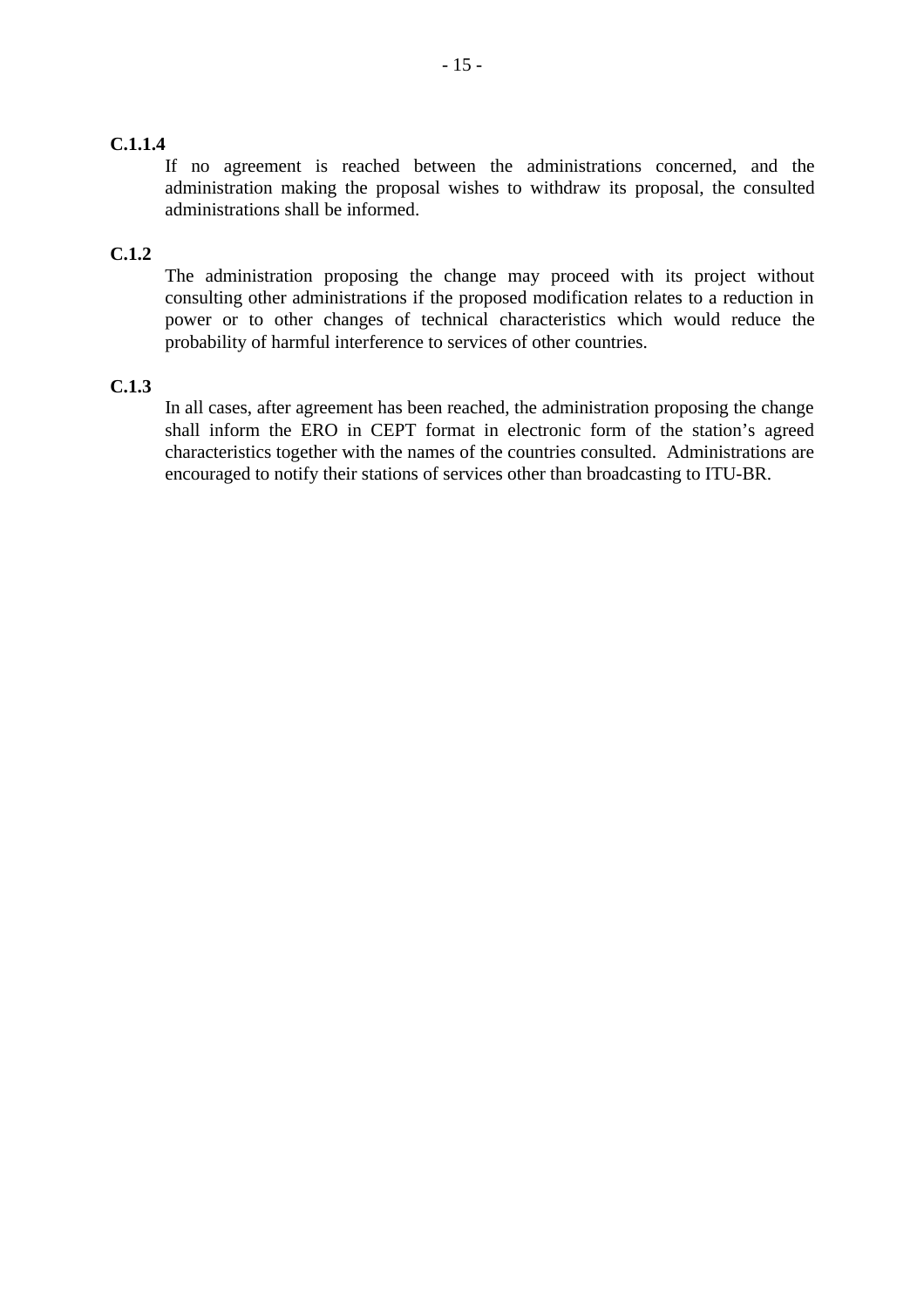# **C.1.1.4**

If no agreement is reached between the administrations concerned, and the administration making the proposal wishes to withdraw its proposal, the consulted administrations shall be informed.

# **C.1.2**

The administration proposing the change may proceed with its project without consulting other administrations if the proposed modification relates to a reduction in power or to other changes of technical characteristics which would reduce the probability of harmful interference to services of other countries.

#### **C.1.3**

In all cases, after agreement has been reached, the administration proposing the change shall inform the ERO in CEPT format in electronic form of the station's agreed characteristics together with the names of the countries consulted. Administrations are encouraged to notify their stations of services other than broadcasting to ITU-BR.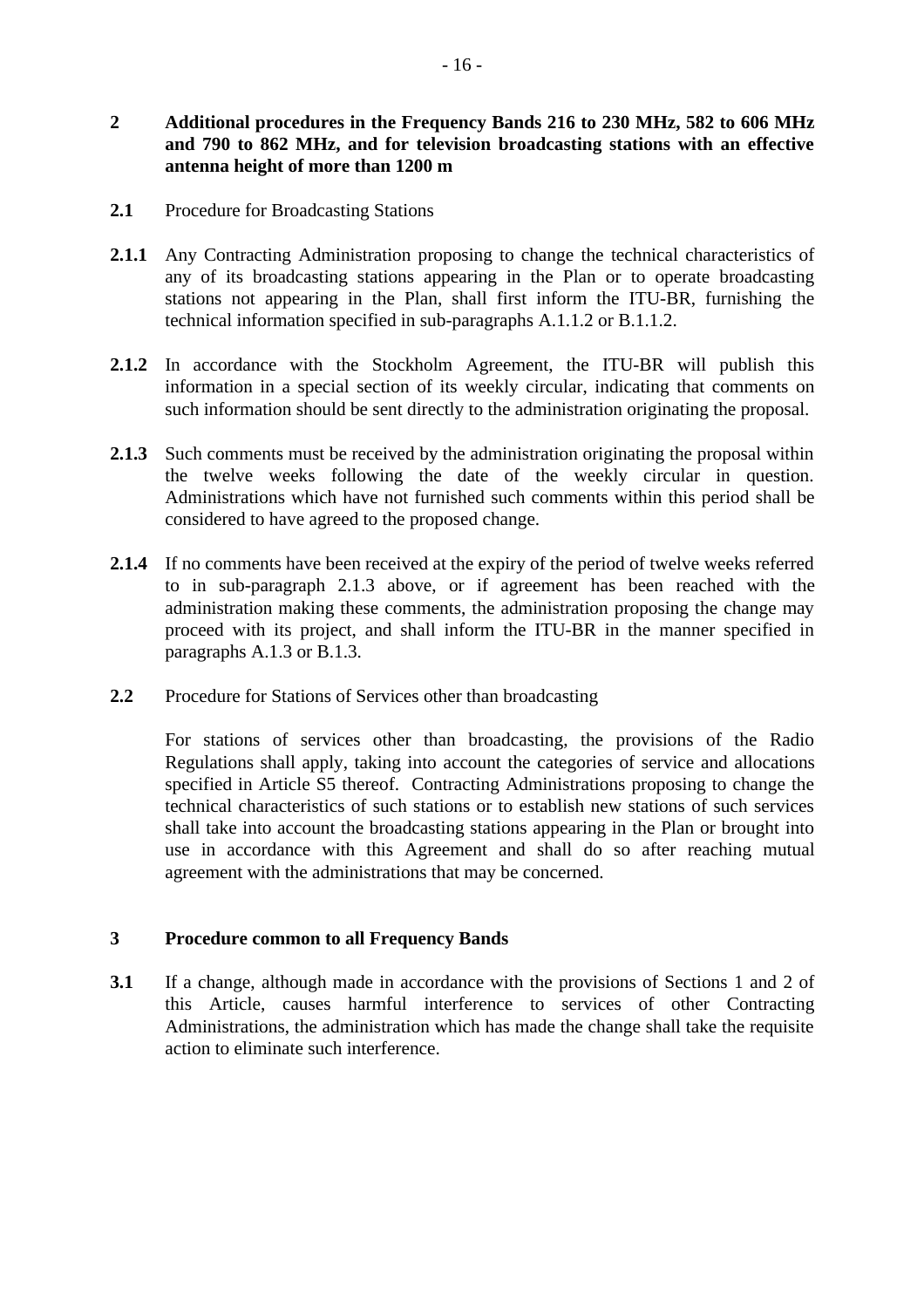# **2 Additional procedures in the Frequency Bands 216 to 230 MHz, 582 to 606 MHz and 790 to 862 MHz, and for television broadcasting stations with an effective antenna height of more than 1200 m**

- **2.1** Procedure for Broadcasting Stations
- 2.1.1 Any Contracting Administration proposing to change the technical characteristics of any of its broadcasting stations appearing in the Plan or to operate broadcasting stations not appearing in the Plan, shall first inform the ITU-BR, furnishing the technical information specified in sub-paragraphs A.1.1.2 or B.1.1.2.
- **2.1.2** In accordance with the Stockholm Agreement, the ITU-BR will publish this information in a special section of its weekly circular, indicating that comments on such information should be sent directly to the administration originating the proposal.
- 2.1.3 Such comments must be received by the administration originating the proposal within the twelve weeks following the date of the weekly circular in question. Administrations which have not furnished such comments within this period shall be considered to have agreed to the proposed change.
- **2.1.4** If no comments have been received at the expiry of the period of twelve weeks referred to in sub-paragraph 2.1.3 above, or if agreement has been reached with the administration making these comments, the administration proposing the change may proceed with its project, and shall inform the ITU-BR in the manner specified in paragraphs A.1.3 or B.1.3.
- **2.2** Procedure for Stations of Services other than broadcasting

For stations of services other than broadcasting, the provisions of the Radio Regulations shall apply, taking into account the categories of service and allocations specified in Article S5 thereof. Contracting Administrations proposing to change the technical characteristics of such stations or to establish new stations of such services shall take into account the broadcasting stations appearing in the Plan or brought into use in accordance with this Agreement and shall do so after reaching mutual agreement with the administrations that may be concerned.

#### **3 Procedure common to all Frequency Bands**

**3.1** If a change, although made in accordance with the provisions of Sections 1 and 2 of this Article, causes harmful interference to services of other Contracting Administrations, the administration which has made the change shall take the requisite action to eliminate such interference.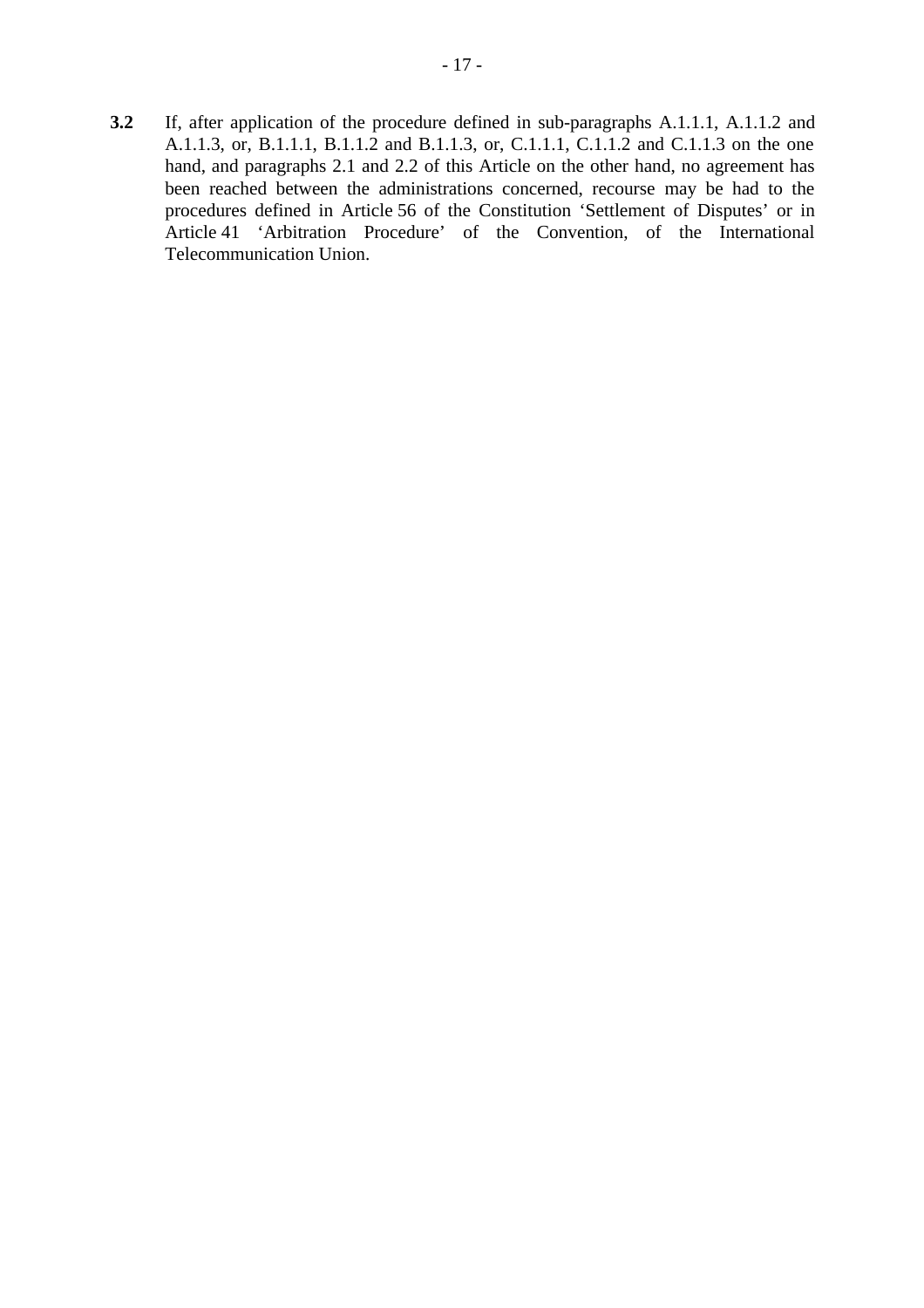**3.2** If, after application of the procedure defined in sub-paragraphs A.1.1.1, A.1.1.2 and A.1.1.3, or, B.1.1.1, B.1.1.2 and B.1.1.3, or, C.1.1.1, C.1.1.2 and C.1.1.3 on the one hand, and paragraphs 2.1 and 2.2 of this Article on the other hand, no agreement has been reached between the administrations concerned, recourse may be had to the procedures defined in Article 56 of the Constitution 'Settlement of Disputes' or in Article 41 'Arbitration Procedure' of the Convention, of the International Telecommunication Union.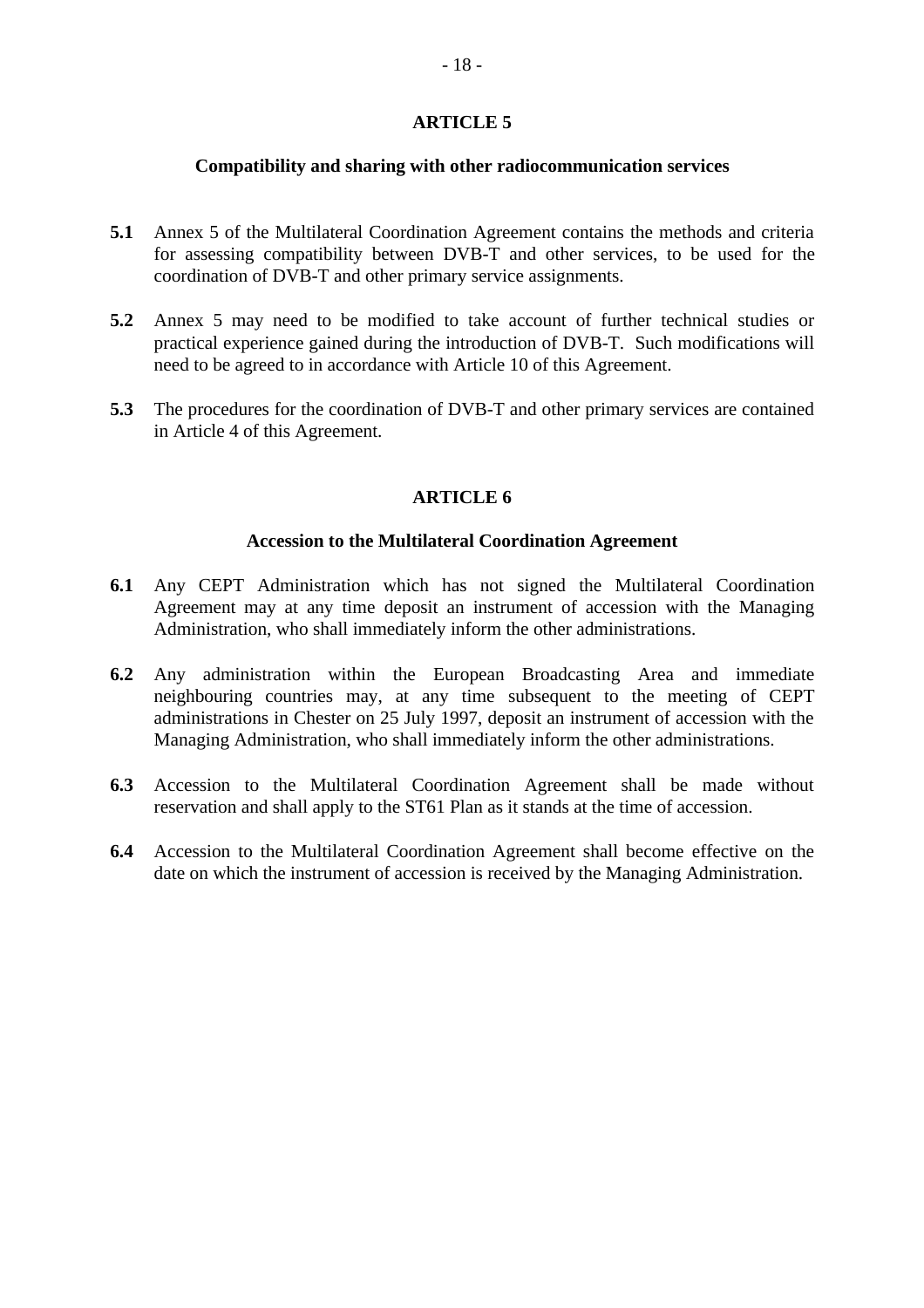#### **Compatibility and sharing with other radiocommunication services**

- **5.1** Annex 5 of the Multilateral Coordination Agreement contains the methods and criteria for assessing compatibility between DVB-T and other services, to be used for the coordination of DVB-T and other primary service assignments.
- **5.2** Annex 5 may need to be modified to take account of further technical studies or practical experience gained during the introduction of DVB-T. Such modifications will need to be agreed to in accordance with Article 10 of this Agreement.
- **5.3** The procedures for the coordination of DVB-T and other primary services are contained in Article 4 of this Agreement.

# **ARTICLE 6**

#### **Accession to the Multilateral Coordination Agreement**

- **6.1** Any CEPT Administration which has not signed the Multilateral Coordination Agreement may at any time deposit an instrument of accession with the Managing Administration, who shall immediately inform the other administrations.
- **6.2** Any administration within the European Broadcasting Area and immediate neighbouring countries may, at any time subsequent to the meeting of CEPT administrations in Chester on 25 July 1997, deposit an instrument of accession with the Managing Administration, who shall immediately inform the other administrations.
- **6.3** Accession to the Multilateral Coordination Agreement shall be made without reservation and shall apply to the ST61 Plan as it stands at the time of accession.
- **6.4** Accession to the Multilateral Coordination Agreement shall become effective on the date on which the instrument of accession is received by the Managing Administration.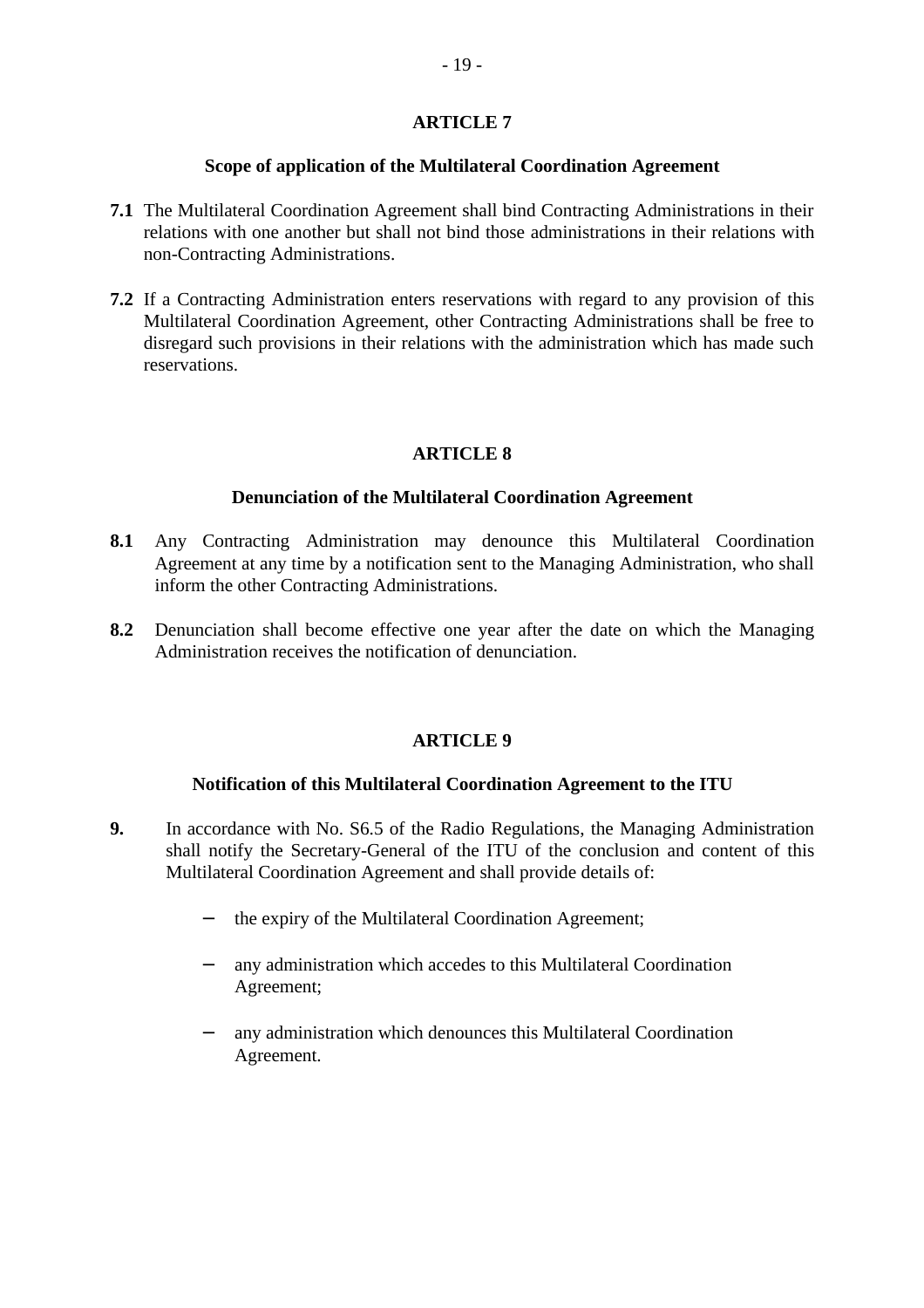#### **Scope of application of the Multilateral Coordination Agreement**

- **7.1** The Multilateral Coordination Agreement shall bind Contracting Administrations in their relations with one another but shall not bind those administrations in their relations with non-Contracting Administrations.
- **7.2** If a Contracting Administration enters reservations with regard to any provision of this Multilateral Coordination Agreement, other Contracting Administrations shall be free to disregard such provisions in their relations with the administration which has made such reservations.

# **ARTICLE 8**

#### **Denunciation of the Multilateral Coordination Agreement**

- **8.1** Any Contracting Administration may denounce this Multilateral Coordination Agreement at any time by a notification sent to the Managing Administration, who shall inform the other Contracting Administrations.
- **8.2** Denunciation shall become effective one year after the date on which the Managing Administration receives the notification of denunciation.

#### **ARTICLE 9**

#### **Notification of this Multilateral Coordination Agreement to the ITU**

- **9.** In accordance with No. S6.5 of the Radio Regulations, the Managing Administration shall notify the Secretary-General of the ITU of the conclusion and content of this Multilateral Coordination Agreement and shall provide details of:
	- − the expiry of the Multilateral Coordination Agreement;
	- any administration which accedes to this Multilateral Coordination Agreement;
	- any administration which denounces this Multilateral Coordination Agreement.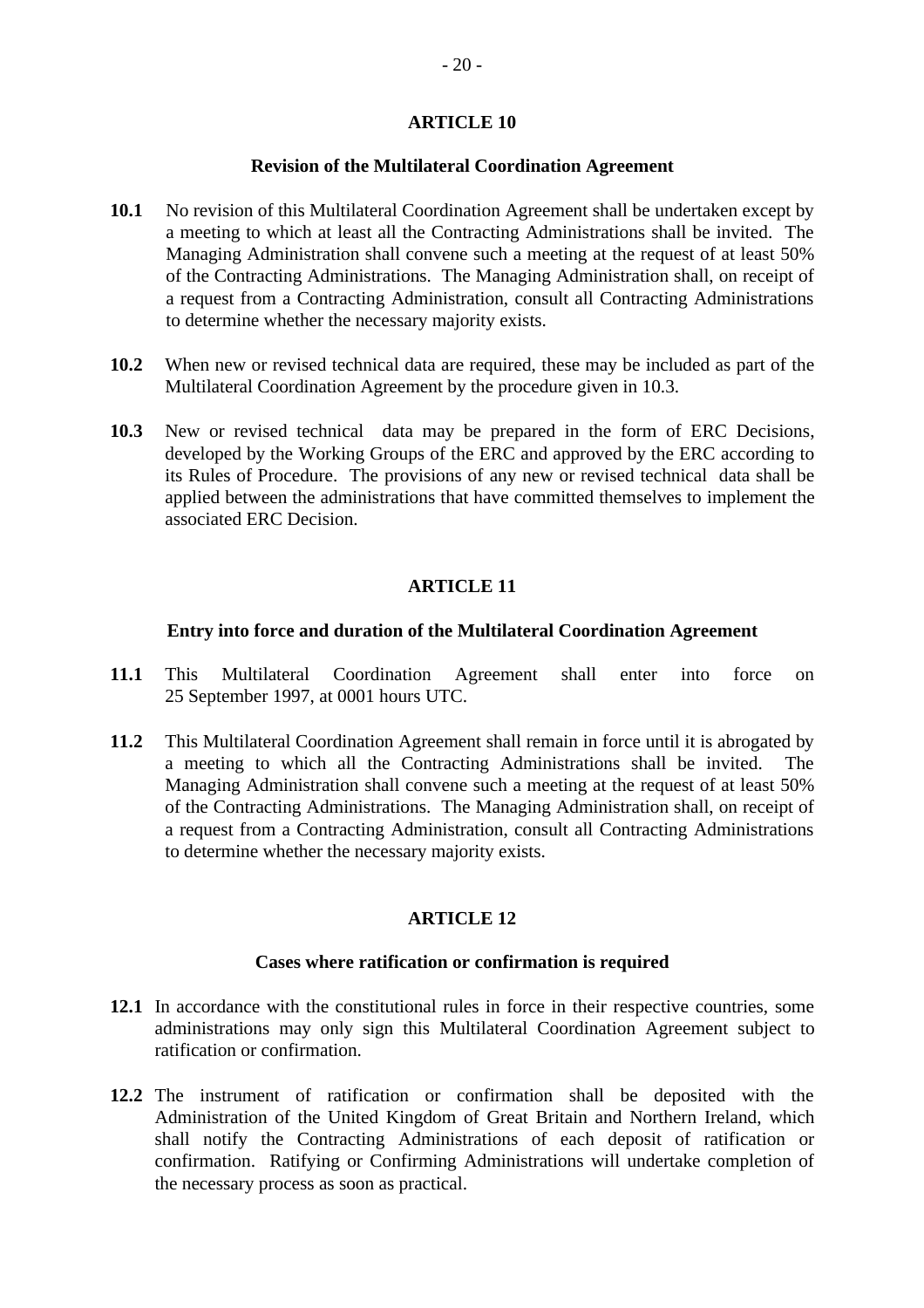#### **Revision of the Multilateral Coordination Agreement**

- **10.1** No revision of this Multilateral Coordination Agreement shall be undertaken except by a meeting to which at least all the Contracting Administrations shall be invited. The Managing Administration shall convene such a meeting at the request of at least 50% of the Contracting Administrations. The Managing Administration shall, on receipt of a request from a Contracting Administration, consult all Contracting Administrations to determine whether the necessary majority exists.
- **10.2** When new or revised technical data are required, these may be included as part of the Multilateral Coordination Agreement by the procedure given in 10.3.
- **10.3** New or revised technical data may be prepared in the form of ERC Decisions, developed by the Working Groups of the ERC and approved by the ERC according to its Rules of Procedure. The provisions of any new or revised technical data shall be applied between the administrations that have committed themselves to implement the associated ERC Decision.

# **ARTICLE 11**

#### **Entry into force and duration of the Multilateral Coordination Agreement**

- **11.1** This Multilateral Coordination Agreement shall enter into force on 25 September 1997, at 0001 hours UTC.
- **11.2** This Multilateral Coordination Agreement shall remain in force until it is abrogated by a meeting to which all the Contracting Administrations shall be invited. The Managing Administration shall convene such a meeting at the request of at least 50% of the Contracting Administrations. The Managing Administration shall, on receipt of a request from a Contracting Administration, consult all Contracting Administrations to determine whether the necessary majority exists.

#### **ARTICLE 12**

#### **Cases where ratification or confirmation is required**

- **12.1** In accordance with the constitutional rules in force in their respective countries, some administrations may only sign this Multilateral Coordination Agreement subject to ratification or confirmation.
- **12.2** The instrument of ratification or confirmation shall be deposited with the Administration of the United Kingdom of Great Britain and Northern Ireland, which shall notify the Contracting Administrations of each deposit of ratification or confirmation. Ratifying or Confirming Administrations will undertake completion of the necessary process as soon as practical.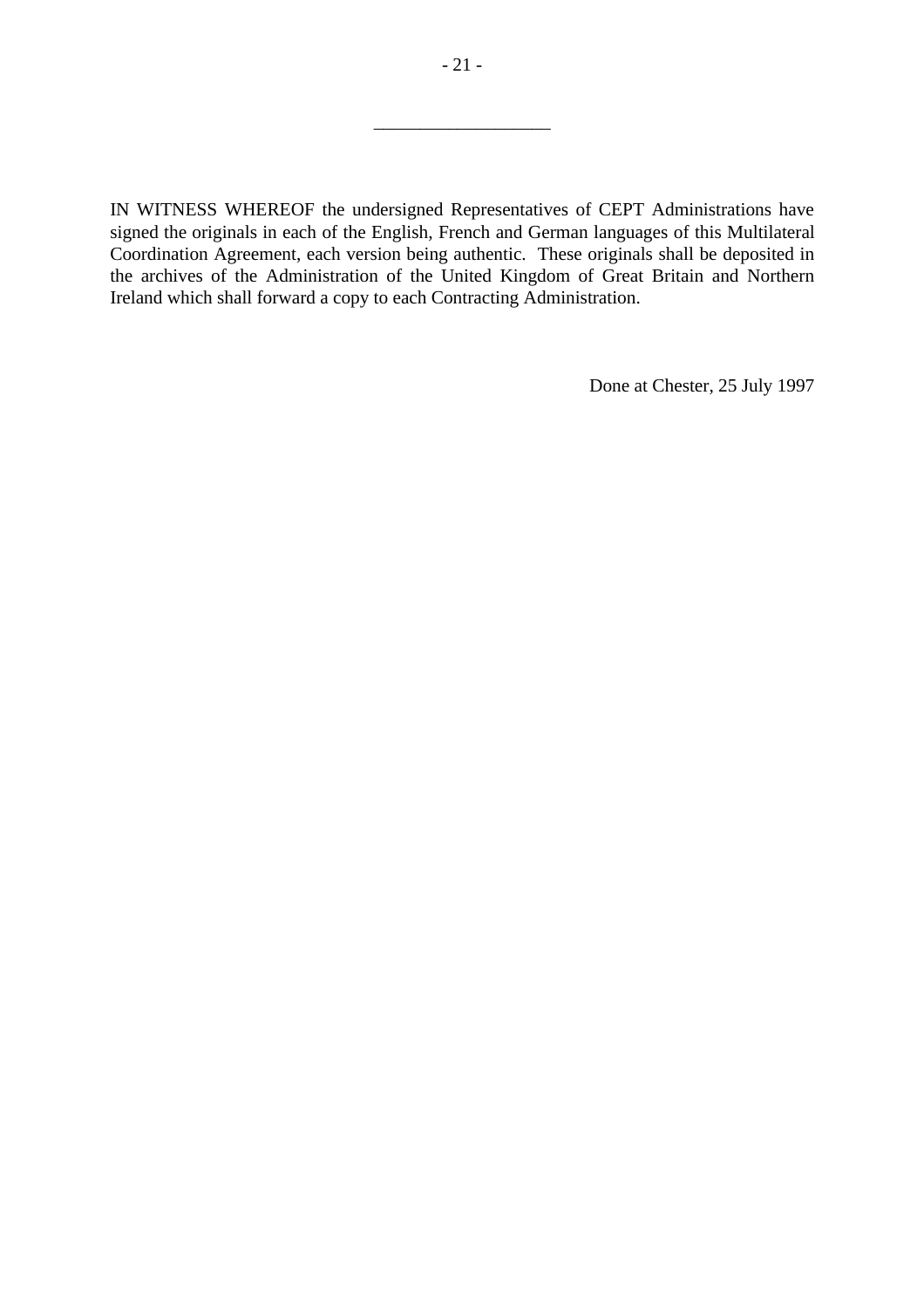IN WITNESS WHEREOF the undersigned Representatives of CEPT Administrations have signed the originals in each of the English, French and German languages of this Multilateral Coordination Agreement, each version being authentic. These originals shall be deposited in the archives of the Administration of the United Kingdom of Great Britain and Northern Ireland which shall forward a copy to each Contracting Administration.

Done at Chester, 25 July 1997

\_\_\_\_\_\_\_\_\_\_\_\_\_\_\_\_\_\_\_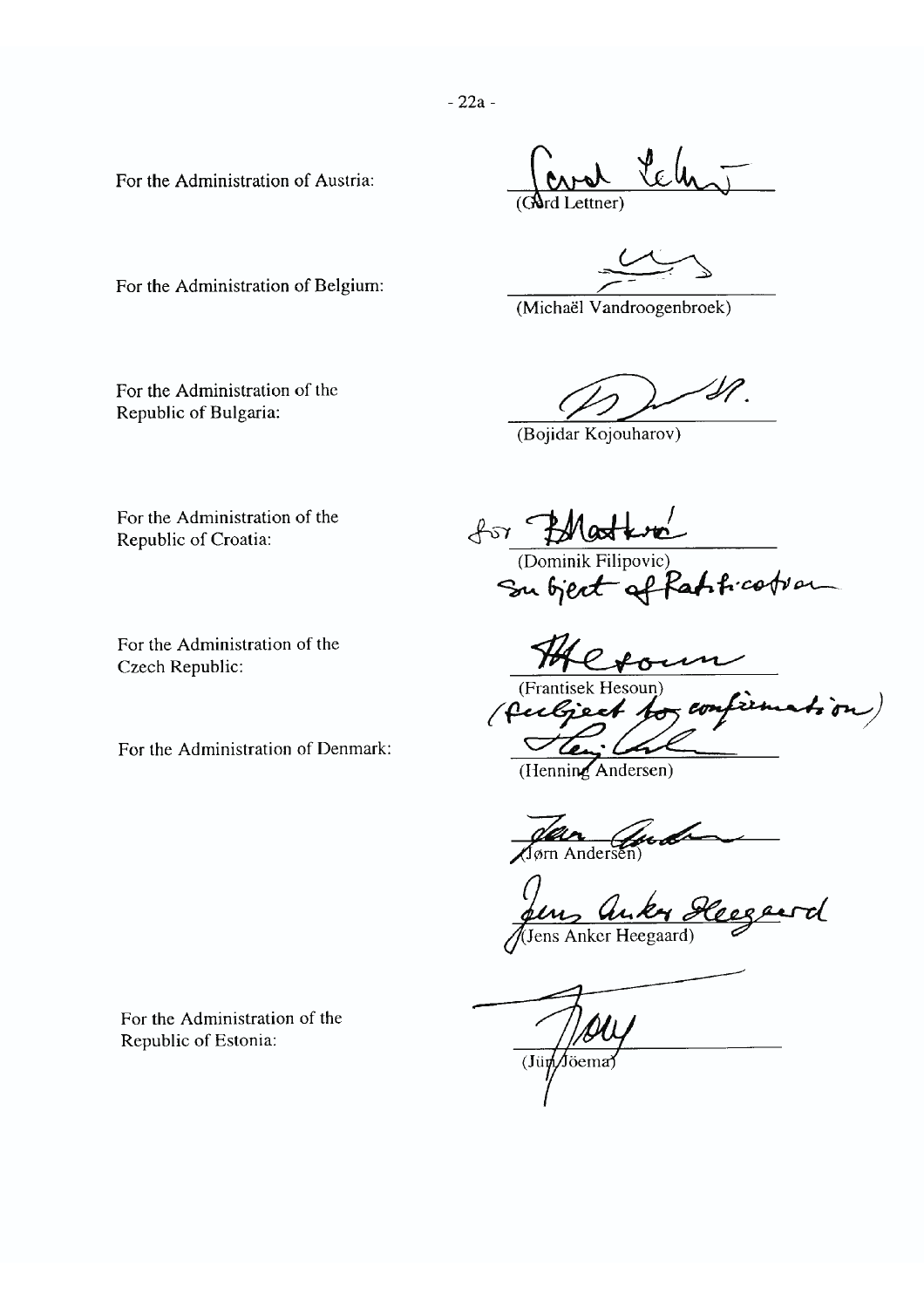For the Administration of Austria:

 $A_{\text{atab}}$ Lettner<sup>'</sup>

(Michaël Vandroogenbroek)

'SP

(Bojidar Kojouharov)

For the Administration of Belgium:

For the Administration of the Republic of Bulgaria:

For the Administration of the Republic of Croatia:

For the Administration of the Czech Republic:

For the Administration of Denmark:

for PMatter (Dominik Filipovic)

Crown

(Frantisek Hesoun) (fulgeet for confirmation)  $\bigtriangledown$ 

(Henning Andersen)

Jon Gud

Jens Anker Heegewd

 $\frac{1}{2}$ (Jümpona)

For the Administration of the Republic of Estonia: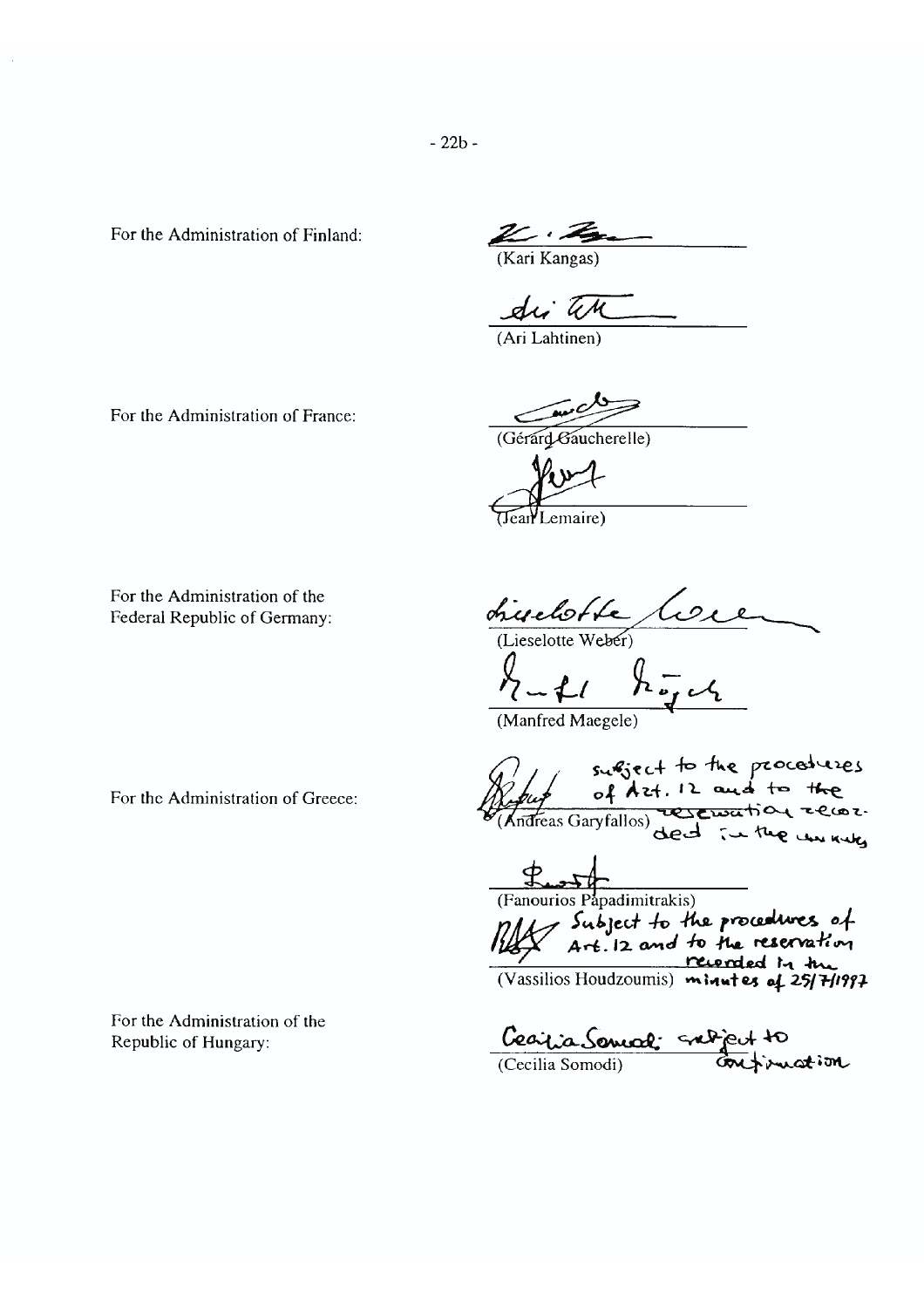$-22b -$ 

For the Administration of Finland:

 $\mathbb{Z} \cdot \mathbb{Z}$  (Kari Kangas)

di th

(Ari Lahtinen)

For the Administration of France:

(Gérard Gaucherelle)

 $k$ u $1$ 

For the Administration of the Federal Republic of Germany:

chieredotte Core<br>(Lieselotte Weber)<br>huff hogel

Manfred Maegele)

For the Administration of Greece:

For the Administration of the Republic of Hungary:

surfiect to the procedures<br>Copy of Azt. 12 and to the

Fanourios Papadimitrakis)<br>
(Fanourios Papadimitrakis)<br>
Subject to the procedures of<br>
Art. 12 and to the reservation<br>
(Vassilios Houdzoumis) minutes of 25/7/1997

Cearlia Sonnal subject to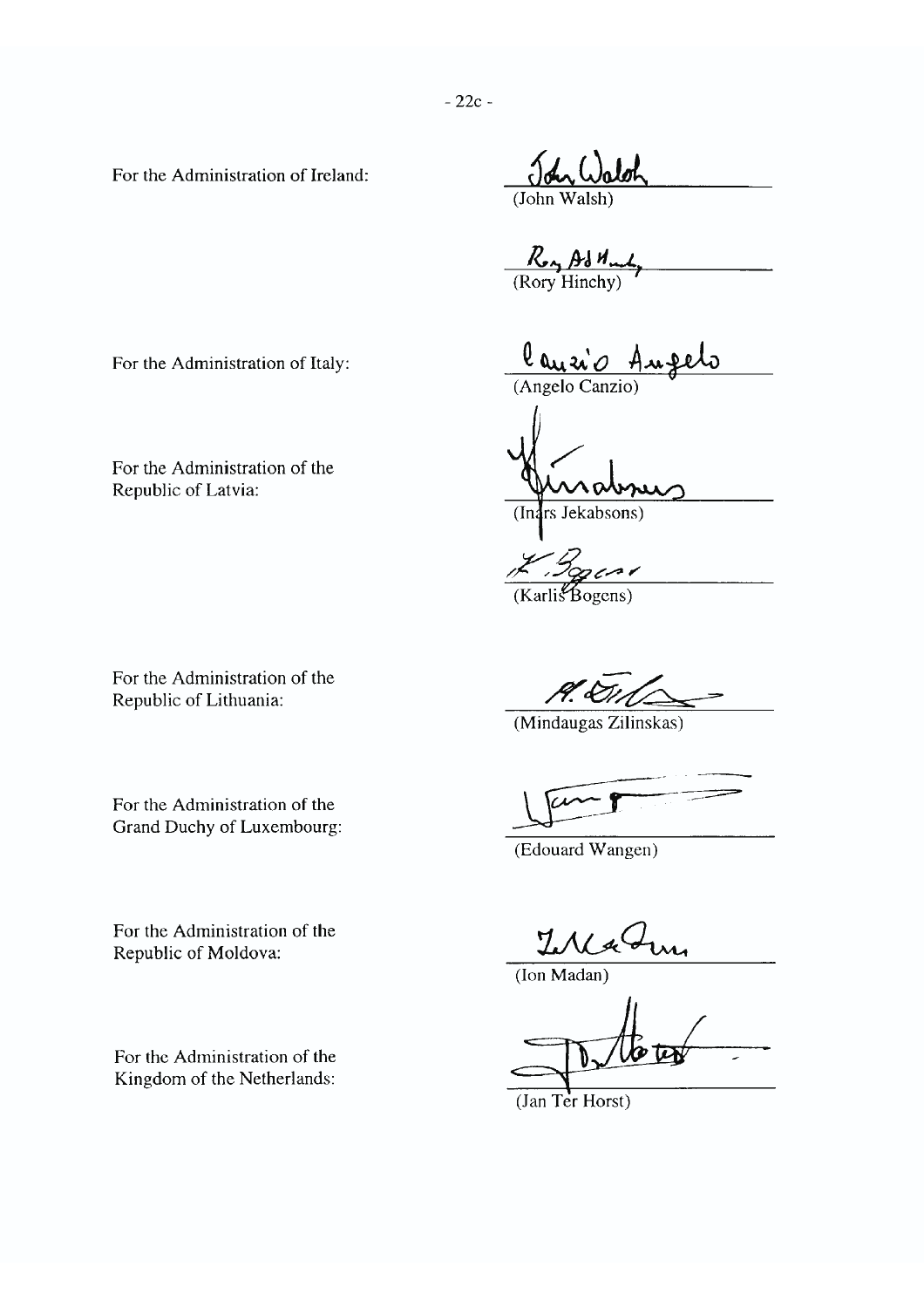For the Administration of Ireland:

 $R_{A}$  Ad  $M_{m}$ <br>(Rory Hinchy)

For the Administration of Italy:

For the Administration of the Republic of Latvia:

 $($ In: rs Jekabsons)

(Angelo Canzio)

 $(Karli\mathcal{L}Bogens)$ 

For the Administration of the Republic of Lithuania:

For the Administration of the Grand Duchy of Luxembourg: P. Du

(Mindaugas Zilinskas)

(Edouard Wangen)

Ų

 $($ Ion Madan $)$ 

 $(Tan Ter Horst)$ 

For the Administration of the Republic of Moldova:

For the Administration of the Kingdom of the Netherlands: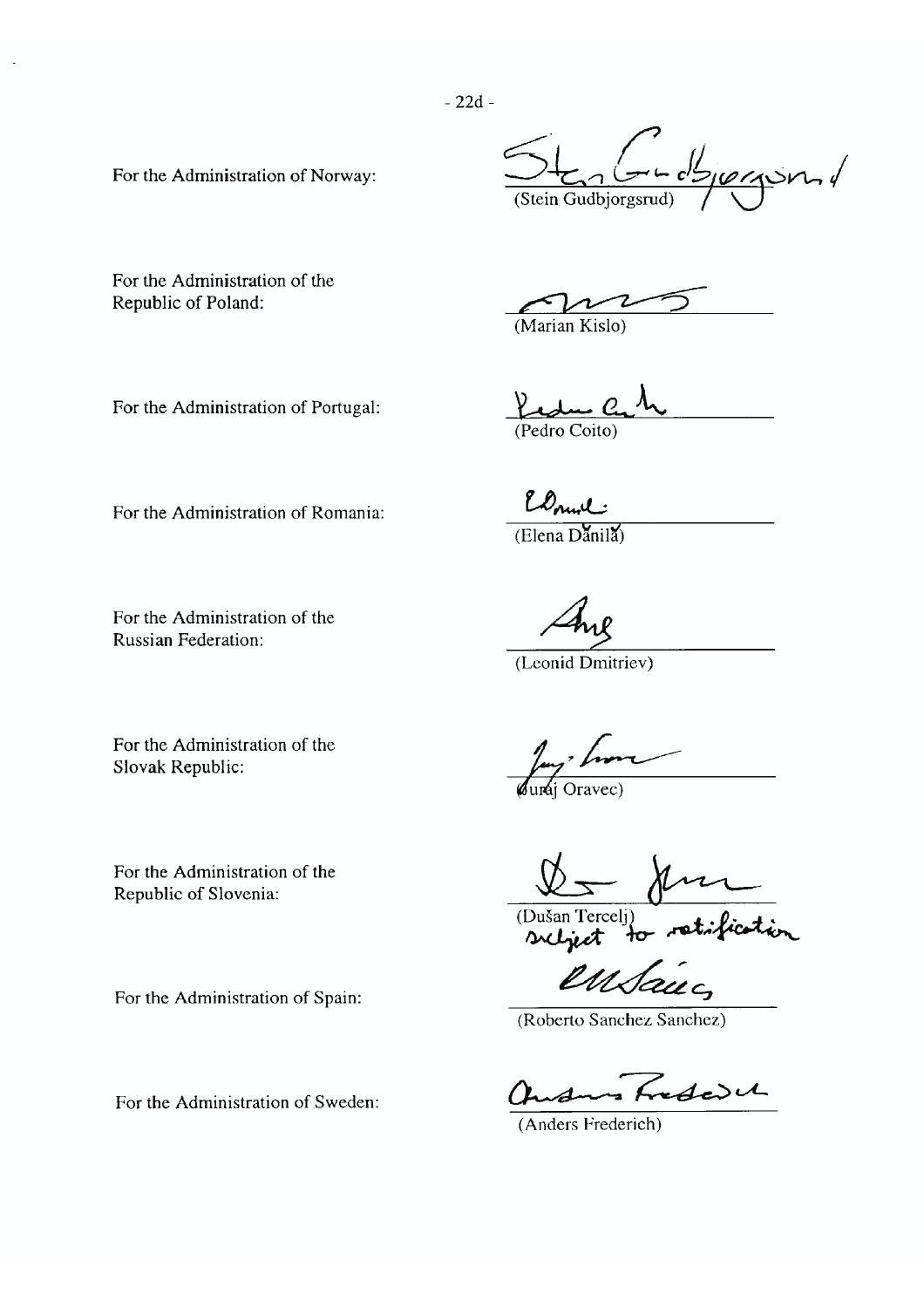$-22d -$ 

For the Administration of Norway:

tenterolsjonen (Stein Gudbiorgsrud

For the Administration of the Republic of Poland:

(Marian Kislo)

For the Administration of Portugal:

 $Y_{\mathcal{A}}$ (Pedro Coito)

For the Administration of Romania:

(Elena Danila)

Elmil:

For the Administration of the **Russian Federation:** 

(Leonid Dmitriev)

For the Administration of the Slovak Republic:

For the Administration of the Republic of Slovenia:

For the Administration of Spain:

For the Administration of Sweden:

Jay home

(Dušan Terceli)<br>subject to retification

(Roberto Sanchez Sanchez)

Induces Frederick

(Anders Frederich)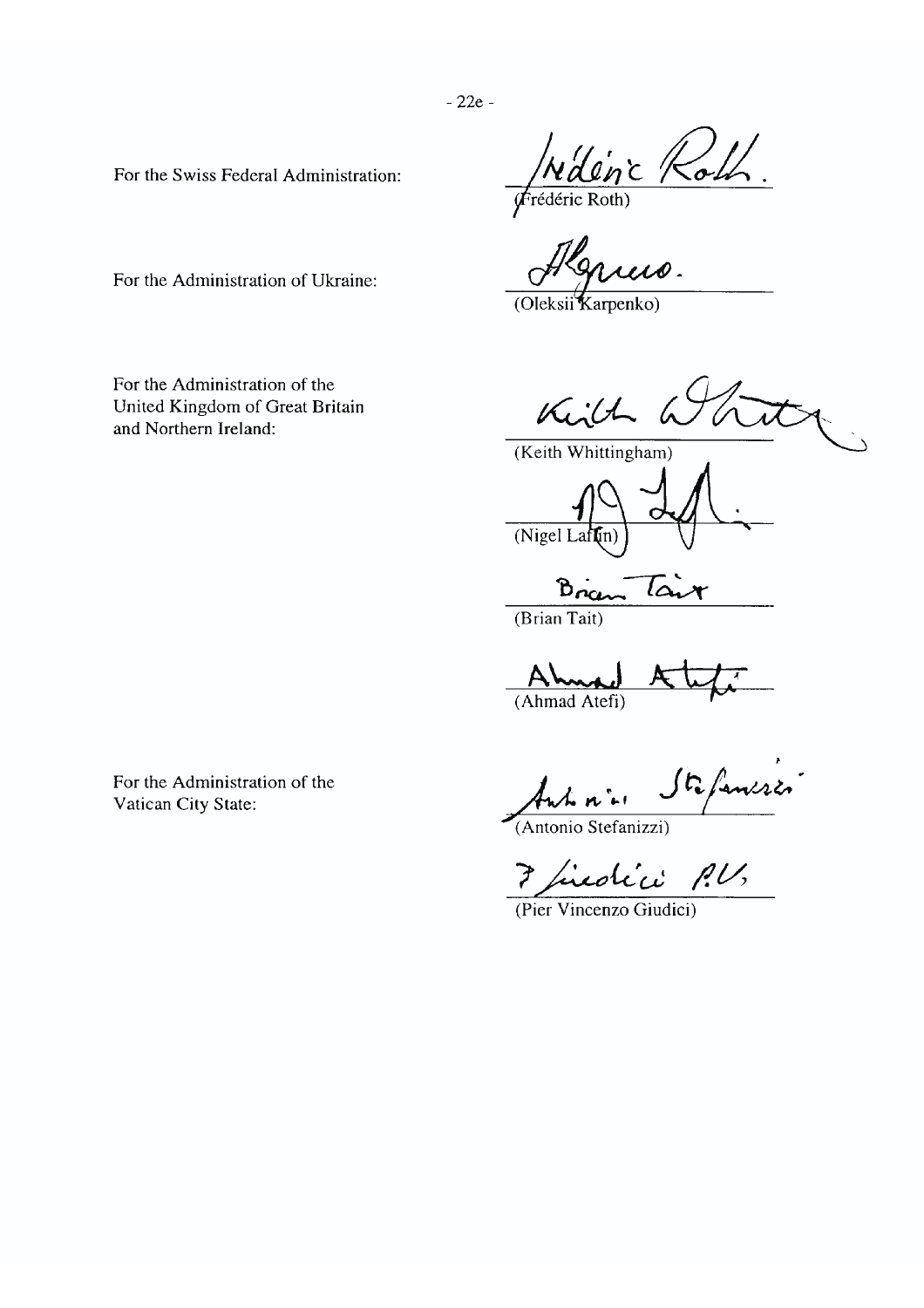For the Swiss Federal Administration:

Widence Rob

Ilarus.

(Oleksii Karpenko)

Kill

(Keith Whittingham)

 $(Nigel Laffin)$ 

 $B_{0}$ نما

(Brian Tait)

Ahma (Ahmad Atefi)

Stefansses Antonio

(Antonio Stefanizzi)

Friedrici P.U.

For the Administration of Ukraine:

For the Administration of the United Kingdom of Great Britain and Northern Ireland:

For the Administration of the Vatican City State: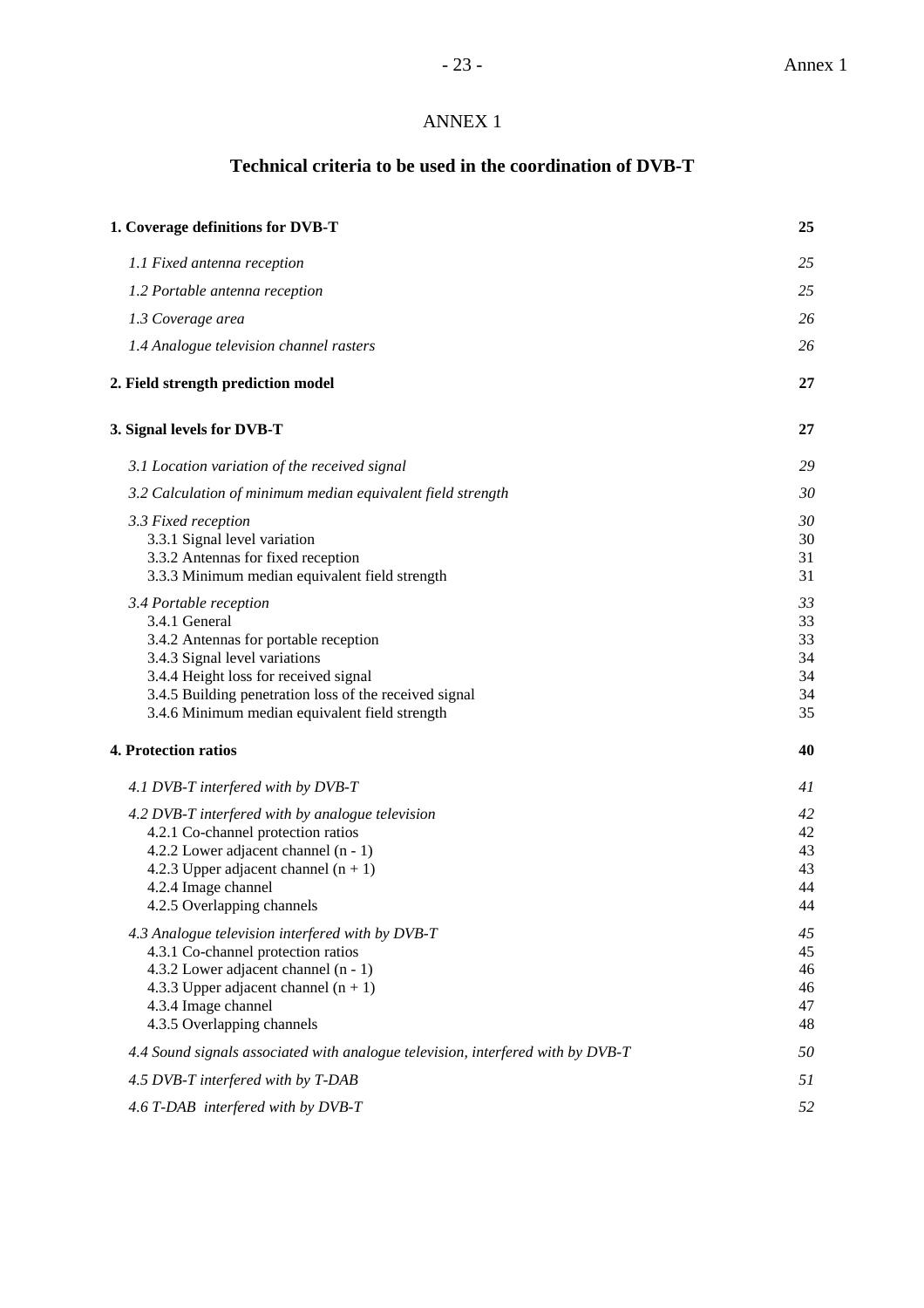# ANNEX 1

# **Technical criteria to be used in the coordination of DVB-T**

| 1. Coverage definitions for DVB-T                                                                                                                                                                                                                                      | 25                                     |
|------------------------------------------------------------------------------------------------------------------------------------------------------------------------------------------------------------------------------------------------------------------------|----------------------------------------|
| 1.1 Fixed antenna reception                                                                                                                                                                                                                                            | 25                                     |
| 1.2 Portable antenna reception                                                                                                                                                                                                                                         | 25                                     |
| 1.3 Coverage area                                                                                                                                                                                                                                                      | 26                                     |
| 1.4 Analogue television channel rasters                                                                                                                                                                                                                                | 26                                     |
| 2. Field strength prediction model                                                                                                                                                                                                                                     | 27                                     |
| 3. Signal levels for DVB-T                                                                                                                                                                                                                                             | 27                                     |
| 3.1 Location variation of the received signal                                                                                                                                                                                                                          | 29                                     |
| 3.2 Calculation of minimum median equivalent field strength                                                                                                                                                                                                            | 30                                     |
| 3.3 Fixed reception<br>3.3.1 Signal level variation<br>3.3.2 Antennas for fixed reception<br>3.3.3 Minimum median equivalent field strength                                                                                                                            | 30<br>30<br>31<br>31                   |
| 3.4 Portable reception<br>3.4.1 General<br>3.4.2 Antennas for portable reception<br>3.4.3 Signal level variations<br>3.4.4 Height loss for received signal<br>3.4.5 Building penetration loss of the received signal<br>3.4.6 Minimum median equivalent field strength | 33<br>33<br>33<br>34<br>34<br>34<br>35 |
| 4. Protection ratios                                                                                                                                                                                                                                                   | 40                                     |
| 4.1 DVB-T interfered with by DVB-T                                                                                                                                                                                                                                     | 41                                     |
| 4.2 DVB-T interfered with by analogue television                                                                                                                                                                                                                       | 42                                     |
| 4.2.1 Co-channel protection ratios                                                                                                                                                                                                                                     | 42                                     |
| 4.2.2 Lower adjacent channel (n - 1)                                                                                                                                                                                                                                   | 43                                     |
| 4.2.3 Upper adjacent channel $(n + 1)$<br>4.2.4 Image channel                                                                                                                                                                                                          | 43<br>44                               |
| 4.2.5 Overlapping channels                                                                                                                                                                                                                                             | 44                                     |
| 4.3 Analogue television interfered with by DVB-T                                                                                                                                                                                                                       | 45                                     |
| 4.3.1 Co-channel protection ratios                                                                                                                                                                                                                                     | 45                                     |
| 4.3.2 Lower adjacent channel (n - 1)                                                                                                                                                                                                                                   | 46                                     |
| 4.3.3 Upper adjacent channel $(n + 1)$                                                                                                                                                                                                                                 | 46                                     |
| 4.3.4 Image channel                                                                                                                                                                                                                                                    | 47                                     |
| 4.3.5 Overlapping channels                                                                                                                                                                                                                                             | 48                                     |
| 4.4 Sound signals associated with analogue television, interfered with by DVB-T                                                                                                                                                                                        | 50                                     |
| 4.5 DVB-T interfered with by T-DAB                                                                                                                                                                                                                                     | 51                                     |
| 4.6 T-DAB interfered with by DVB-T                                                                                                                                                                                                                                     | 52                                     |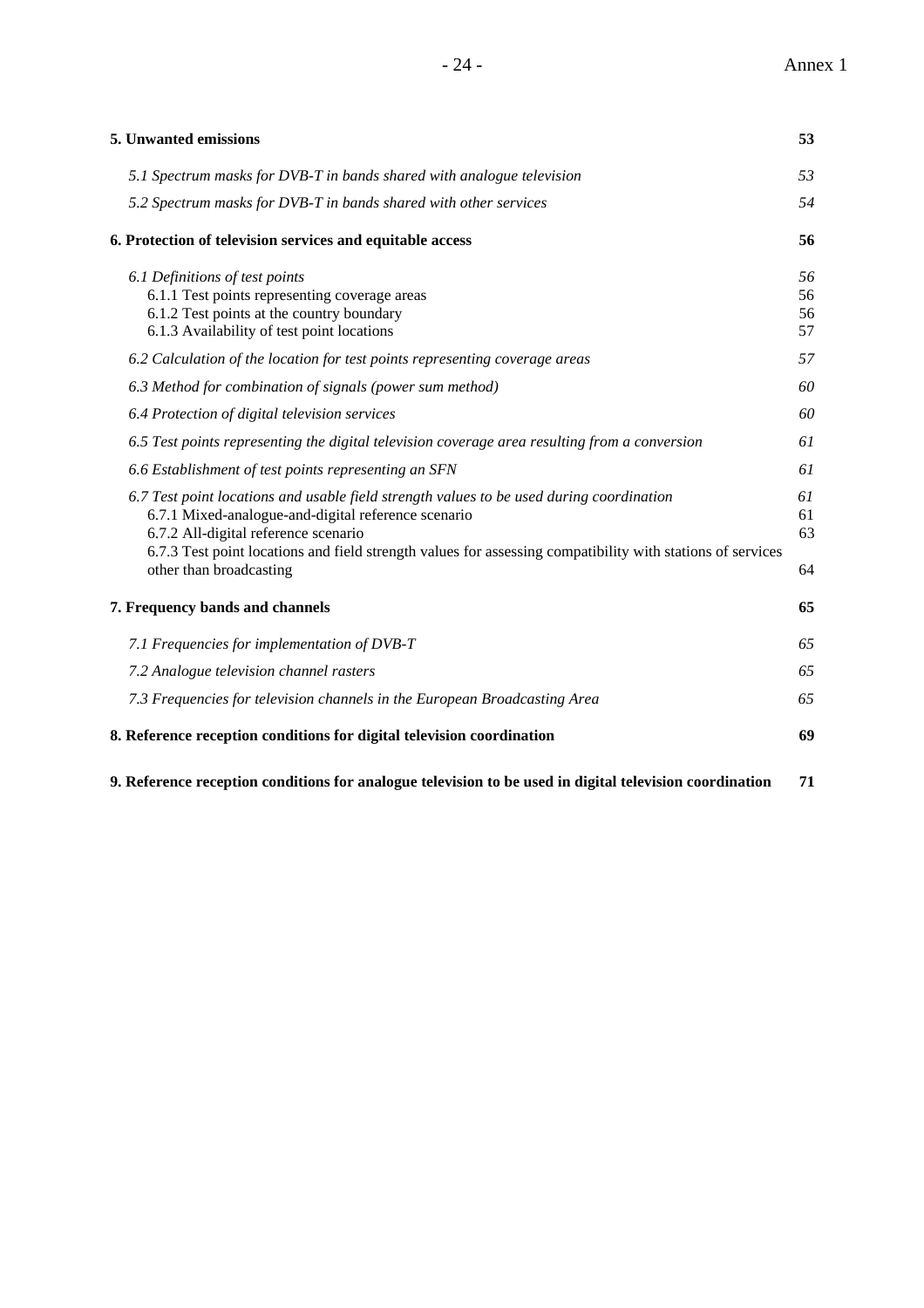| 5. Unwanted emissions                                                                                                                                                                                                                                                                                                            | 53                   |
|----------------------------------------------------------------------------------------------------------------------------------------------------------------------------------------------------------------------------------------------------------------------------------------------------------------------------------|----------------------|
| 5.1 Spectrum masks for DVB-T in bands shared with analogue television                                                                                                                                                                                                                                                            | 53                   |
| 5.2 Spectrum masks for DVB-T in bands shared with other services                                                                                                                                                                                                                                                                 | 54                   |
| 6. Protection of television services and equitable access                                                                                                                                                                                                                                                                        | 56                   |
| 6.1 Definitions of test points<br>6.1.1 Test points representing coverage areas<br>6.1.2 Test points at the country boundary<br>6.1.3 Availability of test point locations                                                                                                                                                       | 56<br>56<br>56<br>57 |
| 6.2 Calculation of the location for test points representing coverage areas                                                                                                                                                                                                                                                      | 57                   |
| 6.3 Method for combination of signals (power sum method)                                                                                                                                                                                                                                                                         | 60                   |
| 6.4 Protection of digital television services                                                                                                                                                                                                                                                                                    | 60                   |
| 6.5 Test points representing the digital television coverage area resulting from a conversion                                                                                                                                                                                                                                    | 61                   |
| 6.6 Establishment of test points representing an SFN                                                                                                                                                                                                                                                                             | 61                   |
| 6.7 Test point locations and usable field strength values to be used during coordination<br>6.7.1 Mixed-analogue-and-digital reference scenario<br>6.7.2 All-digital reference scenario<br>6.7.3 Test point locations and field strength values for assessing compatibility with stations of services<br>other than broadcasting | 61<br>61<br>63<br>64 |
| 7. Frequency bands and channels                                                                                                                                                                                                                                                                                                  | 65                   |
| 7.1 Frequencies for implementation of DVB-T                                                                                                                                                                                                                                                                                      | 65                   |
| 7.2 Analogue television channel rasters                                                                                                                                                                                                                                                                                          | 65                   |
| 7.3 Frequencies for television channels in the European Broadcasting Area                                                                                                                                                                                                                                                        | 65                   |
| 8. Reference reception conditions for digital television coordination                                                                                                                                                                                                                                                            | 69                   |

**9. Reference reception conditions for analogue television to be used in digital television coordination 71**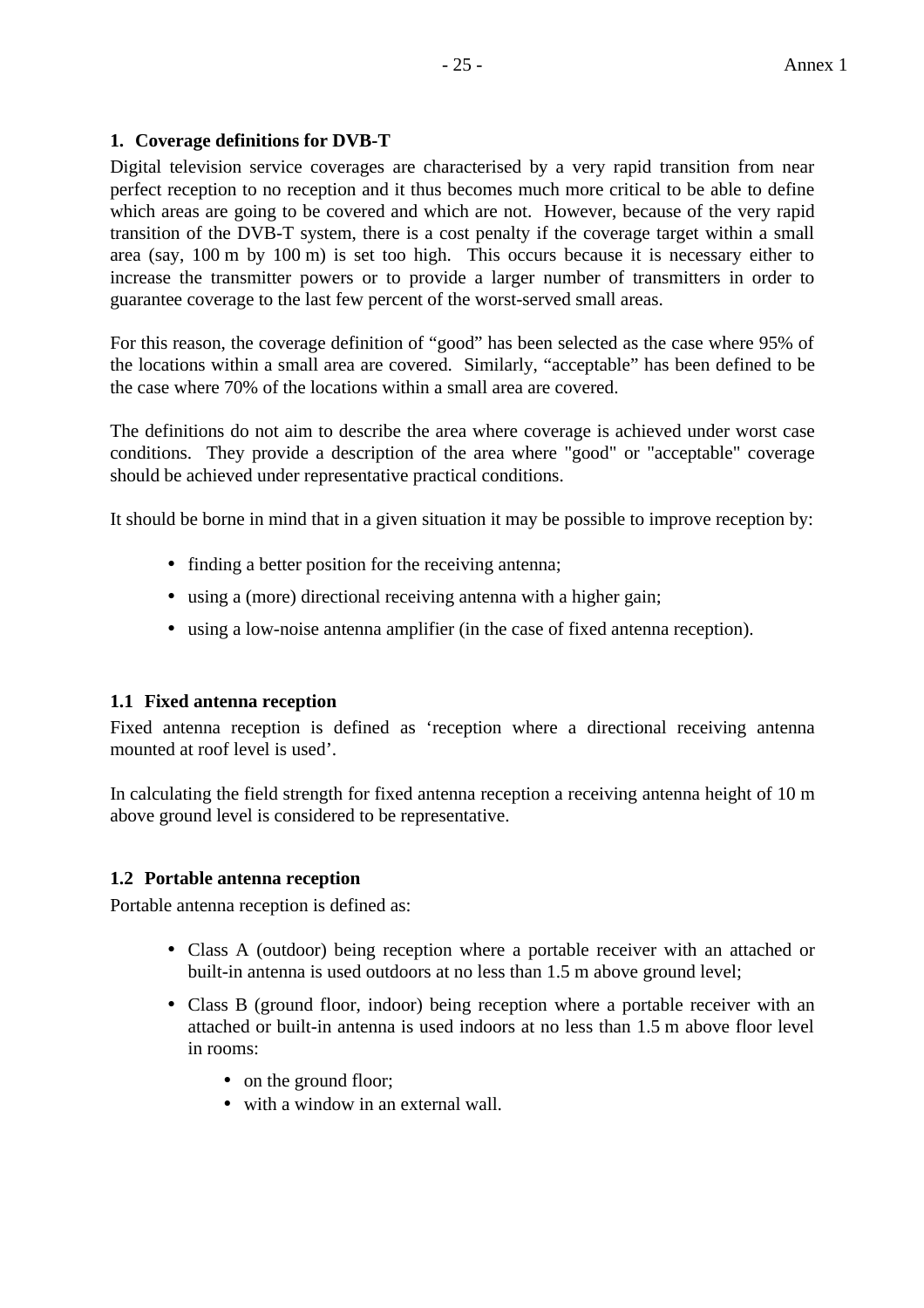# **1. Coverage definitions for DVB-T**

Digital television service coverages are characterised by a very rapid transition from near perfect reception to no reception and it thus becomes much more critical to be able to define which areas are going to be covered and which are not. However, because of the very rapid transition of the DVB-T system, there is a cost penalty if the coverage target within a small area (say, 100 m by 100 m) is set too high. This occurs because it is necessary either to increase the transmitter powers or to provide a larger number of transmitters in order to guarantee coverage to the last few percent of the worst-served small areas.

For this reason, the coverage definition of "good" has been selected as the case where 95% of the locations within a small area are covered. Similarly, "acceptable" has been defined to be the case where 70% of the locations within a small area are covered.

The definitions do not aim to describe the area where coverage is achieved under worst case conditions. They provide a description of the area where "good" or "acceptable" coverage should be achieved under representative practical conditions.

It should be borne in mind that in a given situation it may be possible to improve reception by:

- finding a better position for the receiving antenna;
- using a (more) directional receiving antenna with a higher gain;
- using a low-noise antenna amplifier (in the case of fixed antenna reception).

#### **1.1 Fixed antenna reception**

Fixed antenna reception is defined as 'reception where a directional receiving antenna mounted at roof level is used'.

In calculating the field strength for fixed antenna reception a receiving antenna height of 10 m above ground level is considered to be representative.

# **1.2 Portable antenna reception**

Portable antenna reception is defined as:

- Class A (outdoor) being reception where a portable receiver with an attached or built-in antenna is used outdoors at no less than 1.5 m above ground level;
- Class B (ground floor, indoor) being reception where a portable receiver with an attached or built-in antenna is used indoors at no less than 1.5 m above floor level in rooms:
	- on the ground floor:
	- with a window in an external wall.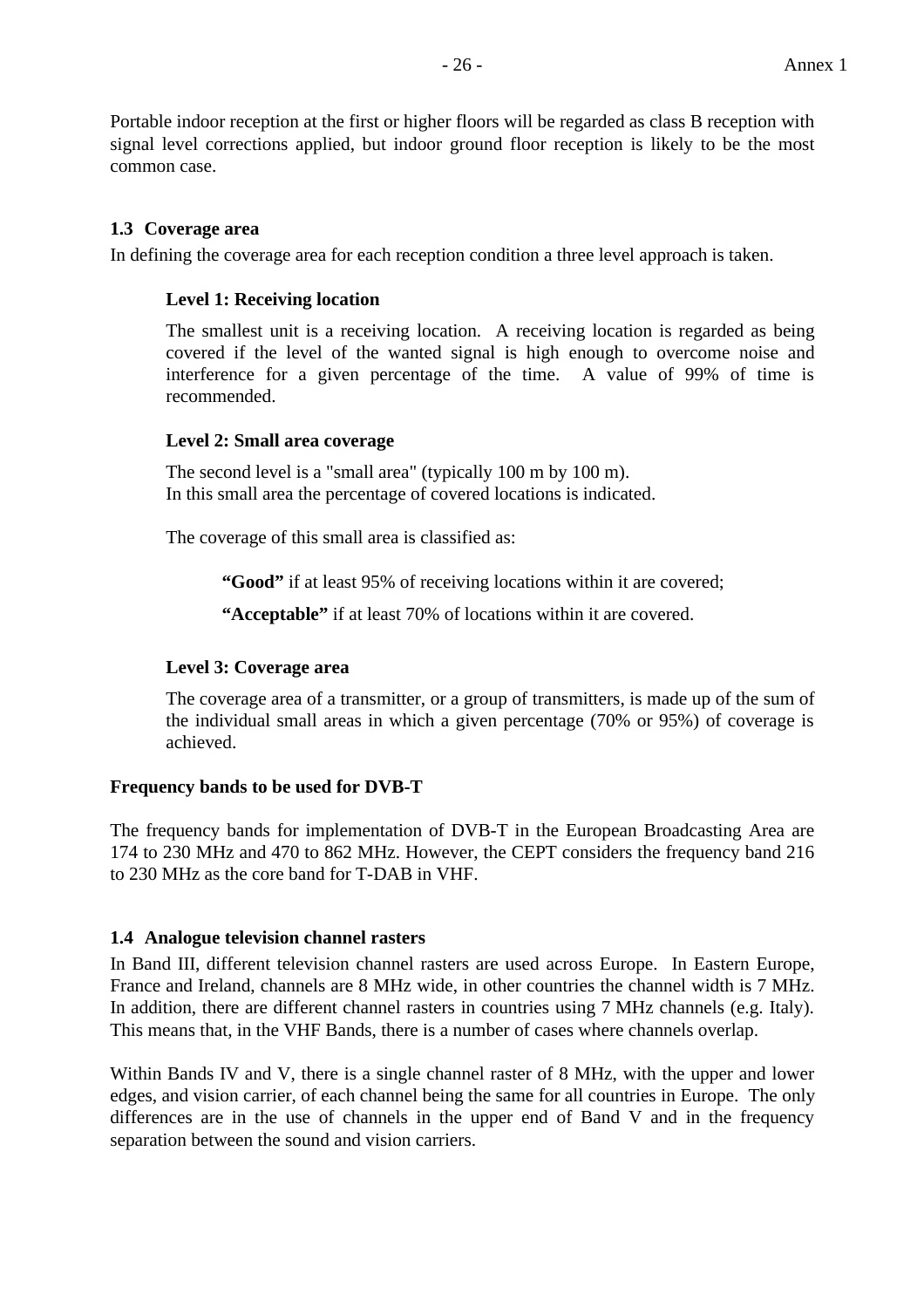Portable indoor reception at the first or higher floors will be regarded as class B reception with signal level corrections applied, but indoor ground floor reception is likely to be the most common case.

# **1.3 Coverage area**

In defining the coverage area for each reception condition a three level approach is taken.

# **Level 1: Receiving location**

The smallest unit is a receiving location. A receiving location is regarded as being covered if the level of the wanted signal is high enough to overcome noise and interference for a given percentage of the time. A value of 99% of time is recommended.

# **Level 2: Small area coverage**

The second level is a "small area" (typically 100 m by 100 m). In this small area the percentage of covered locations is indicated.

The coverage of this small area is classified as:

**"Good"** if at least 95% of receiving locations within it are covered;

**"Acceptable"** if at least 70% of locations within it are covered.

#### **Level 3: Coverage area**

The coverage area of a transmitter, or a group of transmitters, is made up of the sum of the individual small areas in which a given percentage (70% or 95%) of coverage is achieved.

# **Frequency bands to be used for DVB-T**

The frequency bands for implementation of DVB-T in the European Broadcasting Area are 174 to 230 MHz and 470 to 862 MHz. However, the CEPT considers the frequency band 216 to 230 MHz as the core band for T-DAB in VHF.

# **1.4 Analogue television channel rasters**

In Band III, different television channel rasters are used across Europe. In Eastern Europe, France and Ireland, channels are 8 MHz wide, in other countries the channel width is 7 MHz. In addition, there are different channel rasters in countries using 7 MHz channels (e.g. Italy). This means that, in the VHF Bands, there is a number of cases where channels overlap.

Within Bands IV and V, there is a single channel raster of 8 MHz, with the upper and lower edges, and vision carrier, of each channel being the same for all countries in Europe. The only differences are in the use of channels in the upper end of Band V and in the frequency separation between the sound and vision carriers.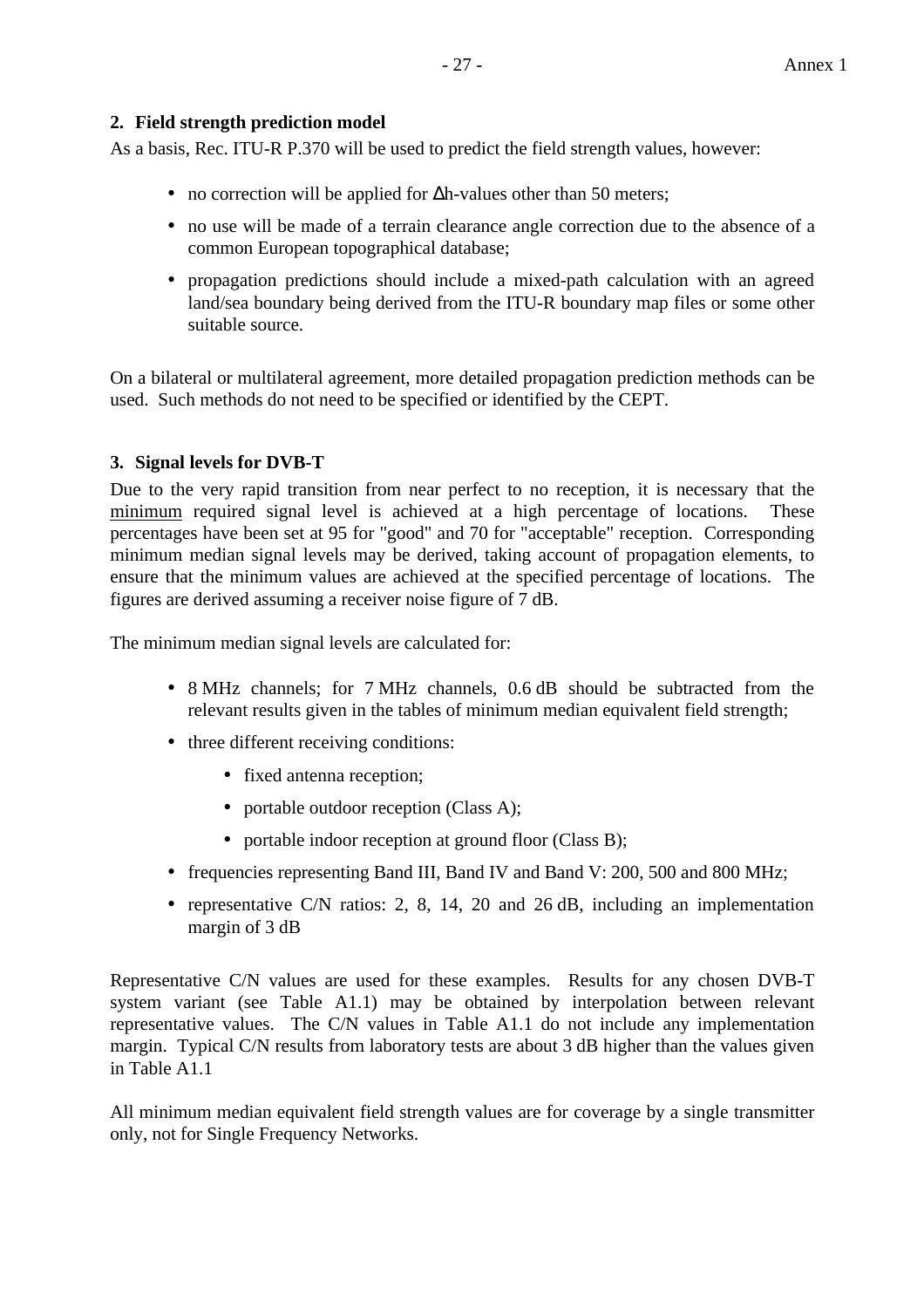# **2. Field strength prediction model**

As a basis, Rec. ITU-R P.370 will be used to predict the field strength values, however:

- no correction will be applied for ∆h-values other than 50 meters;
- no use will be made of a terrain clearance angle correction due to the absence of a common European topographical database;
- propagation predictions should include a mixed-path calculation with an agreed land/sea boundary being derived from the ITU-R boundary map files or some other suitable source.

On a bilateral or multilateral agreement, more detailed propagation prediction methods can be used. Such methods do not need to be specified or identified by the CEPT.

# **3. Signal levels for DVB-T**

Due to the very rapid transition from near perfect to no reception, it is necessary that the minimum required signal level is achieved at a high percentage of locations. These percentages have been set at 95 for "good" and 70 for "acceptable" reception. Corresponding minimum median signal levels may be derived, taking account of propagation elements, to ensure that the minimum values are achieved at the specified percentage of locations. The figures are derived assuming a receiver noise figure of 7 dB.

The minimum median signal levels are calculated for:

- 8 MHz channels; for 7 MHz channels, 0.6 dB should be subtracted from the relevant results given in the tables of minimum median equivalent field strength;
- three different receiving conditions:
	- fixed antenna reception;
	- portable outdoor reception (Class A);
	- portable indoor reception at ground floor (Class B);
- frequencies representing Band III, Band IV and Band V: 200, 500 and 800 MHz;
- representative C/N ratios: 2, 8, 14, 20 and 26 dB, including an implementation margin of 3 dB

Representative C/N values are used for these examples. Results for any chosen DVB-T system variant (see Table A1.1) may be obtained by interpolation between relevant representative values. The C/N values in Table A1.1 do not include any implementation margin. Typical C/N results from laboratory tests are about 3 dB higher than the values given in Table A1.1

All minimum median equivalent field strength values are for coverage by a single transmitter only, not for Single Frequency Networks.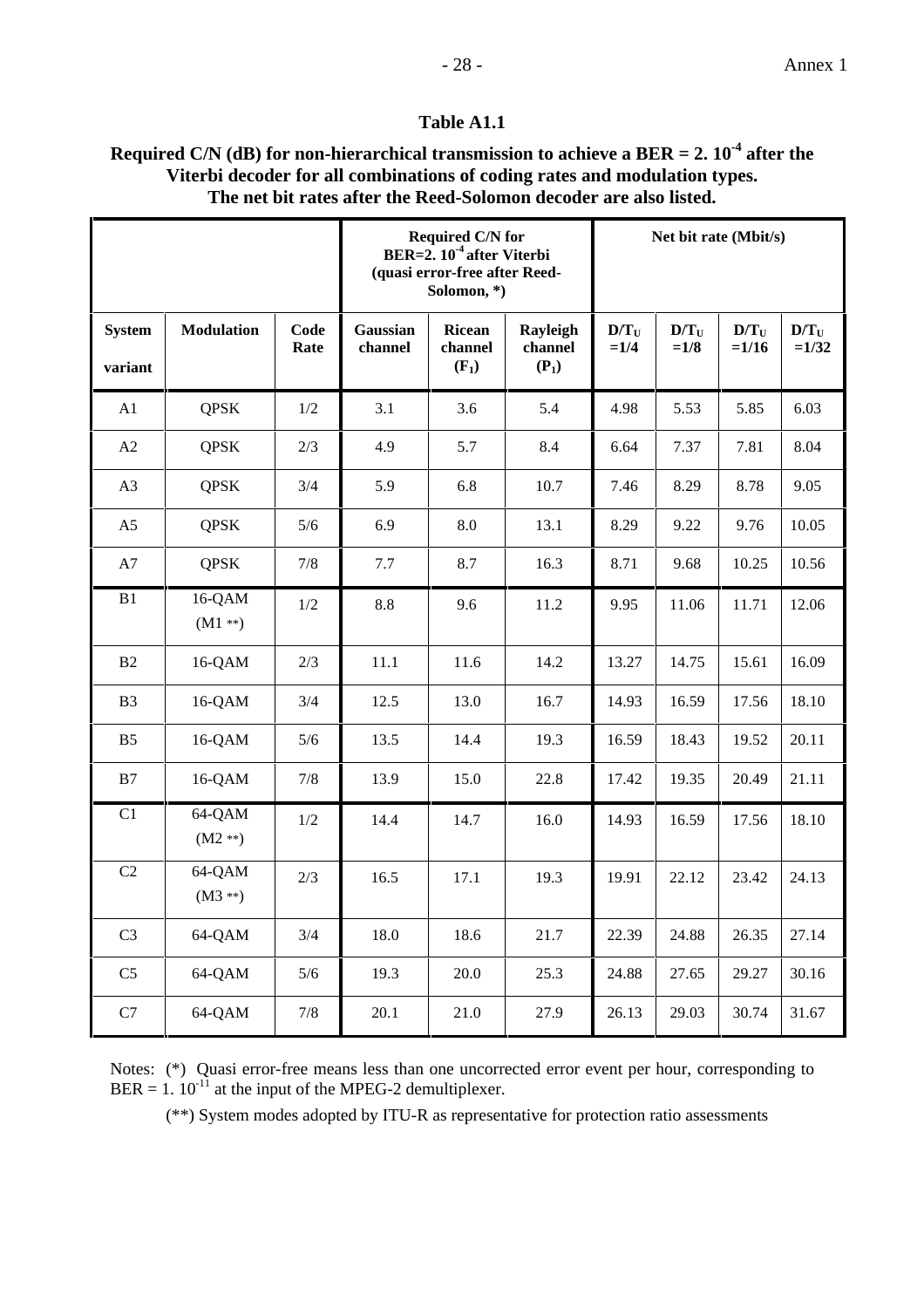# **Table A1.1**

# **Required C/N (dB) for non-hierarchical transmission to achieve a BER = 2. 10-4 after the Viterbi decoder for all combinations of coding rates and modulation types. The net bit rates after the Reed-Solomon decoder are also listed.**

|                          |                    |              | <b>Required C/N for</b><br>BER= $2.10-4$ after Viterbi<br>(quasi error-free after Reed-<br>Solomon,*) |                                     |                                | Net bit rate (Mbit/s) |                   |                    |                    |
|--------------------------|--------------------|--------------|-------------------------------------------------------------------------------------------------------|-------------------------------------|--------------------------------|-----------------------|-------------------|--------------------|--------------------|
| <b>System</b><br>variant | <b>Modulation</b>  | Code<br>Rate | Gaussian<br>channel                                                                                   | <b>Ricean</b><br>channel<br>$(F_1)$ | Rayleigh<br>channel<br>$(P_1)$ | $D/T_U$<br>$=1/4$     | $D/T_U$<br>$=1/8$ | $D/T_U$<br>$=1/16$ | $D/T_U$<br>$=1/32$ |
| A1                       | <b>QPSK</b>        | 1/2          | 3.1                                                                                                   | 3.6                                 | 5.4                            | 4.98                  | 5.53              | 5.85               | 6.03               |
| A2                       | <b>QPSK</b>        | 2/3          | 4.9                                                                                                   | 5.7                                 | 8.4                            | 6.64                  | 7.37              | 7.81               | 8.04               |
| A <sub>3</sub>           | <b>QPSK</b>        | 3/4          | 5.9                                                                                                   | 6.8                                 | 10.7                           | 7.46                  | 8.29              | 8.78               | 9.05               |
| A <sub>5</sub>           | <b>QPSK</b>        | 5/6          | 6.9                                                                                                   | 8.0                                 | 13.1                           | 8.29                  | 9.22              | 9.76               | 10.05              |
| A7                       | <b>QPSK</b>        | 7/8          | 7.7                                                                                                   | 8.7                                 | 16.3                           | 8.71                  | 9.68              | 10.25              | 10.56              |
| B1                       | 16-QAM<br>$(M1**)$ | 1/2          | 8.8                                                                                                   | 9.6                                 | 11.2                           | 9.95                  | 11.06             | 11.71              | 12.06              |
| B2                       | 16-QAM             | 2/3          | 11.1                                                                                                  | 11.6                                | 14.2                           | 13.27                 | 14.75             | 15.61              | 16.09              |
| B <sub>3</sub>           | 16-QAM             | 3/4          | 12.5                                                                                                  | 13.0                                | 16.7                           | 14.93                 | 16.59             | 17.56              | 18.10              |
| B <sub>5</sub>           | 16-QAM             | 5/6          | 13.5                                                                                                  | 14.4                                | 19.3                           | 16.59                 | 18.43             | 19.52              | 20.11              |
| B7                       | 16-QAM             | 7/8          | 13.9                                                                                                  | 15.0                                | 22.8                           | 17.42                 | 19.35             | 20.49              | 21.11              |
| C1                       | 64-QAM<br>$(M2**)$ | 1/2          | 14.4                                                                                                  | 14.7                                | 16.0                           | 14.93                 | 16.59             | 17.56              | 18.10              |
| C <sub>2</sub>           | 64-QAM<br>$(M3**)$ | 2/3          | 16.5                                                                                                  | 17.1                                | 19.3                           | 19.91                 | 22.12             | 23.42              | 24.13              |
| C <sub>3</sub>           | 64-QAM             | 3/4          | 18.0                                                                                                  | 18.6                                | 21.7                           | 22.39                 | 24.88             | 26.35              | 27.14              |
| C <sub>5</sub>           | 64-QAM             | $5/6$        | 19.3                                                                                                  | 20.0                                | 25.3                           | 24.88                 | 27.65             | 29.27              | 30.16              |
| $\mathbf{C}7$            | 64-QAM             | $7/8$        | 20.1                                                                                                  | 21.0                                | 27.9                           | 26.13                 | 29.03             | 30.74              | 31.67              |

Notes: (\*) Quasi error-free means less than one uncorrected error event per hour, corresponding to  $BER = 1.10<sup>-11</sup>$  at the input of the MPEG-2 demultiplexer.

(\*\*) System modes adopted by ITU-R as representative for protection ratio assessments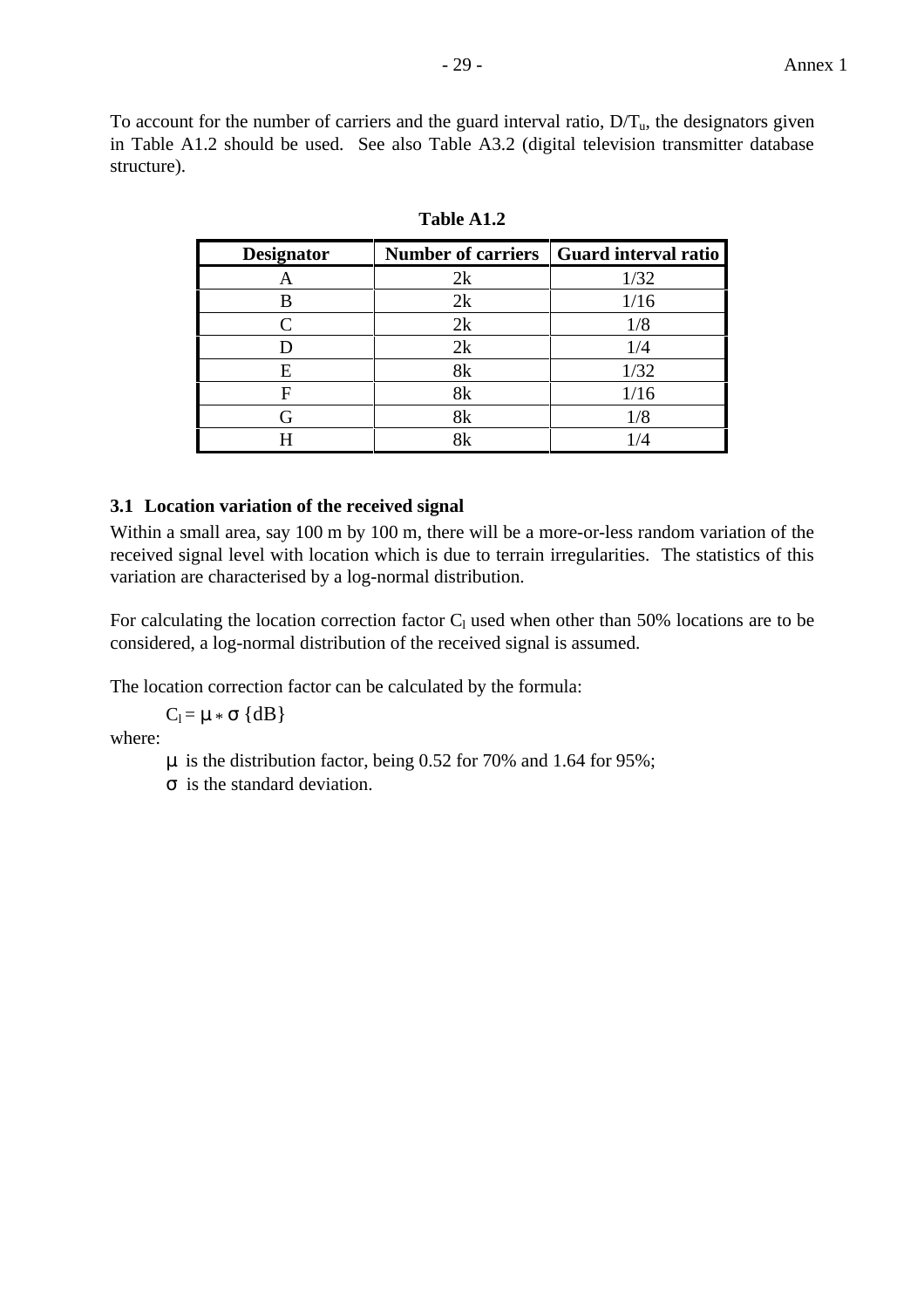To account for the number of carriers and the guard interval ratio,  $D/T_u$ , the designators given in Table A1.2 should be used. See also Table A3.2 (digital television transmitter database structure).

| <b>Designator</b> |    | Number of carriers   Guard interval ratio |
|-------------------|----|-------------------------------------------|
|                   | 2k | 1/32                                      |
|                   | 2k | 1/16                                      |
|                   | 2k | 1/8                                       |
|                   | 2k | 1/4                                       |
| E                 |    | 1/32                                      |
|                   |    | 1/16                                      |
|                   |    | 1/8                                       |
|                   |    |                                           |

**Table A1.2**

# **3.1 Location variation of the received signal**

Within a small area, say 100 m by 100 m, there will be a more-or-less random variation of the received signal level with location which is due to terrain irregularities. The statistics of this variation are characterised by a log-normal distribution.

For calculating the location correction factor  $C_1$  used when other than 50% locations are to be considered, a log-normal distribution of the received signal is assumed.

The location correction factor can be calculated by the formula:

 $C_l = \mu * \sigma \{dB\}$ 

where:

- µ is the distribution factor, being 0.52 for 70% and 1.64 for 95%;
- σ is the standard deviation.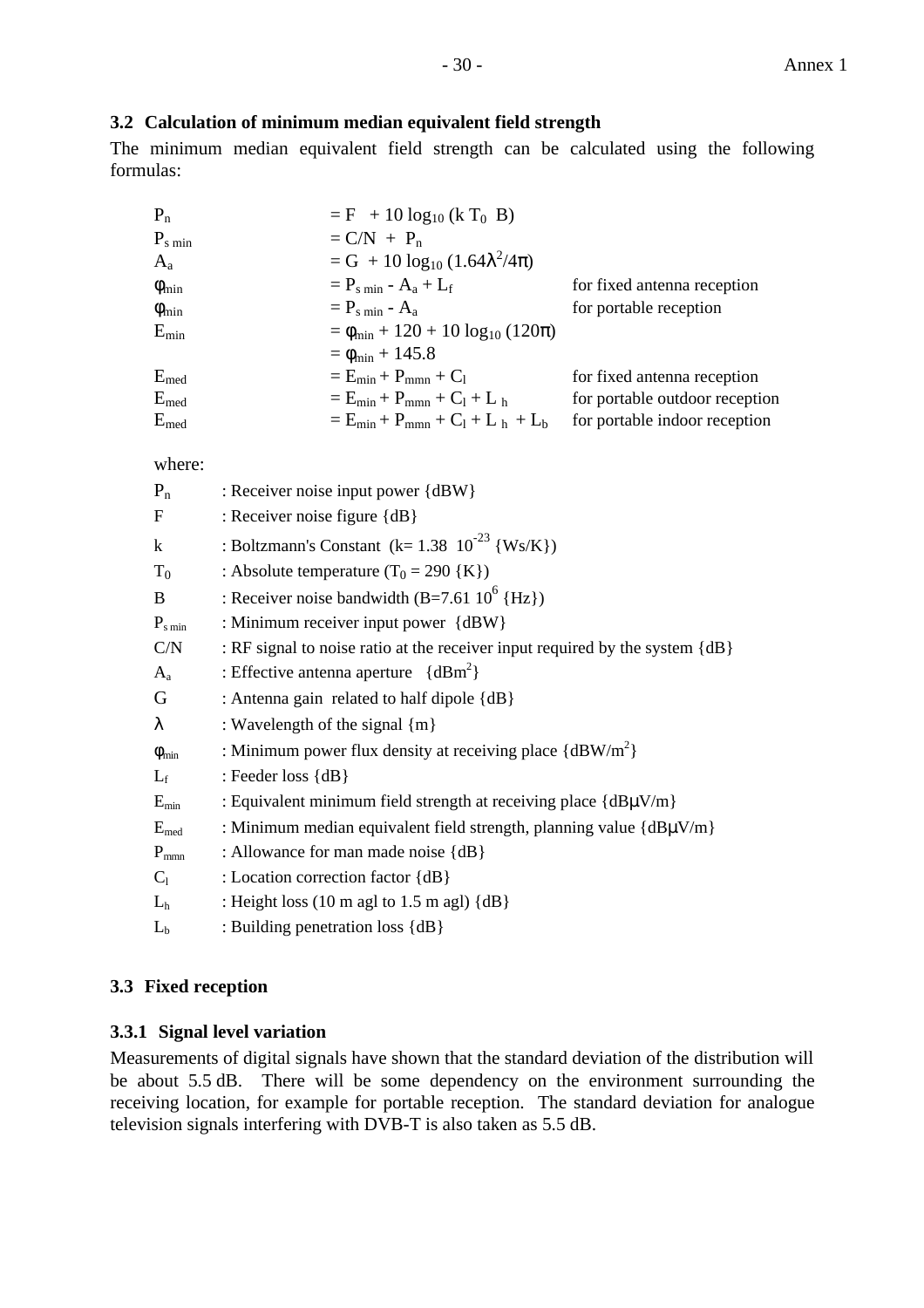# **3.2 Calculation of minimum median equivalent field strength**

The minimum median equivalent field strength can be calculated using the following formulas:

| $P_n$              | $= F + 10 \log_{10} (k T_0 B)$                          |                                |
|--------------------|---------------------------------------------------------|--------------------------------|
| $P_{\rm s \, min}$ | $= C/N + P_n$                                           |                                |
| $A_{a}$            | $= G + 10 \log_{10} (1.64 \lambda^2 / 4\pi)$            |                                |
| $\phi_{\rm min}$   | $= P_{\rm s,min} - A_{\rm a} + L_{\rm f}$               | for fixed antenna reception    |
| $\phi_{\rm min}$   | $= P_{\rm s,min} - A_{\rm a}$                           | for portable reception         |
| $E_{min}$          | $= \phi_{\min} + 120 + 10 \log_{10} (120\pi)$           |                                |
|                    | $= \phi_{\min} + 145.8$                                 |                                |
| $E_{med}$          | $=E_{\min}+P_{\min}+C_1$                                | for fixed antenna reception    |
| $E_{med}$          | $= E_{\min} + P_{\min} + C_1 + L_{\text{h}}$            | for portable outdoor reception |
| $E_{med}$          | $E = E_{\text{min}} + P_{\text{mmn}} + C_1 + L_h + L_b$ | for portable indoor reception  |

where:

| $P_n$                     | : Receiver noise input power {dBW}                                                          |
|---------------------------|---------------------------------------------------------------------------------------------|
| $\mathbf F$               | : Receiver noise figure {dB}                                                                |
| $\bf k$                   | : Boltzmann's Constant (k= $1.38 \, 10^{-23} \, \{Ws/K\}$ )                                 |
| $T_0$                     | : Absolute temperature $(T_0 = 290 \{K\})$                                                  |
| B                         | : Receiver noise bandwidth $(B=7.61 10^6$ {Hz})                                             |
| $P_{\rm s\,min}$          | : Minimum receiver input power {dBW}                                                        |
| C/N                       | : RF signal to noise ratio at the receiver input required by the system {dB}                |
| $A_{a}$                   | : Effective antenna aperture $\{dBm^2\}$                                                    |
| G                         | : Antenna gain related to half dipole {dB}                                                  |
| λ                         | : Wavelength of the signal {m}                                                              |
| $\phi_{\min}$             | : Minimum power flux density at receiving place $\{dBW/m^2\}$                               |
| $L_f$                     | : Feeder loss $\{dB\}$                                                                      |
| $E_{min}$                 | : Equivalent minimum field strength at receiving place ${dB\mu V/m}$                        |
| $\mathbf{E}_{\text{med}}$ | : Minimum median equivalent field strength, planning value {dBµV/m}                         |
| $P_{mmn}$                 | : Allowance for man made noise {dB}                                                         |
| $C_1$                     | : Location correction factor {dB}                                                           |
| L <sub>h</sub>            | : Height loss $(10 \text{ m } \text{ag} \text{ to } 1.5 \text{ m } \text{ag} \text{)} {dB}$ |
| $L_b$                     | : Building penetration loss {dB}                                                            |

# **3.3 Fixed reception**

# **3.3.1 Signal level variation**

Measurements of digital signals have shown that the standard deviation of the distribution will be about 5.5 dB. There will be some dependency on the environment surrounding the receiving location, for example for portable reception. The standard deviation for analogue television signals interfering with DVB-T is also taken as 5.5 dB.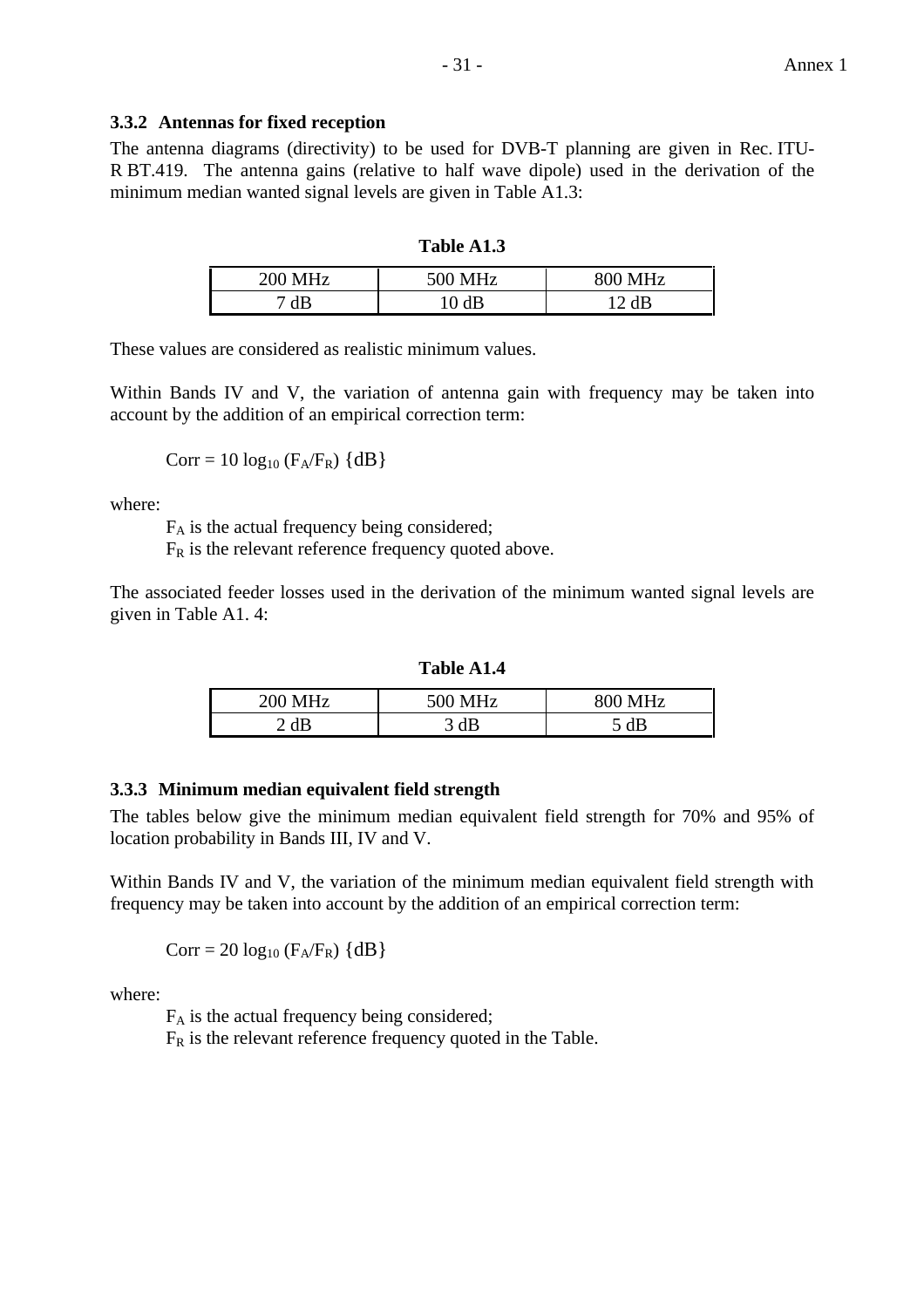#### **3.3.2 Antennas for fixed reception**

The antenna diagrams (directivity) to be used for DVB-T planning are given in Rec. ITU-R BT.419. The antenna gains (relative to half wave dipole) used in the derivation of the minimum median wanted signal levels are given in Table A1.3:

#### **Table A1.3**

| <b>200 MHz</b> | <b>500 MHz</b>                 | 800 MHz |
|----------------|--------------------------------|---------|
|                | $\overline{A}$ <b>D</b><br>1 V | םג רו   |

These values are considered as realistic minimum values.

Within Bands IV and V, the variation of antenna gain with frequency may be taken into account by the addition of an empirical correction term:

$$
Corr = 10 log_{10} (F_A/F_R) \{dB\}
$$

where:

FA is the actual frequency being considered;

 $F_R$  is the relevant reference frequency quoted above.

The associated feeder losses used in the derivation of the minimum wanted signal levels are given in Table A1. 4:

**Table A1.4**

| <b>200 MHz</b> | $0.0.3$ $1.77$<br>ı | $800$ MH <sub>2</sub><br>XI N |
|----------------|---------------------|-------------------------------|
| AD             | dB<br>ັ             | AP<br>uD<br>◡                 |

#### **3.3.3 Minimum median equivalent field strength**

The tables below give the minimum median equivalent field strength for 70% and 95% of location probability in Bands III, IV and V.

Within Bands IV and V, the variation of the minimum median equivalent field strength with frequency may be taken into account by the addition of an empirical correction term:

$$
Corr = 20 log_{10} (F_A/F_R) \{dB\}
$$

where:

FA is the actual frequency being considered;

 $F_R$  is the relevant reference frequency quoted in the Table.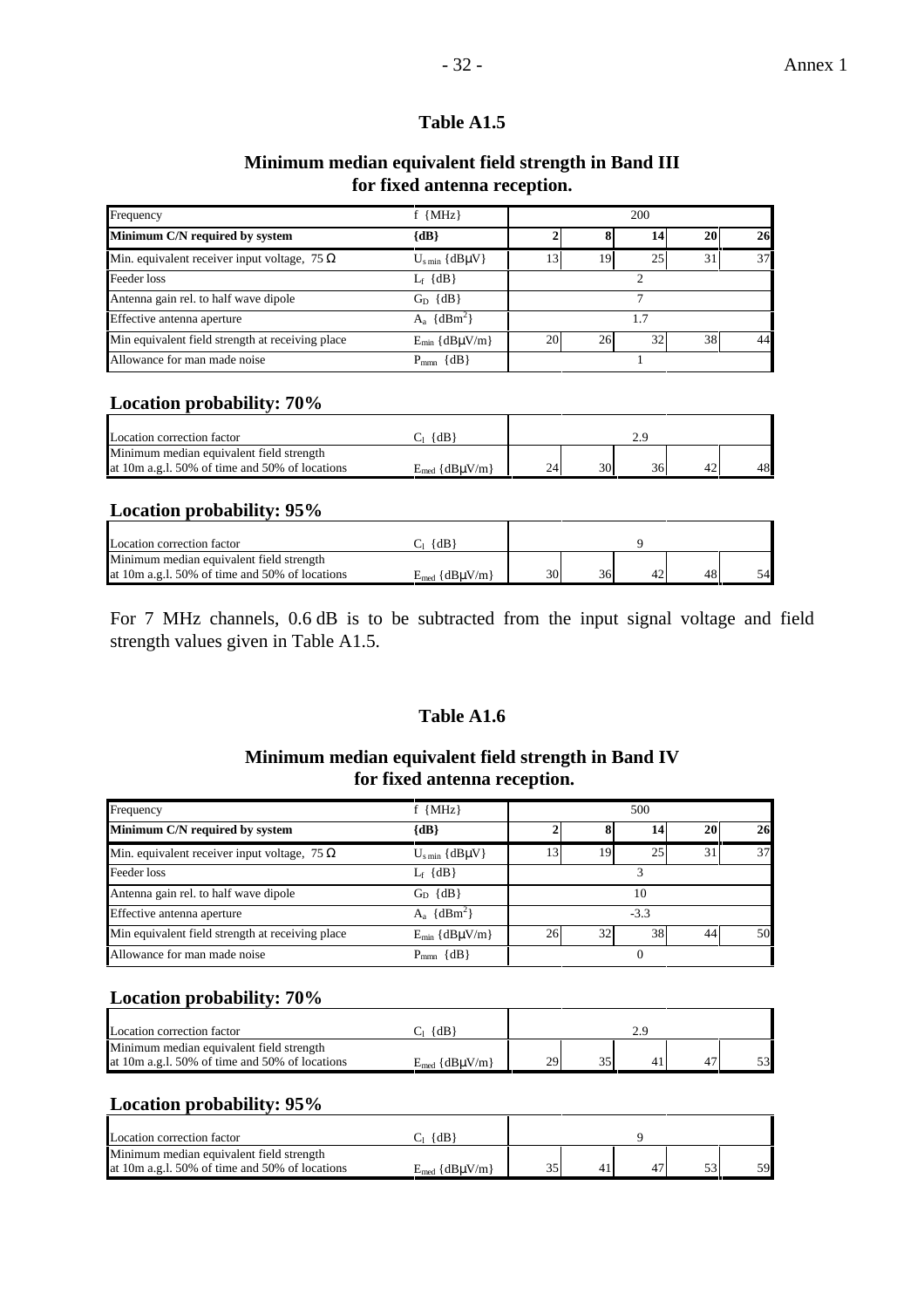#### - 32 - Annex 1

## **Table A1.5**

#### **Minimum median equivalent field strength in Band III for fixed antenna reception.**

| Frequency                                           | $f$ {MHz}                      |           |    | 200 |    |    |
|-----------------------------------------------------|--------------------------------|-----------|----|-----|----|----|
| Minimum C/N required by system                      | ${dB}$                         |           |    | 14  | 20 | 26 |
| Min. equivalent receiver input voltage, 75 $\Omega$ | $U_{\text{s min}} \{dB\mu V\}$ | 13        | 19 | 25  | 31 | 37 |
| Feeder loss                                         | $L_f$ {dB}                     |           |    |     |    |    |
| Antenna gain rel. to half wave dipole               | $G_D$ $\{dB\}$                 |           |    |     |    |    |
| Effective antenna aperture                          | $A_a \{dBm^2\}$                |           |    |     |    |    |
| Min equivalent field strength at receiving place    | $E_{min} \{dB\mu V/m\}$        | <b>20</b> | 26 | 32  | 38 | 44 |
| Allowance for man made noise                        | $P_{mm}$ {dB}                  |           |    |     |    |    |

## **Location probability: 70%**

| Location correction factor                     | $\{dB\}$                |    |    |    |    |
|------------------------------------------------|-------------------------|----|----|----|----|
| Minimum median equivalent field strength       |                         |    |    |    |    |
| at 10m a.g.1. 50% of time and 50% of locations | $E_{med} \{dB\mu V/m\}$ | 24 | 30 | 36 | 48 |

#### **Location probability: 95%**

| Location correction factor                        | $\{dB\}$                       |    |    |    |    |
|---------------------------------------------------|--------------------------------|----|----|----|----|
| Minimum median equivalent field strength          |                                |    |    |    |    |
| at 10m a.g. $1.50\%$ of time and 50% of locations | $E_{\text{med}} \{dB\mu V/m\}$ | 30 | 36 | 48 | 54 |

For 7 MHz channels, 0.6 dB is to be subtracted from the input signal voltage and field strength values given in Table A1.5.

## **Table A1.6**

#### **Minimum median equivalent field strength in Band IV for fixed antenna reception.**

| Frequency                                           | $f$ {MHz}                      |    |    | 500    |                 |    |
|-----------------------------------------------------|--------------------------------|----|----|--------|-----------------|----|
| Minimum C/N required by system                      | $\{dB\}$                       |    |    | 14     | 20 <sub>1</sub> | 26 |
| Min. equivalent receiver input voltage, 75 $\Omega$ | $U_{\text{s min}} \{dB\mu V\}$ | 13 | 19 | 25     | 31              | 37 |
| Feeder loss                                         | $L_f$ {dB}                     |    |    |        |                 |    |
| Antenna gain rel. to half wave dipole               | $G_D$ $\{dB\}$                 | 10 |    |        |                 |    |
| Effective antenna aperture                          | $A_a \{dBm^2\}$                |    |    | $-3.3$ |                 |    |
| Min equivalent field strength at receiving place    | $E_{min} \{dB\mu V/m\}$        | 26 | 32 | 38     | 44              | 50 |
| Allowance for man made noise                        | $P_{\text{mm}} \{dB\}$         |    |    |        |                 |    |

## **Location probability: 70%**

| Location correction factor                     | $\{dB\}$                        |    |  |    |
|------------------------------------------------|---------------------------------|----|--|----|
| Minimum median equivalent field strength       |                                 |    |  |    |
| at 10m a.g. 1.50% of time and 50% of locations | $E_{\text{med}} \{ dB\mu V/m\}$ | 29 |  | 53 |

## **Location probability: 95%**

| Location correction factor                     | $\{dB\}$                        |  |  |    |
|------------------------------------------------|---------------------------------|--|--|----|
| Minimum median equivalent field strength       |                                 |  |  |    |
| at 10m a.g.1. 50% of time and 50% of locations | $E_{\text{med}} \{ dB\mu V/m\}$ |  |  | 59 |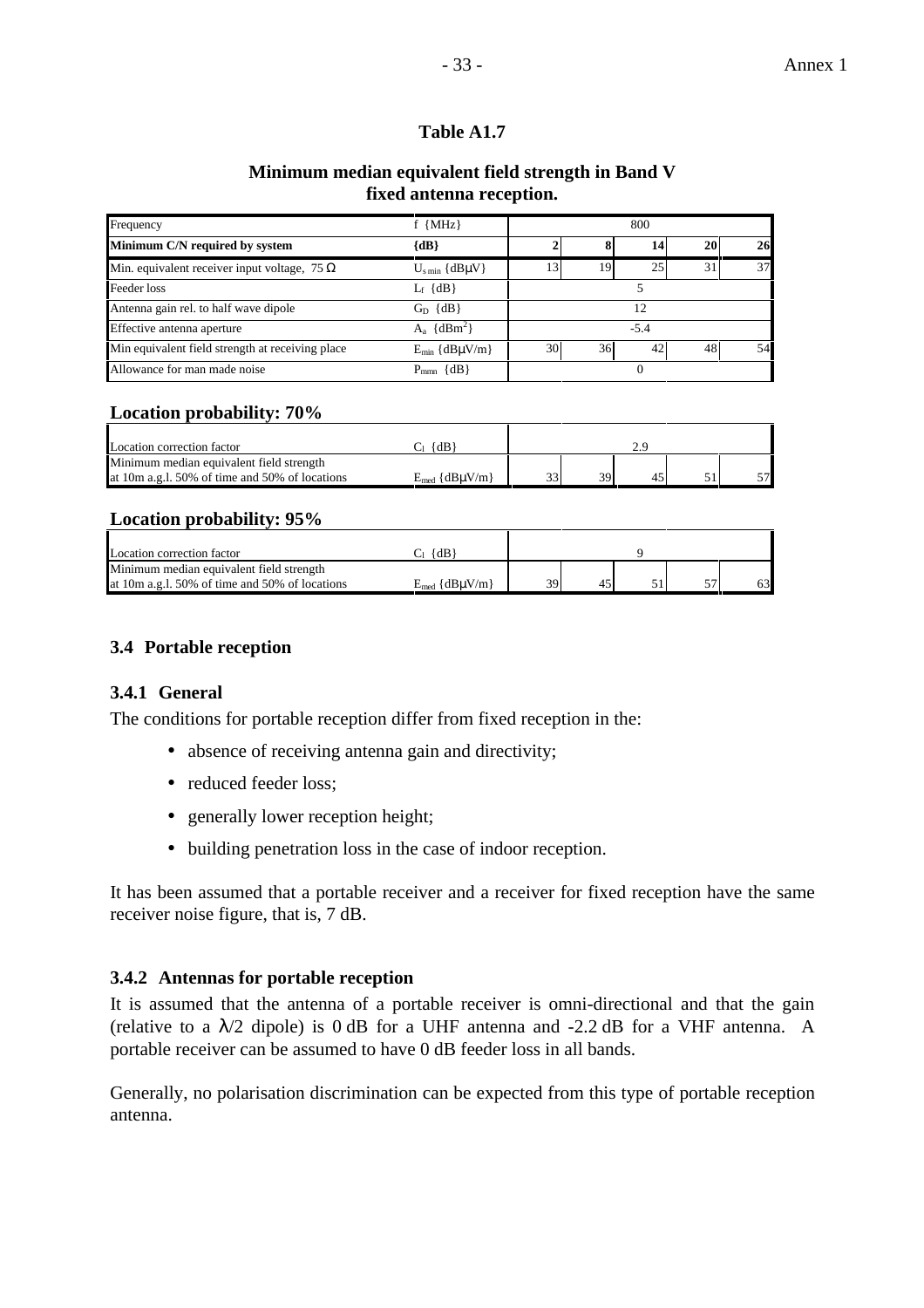### **Minimum median equivalent field strength in Band V fixed antenna reception.**

| Frequency                                           | $f$ {MHz}                     |        |    | 800      |    |    |
|-----------------------------------------------------|-------------------------------|--------|----|----------|----|----|
| Minimum C/N required by system                      | ${dB}$                        |        |    | 14       | 20 | 26 |
| Min. equivalent receiver input voltage, 75 $\Omega$ | $U_{\rm s\,min}$ {dB $\mu$ V} | 13.    | 19 | 25       | 31 | 37 |
| Feeder loss                                         | $L_f \{dB\}$                  |        |    |          |    |    |
| Antenna gain rel. to half wave dipole               | $G_D$ $\{dB\}$                | 12     |    |          |    |    |
| Effective antenna aperture                          | $A_a \{dBm^2\}$               | $-5.4$ |    |          |    |    |
| Min equivalent field strength at receiving place    | $E_{min}$ {dB $\mu$ V/m}      | 30     | 36 | 42       | 48 | 54 |
| Allowance for man made noise                        | $P_{mm} \{dB\}$               |        |    | $\theta$ |    |    |

## **Location probability: 70%**

| Location correction factor                        | {dB`                    |                    |    |  |                 |
|---------------------------------------------------|-------------------------|--------------------|----|--|-----------------|
| Minimum median equivalent field strength          |                         |                    |    |  |                 |
| at 10m a.g. $1.50\%$ of time and 50% of locations | $E_{med} \{dB\mu V/m\}$ | $\mathbf{\hat{z}}$ | 39 |  | 57 <sub>1</sub> |

## **Location probability: 95%**

| Location correction factor                      | $\{dB\}$                 |    |  |      |    |
|-------------------------------------------------|--------------------------|----|--|------|----|
| Minimum median equivalent field strength        |                          |    |  |      |    |
| at 10m a.g. 1. 50% of time and 50% of locations | $E_{med}$ {dB $\mu$ V/m} | 39 |  | $-1$ | 63 |

## **3.4 Portable reception**

## **3.4.1 General**

The conditions for portable reception differ from fixed reception in the:

- absence of receiving antenna gain and directivity;
- reduced feeder loss;
- generally lower reception height;
- building penetration loss in the case of indoor reception.

It has been assumed that a portable receiver and a receiver for fixed reception have the same receiver noise figure, that is, 7 dB.

## **3.4.2 Antennas for portable reception**

It is assumed that the antenna of a portable receiver is omni-directional and that the gain (relative to a  $\lambda/2$  dipole) is 0 dB for a UHF antenna and -2.2 dB for a VHF antenna. A portable receiver can be assumed to have 0 dB feeder loss in all bands.

Generally, no polarisation discrimination can be expected from this type of portable reception antenna.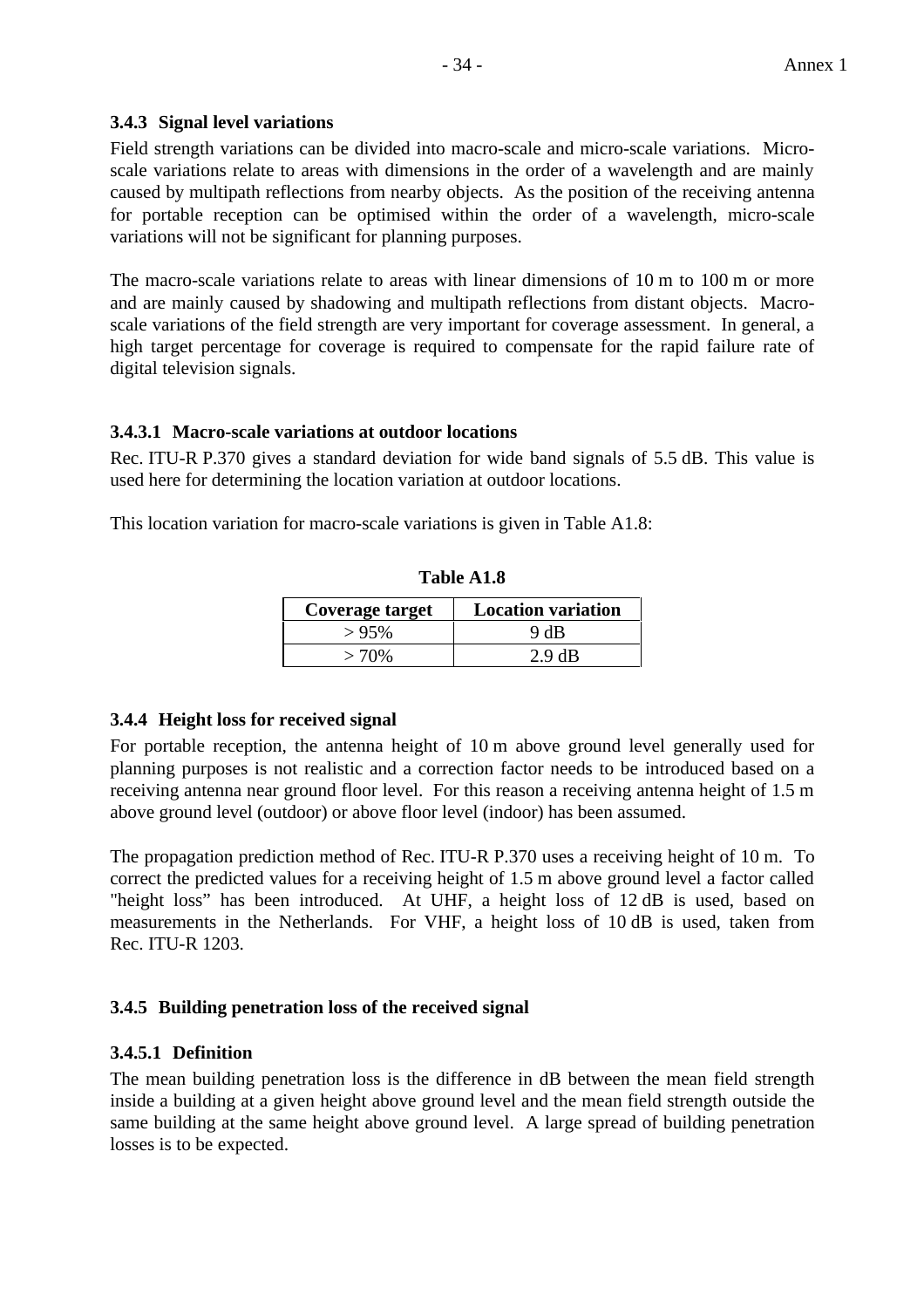#### **3.4.3 Signal level variations**

Field strength variations can be divided into macro-scale and micro-scale variations. Microscale variations relate to areas with dimensions in the order of a wavelength and are mainly caused by multipath reflections from nearby objects. As the position of the receiving antenna for portable reception can be optimised within the order of a wavelength, micro-scale variations will not be significant for planning purposes.

The macro-scale variations relate to areas with linear dimensions of 10 m to 100 m or more and are mainly caused by shadowing and multipath reflections from distant objects. Macroscale variations of the field strength are very important for coverage assessment. In general, a high target percentage for coverage is required to compensate for the rapid failure rate of digital television signals.

#### **3.4.3.1 Macro-scale variations at outdoor locations**

Rec. ITU-R P.370 gives a standard deviation for wide band signals of 5.5 dB. This value is used here for determining the location variation at outdoor locations.

This location variation for macro-scale variations is given in Table A1.8:

| Coverage target | <b>Location variation</b> |
|-----------------|---------------------------|
| >95%            | 9 dB                      |
| $>70\%$         | $2.9 \text{ dB}$          |

**Table A1.8**

## **3.4.4 Height loss for received signal**

For portable reception, the antenna height of 10 m above ground level generally used for planning purposes is not realistic and a correction factor needs to be introduced based on a receiving antenna near ground floor level. For this reason a receiving antenna height of 1.5 m above ground level (outdoor) or above floor level (indoor) has been assumed.

The propagation prediction method of Rec. ITU-R P.370 uses a receiving height of 10 m. To correct the predicted values for a receiving height of 1.5 m above ground level a factor called "height loss" has been introduced. At UHF, a height loss of 12 dB is used, based on measurements in the Netherlands. For VHF, a height loss of 10 dB is used, taken from Rec. ITU-R 1203.

## **3.4.5 Building penetration loss of the received signal**

## **3.4.5.1 Definition**

The mean building penetration loss is the difference in dB between the mean field strength inside a building at a given height above ground level and the mean field strength outside the same building at the same height above ground level. A large spread of building penetration losses is to be expected.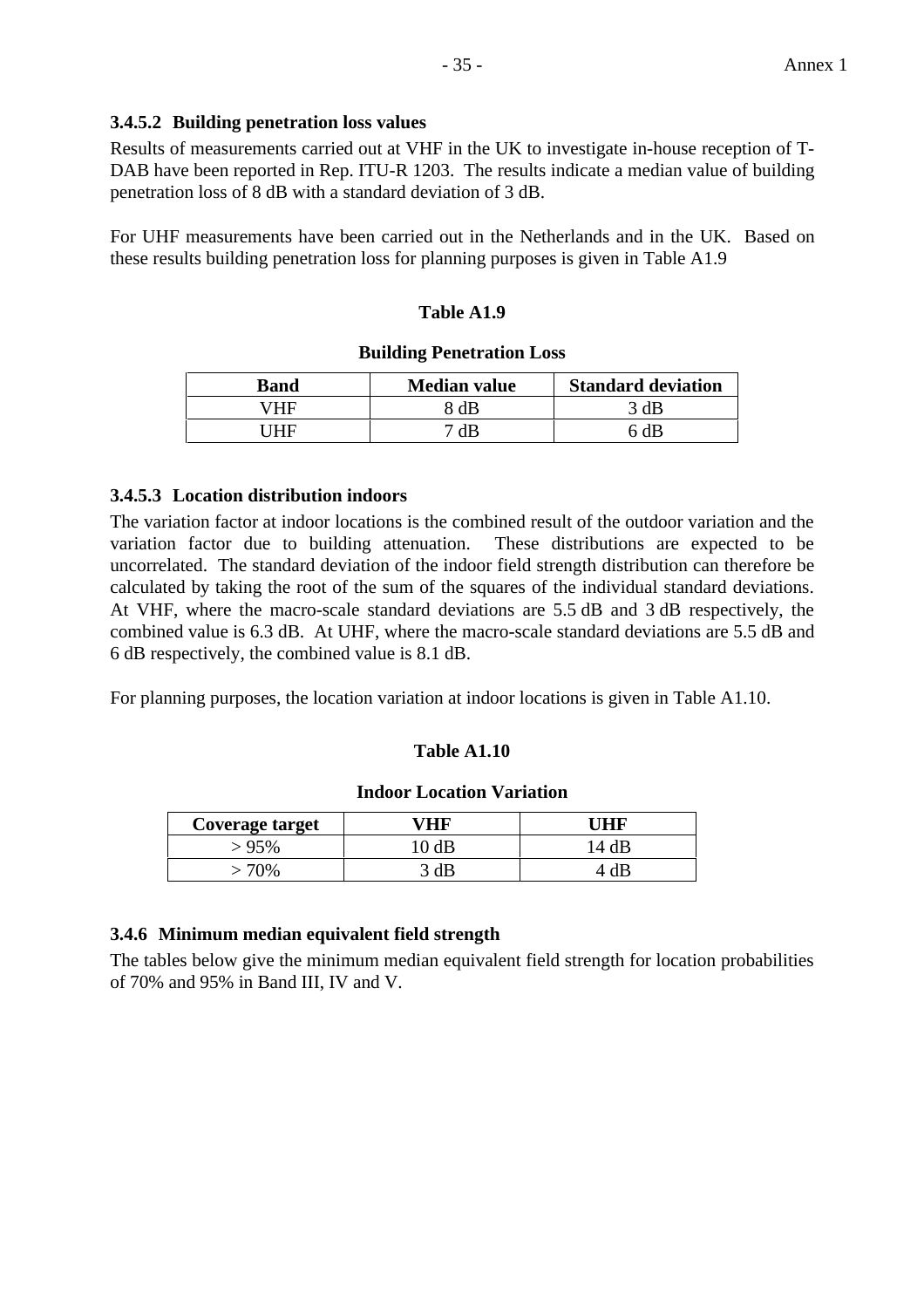## **3.4.5.2 Building penetration loss values**

Results of measurements carried out at VHF in the UK to investigate in-house reception of T-DAB have been reported in Rep. ITU-R 1203. The results indicate a median value of building penetration loss of 8 dB with a standard deviation of 3 dB.

For UHF measurements have been carried out in the Netherlands and in the UK. Based on these results building penetration loss for planning purposes is given in Table A1.9

#### **Table A1.9**

#### **Building Penetration Loss**

| Band | <b>Median value</b> | <b>Standard deviation</b> |
|------|---------------------|---------------------------|
| /HF  | 8 dB                | 3 dB                      |
| THE  | 7 dB -              | ና dB                      |

#### **3.4.5.3 Location distribution indoors**

The variation factor at indoor locations is the combined result of the outdoor variation and the variation factor due to building attenuation. These distributions are expected to be uncorrelated. The standard deviation of the indoor field strength distribution can therefore be calculated by taking the root of the sum of the squares of the individual standard deviations. At VHF, where the macro-scale standard deviations are 5.5 dB and 3 dB respectively, the combined value is 6.3 dB. At UHF, where the macro-scale standard deviations are 5.5 dB and 6 dB respectively, the combined value is 8.1 dB.

For planning purposes, the location variation at indoor locations is given in Table A1.10.

#### **Table A1.10**

#### **Indoor Location Variation**

| Coverage target | ΉR   |      |
|-----------------|------|------|
| - 95%           | 0 dB | 4 dB |
| 70%             | ЫE   |      |

## **3.4.6 Minimum median equivalent field strength**

The tables below give the minimum median equivalent field strength for location probabilities of 70% and 95% in Band III, IV and V.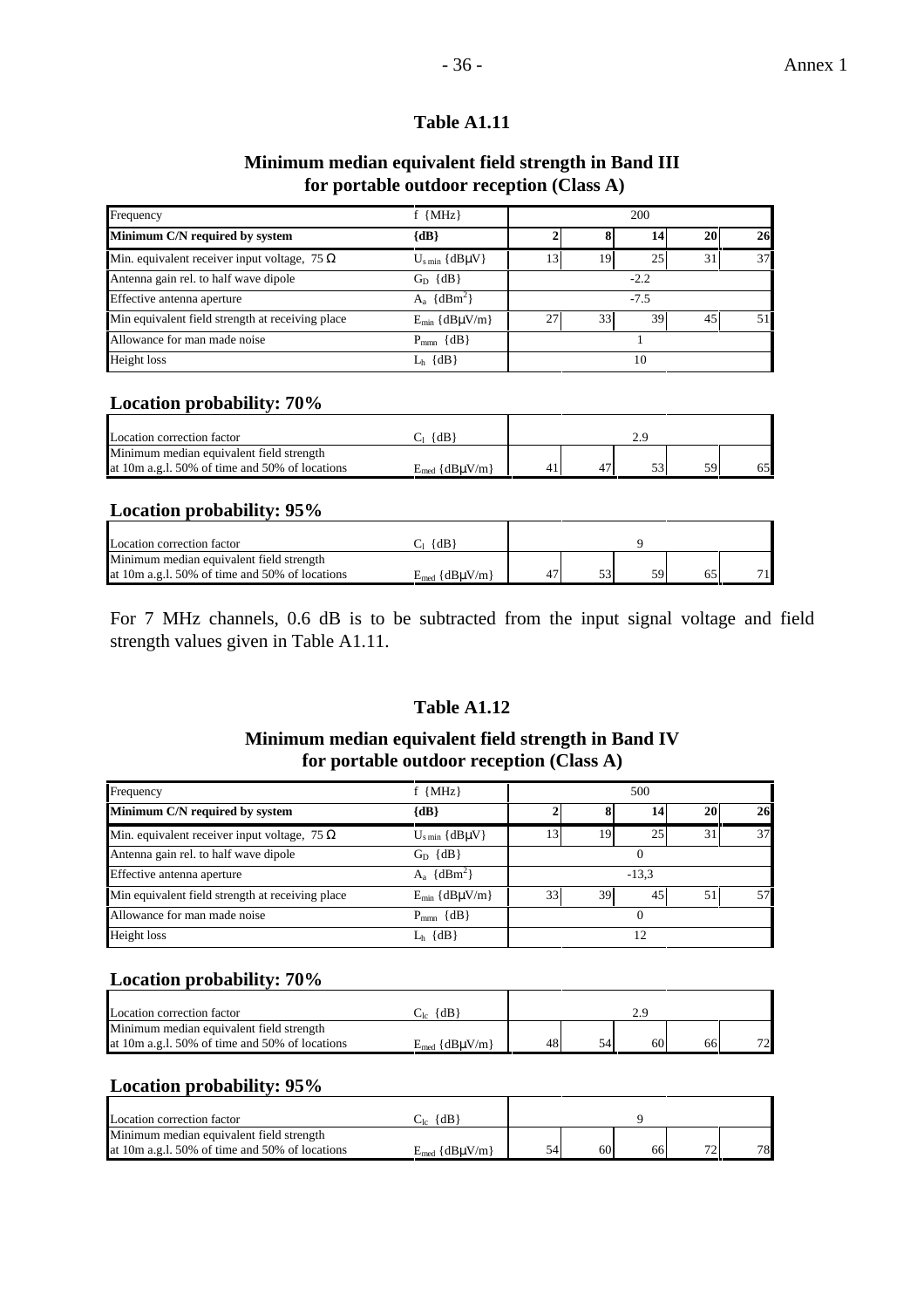#### **Minimum median equivalent field strength in Band III for portable outdoor reception (Class A)**

| Frequency                                           | $f$ {MHz}                      |        |                 |    |    |    |  |  |
|-----------------------------------------------------|--------------------------------|--------|-----------------|----|----|----|--|--|
| Minimum C/N required by system                      | ${dB}$                         |        |                 | 14 | 20 | 26 |  |  |
| Min. equivalent receiver input voltage, 75 $\Omega$ | $U_{\text{s min}} \{dB\mu V\}$ | 13     | 19              | 25 | 31 | 37 |  |  |
| Antenna gain rel. to half wave dipole               | $G_D \{dB\}$                   | $-2.2$ |                 |    |    |    |  |  |
| Effective antenna aperture                          | $A_a \{dBm^2\}$                | $-7.5$ |                 |    |    |    |  |  |
| Min equivalent field strength at receiving place    | $E_{min} \{dB\mu V/m\}$        | 27     | 33 <sub>1</sub> | 39 | 45 |    |  |  |
| Allowance for man made noise                        | $P_{mm}$ {dB}                  |        |                 |    |    |    |  |  |
| Height loss                                         | $L_h$ {dB}                     | 10     |                 |    |    |    |  |  |

## **Location probability: 70%**

| Location correction factor                        | ${AB}$                    |  |    |    |
|---------------------------------------------------|---------------------------|--|----|----|
| Minimum median equivalent field strength          |                           |  |    |    |
| at 10m a.g. $1.50\%$ of time and 50% of locations | $E_{\text{med}}$ {dBuV/m} |  | 59 | 65 |

#### **Location probability: 95%**

| Location correction factor                        | $\{dB\}$                 |  |    |  |
|---------------------------------------------------|--------------------------|--|----|--|
| Minimum median equivalent field strength          |                          |  |    |  |
| at 10m a.g. $1.50\%$ of time and 50% of locations | $E_{med}$ {dB $\mu$ V/m} |  | 59 |  |

For 7 MHz channels, 0.6 dB is to be subtracted from the input signal voltage and field strength values given in Table A1.11.

## **Table A1.12**

#### **Minimum median equivalent field strength in Band IV for portable outdoor reception (Class A)**

| Frequency                                           | $f$ {MHz}                      | 500     |                 |    |    |    |  |
|-----------------------------------------------------|--------------------------------|---------|-----------------|----|----|----|--|
| Minimum C/N required by system                      | $\{dB\}$                       |         | 20 <sub>1</sub> | 26 |    |    |  |
| Min. equivalent receiver input voltage, 75 $\Omega$ | $U_{\text{s min}} \{dB\mu V\}$ | 13      | 19              | 25 | 31 | 37 |  |
| Antenna gain rel. to half wave dipole               | $G_D$ $\{dB\}$                 |         |                 |    |    |    |  |
| Effective antenna aperture                          | $A_a \{dBm^2\}$                | $-13.3$ |                 |    |    |    |  |
| Min equivalent field strength at receiving place    | $E_{min}$ {dB $\mu$ V/m}       | 33      | 39              | 45 | 51 | 57 |  |
| Allowance for man made noise                        | $P_{mm} \{dB\}$                |         |                 |    |    |    |  |
| Height loss                                         | $\{dB\}$                       |         |                 |    |    |    |  |

## **Location probability: 70%**

| Location correction factor                     | $\{dB$                   |    |    |    |    |
|------------------------------------------------|--------------------------|----|----|----|----|
| Minimum median equivalent field strength       |                          |    |    |    |    |
| at 10m a.g.l. 50% of time and 50% of locations | $E_{med}$ {dB $\mu$ V/m} | 48 | 60 | 66 | 72 |

## **Location probability: 95%**

| Location correction factor                     | ${dB}$                   |    |    |                          |    |
|------------------------------------------------|--------------------------|----|----|--------------------------|----|
| Minimum median equivalent field strength       |                          |    |    |                          |    |
| at 10m a.g.1. 50% of time and 50% of locations | $E_{med}$ {dB $\mu$ V/m} | 60 | 66 | $\overline{\phantom{a}}$ | 78 |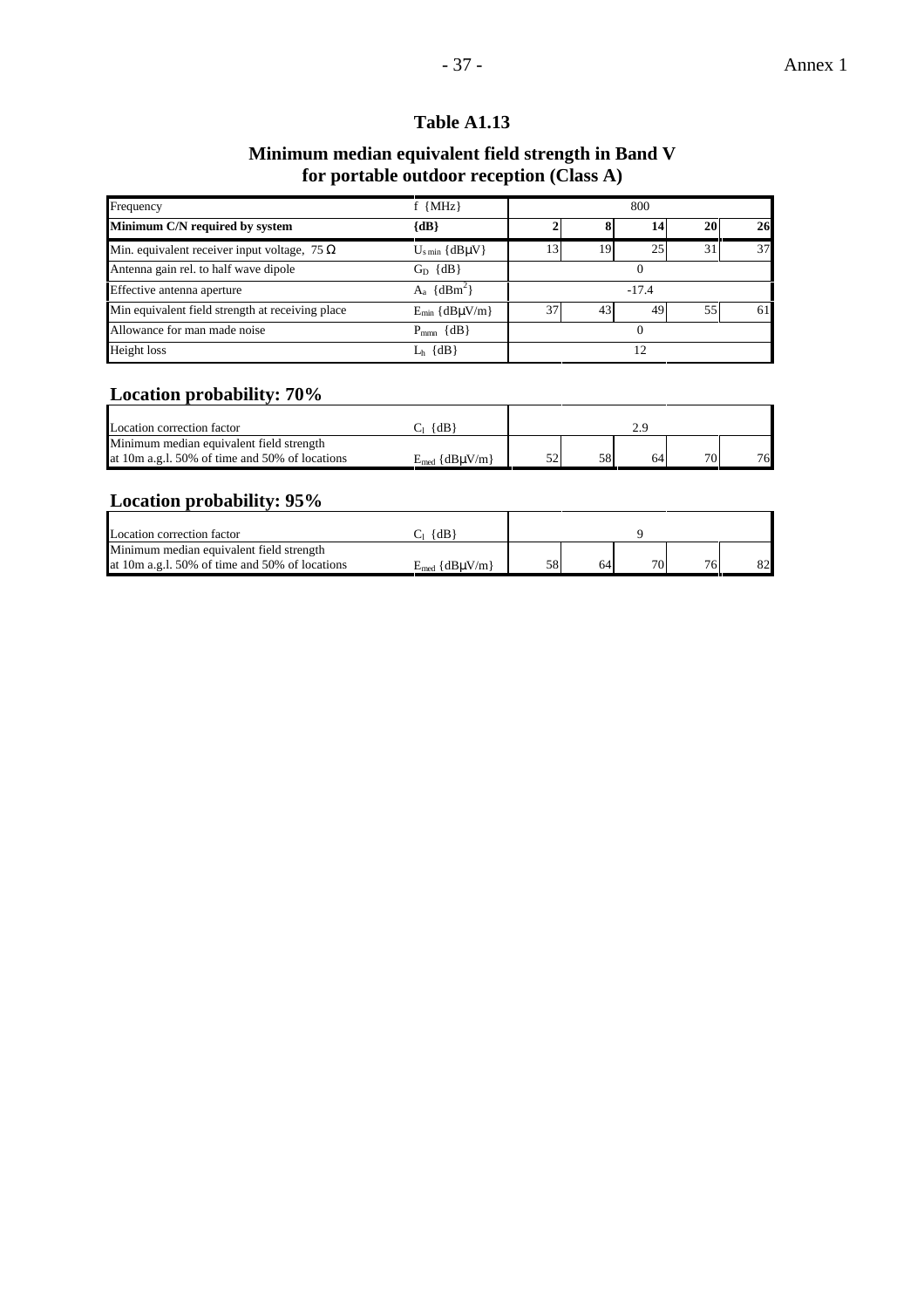## **Minimum median equivalent field strength in Band V for portable outdoor reception (Class A)**

| Frequency                                           | $f$ {MHz}                      | 800      |    |    |    |    |  |  |
|-----------------------------------------------------|--------------------------------|----------|----|----|----|----|--|--|
| Minimum C/N required by system                      | $\{dB\}$                       |          |    | 14 | 20 | 26 |  |  |
| Min. equivalent receiver input voltage, 75 $\Omega$ | $U_{\text{s min}} \{dB\mu V\}$ | 13       | 19 | 25 | 31 | 37 |  |  |
| Antenna gain rel. to half wave dipole               | $G_D$ $\{dB\}$                 | $\Omega$ |    |    |    |    |  |  |
| Effective antenna aperture                          | $A_a \{dBm^2\}$                | $-17.4$  |    |    |    |    |  |  |
| Min equivalent field strength at receiving place    | $E_{min} \{dB\mu V/m\}$        | 37       | 43 | 49 | 55 | 61 |  |  |
| Allowance for man made noise                        | $P_{mm}$ {dB}                  | $^{O}$   |    |    |    |    |  |  |
| Height loss                                         | $L_h$ {dB}                     | 12       |    |    |    |    |  |  |

## **Location probability: 70%**

| Location correction factor                     | $\{dB\}$                |    |    |    |    |
|------------------------------------------------|-------------------------|----|----|----|----|
| Minimum median equivalent field strength       |                         |    |    |    |    |
| at 10m a.g.1. 50% of time and 50% of locations | $E_{med} \{dB\mu V/m\}$ | 58 | 64 | 70 | 76 |

## **Location probability: 95%**

| Location correction factor                     | {dB`                    |    |    |                 |    |    |  |
|------------------------------------------------|-------------------------|----|----|-----------------|----|----|--|
| Minimum median equivalent field strength       |                         |    |    |                 |    |    |  |
| at 10m a.g.l. 50% of time and 50% of locations | $E_{med} \{dB\mu V/m\}$ | 58 | 64 | 70 <sub>1</sub> | 76 | 82 |  |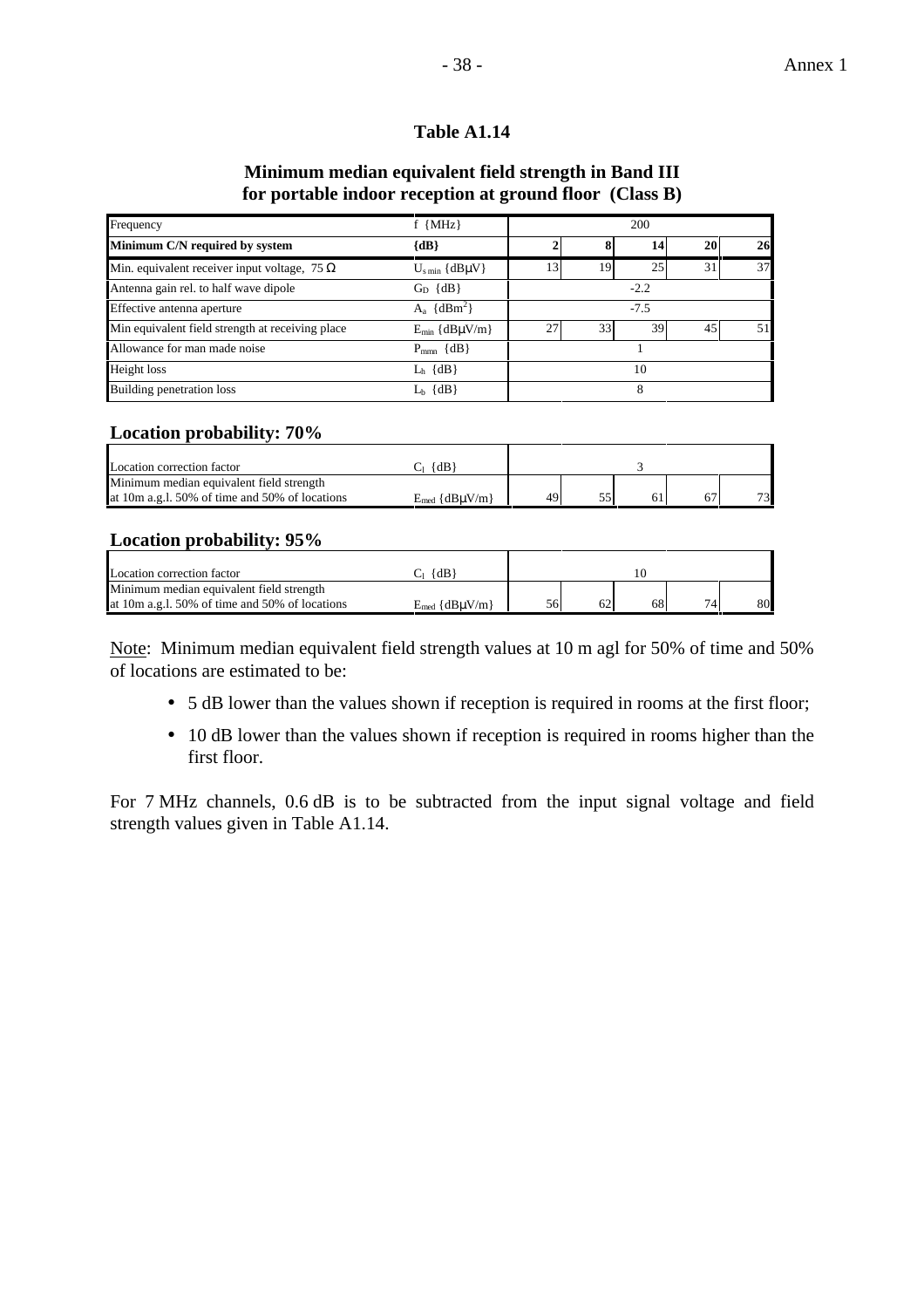## **Minimum median equivalent field strength in Band III for portable indoor reception at ground floor (Class B)**

| Frequency                                           | $f$ {MHz}                      |        |    | 200 |    |    |  |
|-----------------------------------------------------|--------------------------------|--------|----|-----|----|----|--|
| Minimum C/N required by system                      | ${dB}$                         |        |    | 14  | 20 | 26 |  |
| Min. equivalent receiver input voltage, 75 $\Omega$ | $U_{\text{s min}} \{dB\mu V\}$ | 13     | 19 | 25  | 31 | 37 |  |
| Antenna gain rel. to half wave dipole               | $G_D \{dB\}$                   | $-2.2$ |    |     |    |    |  |
| Effective antenna aperture                          | $A_a \{dBm^2\}$                | $-7.5$ |    |     |    |    |  |
| Min equivalent field strength at receiving place    | $E_{min} \{dB\mu V/m\}$        | 27     | 33 | 39  | 45 | 51 |  |
| Allowance for man made noise                        | $P_{mm}$ {dB}                  |        |    |     |    |    |  |
| Height loss                                         | $L_h$ {dB}                     | 10     |    |     |    |    |  |
| <b>Building penetration loss</b>                    | $L_b \{dB\}$                   |        |    | 8   |    |    |  |

#### **Location probability: 70%**

| Location correction factor                     | $\{dB\}$                |     |  |    |
|------------------------------------------------|-------------------------|-----|--|----|
| Minimum median equivalent field strength       |                         |     |  |    |
| at 10m a.g.1. 50% of time and 50% of locations | $E_{med} \{dB\mu V/m\}$ | 49' |  | 73 |

## **Location probability: 95%**

| Location correction factor                      | $\{dB\}$                 |    |    |     |    |
|-------------------------------------------------|--------------------------|----|----|-----|----|
| Minimum median equivalent field strength        |                          |    |    |     |    |
| at 10m a.g. 1. 50% of time and 50% of locations | $E_{med}$ {dB $\mu$ V/m} | 56 | 68 | 74. | 80 |

Note: Minimum median equivalent field strength values at 10 m agl for 50% of time and 50% of locations are estimated to be:

- 5 dB lower than the values shown if reception is required in rooms at the first floor;
- 10 dB lower than the values shown if reception is required in rooms higher than the first floor.

For 7 MHz channels, 0.6 dB is to be subtracted from the input signal voltage and field strength values given in Table A1.14.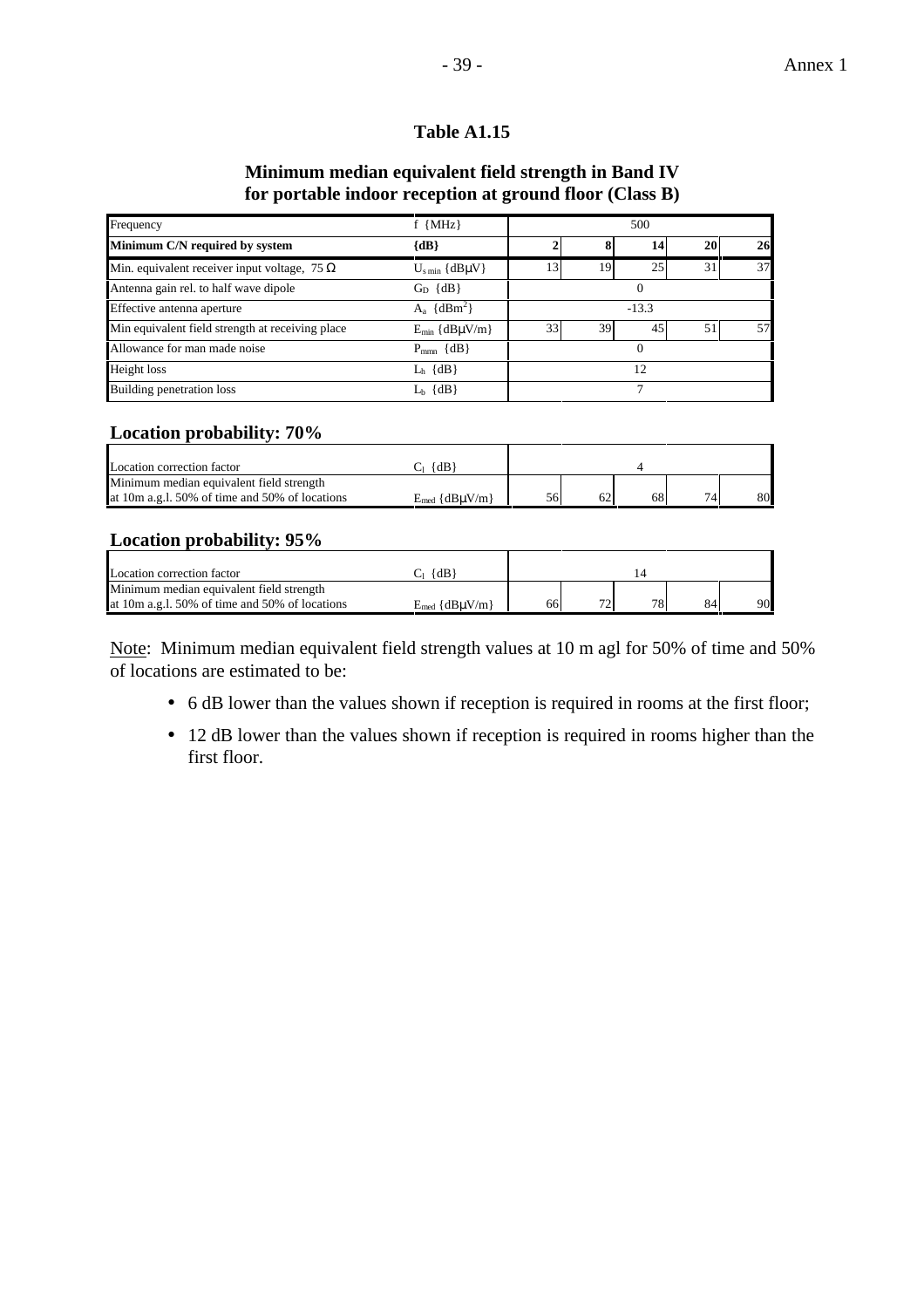## **Minimum median equivalent field strength in Band IV for portable indoor reception at ground floor (Class B)**

| Frequency                                           | $f$ {MHz}                      |    | 500<br>20<br>14<br>25<br>31<br>19<br>13<br>$\Omega$<br>$-13.3$<br>33<br>39<br>45<br>51 |  |  |    |  |  |
|-----------------------------------------------------|--------------------------------|----|----------------------------------------------------------------------------------------|--|--|----|--|--|
| Minimum C/N required by system                      | ${dB}$                         |    |                                                                                        |  |  | 26 |  |  |
| Min. equivalent receiver input voltage, 75 $\Omega$ | $U_{\text{s min}} \{dB\mu V\}$ |    |                                                                                        |  |  | 37 |  |  |
| Antenna gain rel. to half wave dipole               | $G_D \{dB\}$                   |    |                                                                                        |  |  |    |  |  |
| Effective antenna aperture                          | $A_a \{dBm^2\}$                |    |                                                                                        |  |  |    |  |  |
| Min equivalent field strength at receiving place    | $E_{min} \{dB\mu V/m\}$        |    |                                                                                        |  |  | 57 |  |  |
| Allowance for man made noise                        | $P_{mm}$ {dB}                  |    |                                                                                        |  |  |    |  |  |
| Height loss                                         | $L_h$ {dB}                     | 12 |                                                                                        |  |  |    |  |  |
| <b>Building penetration loss</b>                    | $L_b \{dB\}$                   |    | ┑                                                                                      |  |  |    |  |  |

#### **Location probability: 70%**

| Location correction factor                     | $\{dB$                   |    |    |    |    |
|------------------------------------------------|--------------------------|----|----|----|----|
| Minimum median equivalent field strength       |                          |    |    |    |    |
| at 10m a.g.1. 50% of time and 50% of locations | $E_{med}$ {dB $\mu$ V/m} | 56 | 68 | 74 | 80 |

## **Location probability: 95%**

| Location correction factor                     | $\{dB\}$                 |    |                          |    |    |    |
|------------------------------------------------|--------------------------|----|--------------------------|----|----|----|
| Minimum median equivalent field strength       |                          |    |                          |    |    |    |
| at 10m a.g.1, 50% of time and 50% of locations | $E_{med}$ {dB $\mu$ V/m} | 66 | $\overline{\phantom{a}}$ | 78 | 84 | 90 |

Note: Minimum median equivalent field strength values at 10 m agl for 50% of time and 50% of locations are estimated to be:

- 6 dB lower than the values shown if reception is required in rooms at the first floor;
- 12 dB lower than the values shown if reception is required in rooms higher than the first floor.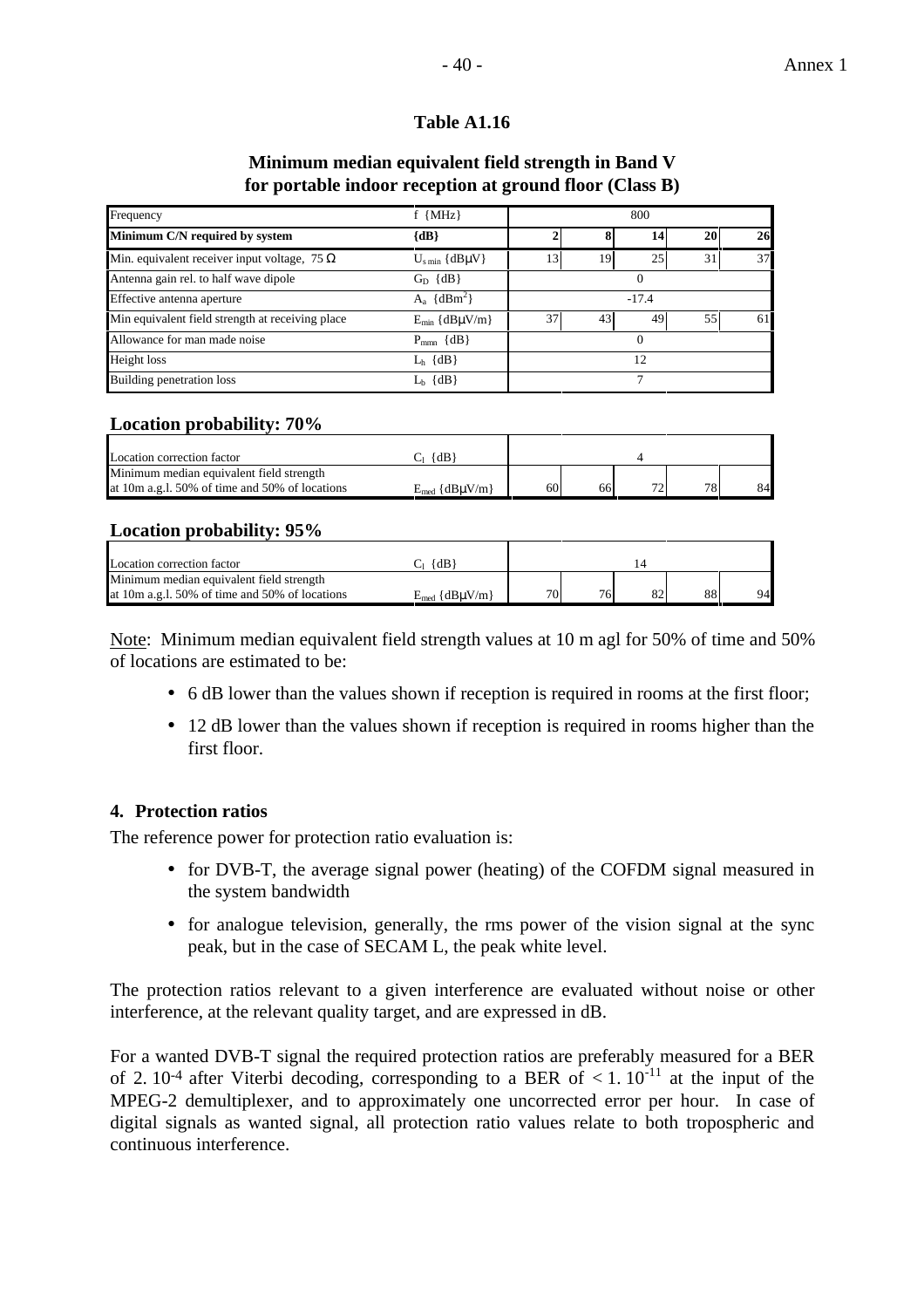#### **Minimum median equivalent field strength in Band V for portable indoor reception at ground floor (Class B)**

| Frequency                                           | $f \{MHz\}$<br>800<br>${dB}$<br>20 <sub>1</sub><br>14<br>25<br>31<br>13<br>19<br>$U_{\rm s\,min}$ {dB $\mu$ V}<br>$G_D$ {dB}<br>$\Omega$<br>$A_a \{dBm^2\}$<br>$-17.4$ |    |    |          |    |    |  |
|-----------------------------------------------------|------------------------------------------------------------------------------------------------------------------------------------------------------------------------|----|----|----------|----|----|--|
| Minimum C/N required by system                      |                                                                                                                                                                        |    |    |          |    | 26 |  |
| Min. equivalent receiver input voltage, 75 $\Omega$ |                                                                                                                                                                        |    |    |          |    | 37 |  |
| Antenna gain rel. to half wave dipole               |                                                                                                                                                                        |    |    |          |    |    |  |
| Effective antenna aperture                          |                                                                                                                                                                        |    |    |          |    |    |  |
| Min equivalent field strength at receiving place    | $E_{min} \{dB\mu V/m\}$                                                                                                                                                | 37 | 43 | 49       | 55 | 61 |  |
| Allowance for man made noise                        | $P_{\text{mm}} \{dB\}$                                                                                                                                                 |    |    | $\Omega$ |    |    |  |
| Height loss                                         | $L_h$ {dB}                                                                                                                                                             | 12 |    |          |    |    |  |
| Building penetration loss                           | $L_b \{dB\}$                                                                                                                                                           |    |    |          |    |    |  |

## **Location probability: 70%**

| Location correction factor                     | $\{dB\}$                 |    |    |    |    |    |
|------------------------------------------------|--------------------------|----|----|----|----|----|
| Minimum median equivalent field strength       |                          |    |    |    |    |    |
| at 10m a.g.1. 50% of time and 50% of locations | $E_{med}$ {dB $\mu$ V/m} | 60 | 66 | 70 | 78 | 84 |

#### **Location probability: 95%**

| Location correction factor                     | {dB                |     |    |    |    |
|------------------------------------------------|--------------------|-----|----|----|----|
| Minimum median equivalent field strength       |                    |     |    |    |    |
| at 10m a.g.l. 50% of time and 50% of locations | $E_{med}$ {dBuV/m} | 701 | 76 | 88 | 94 |
|                                                |                    |     |    |    |    |

Note: Minimum median equivalent field strength values at 10 m agl for 50% of time and 50% of locations are estimated to be:

- 6 dB lower than the values shown if reception is required in rooms at the first floor;
- 12 dB lower than the values shown if reception is required in rooms higher than the first floor.

## **4. Protection ratios**

The reference power for protection ratio evaluation is:

- for DVB-T, the average signal power (heating) of the COFDM signal measured in the system bandwidth
- for analogue television, generally, the rms power of the vision signal at the sync peak, but in the case of SECAM L, the peak white level.

The protection ratios relevant to a given interference are evaluated without noise or other interference, at the relevant quality target, and are expressed in dB.

For a wanted DVB-T signal the required protection ratios are preferably measured for a BER of 2.  $10^{-4}$  after Viterbi decoding, corresponding to a BER of  $\lt 1$ .  $10^{-11}$  at the input of the MPEG-2 demultiplexer, and to approximately one uncorrected error per hour. In case of digital signals as wanted signal, all protection ratio values relate to both tropospheric and continuous interference.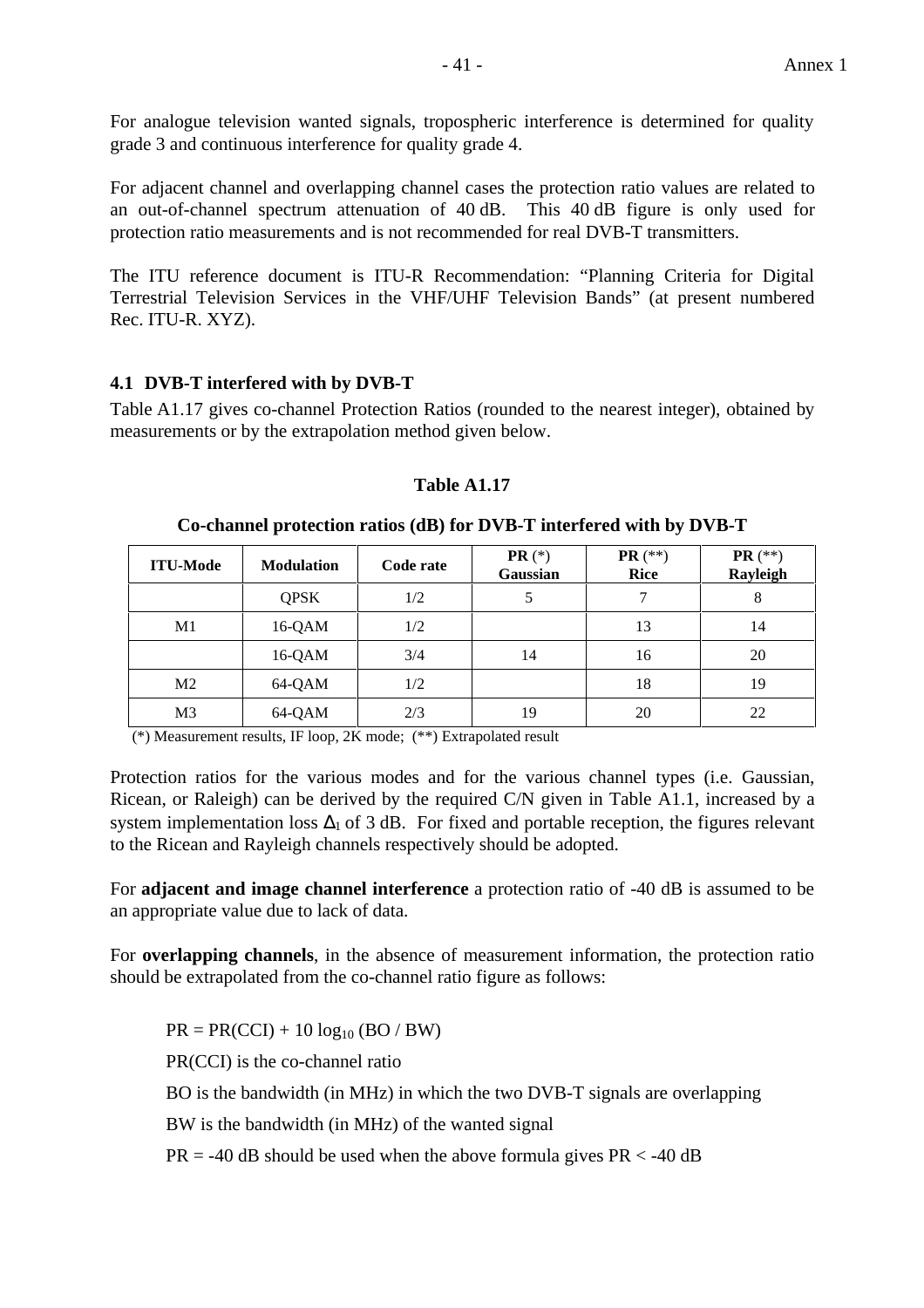For analogue television wanted signals, tropospheric interference is determined for quality grade 3 and continuous interference for quality grade 4.

For adjacent channel and overlapping channel cases the protection ratio values are related to an out-of-channel spectrum attenuation of 40 dB. This 40 dB figure is only used for protection ratio measurements and is not recommended for real DVB-T transmitters.

The ITU reference document is ITU-R Recommendation: "Planning Criteria for Digital Terrestrial Television Services in the VHF/UHF Television Bands" (at present numbered Rec. ITU-R. XYZ).

## **4.1 DVB-T interfered with by DVB-T**

Table A1.17 gives co-channel Protection Ratios (rounded to the nearest integer), obtained by measurements or by the extrapolation method given below.

| <b>ITU-Mode</b> | <b>Modulation</b> | Code rate | $PR$ (*)<br>Gaussian | <b>PR</b> $(**)$<br><b>Rice</b> | <b>PR</b> $(**)$<br>Rayleigh |
|-----------------|-------------------|-----------|----------------------|---------------------------------|------------------------------|
|                 | <b>QPSK</b>       | 1/2       | 5                    | 7                               | 8                            |
| M1              | $16-QAM$          | 1/2       |                      | 13                              | 14                           |
|                 | 16-QAM            | 3/4       | 14                   | 16                              | 20                           |
| M <sub>2</sub>  | 64-QAM            | 1/2       |                      | 18                              | 19                           |
| M <sub>3</sub>  | 64-QAM            | 2/3       | 19                   | 20                              | 22                           |

#### **Table A1.17**

#### **Co-channel protection ratios (dB) for DVB-T interfered with by DVB-T**

(\*) Measurement results, IF loop, 2K mode; (\*\*) Extrapolated result

Protection ratios for the various modes and for the various channel types (i.e. Gaussian, Ricean, or Raleigh) can be derived by the required C/N given in Table A1.1, increased by a system implementation loss  $\Delta_1$  of 3 dB. For fixed and portable reception, the figures relevant to the Ricean and Rayleigh channels respectively should be adopted.

For **adjacent and image channel interference** a protection ratio of -40 dB is assumed to be an appropriate value due to lack of data.

For **overlapping channels**, in the absence of measurement information, the protection ratio should be extrapolated from the co-channel ratio figure as follows:

 $PR = PR(CCI) + 10 log_{10} (BO / BW)$ PR(CCI) is the co-channel ratio BO is the bandwidth (in MHz) in which the two DVB-T signals are overlapping BW is the bandwidth (in MHz) of the wanted signal  $PR = -40$  dB should be used when the above formula gives  $PR < -40$  dB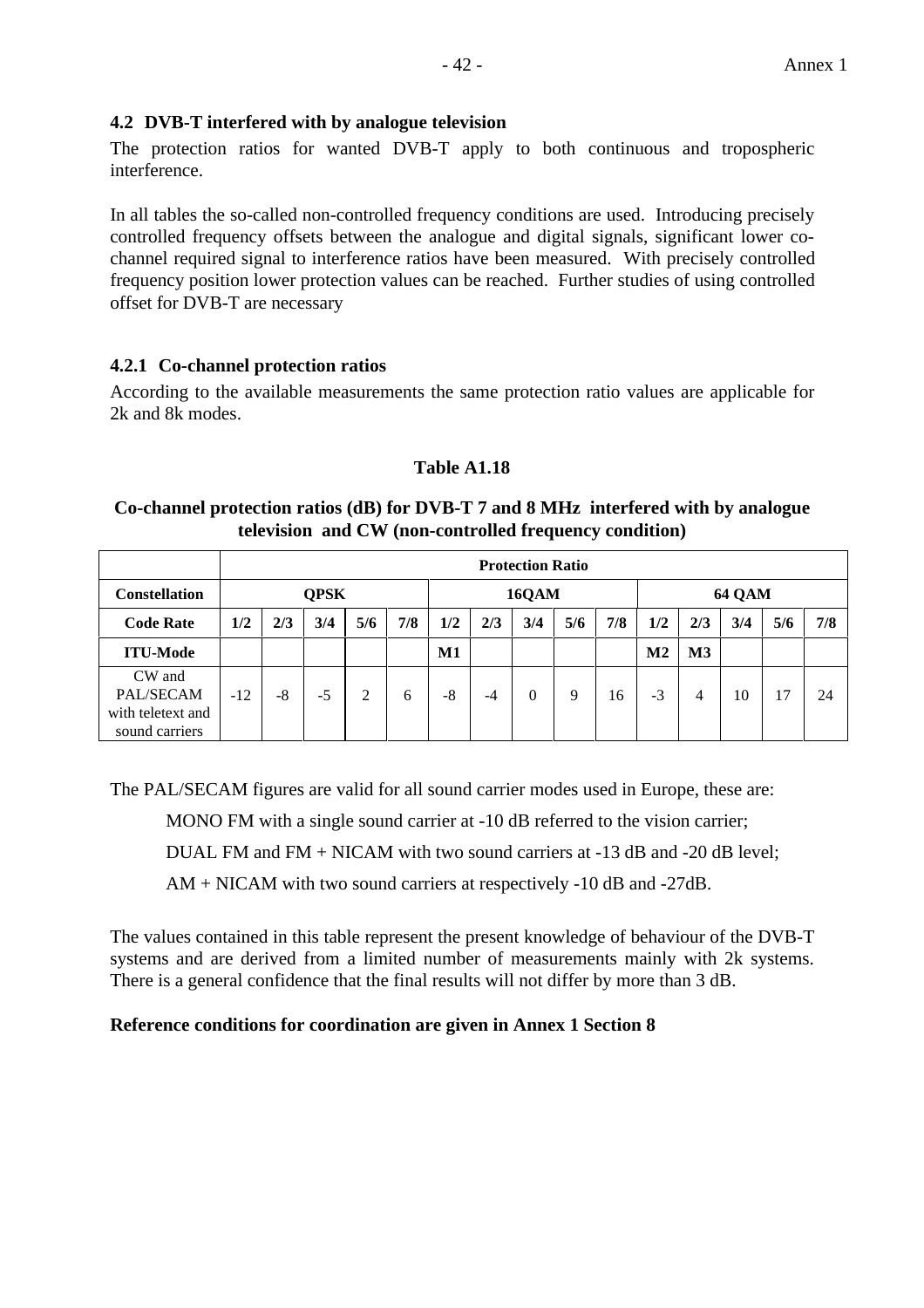## **4.2 DVB-T interfered with by analogue television**

The protection ratios for wanted DVB-T apply to both continuous and tropospheric interference.

In all tables the so-called non-controlled frequency conditions are used. Introducing precisely controlled frequency offsets between the analogue and digital signals, significant lower cochannel required signal to interference ratios have been measured. With precisely controlled frequency position lower protection values can be reached. Further studies of using controlled offset for DVB-T are necessary

## **4.2.1 Co-channel protection ratios**

According to the available measurements the same protection ratio values are applicable for 2k and 8k modes.

#### **Table A1.18**

#### **Co-channel protection ratios (dB) for DVB-T 7 and 8 MHz interfered with by analogue television and CW (non-controlled frequency condition)**

|                                                            |       | <b>Protection Ratio</b> |             |     |     |     |       |     |     |     |               |               |               |     |     |  |
|------------------------------------------------------------|-------|-------------------------|-------------|-----|-----|-----|-------|-----|-----|-----|---------------|---------------|---------------|-----|-----|--|
| <b>Constellation</b>                                       |       |                         | <b>QPSK</b> |     |     |     | 16QAM |     |     |     |               |               | <b>64 QAM</b> |     |     |  |
| <b>Code Rate</b>                                           | 1/2   | 2/3                     | 3/4         | 5/6 | 7/8 | 1/2 | 2/3   | 3/4 | 5/6 | 7/8 | 1/2           | 2/3           | 3/4           | 5/6 | 7/8 |  |
| <b>ITU-Mode</b>                                            |       |                         |             |     |     | M1  |       |     |     |     | $\mathbf{M2}$ | $\mathbf{M}3$ |               |     |     |  |
| CW and<br>PAL/SECAM<br>with teletext and<br>sound carriers | $-12$ | -8                      | $-5$        | 2   | 6   | -8  | -4    | 0   | 9   | 16  | $-3$          | 4             | 10            | 17  | 24  |  |

The PAL/SECAM figures are valid for all sound carrier modes used in Europe, these are:

MONO FM with a single sound carrier at  $-10$  dB referred to the vision carrier;

DUAL FM and FM + NICAM with two sound carriers at -13 dB and -20 dB level;

AM + NICAM with two sound carriers at respectively -10 dB and -27dB.

The values contained in this table represent the present knowledge of behaviour of the DVB-T systems and are derived from a limited number of measurements mainly with 2k systems. There is a general confidence that the final results will not differ by more than 3 dB.

## **Reference conditions for coordination are given in Annex 1 Section 8**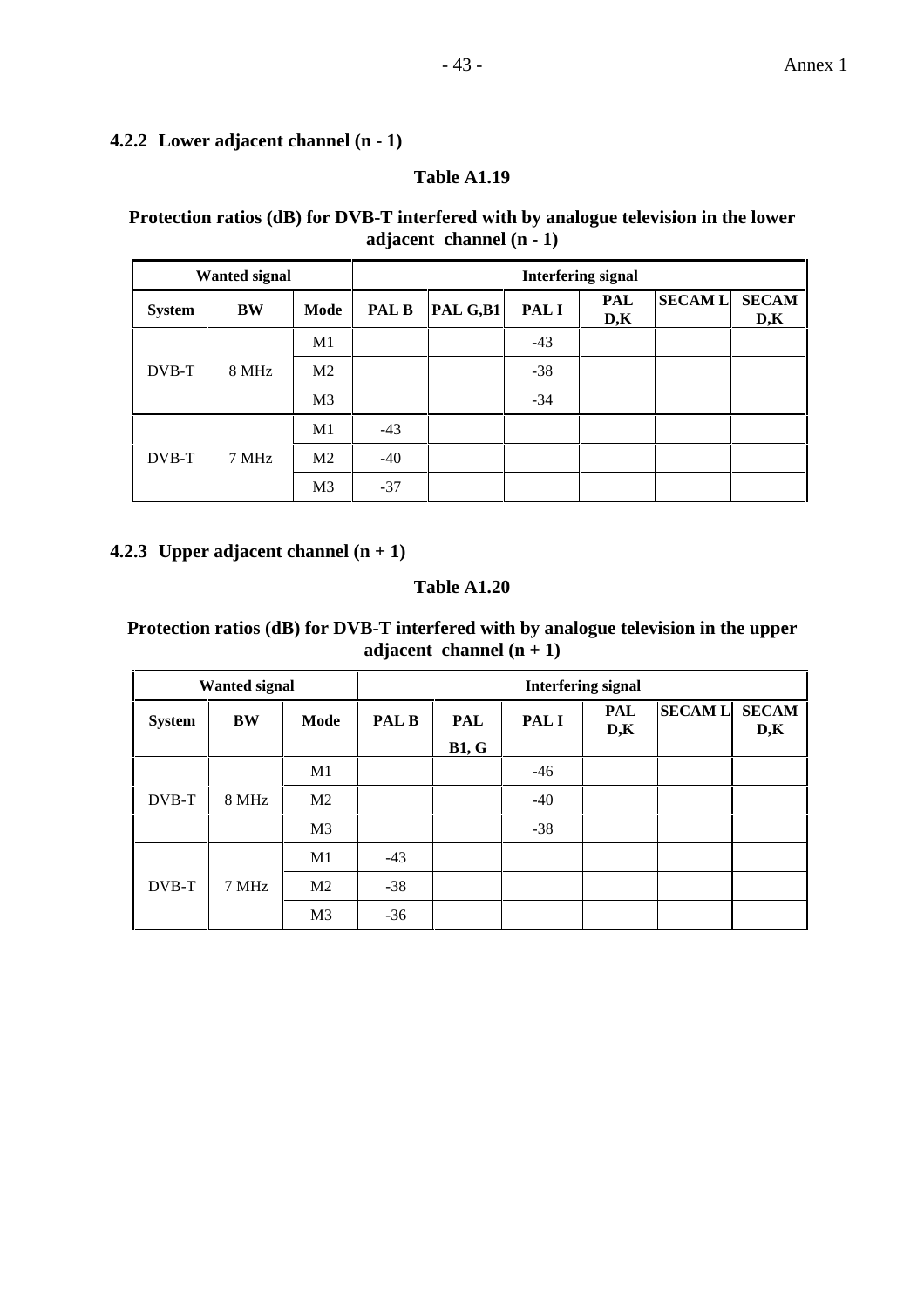#### **4.2.2 Lower adjacent channel (n - 1)**

#### **Table A1.19**

## **Protection ratios (dB) for DVB-T interfered with by analogue television in the lower adjacent channel (n - 1)**

|               | <b>Wanted signal</b> |                | <b>Interfering signal</b> |          |       |            |               |                     |  |  |  |  |
|---------------|----------------------|----------------|---------------------------|----------|-------|------------|---------------|---------------------|--|--|--|--|
| <b>System</b> | BW                   | Mode           | <b>PAL B</b>              | PAL G,B1 | PAL I | PAL<br>D,K | <b>SECAML</b> | <b>SECAM</b><br>D,K |  |  |  |  |
|               |                      | M1             |                           |          | $-43$ |            |               |                     |  |  |  |  |
| DVB-T         | 8 MHz                | M <sub>2</sub> |                           |          | $-38$ |            |               |                     |  |  |  |  |
|               |                      | M <sub>3</sub> |                           |          | $-34$ |            |               |                     |  |  |  |  |
|               |                      | M1             | $-43$                     |          |       |            |               |                     |  |  |  |  |
| DVB-T         | 7 MHz                | M <sub>2</sub> | $-40$                     |          |       |            |               |                     |  |  |  |  |
|               |                      | M <sub>3</sub> | $-37$                     |          |       |            |               |                     |  |  |  |  |

#### **4.2.3 Upper adjacent channel (n + 1)**

## **Table A1.20**

### **Protection ratios (dB) for DVB-T interfered with by analogue television in the upper adjacent channel (n + 1)**

|               | <b>Wanted signal</b> |                |       |              |       | <b>Interfering signal</b> |               |                     |
|---------------|----------------------|----------------|-------|--------------|-------|---------------------------|---------------|---------------------|
| <b>System</b> | <b>BW</b>            | Mode           | PAL B | <b>PAL</b>   | PAL I |                           | <b>SECAML</b> | <b>SECAM</b><br>D,K |
|               |                      |                |       | <b>B1, G</b> |       |                           |               |                     |
|               |                      | M <sub>1</sub> |       |              | $-46$ |                           |               |                     |
| DVB-T         | 8 MHz                | M <sub>2</sub> |       |              | $-40$ |                           |               |                     |
|               |                      | M <sub>3</sub> |       |              | $-38$ |                           |               |                     |
|               |                      | M1             | $-43$ |              |       |                           |               |                     |
| DVB-T         | 7 MHz                | M <sub>2</sub> | $-38$ |              |       |                           |               |                     |
|               |                      | M <sub>3</sub> | $-36$ |              |       |                           |               |                     |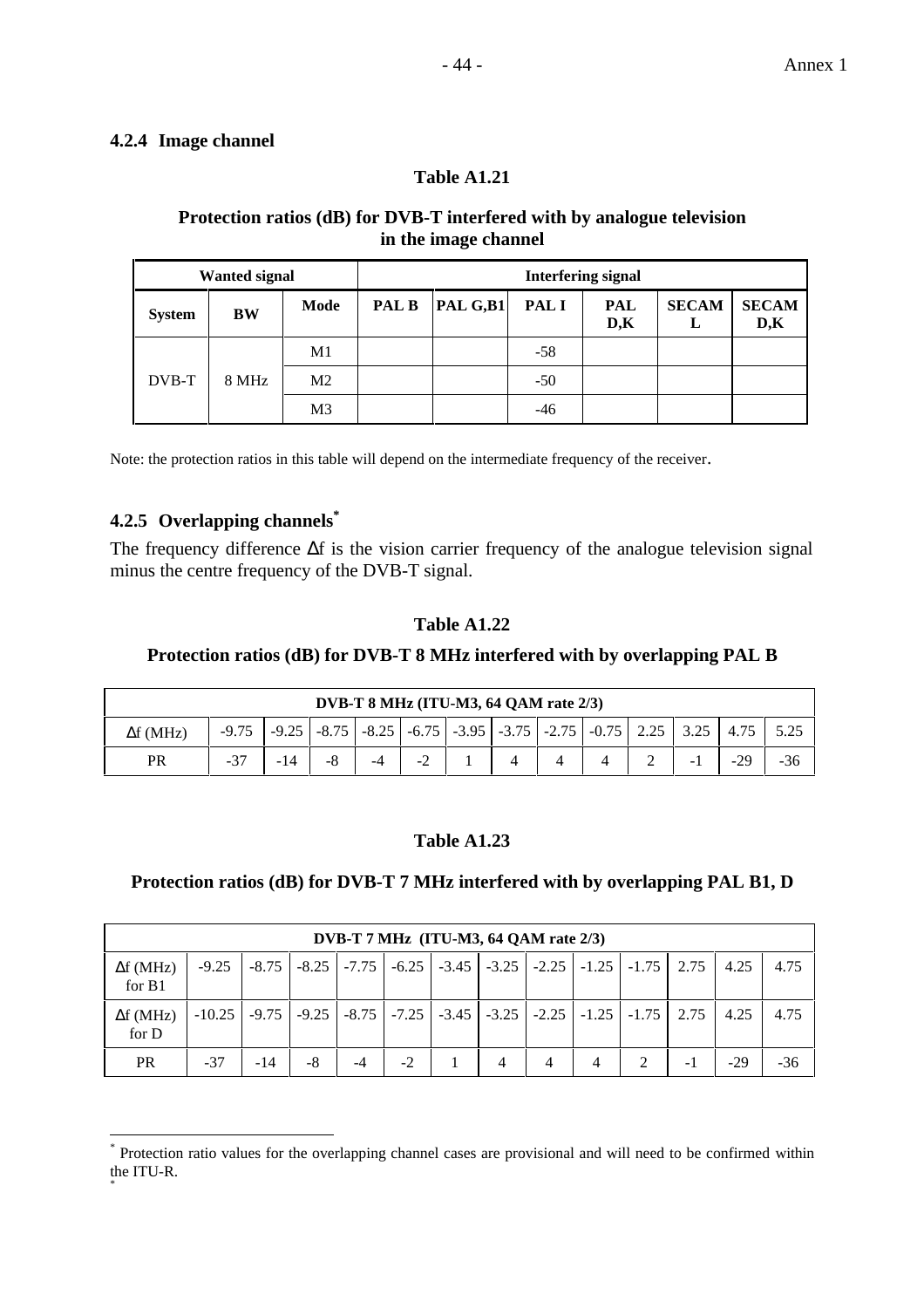#### **4.2.4 Image channel**

#### **Table A1.21**

#### **Protection ratios (dB) for DVB-T interfered with by analogue television in the image channel**

|               | <b>Wanted signal</b> |                |              | <b>Interfering signal</b> |             |                   |                   |                     |  |  |  |  |
|---------------|----------------------|----------------|--------------|---------------------------|-------------|-------------------|-------------------|---------------------|--|--|--|--|
| <b>System</b> | BW                   | Mode           | <b>PAL B</b> | $\left  \right $ PAL G,B1 | <b>PALI</b> | <b>PAL</b><br>D,K | <b>SECAM</b><br>L | <b>SECAM</b><br>D,K |  |  |  |  |
|               |                      | M <sub>1</sub> |              |                           | $-58$       |                   |                   |                     |  |  |  |  |
| DVB-T         | 8 MHz                | M <sub>2</sub> |              |                           | $-50$       |                   |                   |                     |  |  |  |  |
|               |                      | M <sub>3</sub> |              |                           | -46         |                   |                   |                     |  |  |  |  |

Note: the protection ratios in this table will depend on the intermediate frequency of the receiver.

## **4.2.5 Overlapping channels\***

 $\overline{a}$ 

The frequency difference  $\Delta f$  is the vision carrier frequency of the analogue television signal minus the centre frequency of the DVB-T signal.

#### **Table A1.22**

#### **Protection ratios (dB) for DVB-T 8 MHz interfered with by overlapping PAL B**

| DVB-T $8$ MHz (ITU-M3, 64 OAM rate $2/3$ ) |         |  |  |    |      |  |                                                                                                                                      |  |  |  |      |       |     |
|--------------------------------------------|---------|--|--|----|------|--|--------------------------------------------------------------------------------------------------------------------------------------|--|--|--|------|-------|-----|
| $\Delta f$ (MHz)                           | $-9.75$ |  |  |    |      |  | $\vert$ -9.25 $\vert$ -8.75 $\vert$ -8.25 $\vert$ -6.75 $\vert$ -3.95 $\vert$ -3.75 $\vert$ -2.75 $\vert$ -0.75 $\vert$ 2.25 $\vert$ |  |  |  | 3.25 |       |     |
| PR                                         | $-37$   |  |  | -4 | $-2$ |  |                                                                                                                                      |  |  |  |      | $-29$ | -36 |

#### **Table A1.23**

#### **Protection ratios (dB) for DVB-T 7 MHz interfered with by overlapping PAL B1, D**

|                            | DVB-T 7 MHz (ITU-M3, 64 QAM rate $2/3$ ) |         |    |    |      |  |   |   |                                                                                      |      |       |      |
|----------------------------|------------------------------------------|---------|----|----|------|--|---|---|--------------------------------------------------------------------------------------|------|-------|------|
| $\Delta f$ (MHz)<br>for B1 | $-9.25$                                  | $-8.75$ |    |    |      |  |   |   | $-8.25$   $-7.75$   $-6.25$   $-3.45$   $-3.25$   $-2.25$   $-1.25$   $-1.75$   2.75 |      | 4.25  | 4.75 |
| $\Delta f$ (MHz)<br>for D  | $-10.25$                                 |         |    |    |      |  |   |   | -9.75   -9.25   -8.75   -7.25   -3.45   -3.25   -2.25   -1.25   -1.75                | 2.75 | 4.25  | 4.75 |
| <b>PR</b>                  | $-37$                                    | $-14$   | -8 | -4 | $-2$ |  | 4 | 4 | 4                                                                                    | -1   | $-29$ | -36  |

<sup>\*</sup> Protection ratio values for the overlapping channel cases are provisional and will need to be confirmed within the ITU-R. \*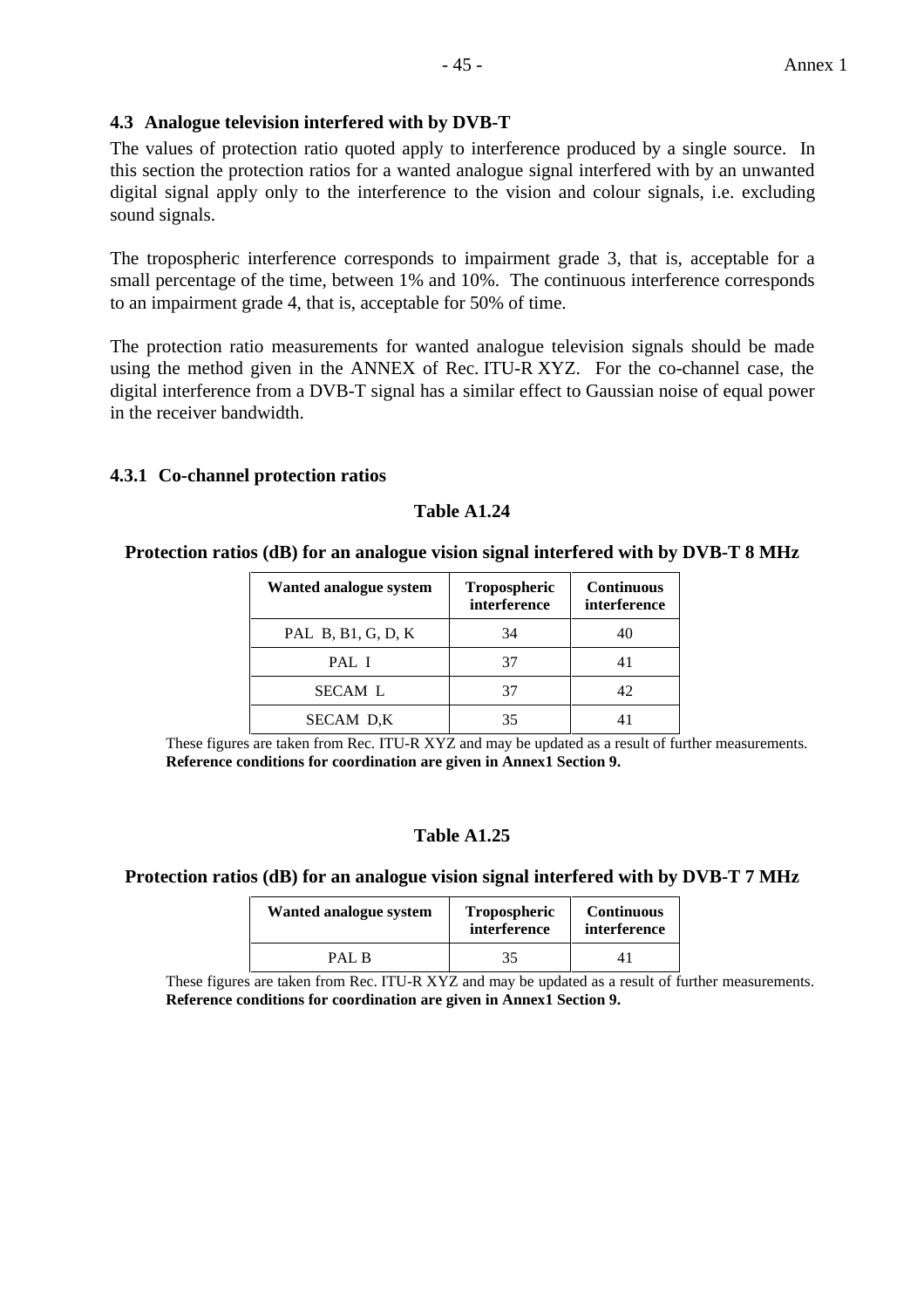#### **4.3 Analogue television interfered with by DVB-T**

The values of protection ratio quoted apply to interference produced by a single source. In this section the protection ratios for a wanted analogue signal interfered with by an unwanted digital signal apply only to the interference to the vision and colour signals, i.e. excluding sound signals.

The tropospheric interference corresponds to impairment grade 3, that is, acceptable for a small percentage of the time, between 1% and 10%. The continuous interference corresponds to an impairment grade 4, that is, acceptable for 50% of time.

The protection ratio measurements for wanted analogue television signals should be made using the method given in the ANNEX of Rec. ITU-R XYZ. For the co-channel case, the digital interference from a DVB-T signal has a similar effect to Gaussian noise of equal power in the receiver bandwidth.

#### **4.3.1 Co-channel protection ratios**

#### **Table A1.24**

#### **Protection ratios (dB) for an analogue vision signal interfered with by DVB-T 8 MHz**

| Wanted analogue system | <b>Tropospheric</b><br>interference | <b>Continuous</b><br>interference |  |
|------------------------|-------------------------------------|-----------------------------------|--|
| PAL B, B1, G, D, K     | 34                                  |                                   |  |
| PAL I                  |                                     |                                   |  |
| <b>SECAM L</b>         |                                     | 42                                |  |
| SECAM D,K              | 35                                  |                                   |  |

These figures are taken from Rec. ITU-R XYZ and may be updated as a result of further measurements. **Reference conditions for coordination are given in Annex1 Section 9.**

#### **Table A1.25**

#### **Protection ratios (dB) for an analogue vision signal interfered with by DVB-T 7 MHz**

| Wanted analogue system | Tropospheric<br>interference | <b>Continuous</b><br>interference |  |
|------------------------|------------------------------|-----------------------------------|--|
| PAL R                  | 35                           |                                   |  |

These figures are taken from Rec. ITU-R XYZ and may be updated as a result of further measurements. **Reference conditions for coordination are given in Annex1 Section 9.**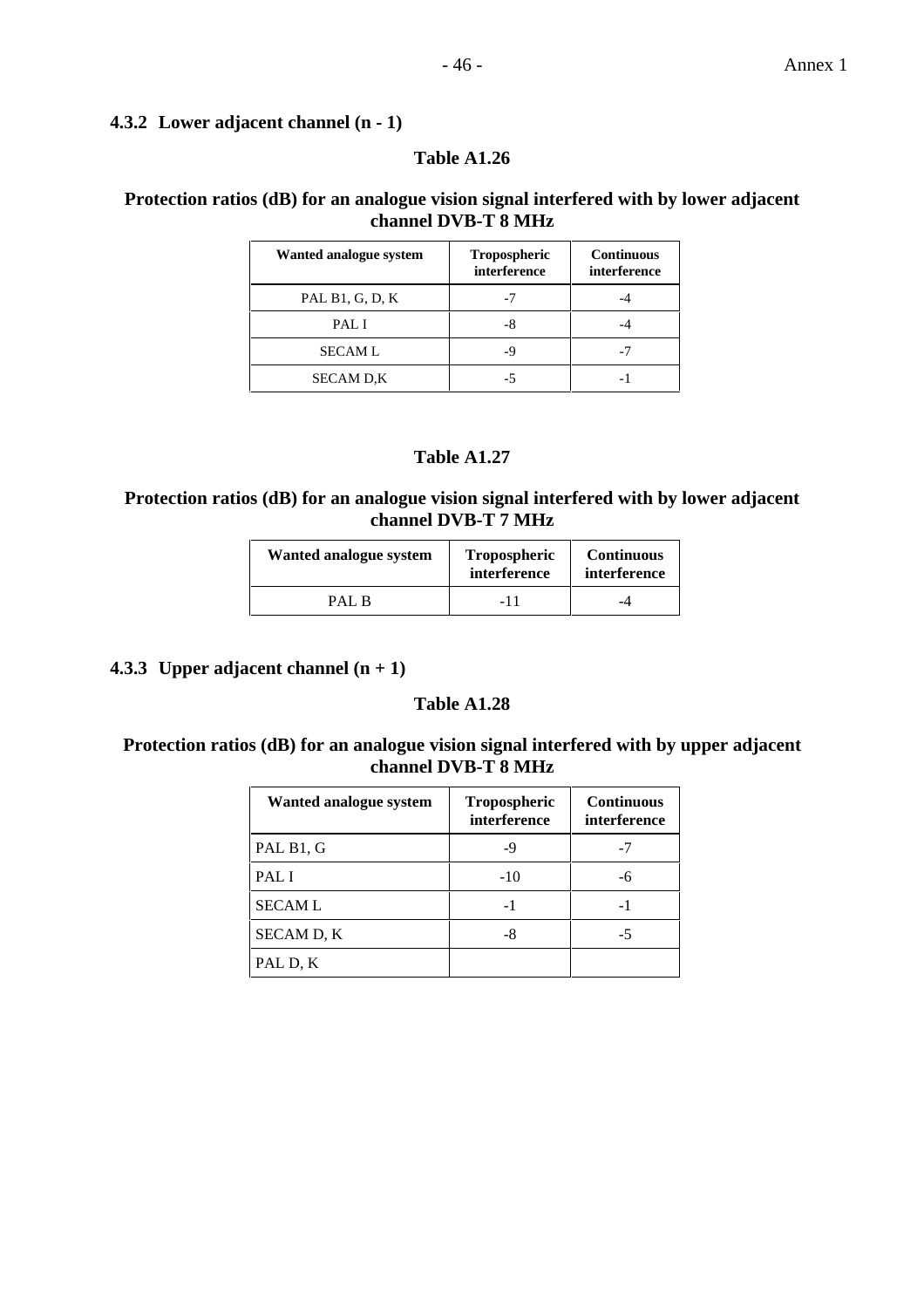#### **4.3.2 Lower adjacent channel (n - 1)**

#### **Table A1.26**

## **Protection ratios (dB) for an analogue vision signal interfered with by lower adjacent channel DVB-T 8 MHz**

| Wanted analogue system | Tropospheric<br>interference | <b>Continuous</b><br>interference |
|------------------------|------------------------------|-----------------------------------|
| PAL B1, G, D, K        |                              |                                   |
| PAL I                  |                              |                                   |
| <b>SECAML</b>          |                              |                                   |
| <b>SECAM D.K</b>       |                              |                                   |

#### **Table A1.27**

#### **Protection ratios (dB) for an analogue vision signal interfered with by lower adjacent channel DVB-T 7 MHz**

| Wanted analogue system | Tropospheric<br>interference | <b>Continuous</b><br>interference |
|------------------------|------------------------------|-----------------------------------|
| PAL R                  | -11                          |                                   |

**4.3.3 Upper adjacent channel**  $(n + 1)$ 

#### **Table A1.28**

#### **Protection ratios (dB) for an analogue vision signal interfered with by upper adjacent channel DVB-T 8 MHz**

| Wanted analogue system | Tropospheric<br>interference | <b>Continuous</b><br>interference |
|------------------------|------------------------------|-----------------------------------|
| PAL B1, G              | -9                           |                                   |
| PAL I                  | $-10$                        |                                   |
| <b>SECAML</b>          | -1                           |                                   |
| SECAM D, K             |                              |                                   |
| PAL D, K               |                              |                                   |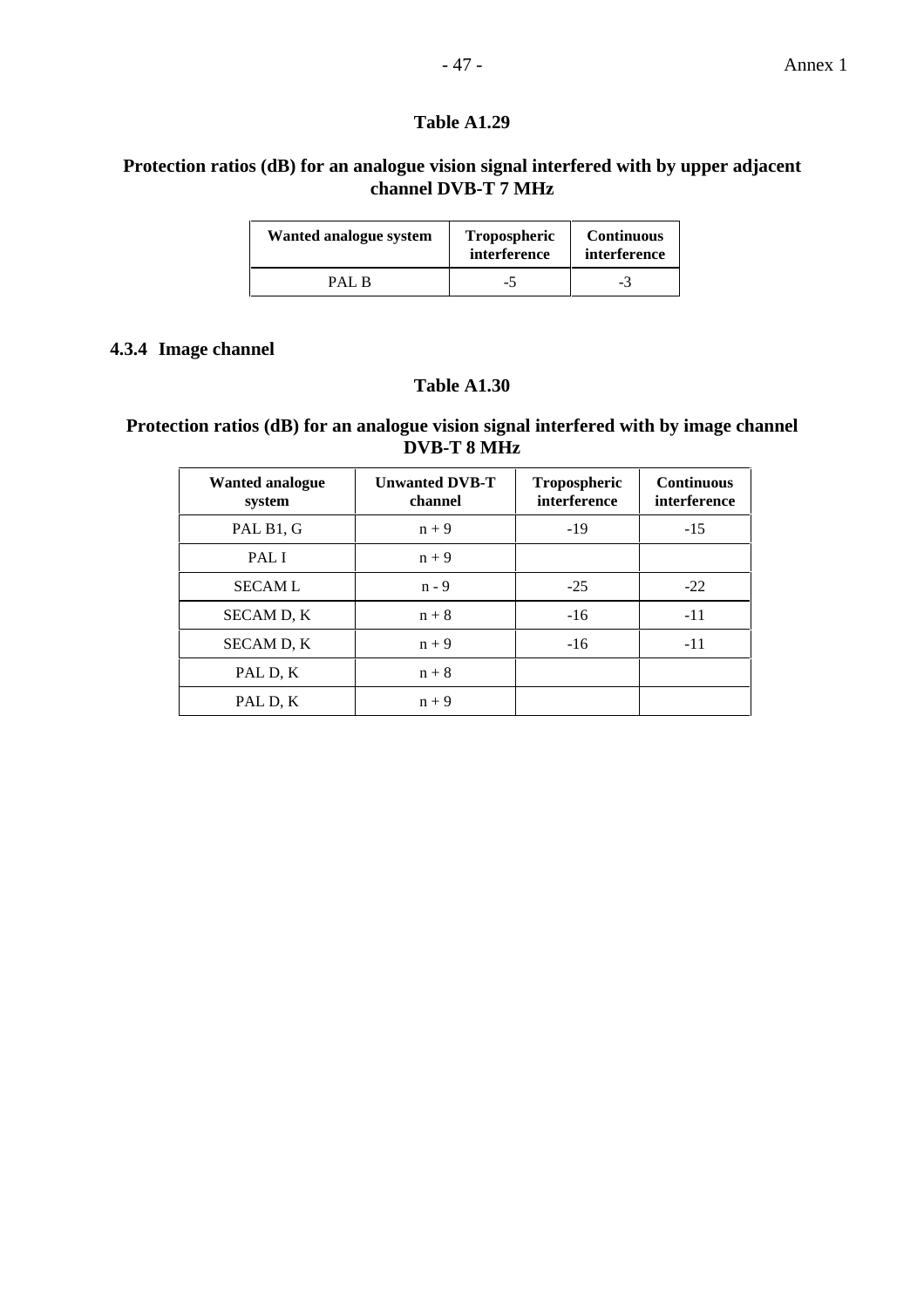## **Protection ratios (dB) for an analogue vision signal interfered with by upper adjacent channel DVB-T 7 MHz**

| Wanted analogue system | Tropospheric<br>interference | <b>Continuous</b><br>interference |  |  |
|------------------------|------------------------------|-----------------------------------|--|--|
| PAL R                  | -5                           | -3                                |  |  |

#### **4.3.4 Image channel**

### **Table A1.30**

## **Protection ratios (dB) for an analogue vision signal interfered with by image channel DVB-T 8 MHz**

| Wanted analogue<br>system | <b>Unwanted DVB-T</b><br>channel | <b>Tropospheric</b><br>interference | <b>Continuous</b><br>interference |
|---------------------------|----------------------------------|-------------------------------------|-----------------------------------|
| PAL B1, G                 | $n + 9$                          | $-19$                               | $-15$                             |
| PAL I                     | $n + 9$                          |                                     |                                   |
| <b>SECAML</b>             | $n - 9$                          | $-25$                               | $-22$                             |
| <b>SECAM D. K</b>         | $n + 8$                          | $-16$                               | $-11$                             |
| SECAM D, K                | $n + 9$                          | $-16$                               | $-11$                             |
| PAL D, K                  | $n + 8$                          |                                     |                                   |
| PAL D, K                  | $n + 9$                          |                                     |                                   |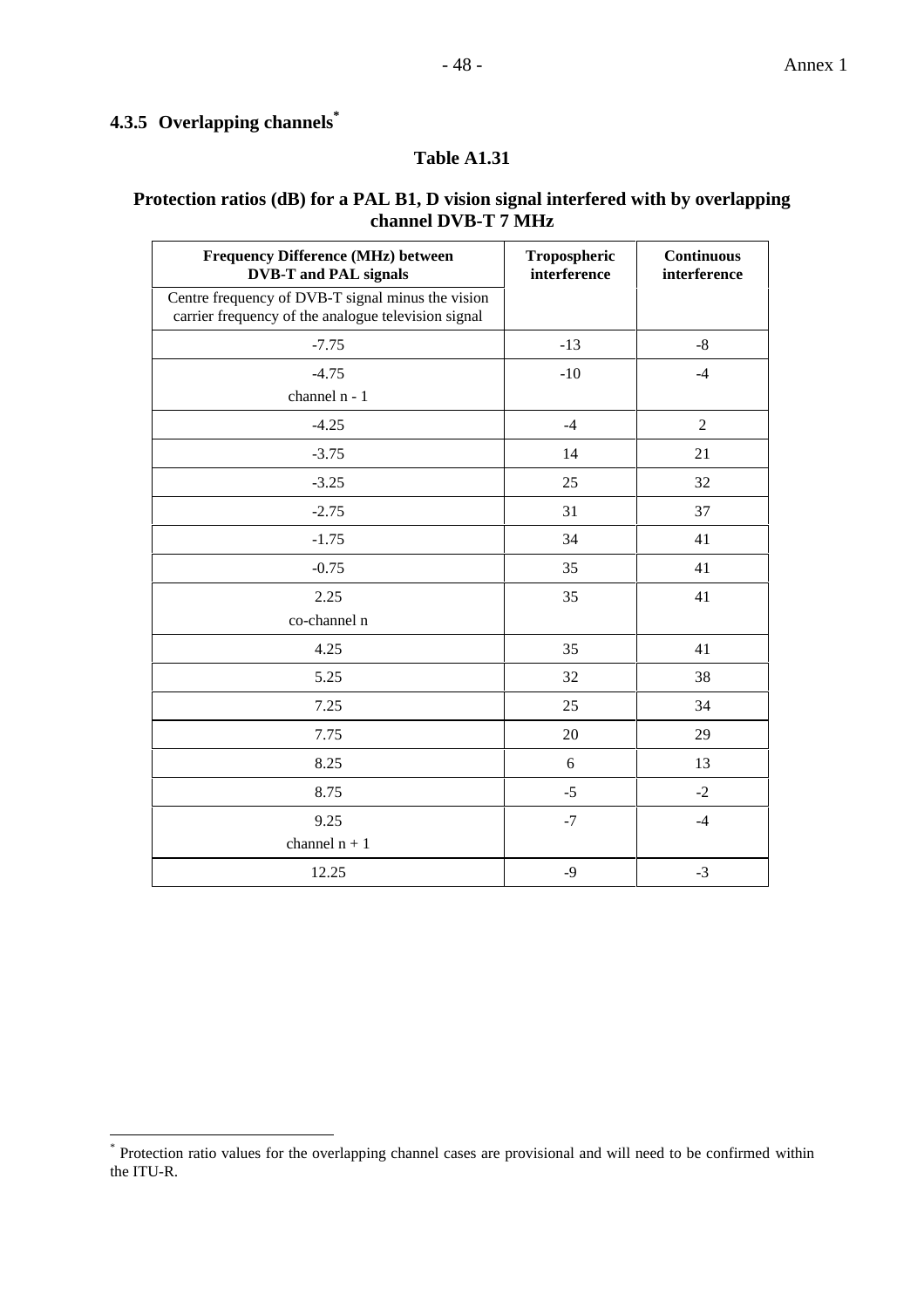# **4.3.5 Overlapping channels\***

 $\overline{a}$ 

#### **Table A1.31**

## **Protection ratios (dB) for a PAL B1, D vision signal interfered with by overlapping channel DVB-T 7 MHz**

| Frequency Difference (MHz) between<br><b>DVB-T</b> and PAL signals<br>Centre frequency of DVB-T signal minus the vision | Tropospheric<br>interference | <b>Continuous</b><br>interference |
|-------------------------------------------------------------------------------------------------------------------------|------------------------------|-----------------------------------|
| carrier frequency of the analogue television signal                                                                     |                              |                                   |
| $-7.75$                                                                                                                 | $-13$                        | $-8$                              |
| $-4.75$                                                                                                                 | $-10$                        | $-4$                              |
| channel n - 1                                                                                                           |                              |                                   |
| $-4.25$                                                                                                                 | $-4$                         | $\overline{2}$                    |
| $-3.75$                                                                                                                 | 14                           | 21                                |
| $-3.25$                                                                                                                 | 25                           | 32                                |
| $-2.75$                                                                                                                 | 31                           | 37                                |
| $-1.75$                                                                                                                 | 34                           | 41                                |
| $-0.75$                                                                                                                 | 35                           | 41                                |
| 2.25                                                                                                                    | 35                           | 41                                |
| co-channel n                                                                                                            |                              |                                   |
| 4.25                                                                                                                    | 35                           | 41                                |
| 5.25                                                                                                                    | 32                           | 38                                |
| 7.25                                                                                                                    | 25                           | 34                                |
| 7.75                                                                                                                    | 20                           | 29                                |
| 8.25                                                                                                                    | 6                            | 13                                |
| 8.75                                                                                                                    | $-5$                         | $-2$                              |
| 9.25                                                                                                                    | $-7$                         | $-4$                              |
| channel $n + 1$                                                                                                         |                              |                                   |
| 12.25                                                                                                                   | $-9$                         | $-3$                              |

<sup>\*</sup> Protection ratio values for the overlapping channel cases are provisional and will need to be confirmed within the ITU-R.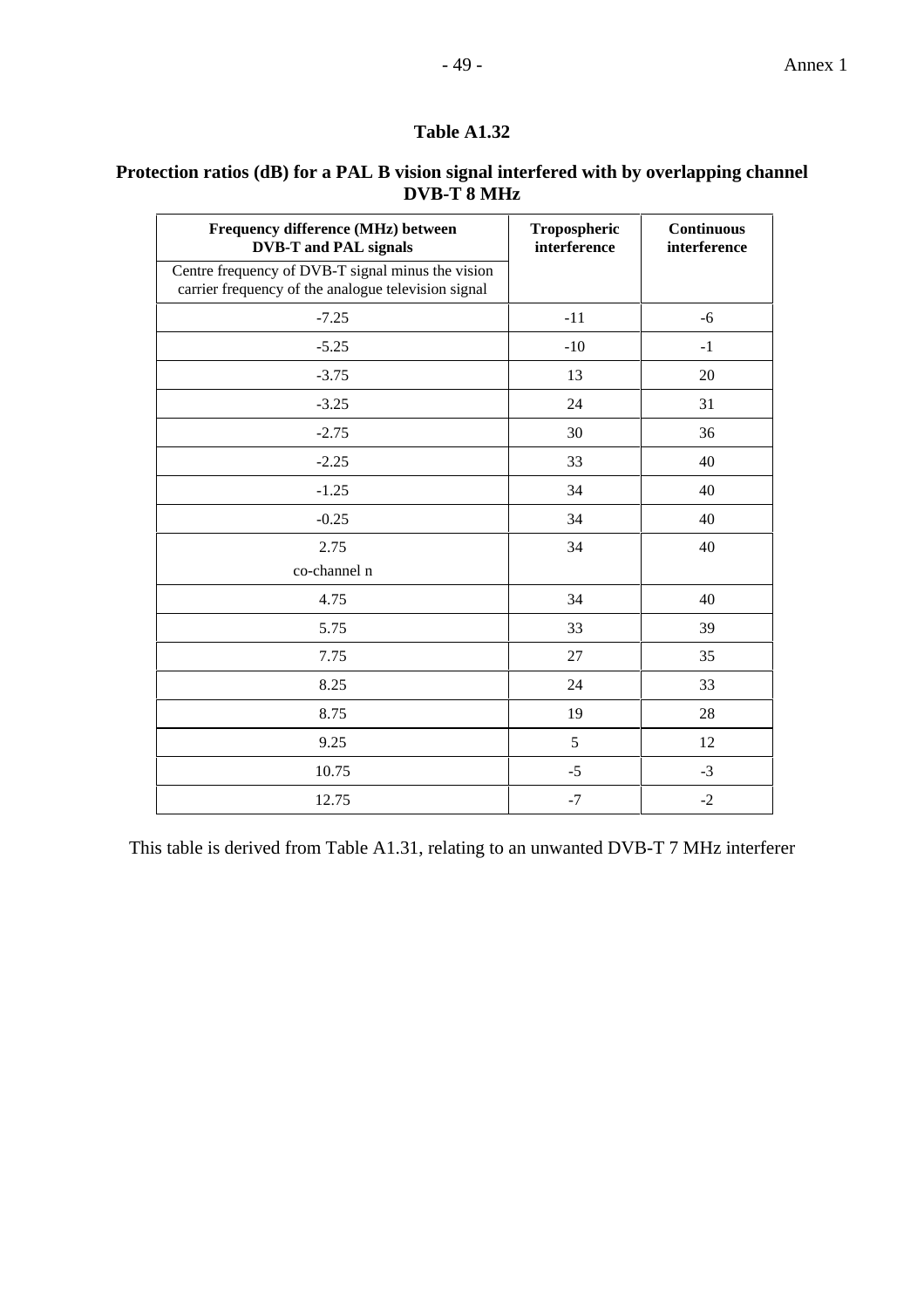## - 49 - Annex 1

## **Table A1.32**

## **Protection ratios (dB) for a PAL B vision signal interfered with by overlapping channel DVB-T 8 MHz**

| Frequency difference (MHz) between<br><b>DVB-T</b> and PAL signals                                       | Tropospheric<br>interference | <b>Continuous</b><br>interference |
|----------------------------------------------------------------------------------------------------------|------------------------------|-----------------------------------|
| Centre frequency of DVB-T signal minus the vision<br>carrier frequency of the analogue television signal |                              |                                   |
| $-7.25$                                                                                                  | $-11$                        | $-6$                              |
| $-5.25$                                                                                                  | $-10$                        | $-1$                              |
| $-3.75$                                                                                                  | 13                           | 20                                |
| $-3.25$                                                                                                  | 24                           | 31                                |
| $-2.75$                                                                                                  | 30                           | 36                                |
| $-2.25$                                                                                                  | 33                           | 40                                |
| $-1.25$                                                                                                  | 34                           | 40                                |
| $-0.25$                                                                                                  | 34                           | 40                                |
| 2.75                                                                                                     | 34                           | 40                                |
| co-channel n                                                                                             |                              |                                   |
| 4.75                                                                                                     | 34                           | 40                                |
| 5.75                                                                                                     | 33                           | 39                                |
| 7.75                                                                                                     | 27                           | 35                                |
| 8.25                                                                                                     | 24                           | 33                                |
| 8.75                                                                                                     | 19                           | 28                                |
| 9.25                                                                                                     | 5                            | 12                                |
| 10.75                                                                                                    | $-5$                         | $-3$                              |
| 12.75                                                                                                    | $-7$                         | $-2$                              |

This table is derived from Table A1.31, relating to an unwanted DVB-T 7 MHz interferer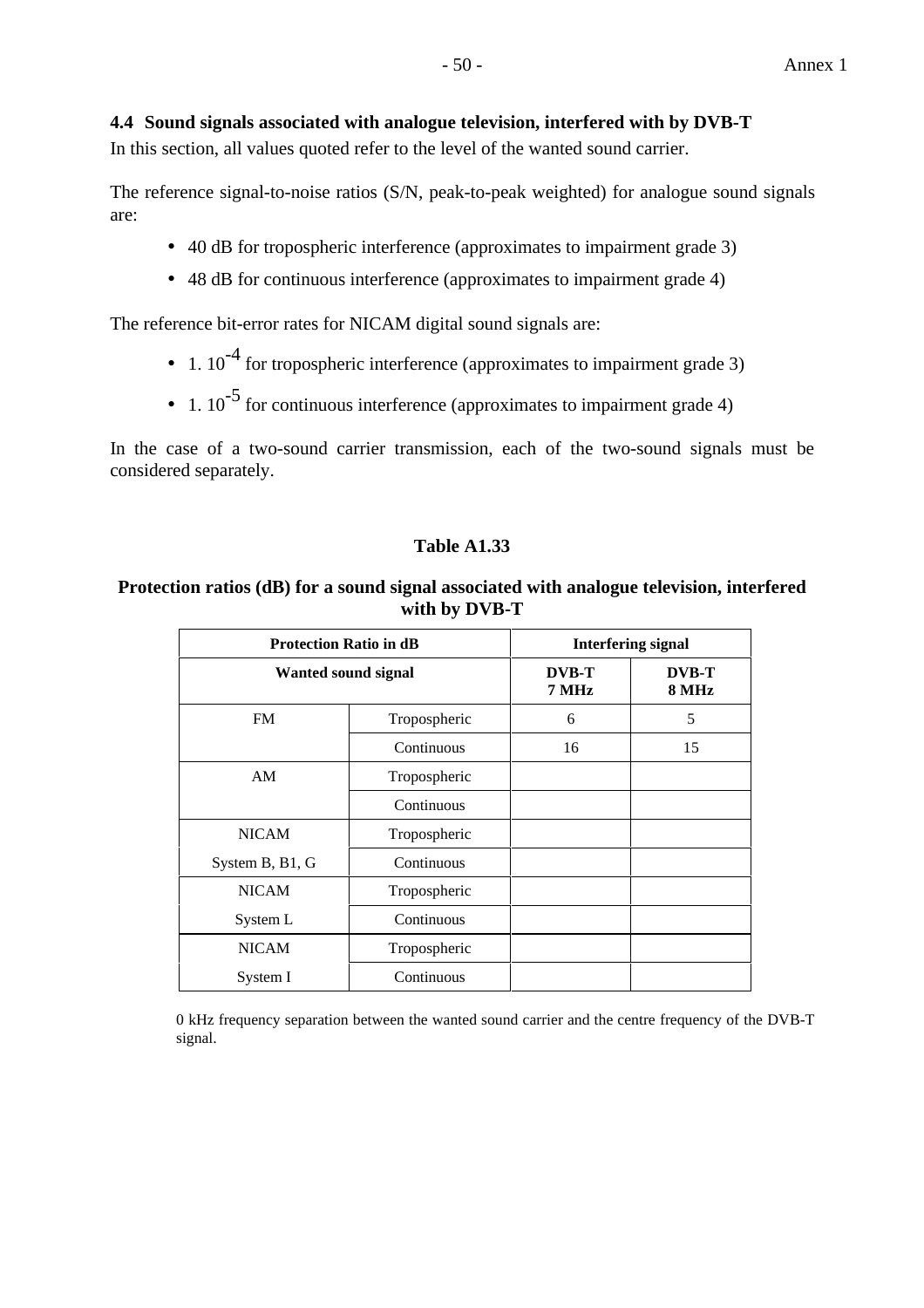## **4.4 Sound signals associated with analogue television, interfered with by DVB-T**

In this section, all values quoted refer to the level of the wanted sound carrier.

The reference signal-to-noise ratios (S/N, peak-to-peak weighted) for analogue sound signals are:

- 40 dB for tropospheric interference (approximates to impairment grade 3)
- 48 dB for continuous interference (approximates to impairment grade 4)

The reference bit-error rates for NICAM digital sound signals are:

- 1.  $10^{-4}$  for tropospheric interference (approximates to impairment grade 3)
- 1.  $10^{-5}$  for continuous interference (approximates to impairment grade 4)

In the case of a two-sound carrier transmission, each of the two-sound signals must be considered separately.

## **Table A1.33**

## **Protection ratios (dB) for a sound signal associated with analogue television, interfered with by DVB-T**

| <b>Protection Ratio in dB</b> |              |                       | <b>Interfering signal</b> |
|-------------------------------|--------------|-----------------------|---------------------------|
| <b>Wanted sound signal</b>    |              | <b>DVB-T</b><br>7 MHz | <b>DVB-T</b><br>8 MHz     |
| <b>FM</b>                     | Tropospheric | 6                     | 5                         |
|                               | Continuous   | 16                    | 15                        |
| AM                            | Tropospheric |                       |                           |
|                               | Continuous   |                       |                           |
| <b>NICAM</b>                  | Tropospheric |                       |                           |
| System B, B1, G               | Continuous   |                       |                           |
| <b>NICAM</b>                  | Tropospheric |                       |                           |
| System L                      | Continuous   |                       |                           |
| <b>NICAM</b>                  | Tropospheric |                       |                           |
| System I                      | Continuous   |                       |                           |

0 kHz frequency separation between the wanted sound carrier and the centre frequency of the DVB-T signal.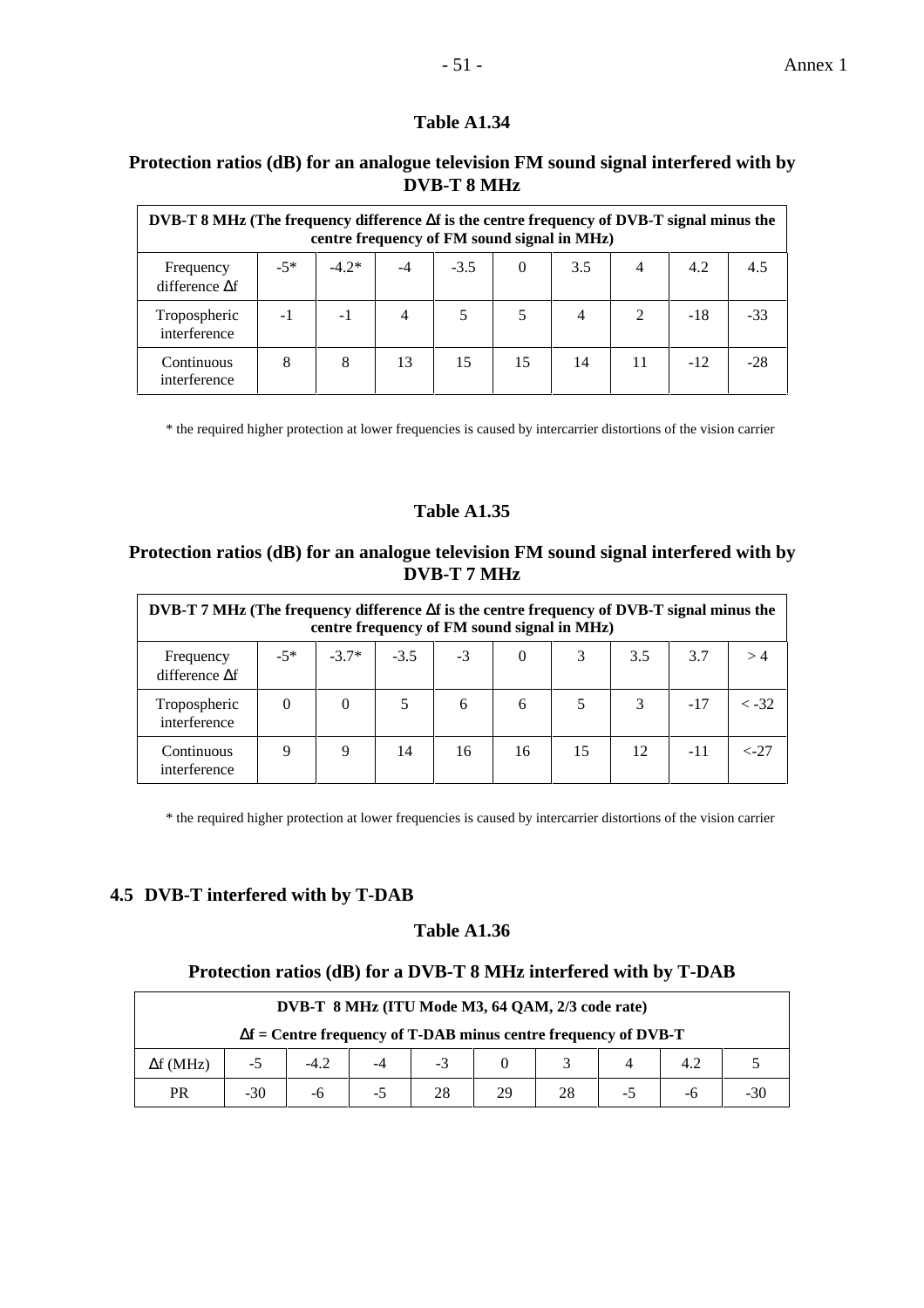#### **Protection ratios (dB) for an analogue television FM sound signal interfered with by DVB-T 8 MHz**

| DVB-T 8 MHz (The frequency difference $\Delta f$ is the centre frequency of DVB-T signal minus the<br>centre frequency of FM sound signal in MHz) |       |         |      |        |    |     |                             |       |       |
|---------------------------------------------------------------------------------------------------------------------------------------------------|-------|---------|------|--------|----|-----|-----------------------------|-------|-------|
| Frequency<br>difference $\Delta f$                                                                                                                | $-5*$ | $-4.2*$ | $-4$ | $-3.5$ | 0  | 3.5 | 4                           | 4.2   | 4.5   |
| Tropospheric<br>interference                                                                                                                      | $-1$  | $-1$    | 4    |        |    |     | $\mathcal{D}_{\mathcal{L}}$ | $-18$ | $-33$ |
| Continuous<br>interference                                                                                                                        | 8     | 8       | 13   | 15     | 15 | 14  |                             | $-12$ |       |

\* the required higher protection at lower frequencies is caused by intercarrier distortions of the vision carrier

#### **Table A1.35**

#### **Protection ratios (dB) for an analogue television FM sound signal interfered with by DVB-T 7 MHz**

| DVB-T 7 MHz (The frequency difference $\Delta f$ is the centre frequency of DVB-T signal minus the<br>centre frequency of FM sound signal in MHz) |          |          |        |      |          |    |     |       |               |
|---------------------------------------------------------------------------------------------------------------------------------------------------|----------|----------|--------|------|----------|----|-----|-------|---------------|
| Frequency<br>difference $\Delta f$                                                                                                                | $-5*$    | $-3.7*$  | $-3.5$ | $-3$ | $\Omega$ | 3  | 3.5 | 3.7   |               |
| Tropospheric<br>interference                                                                                                                      | $\Omega$ | $\Omega$ |        | 6    | 6        | 5  | 3   | $-17$ | $<-32$        |
| Continuous<br>interference                                                                                                                        | 9        | 9        | 14     | 16   | 16       | 15 | 12  | $-11$ | $\langle -27$ |

\* the required higher protection at lower frequencies is caused by intercarrier distortions of the vision carrier

#### **4.5 DVB-T interfered with by T-DAB**

#### **Table A1.36**

## **Protection ratios (dB) for a DVB-T 8 MHz interfered with by T-DAB**

| DVB-T 8 MHz (ITU Mode M3, 64 QAM, 2/3 code rate)                       |                               |    |  |    |    |    |  |  |     |
|------------------------------------------------------------------------|-------------------------------|----|--|----|----|----|--|--|-----|
| $\Delta f$ = Centre frequency of T-DAB minus centre frequency of DVB-T |                               |    |  |    |    |    |  |  |     |
| $\Delta f$ (MHz)                                                       | $-3$<br>$-4.2$<br>4.2<br>$-5$ |    |  |    |    |    |  |  |     |
| <b>PR</b>                                                              | $-30$                         | -ი |  | 28 | 29 | 28 |  |  | -30 |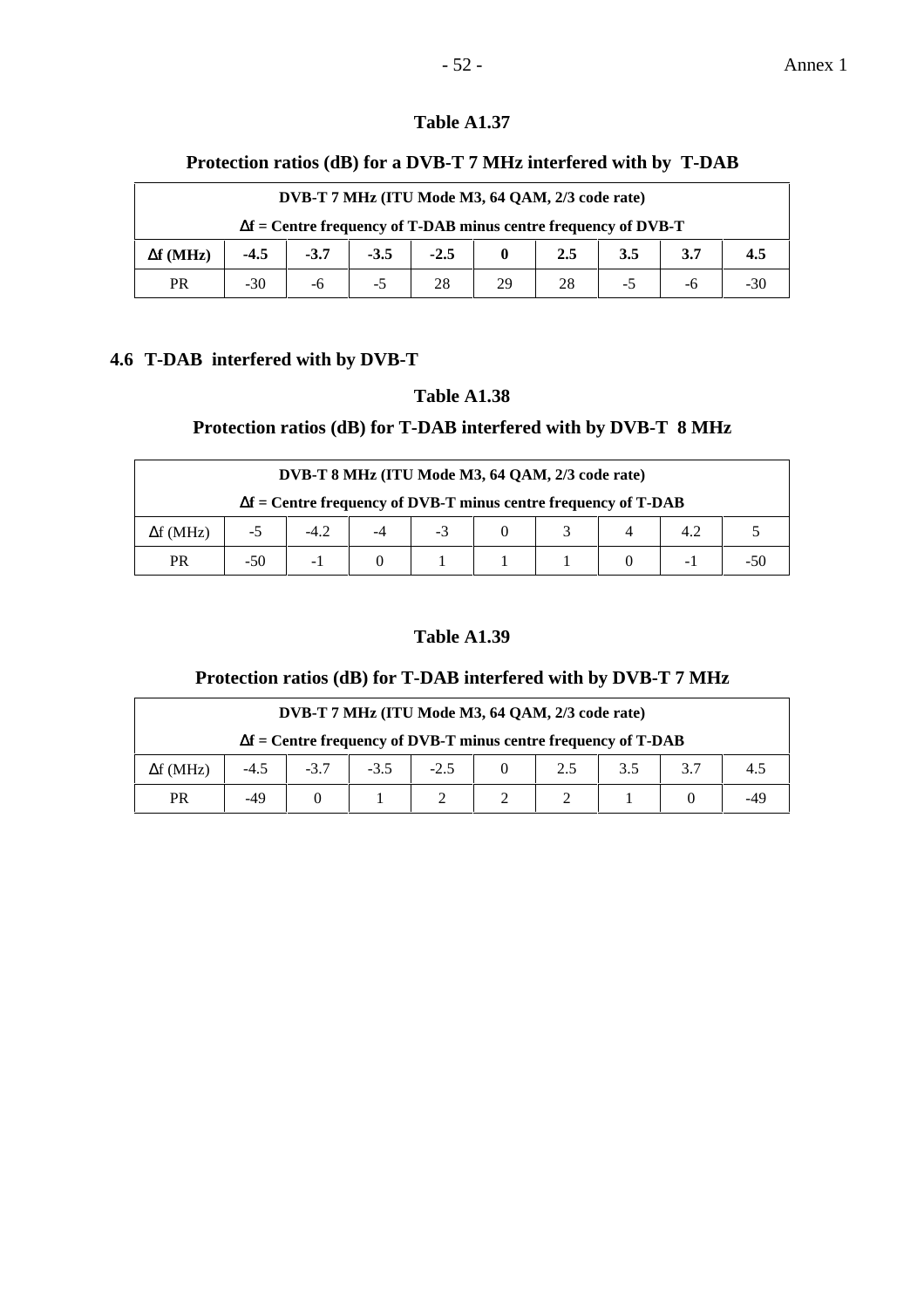#### **Protection ratios (dB) for a DVB-T 7 MHz interfered with by T-DAB**

|                                                                        | DVB-T 7 MHz (ITU Mode M3, 64 QAM, 2/3 code rate) |        |        |        |  |     |     |  |     |  |
|------------------------------------------------------------------------|--------------------------------------------------|--------|--------|--------|--|-----|-----|--|-----|--|
| $\Delta f$ = Centre frequency of T-DAB minus centre frequency of DVB-T |                                                  |        |        |        |  |     |     |  |     |  |
| $\Delta f$ (MHz)                                                       | $-4.5$                                           | $-3.7$ | $-3.5$ | $-2.5$ |  | 2.5 | 3.5 |  | 4.5 |  |
| <b>PR</b>                                                              | $-30$<br>$-30$<br>28<br>29<br>28<br>-6           |        |        |        |  |     |     |  |     |  |

## **4.6 T-DAB interfered with by DVB-T**

## **Table A1.38**

## **Protection ratios (dB) for T-DAB interfered with by DVB-T 8 MHz**

|                                                                        | DVB-T 8 MHz (ITU Mode M3, 64 QAM, 2/3 code rate) |        |  |      |  |  |  |  |  |  |
|------------------------------------------------------------------------|--------------------------------------------------|--------|--|------|--|--|--|--|--|--|
| $\Delta f$ = Centre frequency of DVB-T minus centre frequency of T-DAB |                                                  |        |  |      |  |  |  |  |  |  |
| $\Delta f$ (MHz)                                                       | -5                                               | $-4.2$ |  | $-3$ |  |  |  |  |  |  |
| <b>PR</b>                                                              | $-50$<br>- 1<br>- 1                              |        |  |      |  |  |  |  |  |  |

#### **Table A1.39**

## **Protection ratios (dB) for T-DAB interfered with by DVB-T 7 MHz**

|                                                                        | DVB-T 7 MHz (ITU Mode M3, 64 QAM, 2/3 code rate) |        |        |        |  |  |     |  |     |  |
|------------------------------------------------------------------------|--------------------------------------------------|--------|--------|--------|--|--|-----|--|-----|--|
| $\Delta f$ = Centre frequency of DVB-T minus centre frequency of T-DAB |                                                  |        |        |        |  |  |     |  |     |  |
| $\Delta f$ (MHz)                                                       | $-4.5$                                           | $-3.7$ | $-3.5$ | $-2.5$ |  |  | 3.5 |  | 4.5 |  |
| PR                                                                     | $-49$                                            |        |        |        |  |  |     |  |     |  |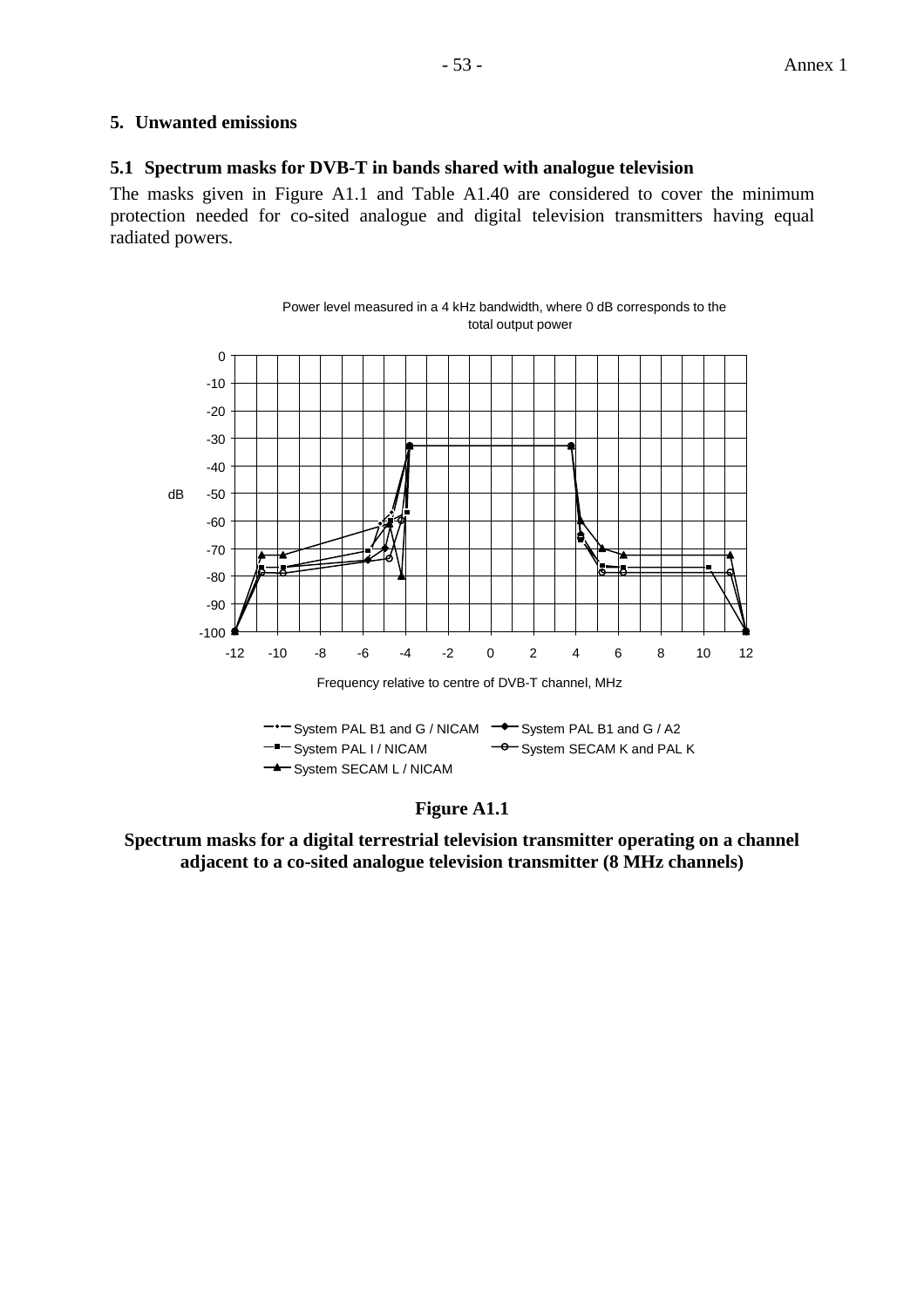### **5. Unwanted emissions**

#### **5.1 Spectrum masks for DVB-T in bands shared with analogue television**

The masks given in Figure A1.1 and Table A1.40 are considered to cover the minimum protection needed for co-sited analogue and digital television transmitters having equal radiated powers.





**Spectrum masks for a digital terrestrial television transmitter operating on a channel adjacent to a co-sited analogue television transmitter (8 MHz channels)**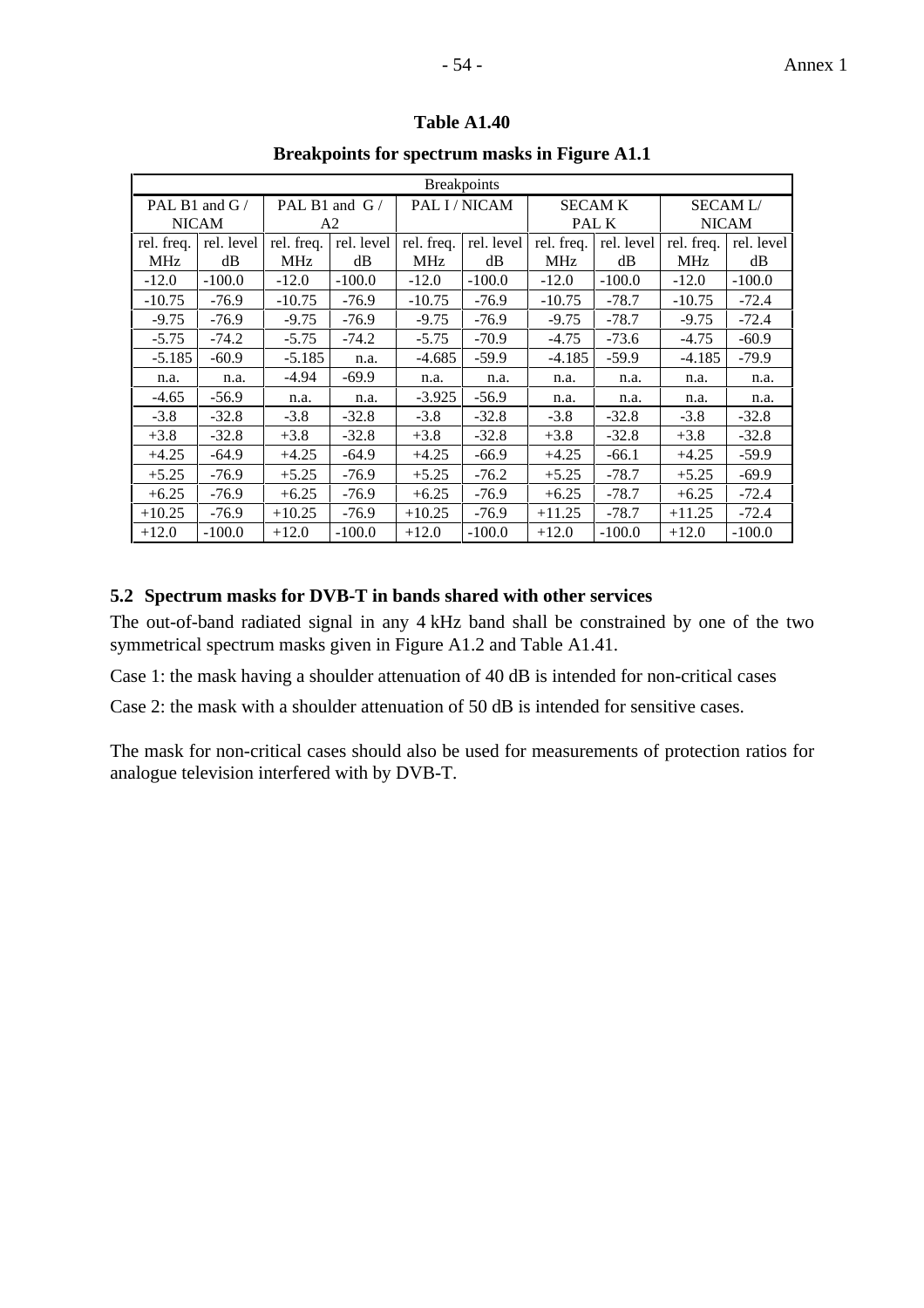|                 |              |                |                 |            | <b>Breakpoints</b> |                |            |                |            |
|-----------------|--------------|----------------|-----------------|------------|--------------------|----------------|------------|----------------|------------|
| PAL B1 and $G/$ |              |                | PAL B1 and $G/$ |            | PAL I/NICAM        | <b>SECAM K</b> |            | <b>SECAML/</b> |            |
|                 | <b>NICAM</b> | A <sub>2</sub> |                 |            |                    | PAL K          |            | <b>NICAM</b>   |            |
| rel. freq.      | rel. level   | rel. freq.     | rel. level      | rel. freq. | rel. level         | rel. freq.     | rel. level | rel. freq.     | rel. level |
| <b>MHz</b>      | dB           | <b>MHz</b>     | dB              | <b>MHz</b> | dB                 | <b>MHz</b>     | dB         | <b>MHz</b>     | dB         |
| $-12.0$         | $-100.0$     | $-12.0$        | $-100.0$        | $-12.0$    | $-100.0$           | $-12.0$        | $-100.0$   | $-12.0$        | $-100.0$   |
| $-10.75$        | $-76.9$      | $-10.75$       | $-76.9$         | $-10.75$   | $-76.9$            | $-10.75$       | $-78.7$    | $-10.75$       | $-72.4$    |
| $-9.75$         | $-76.9$      | $-9.75$        | $-76.9$         | $-9.75$    | $-76.9$            | $-9.75$        | $-78.7$    | $-9.75$        | $-72.4$    |
| $-5.75$         | $-74.2$      | $-5.75$        | $-74.2$         | $-5.75$    | $-70.9$            | $-4.75$        | $-73.6$    | $-4.75$        | $-60.9$    |
| $-5.185$        | $-60.9$      | $-5.185$       | n.a.            | $-4.685$   | $-59.9$            | $-4.185$       | $-59.9$    | $-4.185$       | $-79.9$    |
| n.a.            | n.a.         | $-4.94$        | $-69.9$         | n.a.       | n.a.               | n.a.           | n.a.       | n.a.           | n.a.       |
| $-4.65$         | $-56.9$      | n.a.           | n.a.            | $-3.925$   | $-56.9$            | n.a.           | n.a.       | n.a.           | n.a.       |
| $-3.8$          | $-32.8$      | $-3.8$         | $-32.8$         | $-3.8$     | $-32.8$            | $-3.8$         | $-32.8$    | $-3.8$         | $-32.8$    |
| $+3.8$          | $-32.8$      | $+3.8$         | $-32.8$         | $+3.8$     | $-32.8$            | $+3.8$         | $-32.8$    | $+3.8$         | $-32.8$    |
| $+4.25$         | $-64.9$      | $+4.25$        | $-64.9$         | $+4.25$    | $-66.9$            | $+4.25$        | $-66.1$    | $+4.25$        | $-59.9$    |
| $+5.25$         | -76.9        | $+5.25$        | $-76.9$         | $+5.25$    | $-76.2$            | $+5.25$        | $-78.7$    | $+5.25$        | $-69.9$    |
| $+6.25$         | -76.9        | $+6.25$        | $-76.9$         | $+6.25$    | $-76.9$            | $+6.25$        | $-78.7$    | $+6.25$        | $-72.4$    |
| $+10.25$        | $-76.9$      | $+10.25$       | $-76.9$         | $+10.25$   | $-76.9$            | $+11.25$       | $-78.7$    | $+11.25$       | $-72.4$    |
| $+12.0$         | $-100.0$     | $+12.0$        | $-100.0$        | $+12.0$    | $-100.0$           | $+12.0$        | $-100.0$   | $+12.0$        | $-100.0$   |

**Breakpoints for spectrum masks in Figure A1.1**

## **5.2 Spectrum masks for DVB-T in bands shared with other services**

The out-of-band radiated signal in any 4 kHz band shall be constrained by one of the two symmetrical spectrum masks given in Figure A1.2 and Table A1.41.

Case 1: the mask having a shoulder attenuation of 40 dB is intended for non-critical cases

Case 2: the mask with a shoulder attenuation of 50 dB is intended for sensitive cases.

The mask for non-critical cases should also be used for measurements of protection ratios for analogue television interfered with by DVB-T.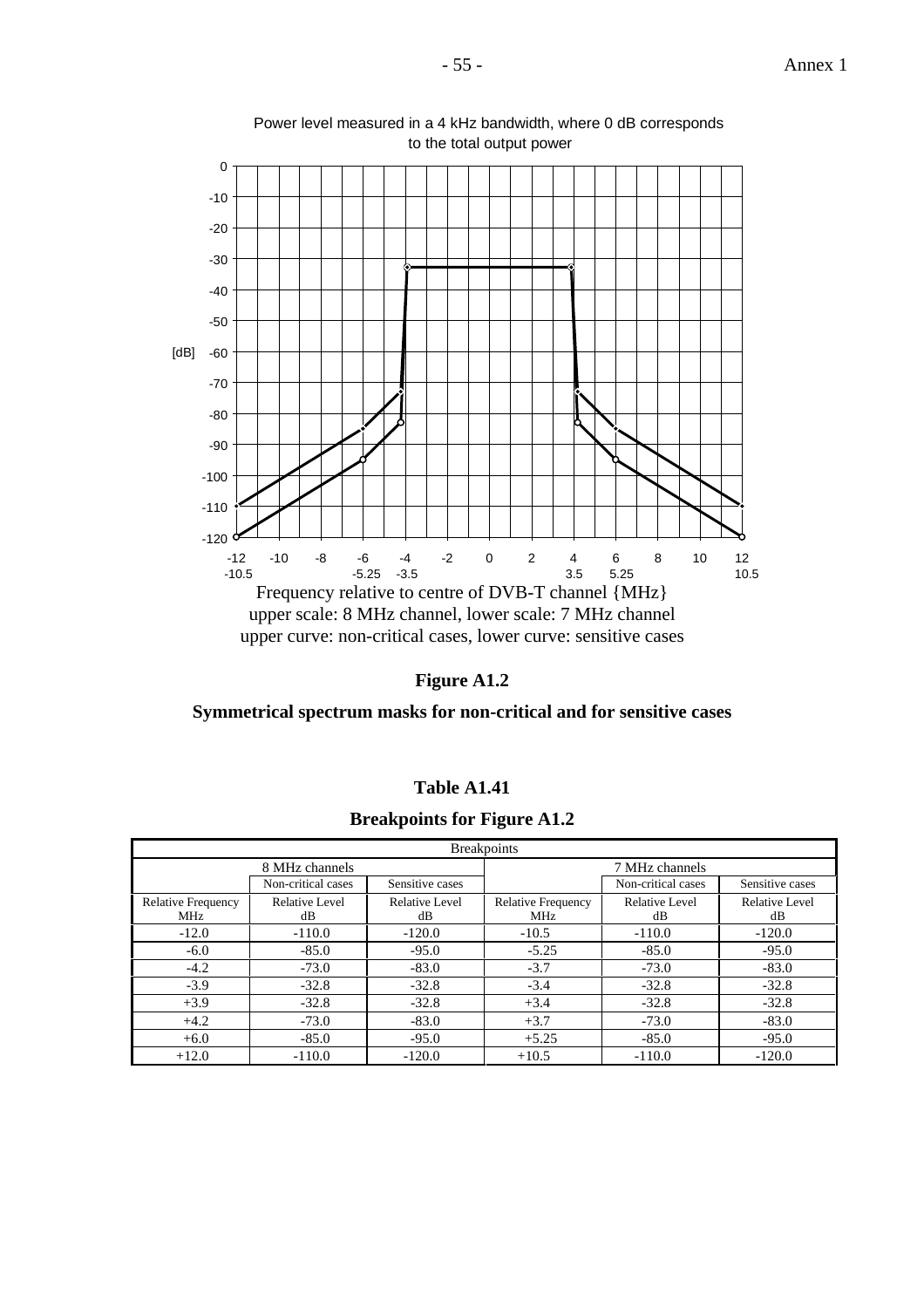



Power level measured in a 4 kHz bandwidth, where 0 dB corresponds to the total output power

**Figure A1.2**

**Symmetrical spectrum masks for non-critical and for sensitive cases**

| Table A1.41 |  |
|-------------|--|
|-------------|--|

**Breakpoints for Figure A1.2**

|                                  | <b>Breakpoints</b>   |                      |                                  |                      |                      |  |  |  |  |  |
|----------------------------------|----------------------|----------------------|----------------------------------|----------------------|----------------------|--|--|--|--|--|
|                                  | 8 MHz channels       |                      | 7 MHz channels                   |                      |                      |  |  |  |  |  |
|                                  | Non-critical cases   | Sensitive cases      |                                  | Non-critical cases   | Sensitive cases      |  |  |  |  |  |
| <b>Relative Frequency</b><br>MHz | Relative Level<br>dB | Relative Level<br>dB | <b>Relative Frequency</b><br>MHz | Relative Level<br>dB | Relative Level<br>dB |  |  |  |  |  |
| $-12.0$                          | $-110.0$             | $-120.0$             | $-10.5$                          | $-110.0$             | $-120.0$             |  |  |  |  |  |
| $-6.0$                           | $-85.0$              | $-95.0$              | $-5.25$                          | $-85.0$              | $-95.0$              |  |  |  |  |  |
| $-4.2$                           | $-73.0$              | $-83.0$              | $-3.7$                           | $-73.0$              | $-83.0$              |  |  |  |  |  |
| $-3.9$                           | $-32.8$              | $-32.8$              | $-3.4$                           | $-32.8$              | $-32.8$              |  |  |  |  |  |
| $+3.9$                           | $-32.8$              | $-32.8$              | $+3.4$                           | $-32.8$              | $-32.8$              |  |  |  |  |  |
| $+4.2$                           | $-73.0$              | $-83.0$              | $+3.7$                           | $-73.0$              | $-83.0$              |  |  |  |  |  |
| $+6.0$                           | $-85.0$              | $-95.0$              | $+5.25$                          | $-85.0$              | $-95.0$              |  |  |  |  |  |
| $+12.0$                          | $-110.0$             | $-120.0$             | $+10.5$                          | $-110.0$             | $-120.0$             |  |  |  |  |  |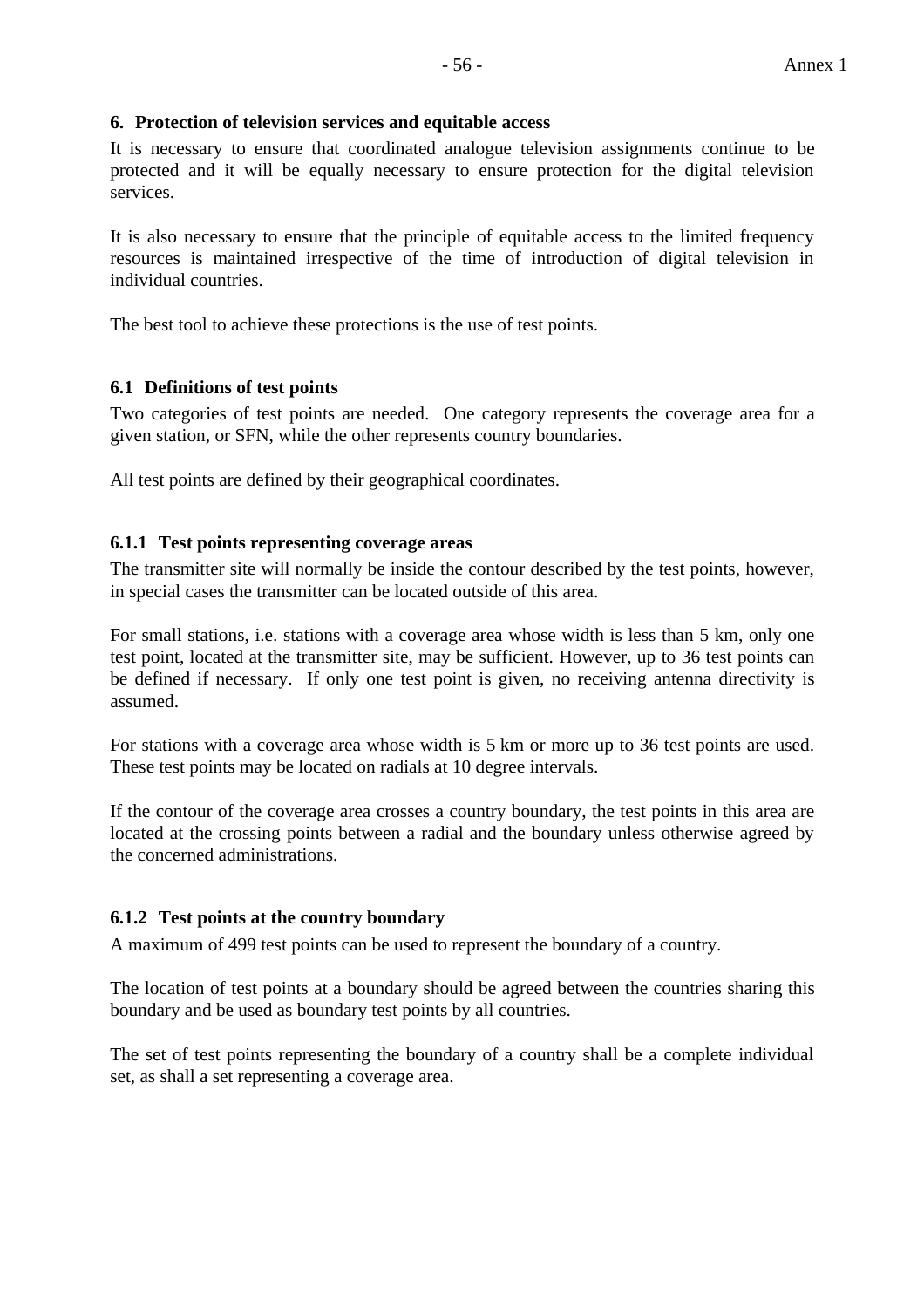#### **6. Protection of television services and equitable access**

It is necessary to ensure that coordinated analogue television assignments continue to be protected and it will be equally necessary to ensure protection for the digital television services.

It is also necessary to ensure that the principle of equitable access to the limited frequency resources is maintained irrespective of the time of introduction of digital television in individual countries.

The best tool to achieve these protections is the use of test points.

## **6.1 Definitions of test points**

Two categories of test points are needed. One category represents the coverage area for a given station, or SFN, while the other represents country boundaries.

All test points are defined by their geographical coordinates.

#### **6.1.1 Test points representing coverage areas**

The transmitter site will normally be inside the contour described by the test points, however, in special cases the transmitter can be located outside of this area.

For small stations, i.e. stations with a coverage area whose width is less than 5 km, only one test point, located at the transmitter site, may be sufficient. However, up to 36 test points can be defined if necessary. If only one test point is given, no receiving antenna directivity is assumed.

For stations with a coverage area whose width is 5 km or more up to 36 test points are used. These test points may be located on radials at 10 degree intervals.

If the contour of the coverage area crosses a country boundary, the test points in this area are located at the crossing points between a radial and the boundary unless otherwise agreed by the concerned administrations.

#### **6.1.2 Test points at the country boundary**

A maximum of 499 test points can be used to represent the boundary of a country.

The location of test points at a boundary should be agreed between the countries sharing this boundary and be used as boundary test points by all countries.

The set of test points representing the boundary of a country shall be a complete individual set, as shall a set representing a coverage area.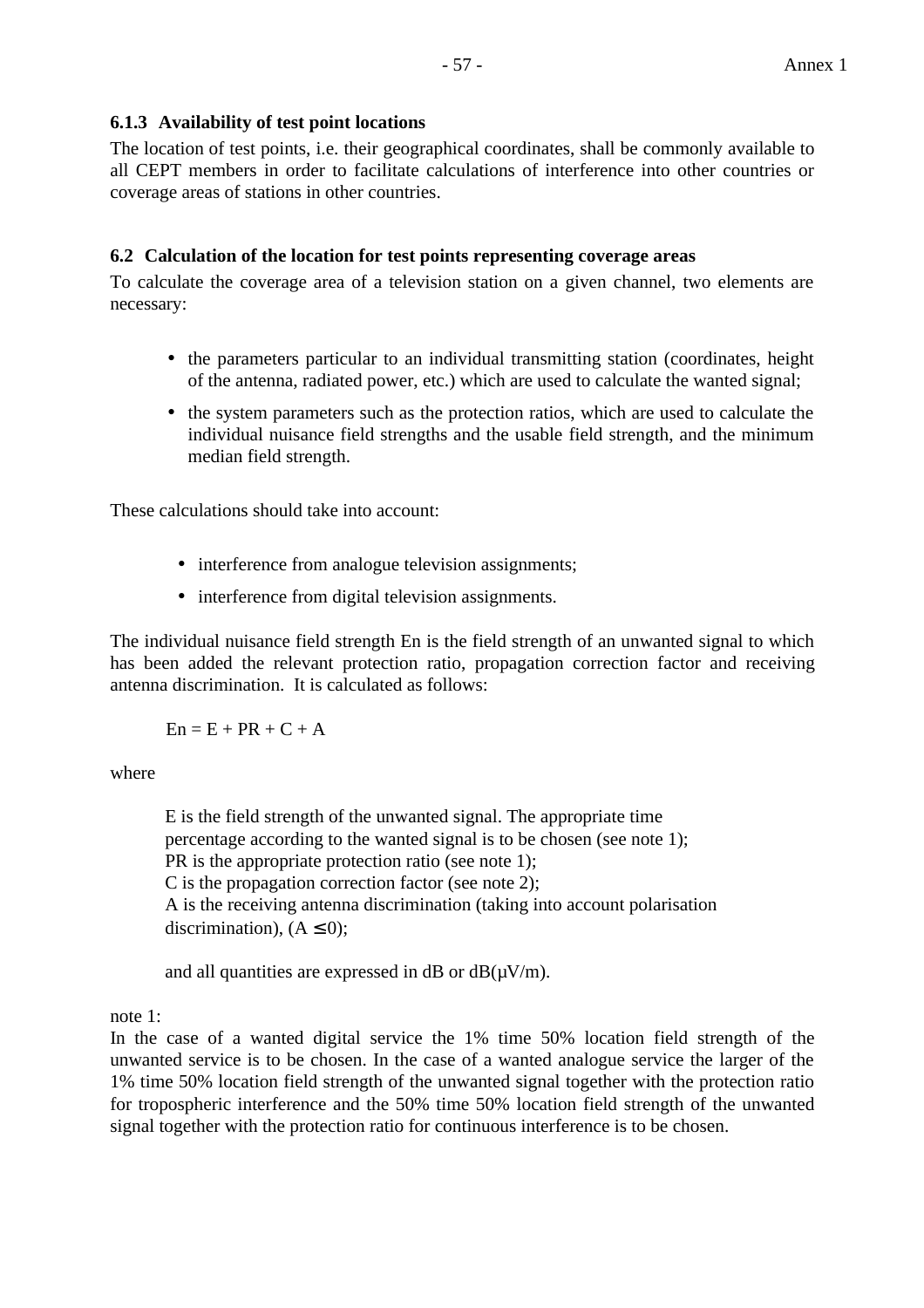#### **6.1.3 Availability of test point locations**

The location of test points, i.e. their geographical coordinates, shall be commonly available to all CEPT members in order to facilitate calculations of interference into other countries or coverage areas of stations in other countries.

### **6.2 Calculation of the location for test points representing coverage areas**

To calculate the coverage area of a television station on a given channel, two elements are necessary:

- the parameters particular to an individual transmitting station (coordinates, height of the antenna, radiated power, etc.) which are used to calculate the wanted signal;
- the system parameters such as the protection ratios, which are used to calculate the individual nuisance field strengths and the usable field strength, and the minimum median field strength.

These calculations should take into account:

- interference from analogue television assignments;
- interference from digital television assignments.

The individual nuisance field strength En is the field strength of an unwanted signal to which has been added the relevant protection ratio, propagation correction factor and receiving antenna discrimination. It is calculated as follows:

 $En = E + PR + C + A$ 

where

E is the field strength of the unwanted signal. The appropriate time percentage according to the wanted signal is to be chosen (see note 1); PR is the appropriate protection ratio (see note 1); C is the propagation correction factor (see note 2); A is the receiving antenna discrimination (taking into account polarisation discrimination),  $(A \leq 0)$ :

and all quantities are expressed in dB or  $dB(\mu V/m)$ .

note 1:

In the case of a wanted digital service the 1% time 50% location field strength of the unwanted service is to be chosen. In the case of a wanted analogue service the larger of the 1% time 50% location field strength of the unwanted signal together with the protection ratio for tropospheric interference and the 50% time 50% location field strength of the unwanted signal together with the protection ratio for continuous interference is to be chosen.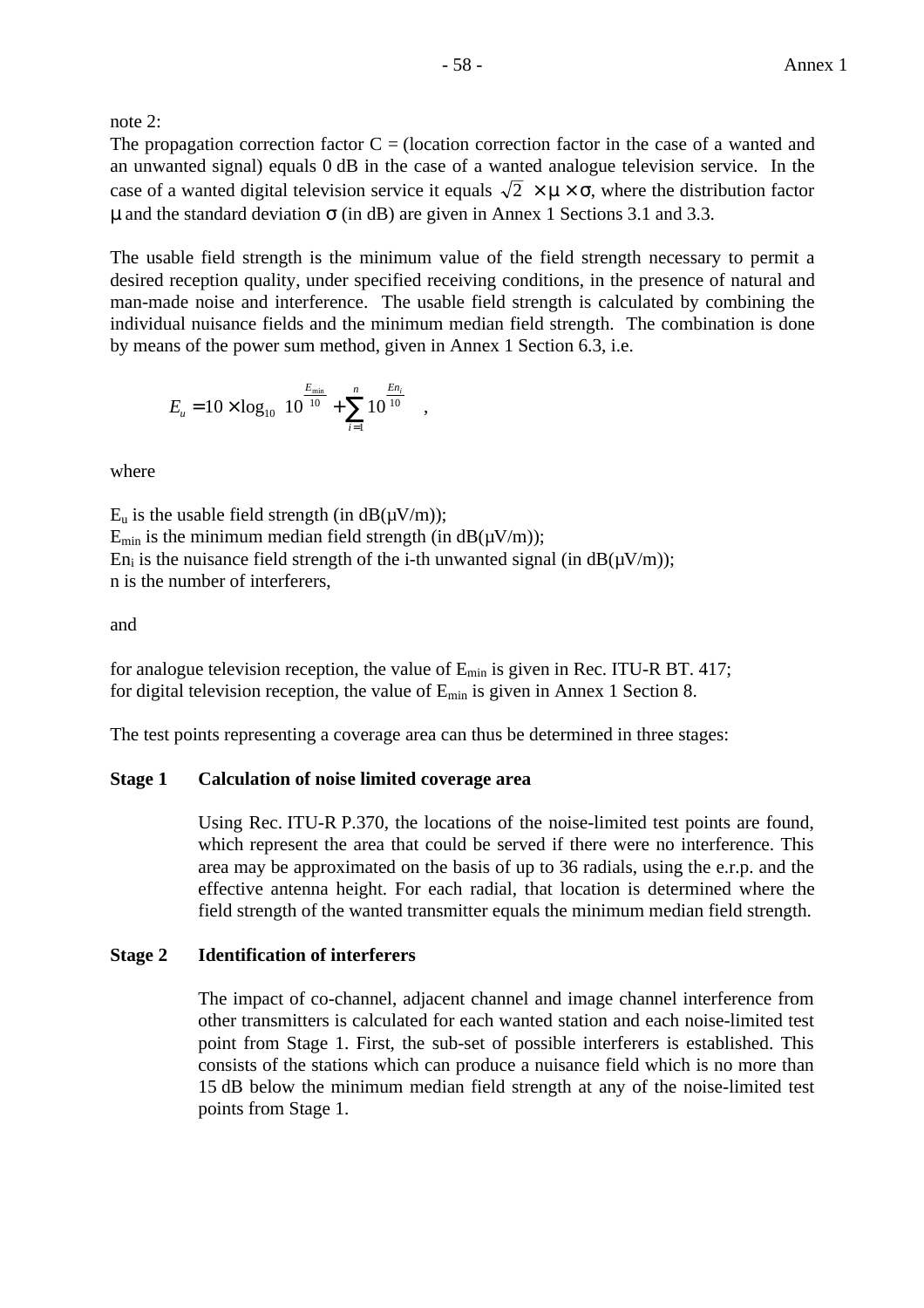note 2:

The propagation correction factor  $C = (location correction factor in the case of a wanted and)$ an unwanted signal) equals 0 dB in the case of a wanted analogue television service. In the case of a wanted digital television service it equals  $\sqrt{2} \times \mu \times \sigma$ , where the distribution factor u and the standard deviation  $\sigma$  (in dB) are given in Annex 1 Sections 3.1 and 3.3.

The usable field strength is the minimum value of the field strength necessary to permit a desired reception quality, under specified receiving conditions, in the presence of natural and man-made noise and interference. The usable field strength is calculated by combining the individual nuisance fields and the minimum median field strength. The combination is done by means of the power sum method, given in Annex 1 Section 6.3, i.e.

$$
E_{u} = 10 \times \log_{10} \left( 10^{\frac{E_{\min}}{10}} + \sum_{i=1}^{n} 10^{\frac{En_{i}}{10}} \right),
$$

where

 $E_u$  is the usable field strength (in dB( $\mu$ V/m));  $E_{min}$  is the minimum median field strength (in  $dB(\mu V/m)$ ); En<sub>i</sub> is the nuisance field strength of the i-th unwanted signal (in  $dB(\mu V/m)$ ); n is the number of interferers,

#### and

for analogue television reception, the value of  $E_{min}$  is given in Rec. ITU-R BT. 417; for digital television reception, the value of  $E_{min}$  is given in Annex 1 Section 8.

The test points representing a coverage area can thus be determined in three stages:

#### **Stage 1 Calculation of noise limited coverage area**

Using Rec. ITU-R P.370, the locations of the noise-limited test points are found, which represent the area that could be served if there were no interference. This area may be approximated on the basis of up to 36 radials, using the e.r.p. and the effective antenna height. For each radial, that location is determined where the field strength of the wanted transmitter equals the minimum median field strength.

#### **Stage 2 Identification of interferers**

The impact of co-channel, adjacent channel and image channel interference from other transmitters is calculated for each wanted station and each noise-limited test point from Stage 1. First, the sub-set of possible interferers is established. This consists of the stations which can produce a nuisance field which is no more than 15 dB below the minimum median field strength at any of the noise-limited test points from Stage 1.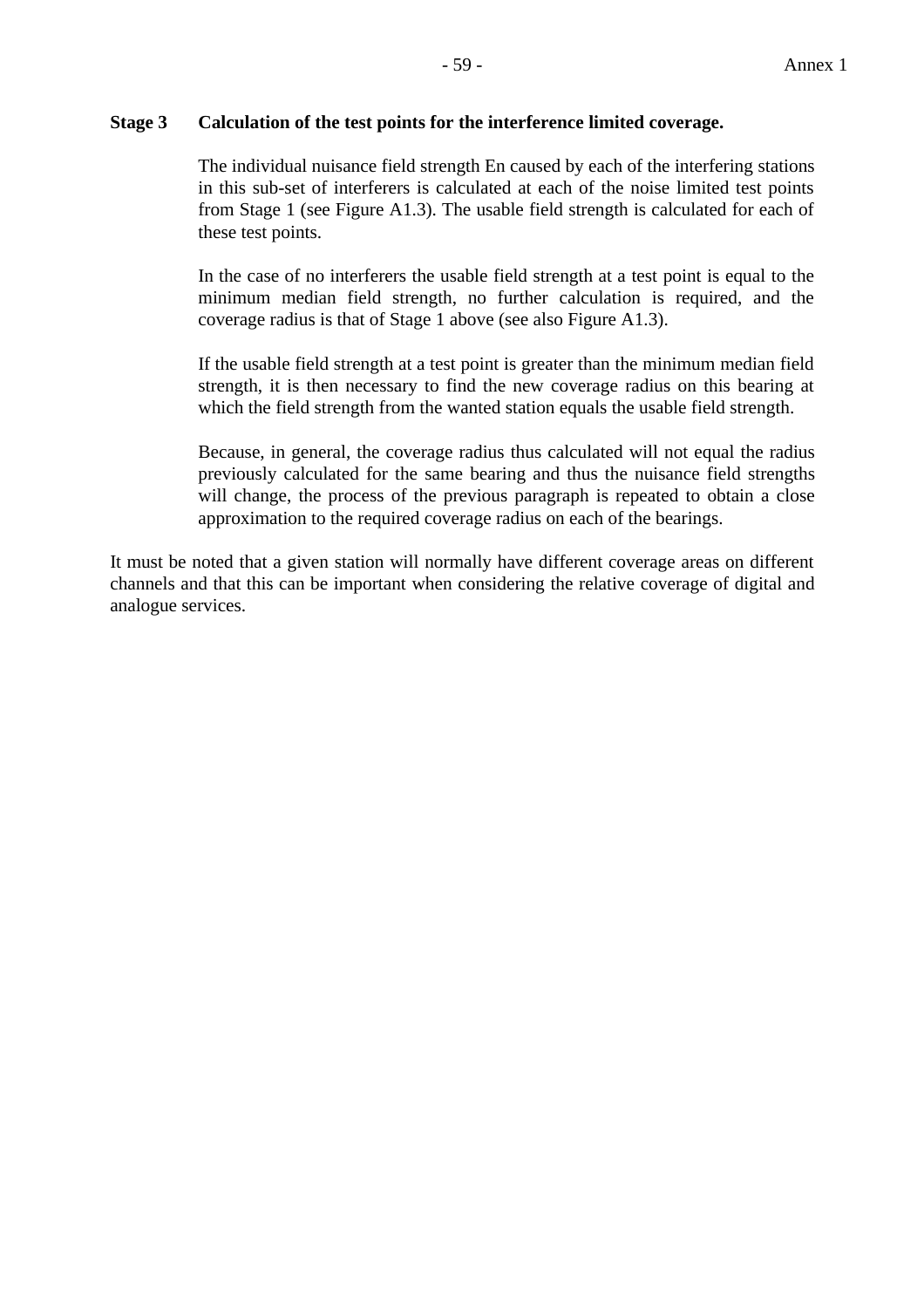#### **Stage 3 Calculation of the test points for the interference limited coverage.**

The individual nuisance field strength En caused by each of the interfering stations in this sub-set of interferers is calculated at each of the noise limited test points from Stage 1 (see Figure A1.3). The usable field strength is calculated for each of these test points.

In the case of no interferers the usable field strength at a test point is equal to the minimum median field strength, no further calculation is required, and the coverage radius is that of Stage 1 above (see also Figure A1.3).

If the usable field strength at a test point is greater than the minimum median field strength, it is then necessary to find the new coverage radius on this bearing at which the field strength from the wanted station equals the usable field strength.

Because, in general, the coverage radius thus calculated will not equal the radius previously calculated for the same bearing and thus the nuisance field strengths will change, the process of the previous paragraph is repeated to obtain a close approximation to the required coverage radius on each of the bearings.

It must be noted that a given station will normally have different coverage areas on different channels and that this can be important when considering the relative coverage of digital and analogue services.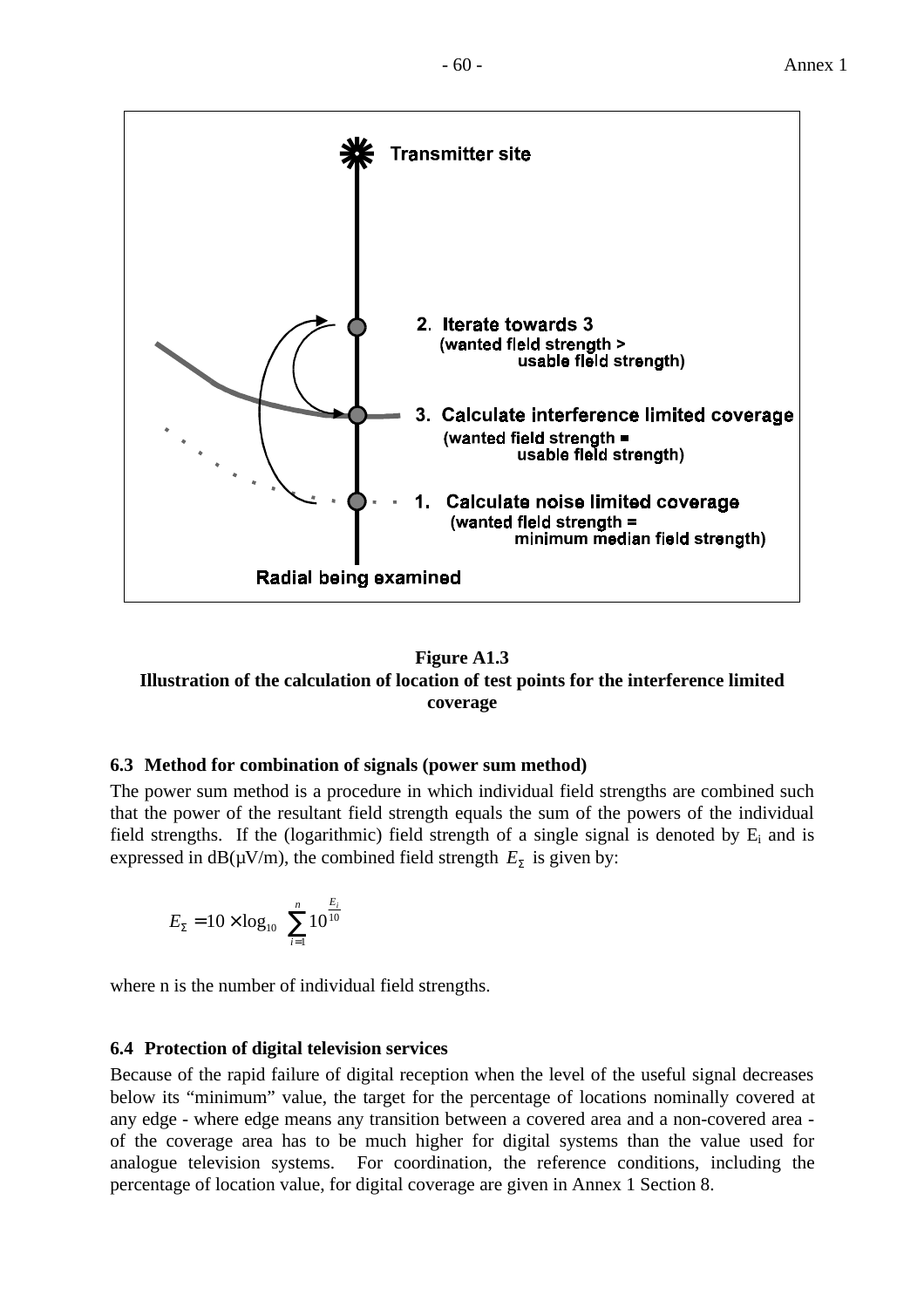



## **Figure A1.3 Illustration of the calculation of location of test points for the interference limited coverage**

## **6.3 Method for combination of signals (power sum method)**

The power sum method is a procedure in which individual field strengths are combined such that the power of the resultant field strength equals the sum of the powers of the individual field strengths. If the (logarithmic) field strength of a single signal is denoted by  $E_i$  and is expressed in  $dB(\mu V/m)$ , the combined field strength  $E<sub>y</sub>$  is given by:

$$
E_{\Sigma} = 10 \times \log_{10} \left( \sum_{i=1}^{n} 10^{\frac{E_i}{10}} \right)
$$

where n is the number of individual field strengths.

## **6.4 Protection of digital television services**

Because of the rapid failure of digital reception when the level of the useful signal decreases below its "minimum" value, the target for the percentage of locations nominally covered at any edge - where edge means any transition between a covered area and a non-covered area of the coverage area has to be much higher for digital systems than the value used for analogue television systems. For coordination, the reference conditions, including the percentage of location value, for digital coverage are given in Annex 1 Section 8.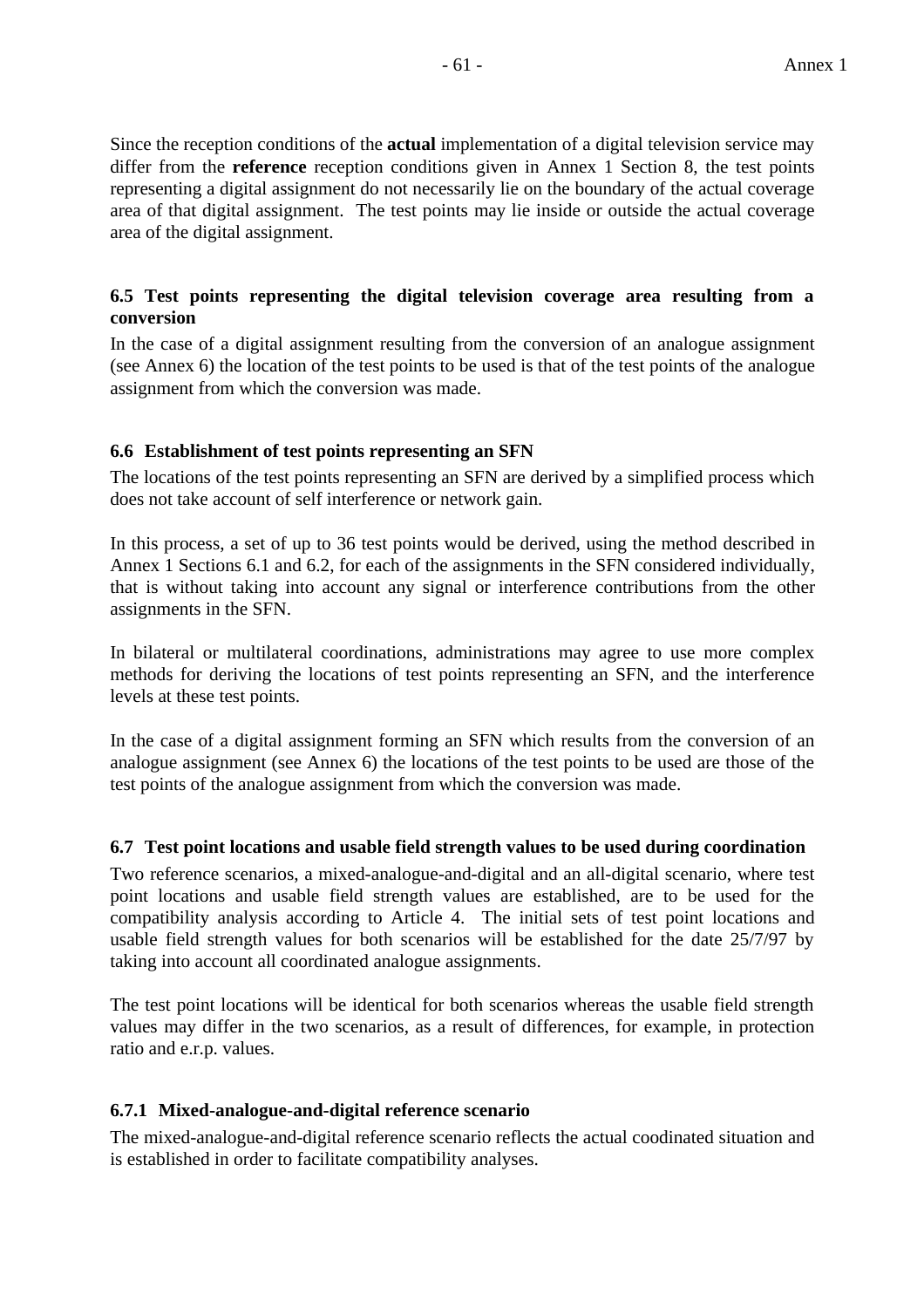Since the reception conditions of the **actual** implementation of a digital television service may differ from the **reference** reception conditions given in Annex 1 Section 8, the test points representing a digital assignment do not necessarily lie on the boundary of the actual coverage area of that digital assignment. The test points may lie inside or outside the actual coverage area of the digital assignment.

## **6.5 Test points representing the digital television coverage area resulting from a conversion**

In the case of a digital assignment resulting from the conversion of an analogue assignment (see Annex 6) the location of the test points to be used is that of the test points of the analogue assignment from which the conversion was made.

## **6.6 Establishment of test points representing an SFN**

The locations of the test points representing an SFN are derived by a simplified process which does not take account of self interference or network gain.

In this process, a set of up to 36 test points would be derived, using the method described in Annex 1 Sections 6.1 and 6.2, for each of the assignments in the SFN considered individually, that is without taking into account any signal or interference contributions from the other assignments in the SFN.

In bilateral or multilateral coordinations, administrations may agree to use more complex methods for deriving the locations of test points representing an SFN, and the interference levels at these test points.

In the case of a digital assignment forming an SFN which results from the conversion of an analogue assignment (see Annex 6) the locations of the test points to be used are those of the test points of the analogue assignment from which the conversion was made.

#### **6.7 Test point locations and usable field strength values to be used during coordination**

Two reference scenarios, a mixed-analogue-and-digital and an all-digital scenario, where test point locations and usable field strength values are established, are to be used for the compatibility analysis according to Article 4. The initial sets of test point locations and usable field strength values for both scenarios will be established for the date 25/7/97 by taking into account all coordinated analogue assignments.

The test point locations will be identical for both scenarios whereas the usable field strength values may differ in the two scenarios, as a result of differences, for example, in protection ratio and e.r.p. values.

## **6.7.1 Mixed-analogue-and-digital reference scenario**

The mixed-analogue-and-digital reference scenario reflects the actual coodinated situation and is established in order to facilitate compatibility analyses.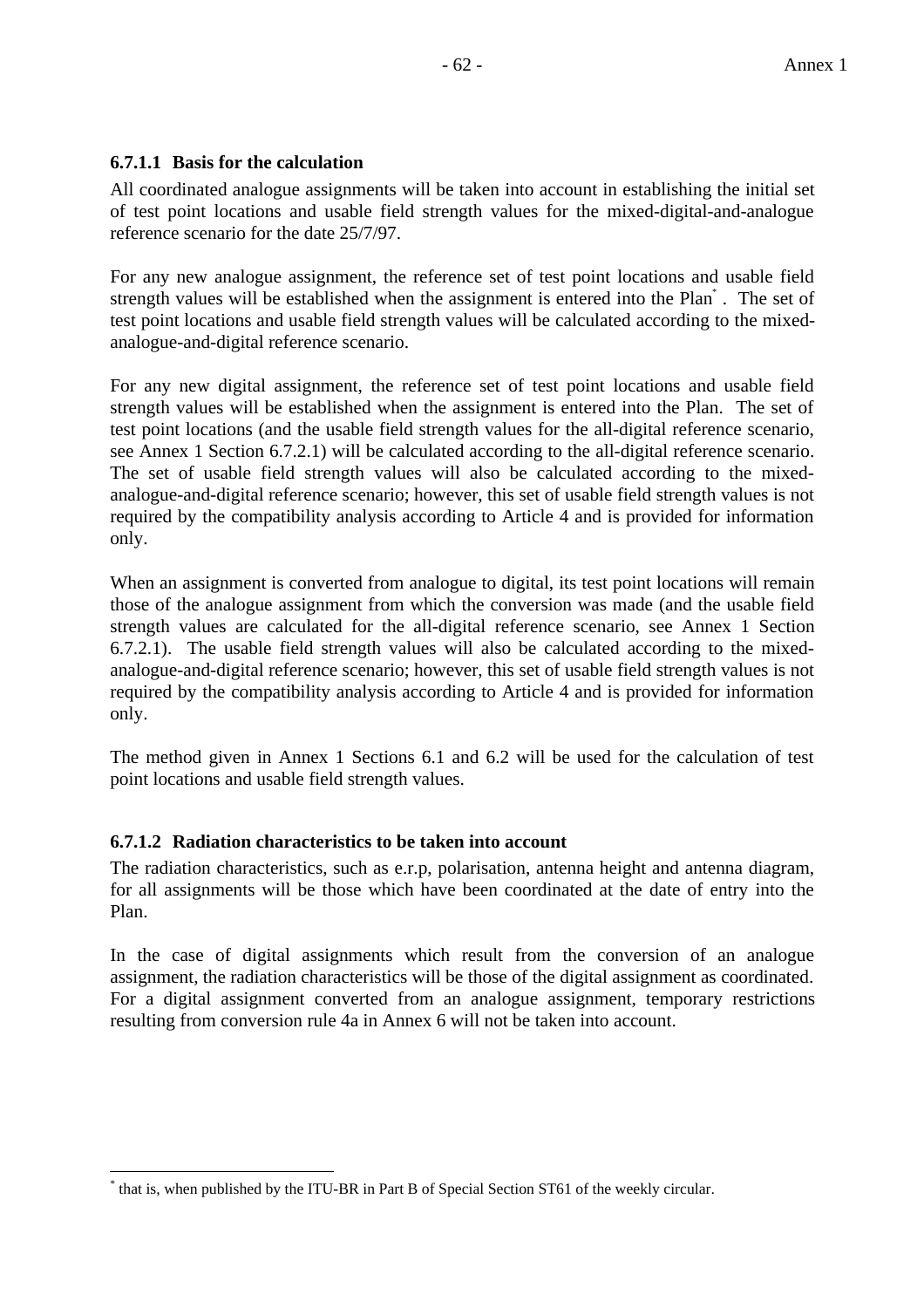## **6.7.1.1 Basis for the calculation**

All coordinated analogue assignments will be taken into account in establishing the initial set of test point locations and usable field strength values for the mixed-digital-and-analogue reference scenario for the date 25/7/97.

For any new analogue assignment, the reference set of test point locations and usable field strength values will be established when the assignment is entered into the Plan<sup>\*</sup>. The set of test point locations and usable field strength values will be calculated according to the mixedanalogue-and-digital reference scenario.

For any new digital assignment, the reference set of test point locations and usable field strength values will be established when the assignment is entered into the Plan. The set of test point locations (and the usable field strength values for the all-digital reference scenario, see Annex 1 Section 6.7.2.1) will be calculated according to the all-digital reference scenario. The set of usable field strength values will also be calculated according to the mixedanalogue-and-digital reference scenario; however, this set of usable field strength values is not required by the compatibility analysis according to Article 4 and is provided for information only.

When an assignment is converted from analogue to digital, its test point locations will remain those of the analogue assignment from which the conversion was made (and the usable field strength values are calculated for the all-digital reference scenario, see Annex 1 Section 6.7.2.1). The usable field strength values will also be calculated according to the mixedanalogue-and-digital reference scenario; however, this set of usable field strength values is not required by the compatibility analysis according to Article 4 and is provided for information only.

The method given in Annex 1 Sections 6.1 and 6.2 will be used for the calculation of test point locations and usable field strength values.

## **6.7.1.2 Radiation characteristics to be taken into account**

The radiation characteristics, such as e.r.p, polarisation, antenna height and antenna diagram, for all assignments will be those which have been coordinated at the date of entry into the Plan.

In the case of digital assignments which result from the conversion of an analogue assignment, the radiation characteristics will be those of the digital assignment as coordinated. For a digital assignment converted from an analogue assignment, temporary restrictions resulting from conversion rule 4a in Annex 6 will not be taken into account.

 $\overline{a}$ \* that is, when published by the ITU-BR in Part B of Special Section ST61 of the weekly circular.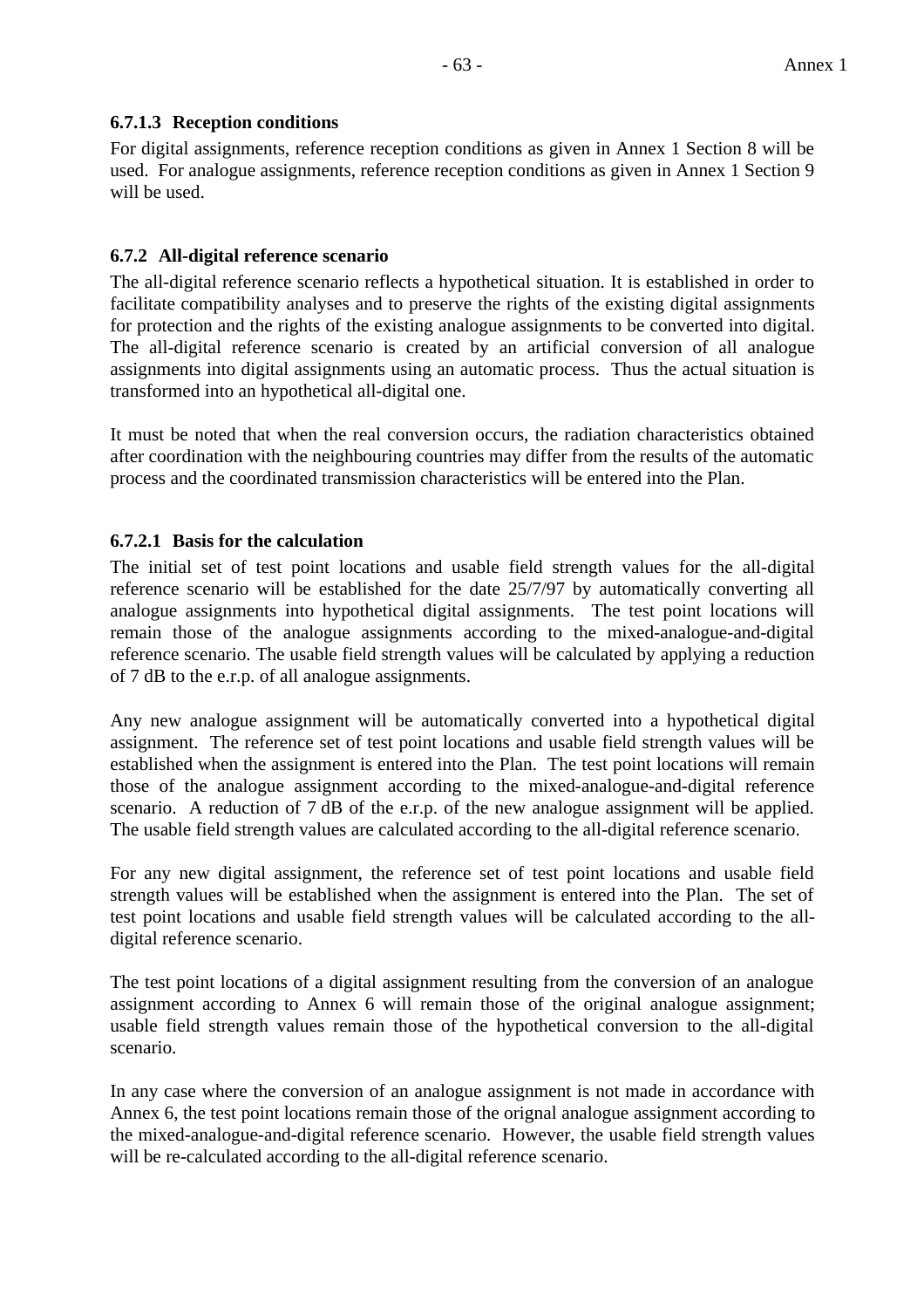## **6.7.1.3 Reception conditions**

For digital assignments, reference reception conditions as given in Annex 1 Section 8 will be used. For analogue assignments, reference reception conditions as given in Annex 1 Section 9 will be used.

## **6.7.2 All-digital reference scenario**

The all-digital reference scenario reflects a hypothetical situation. It is established in order to facilitate compatibility analyses and to preserve the rights of the existing digital assignments for protection and the rights of the existing analogue assignments to be converted into digital. The all-digital reference scenario is created by an artificial conversion of all analogue assignments into digital assignments using an automatic process. Thus the actual situation is transformed into an hypothetical all-digital one.

It must be noted that when the real conversion occurs, the radiation characteristics obtained after coordination with the neighbouring countries may differ from the results of the automatic process and the coordinated transmission characteristics will be entered into the Plan.

## **6.7.2.1 Basis for the calculation**

The initial set of test point locations and usable field strength values for the all-digital reference scenario will be established for the date 25/7/97 by automatically converting all analogue assignments into hypothetical digital assignments. The test point locations will remain those of the analogue assignments according to the mixed-analogue-and-digital reference scenario. The usable field strength values will be calculated by applying a reduction of 7 dB to the e.r.p. of all analogue assignments.

Any new analogue assignment will be automatically converted into a hypothetical digital assignment. The reference set of test point locations and usable field strength values will be established when the assignment is entered into the Plan. The test point locations will remain those of the analogue assignment according to the mixed-analogue-and-digital reference scenario. A reduction of 7 dB of the e.r.p. of the new analogue assignment will be applied. The usable field strength values are calculated according to the all-digital reference scenario.

For any new digital assignment, the reference set of test point locations and usable field strength values will be established when the assignment is entered into the Plan. The set of test point locations and usable field strength values will be calculated according to the alldigital reference scenario.

The test point locations of a digital assignment resulting from the conversion of an analogue assignment according to Annex 6 will remain those of the original analogue assignment; usable field strength values remain those of the hypothetical conversion to the all-digital scenario.

In any case where the conversion of an analogue assignment is not made in accordance with Annex 6, the test point locations remain those of the orignal analogue assignment according to the mixed-analogue-and-digital reference scenario. However, the usable field strength values will be re-calculated according to the all-digital reference scenario.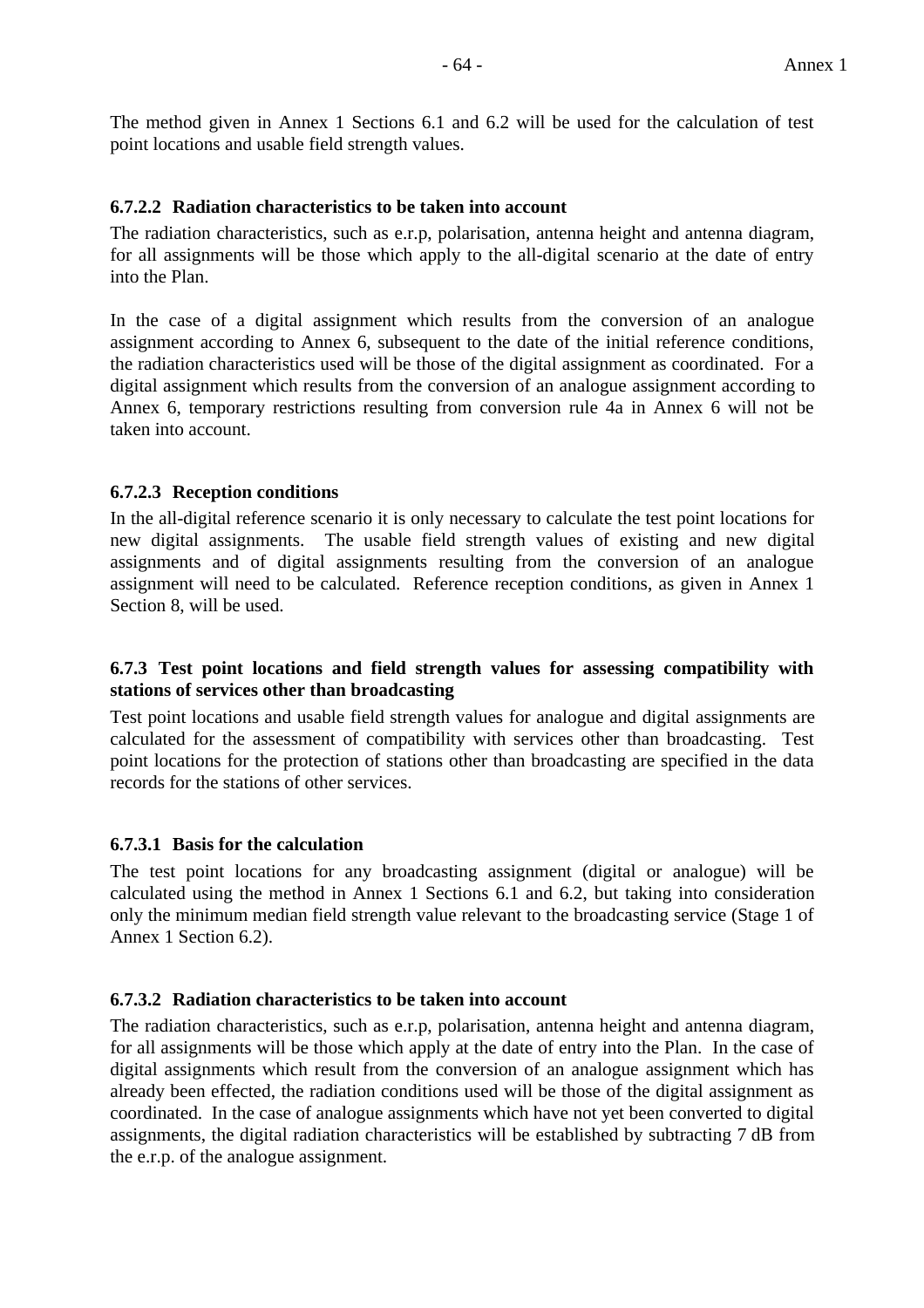The method given in Annex 1 Sections 6.1 and 6.2 will be used for the calculation of test point locations and usable field strength values.

#### **6.7.2.2 Radiation characteristics to be taken into account**

The radiation characteristics, such as e.r.p, polarisation, antenna height and antenna diagram, for all assignments will be those which apply to the all-digital scenario at the date of entry into the Plan.

In the case of a digital assignment which results from the conversion of an analogue assignment according to Annex 6, subsequent to the date of the initial reference conditions, the radiation characteristics used will be those of the digital assignment as coordinated. For a digital assignment which results from the conversion of an analogue assignment according to Annex 6, temporary restrictions resulting from conversion rule 4a in Annex 6 will not be taken into account.

#### **6.7.2.3 Reception conditions**

In the all-digital reference scenario it is only necessary to calculate the test point locations for new digital assignments. The usable field strength values of existing and new digital assignments and of digital assignments resulting from the conversion of an analogue assignment will need to be calculated. Reference reception conditions, as given in Annex 1 Section 8, will be used.

## **6.7.3 Test point locations and field strength values for assessing compatibility with stations of services other than broadcasting**

Test point locations and usable field strength values for analogue and digital assignments are calculated for the assessment of compatibility with services other than broadcasting. Test point locations for the protection of stations other than broadcasting are specified in the data records for the stations of other services.

## **6.7.3.1 Basis for the calculation**

The test point locations for any broadcasting assignment (digital or analogue) will be calculated using the method in Annex 1 Sections 6.1 and 6.2, but taking into consideration only the minimum median field strength value relevant to the broadcasting service (Stage 1 of Annex 1 Section 6.2).

#### **6.7.3.2 Radiation characteristics to be taken into account**

The radiation characteristics, such as e.r.p, polarisation, antenna height and antenna diagram, for all assignments will be those which apply at the date of entry into the Plan. In the case of digital assignments which result from the conversion of an analogue assignment which has already been effected, the radiation conditions used will be those of the digital assignment as coordinated. In the case of analogue assignments which have not yet been converted to digital assignments, the digital radiation characteristics will be established by subtracting 7 dB from the e.r.p. of the analogue assignment.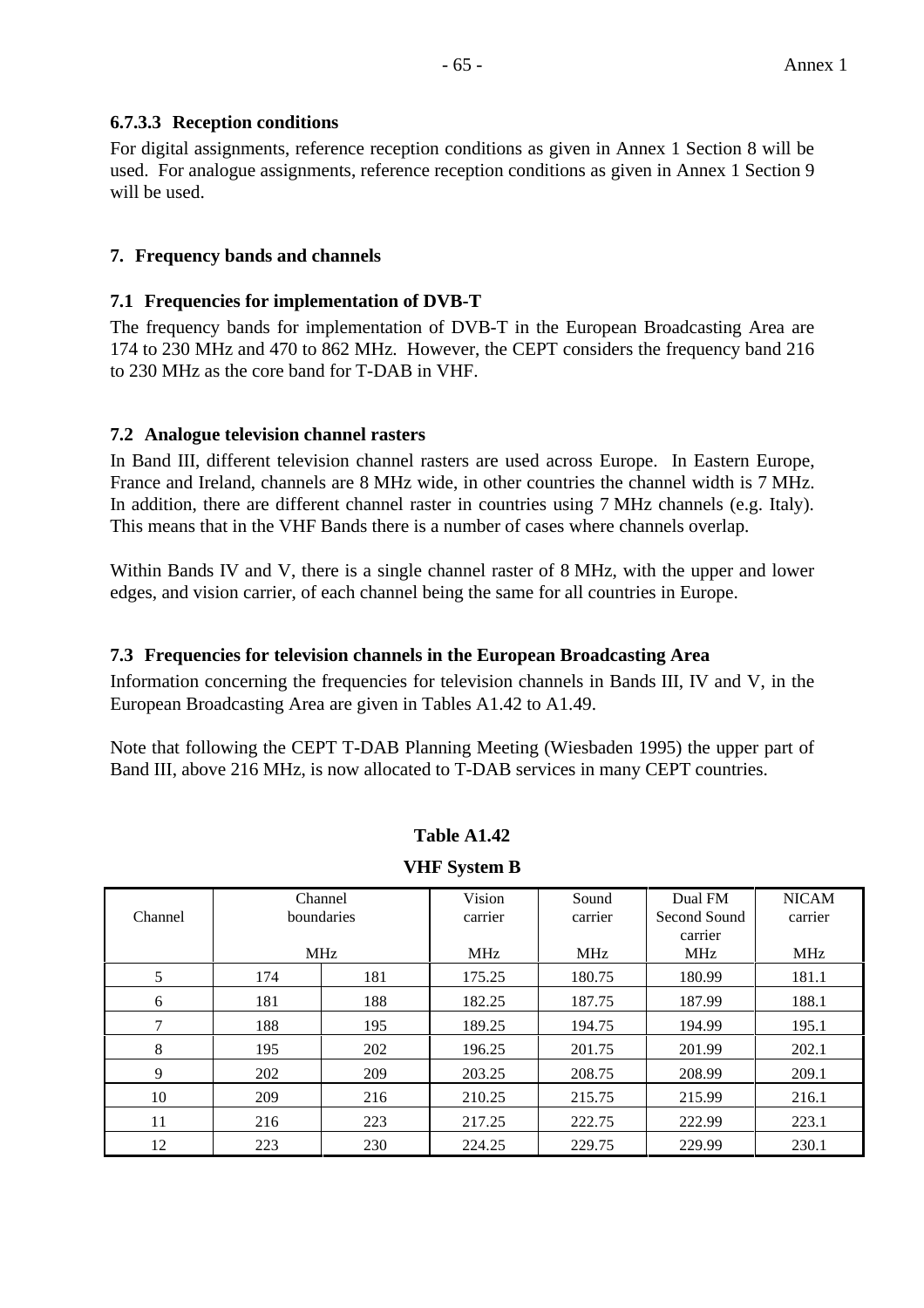## **6.7.3.3 Reception conditions**

For digital assignments, reference reception conditions as given in Annex 1 Section 8 will be used. For analogue assignments, reference reception conditions as given in Annex 1 Section 9 will be used.

## **7. Frequency bands and channels**

#### **7.1 Frequencies for implementation of DVB-T**

The frequency bands for implementation of DVB-T in the European Broadcasting Area are 174 to 230 MHz and 470 to 862 MHz. However, the CEPT considers the frequency band 216 to 230 MHz as the core band for T-DAB in VHF.

#### **7.2 Analogue television channel rasters**

In Band III, different television channel rasters are used across Europe. In Eastern Europe, France and Ireland, channels are 8 MHz wide, in other countries the channel width is 7 MHz. In addition, there are different channel raster in countries using 7 MHz channels (e.g. Italy). This means that in the VHF Bands there is a number of cases where channels overlap.

Within Bands IV and V, there is a single channel raster of 8 MHz, with the upper and lower edges, and vision carrier, of each channel being the same for all countries in Europe.

#### **7.3 Frequencies for television channels in the European Broadcasting Area**

Information concerning the frequencies for television channels in Bands III, IV and V, in the European Broadcasting Area are given in Tables A1.42 to A1.49.

Note that following the CEPT T-DAB Planning Meeting (Wiesbaden 1995) the upper part of Band III, above 216 MHz, is now allocated to T-DAB services in many CEPT countries.

| Table A1.42 |  |
|-------------|--|
|             |  |

#### **VHF System B**

| Channel | Channel<br>boundaries |     | Vision<br>carrier | Sound<br>carrier | Dual FM<br>Second Sound | <b>NICAM</b><br>carrier |
|---------|-----------------------|-----|-------------------|------------------|-------------------------|-------------------------|
|         |                       |     |                   |                  | carrier                 |                         |
|         | <b>MHz</b>            |     | <b>MHz</b>        | <b>MHz</b>       | <b>MHz</b>              | <b>MHz</b>              |
| 5       | 174                   | 181 | 175.25            | 180.75           | 180.99                  | 181.1                   |
| 6       | 181                   | 188 | 182.25            | 187.75           | 187.99                  | 188.1                   |
| 7       | 188                   | 195 | 189.25            | 194.75           | 194.99                  | 195.1                   |
| 8       | 195                   | 202 | 196.25            | 201.75           | 201.99                  | 202.1                   |
| 9       | 202                   | 209 | 203.25            | 208.75           | 208.99                  | 209.1                   |
| 10      | 209                   | 216 | 210.25            | 215.75           | 215.99                  | 216.1                   |
| 11      | 216                   | 223 | 217.25            | 222.75           | 222.99                  | 223.1                   |
| 12      | 223                   | 230 | 224.25            | 229.75           | 229.99                  | 230.1                   |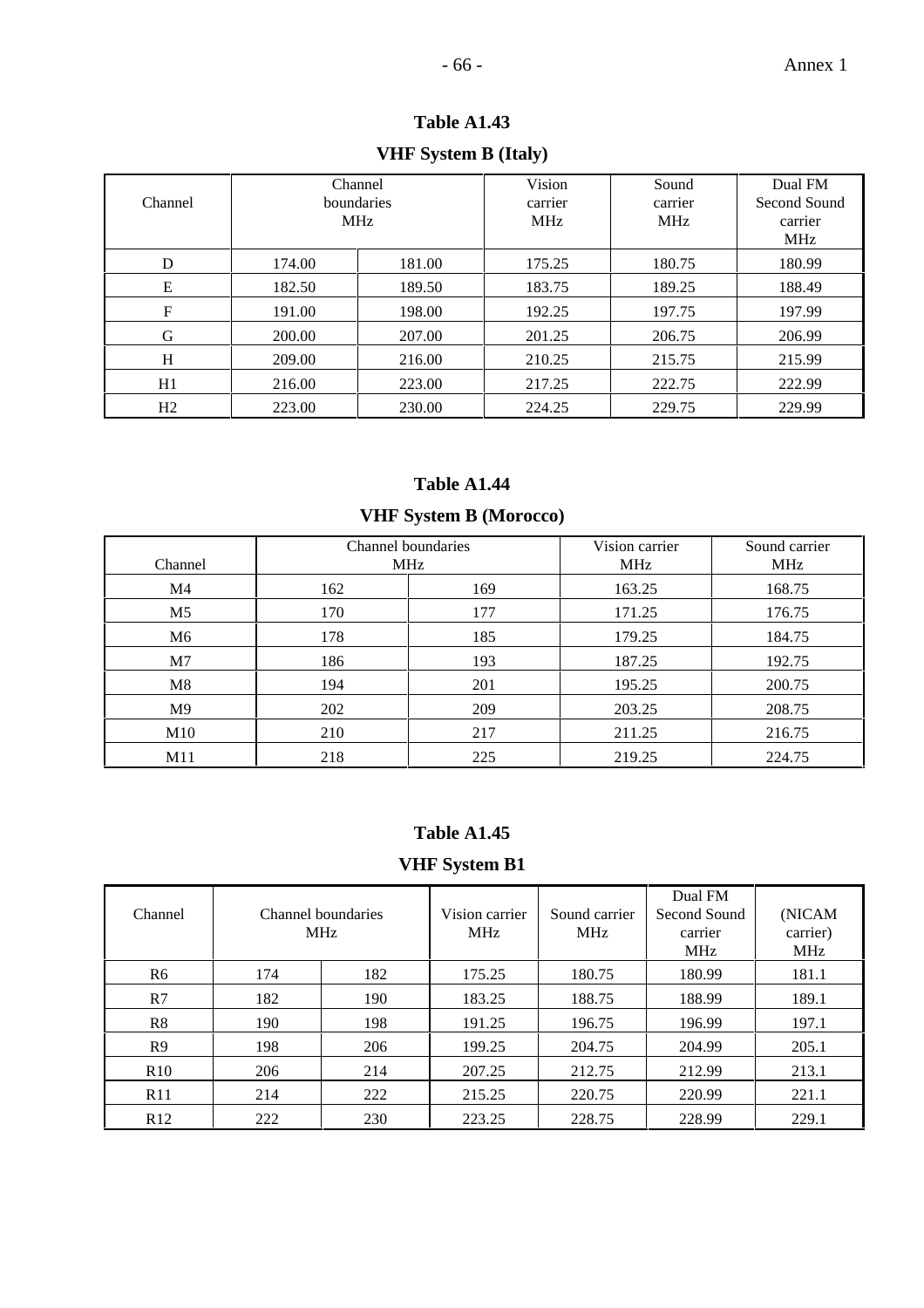# **VHF System B (Italy)**

| Channel          |        | Channel<br>boundaries<br><b>MHz</b> | Vision<br>carrier<br><b>MHz</b> | Sound<br>carrier<br><b>MHz</b> | Dual FM<br>Second Sound<br>carrier<br><b>MHz</b> |
|------------------|--------|-------------------------------------|---------------------------------|--------------------------------|--------------------------------------------------|
| D                | 174.00 | 181.00                              | 175.25                          | 180.75                         | 180.99                                           |
| E                | 182.50 | 189.50                              | 183.75                          | 189.25                         | 188.49                                           |
| $\boldsymbol{F}$ | 191.00 | 198.00                              | 192.25                          | 197.75                         | 197.99                                           |
| G                | 200.00 | 207.00                              | 201.25                          | 206.75                         | 206.99                                           |
| H                | 209.00 | 216.00                              | 210.25                          | 215.75                         | 215.99                                           |
| H1               | 216.00 | 223.00                              | 217.25                          | 222.75                         | 222.99                                           |
| H <sub>2</sub>   | 223.00 | 230.00                              | 224.25                          | 229.75                         | 229.99                                           |

## **Table A1.44**

## **VHF System B (Morocco)**

| Channel        | Channel boundaries | <b>MHz</b> | Vision carrier<br><b>MHz</b> | Sound carrier<br><b>MHz</b> |
|----------------|--------------------|------------|------------------------------|-----------------------------|
| M4             | 162                | 169        | 163.25                       | 168.75                      |
| M5             | 170                | 177        | 171.25                       | 176.75                      |
| M6             | 178                | 185        | 179.25                       | 184.75                      |
| M7             | 186                | 193        | 187.25                       | 192.75                      |
| M8             | 194                | 201        | 195.25                       | 200.75                      |
| M <sup>9</sup> | 202                | 209        | 203.25                       | 208.75                      |
| M10            | 210                | 217        | 211.25                       | 216.75                      |
| M11            | 218                | 225        | 219.25                       | 224.75                      |

## **Table A1.45**

## **VHF System B1**

| Channel        | Channel boundaries<br><b>MHz</b> |     | Vision carrier<br><b>MHz</b> | Sound carrier<br><b>MHz</b> | Dual FM<br>Second Sound<br>carrier<br><b>MHz</b> | (NICAM<br>carrier)<br><b>MHz</b> |
|----------------|----------------------------------|-----|------------------------------|-----------------------------|--------------------------------------------------|----------------------------------|
| R6             | 174                              | 182 | 175.25                       | 180.75                      | 180.99                                           | 181.1                            |
| R7             | 182                              | 190 | 183.25                       | 188.75                      | 188.99                                           | 189.1                            |
| R8             | 190                              | 198 | 191.25                       | 196.75                      | 196.99                                           | 197.1                            |
| R <sub>9</sub> | 198                              | 206 | 199.25                       | 204.75                      | 204.99                                           | 205.1                            |
| R10            | 206                              | 214 | 207.25                       | 212.75                      | 212.99                                           | 213.1                            |
| R11            | 214                              | 222 | 215.25                       | 220.75                      | 220.99                                           | 221.1                            |
| R12            | 222                              | 230 | 223.25                       | 228.75                      | 228.99                                           | 229.1                            |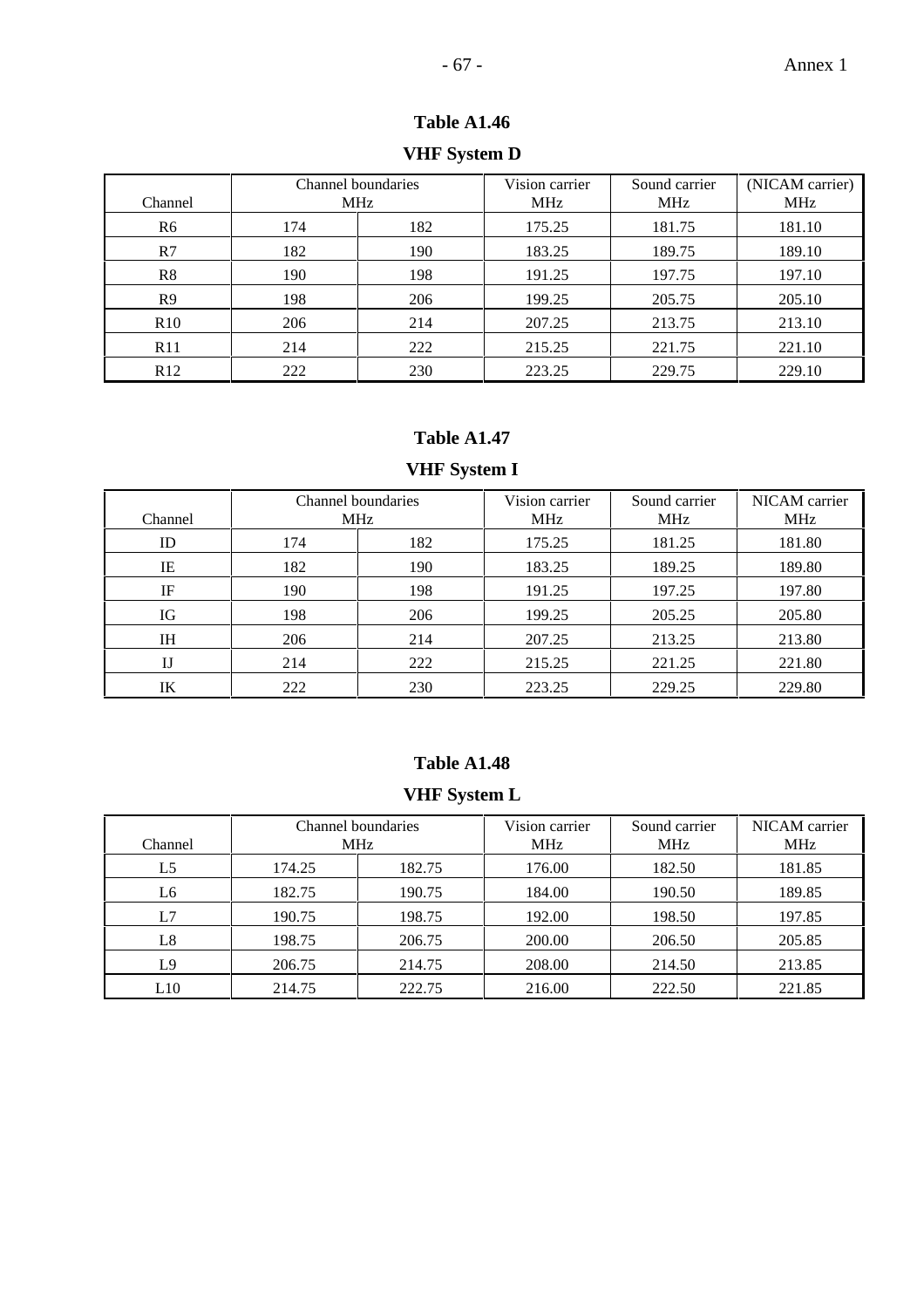# **VHF System D**

| Channel         | Channel boundaries<br><b>MHz</b> |     | Vision carrier<br><b>MHz</b> | Sound carrier<br><b>MHz</b> | (NICAM carrier)<br><b>MHz</b> |
|-----------------|----------------------------------|-----|------------------------------|-----------------------------|-------------------------------|
| R6              | 174                              | 182 | 175.25                       | 181.75                      | 181.10                        |
| R7              | 182                              | 190 | 183.25                       | 189.75                      | 189.10                        |
| R8              | 190                              | 198 | 191.25                       | 197.75                      | 197.10                        |
| R <sup>9</sup>  | 198                              | 206 | 199.25                       | 205.75                      | 205.10                        |
| R10             | 206                              | 214 | 207.25                       | 213.75                      | 213.10                        |
| R11             | 214                              | 222 | 215.25                       | 221.75                      | 221.10                        |
| R <sub>12</sub> | 222                              | 230 | 223.25                       | 229.75                      | 229.10                        |

## **Table A1.47**

# **VHF System I**

| Channel      | Channel boundaries<br><b>MHz</b> |     | Vision carrier<br><b>MHz</b> | Sound carrier<br><b>MHz</b> | NICAM carrier<br><b>MHz</b> |
|--------------|----------------------------------|-----|------------------------------|-----------------------------|-----------------------------|
| ID           | 174                              | 182 | 175.25                       | 181.25                      | 181.80                      |
| IE           | 182                              | 190 | 183.25                       | 189.25                      | 189.80                      |
| IF           | 190                              | 198 | 191.25                       | 197.25                      | 197.80                      |
| IG           | 198                              | 206 | 199.25                       | 205.25                      | 205.80                      |
| IΗ           | 206                              | 214 | 207.25                       | 213.25                      | 213.80                      |
| $_{\rm{IJ}}$ | 214                              | 222 | 215.25                       | 221.25                      | 221.80                      |
| IK           | 222                              | 230 | 223.25                       | 229.25                      | 229.80                      |

## **Table A1.48**

# **VHF System L**

| Channel | Channel boundaries<br><b>MHz</b> |        | Vision carrier<br><b>MHz</b> | Sound carrier<br><b>MHz</b> | NICAM carrier<br><b>MHz</b> |
|---------|----------------------------------|--------|------------------------------|-----------------------------|-----------------------------|
| L5      | 174.25                           | 182.75 | 176.00                       | 182.50                      | 181.85                      |
| L6      | 182.75                           | 190.75 | 184.00                       | 190.50                      | 189.85                      |
| L7      | 190.75                           | 198.75 | 192.00                       | 198.50                      | 197.85                      |
| L8      | 198.75                           | 206.75 | 200.00                       | 206.50                      | 205.85                      |
| L9      | 206.75                           | 214.75 | 208.00                       | 214.50                      | 213.85                      |
| L10     | 214.75                           | 222.75 | 216.00                       | 222.50                      | 221.85                      |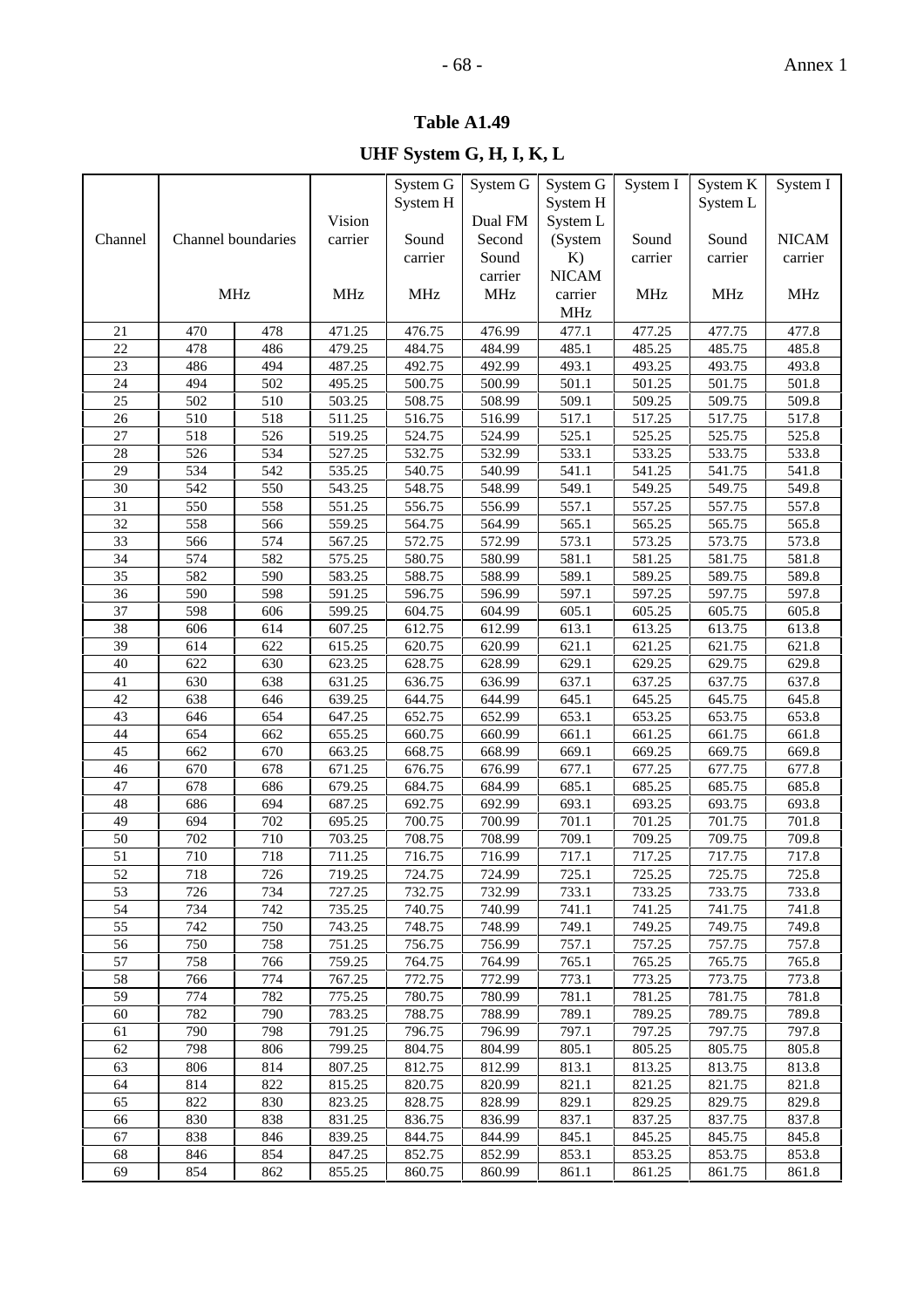# **Table A1.49**

|                 |            |                    |                  | System G         | System G         | System G       | System I         | System K         | System I       |
|-----------------|------------|--------------------|------------------|------------------|------------------|----------------|------------------|------------------|----------------|
|                 |            |                    |                  | System H         |                  | System H       |                  | System L         |                |
|                 |            |                    | Vision           |                  | Dual FM          | System L       |                  |                  |                |
| Channel         |            | Channel boundaries | carrier          | Sound            | Second           | (System        | Sound            | Sound            | <b>NICAM</b>   |
|                 |            |                    |                  | carrier          | Sound            | K)             | carrier          | carrier          | carrier        |
|                 |            |                    |                  |                  | carrier          | <b>NICAM</b>   |                  |                  |                |
|                 |            | <b>MHz</b>         | <b>MHz</b>       | <b>MHz</b>       | <b>MHz</b>       | carrier        | <b>MHz</b>       | <b>MHz</b>       | <b>MHz</b>     |
|                 |            |                    |                  |                  |                  | <b>MHz</b>     |                  |                  |                |
| 21              | 470        | 478                | 471.25           | 476.75           | 476.99           | 477.1          | 477.25           | 477.75           | 477.8          |
| 22              | 478        | 486                | 479.25           | 484.75           | 484.99           | 485.1          | 485.25           | 485.75           | 485.8          |
| 23              | 486        | 494                | 487.25           | 492.75           | 492.99           | 493.1          | 493.25           | 493.75           | 493.8          |
| 24              | 494        | 502                | 495.25           | 500.75           | 500.99           | 501.1          | 501.25           | 501.75           | 501.8          |
| 25              | 502        | 510                | 503.25           | 508.75           | 508.99           | 509.1          | 509.25           | 509.75           | 509.8          |
| 26              | 510        | 518                | 511.25           | 516.75           | 516.99           | 517.1          | 517.25           | 517.75           | 517.8          |
| 27              | 518        | 526                | 519.25           | 524.75           | 524.99           | 525.1          | 525.25           | 525.75           | 525.8          |
| 28              | 526        | 534                | 527.25           | 532.75           | 532.99           | 533.1          | 533.25           | 533.75           | 533.8          |
| 29              | 534        | 542                | 535.25           | 540.75           | 540.99           | 541.1          | 541.25           | 541.75           | 541.8          |
| 30              | 542        | 550                | 543.25           | 548.75           | 548.99           | 549.1          | 549.25           | 549.75           | 549.8          |
| 31              | 550        | 558                | 551.25           | 556.75           | 556.99           | 557.1          | 557.25           | 557.75           | 557.8          |
| 32              | 558        | 566                | 559.25           | 564.75           | 564.99           | 565.1          | 565.25           | 565.75           | 565.8          |
| 33              | 566        | 574                | 567.25           | 572.75           | 572.99           | 573.1          | 573.25           | 573.75           | 573.8          |
| 34              | 574        | 582                | 575.25           | 580.75           | 580.99           | 581.1          | 581.25           | 581.75           | 581.8          |
| 35              | 582        | 590                | 583.25           | 588.75           | 588.99           | 589.1          | 589.25           | 589.75           | 589.8          |
| 36              | 590        | 598                | 591.25           | 596.75           | 596.99           | 597.1          | 597.25           | 597.75           | 597.8          |
| 37              | 598        | 606                | 599.25           | 604.75           | 604.99           | 605.1          | 605.25           | 605.75           | 605.8          |
| 38              | 606        | 614                | 607.25           | 612.75           | 612.99           | 613.1          | 613.25           | 613.75           | 613.8          |
| 39              | 614        | 622                | 615.25           | 620.75           | 620.99           | 621.1          | 621.25           | 621.75           | 621.8          |
| 40              | 622        | 630                | 623.25           | 628.75           | 628.99           | 629.1          | 629.25           | 629.75           | 629.8          |
| 41              | 630        | 638                | 631.25           | 636.75           | 636.99           | 637.1          | 637.25           | 637.75           | 637.8          |
| 42              | 638        | 646                | 639.25           | 644.75           | 644.99           | 645.1          | 645.25           | 645.75           | 645.8          |
| 43              | 646        | 654                | 647.25           | 652.75           | 652.99           | 653.1          | 653.25           | 653.75           | 653.8          |
| 44              | 654        | 662                | 655.25           | 660.75           | 660.99           | 661.1          | 661.25           | 661.75           | 661.8          |
| 45              | 662        | 670                | 663.25           | 668.75           | 668.99           | 669.1          | 669.25           | 669.75           | 669.8          |
| 46              | 670        | 678                | 671.25           | 676.75           | 676.99           | 677.1          | 677.25           | 677.75           | 677.8          |
| 47              | 678        | 686                | 679.25           | 684.75           | 684.99           | 685.1          | 685.25           | 685.75           | 685.8          |
| 48              | 686        | 694                | 687.25           | 692.75           | 692.99           | 693.1          | 693.25           | 693.75           | 693.8          |
| 49<br>50        | 694<br>702 | 702<br>710         | 695.25<br>703.25 | 700.75<br>708.75 | 700.99<br>708.99 | 701.1<br>709.1 | 701.25<br>709.25 | 701.75<br>709.75 | 701.8<br>709.8 |
| 51              | 710        | 718                | 711.25           | 716.75           | 716.99           | 717.1          | 717.25           | 717.75           | 717.8          |
| $\overline{52}$ |            |                    |                  |                  |                  |                | 725.25           |                  |                |
| 53              | 718<br>726 | 726<br>734         | 719.25<br>727.25 | 724.75<br>732.75 | 724.99<br>732.99 | 725.1<br>733.1 | 733.25           | 725.75<br>733.75 | 725.8<br>733.8 |
| 54              | 734        | 742                | 735.25           | 740.75           | 740.99           | 741.1          | 741.25           | 741.75           | 741.8          |
| 55              | 742        | 750                | 743.25           | 748.75           | 748.99           | 749.1          | 749.25           | 749.75           | 749.8          |
| 56              | 750        | 758                | 751.25           | 756.75           | 756.99           | 757.1          | 757.25           | 757.75           | 757.8          |
| 57              | 758        | 766                | 759.25           | 764.75           | 764.99           | 765.1          | 765.25           | 765.75           | 765.8          |
| 58              | 766        | 774                | 767.25           | 772.75           | 772.99           | 773.1          | 773.25           | 773.75           | 773.8          |
| 59              | 774        | 782                | 775.25           | 780.75           | 780.99           | 781.1          | 781.25           | 781.75           | 781.8          |
| 60              | 782        | 790                | 783.25           | 788.75           | 788.99           | 789.1          | 789.25           | 789.75           | 789.8          |
| 61              | 790        | 798                | 791.25           | 796.75           | 796.99           | 797.1          | 797.25           | 797.75           | 797.8          |
| 62              | 798        | 806                | 799.25           | 804.75           | 804.99           | 805.1          | 805.25           | 805.75           | 805.8          |
| 63              | 806        | 814                | 807.25           | 812.75           | 812.99           | 813.1          | 813.25           | 813.75           | 813.8          |
| 64              | 814        | 822                | 815.25           | 820.75           | 820.99           | 821.1          | 821.25           | 821.75           | 821.8          |
| 65              | 822        | 830                | 823.25           | 828.75           | 828.99           | 829.1          | 829.25           | 829.75           | 829.8          |
| 66              | 830        | 838                | 831.25           | 836.75           | 836.99           | 837.1          | 837.25           | 837.75           | 837.8          |
| 67              | 838        | 846                | 839.25           | 844.75           | 844.99           | 845.1          | 845.25           | 845.75           | 845.8          |
| 68              | 846        | 854                | 847.25           | 852.75           | 852.99           | 853.1          | 853.25           | 853.75           | 853.8          |
| 69              | 854        | 862                | 855.25           | 860.75           | 860.99           | 861.1          | 861.25           | 861.75           | 861.8          |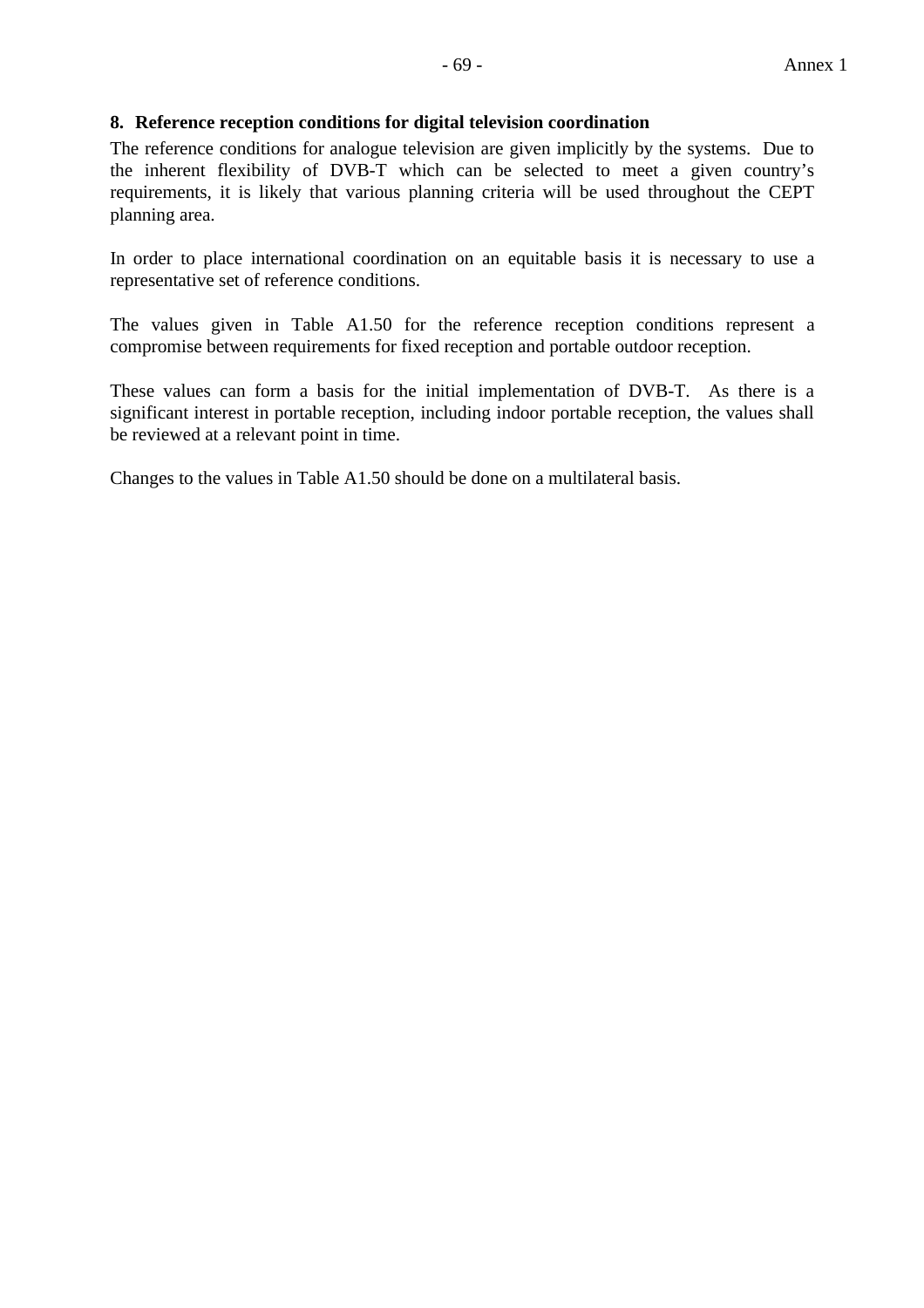### **8. Reference reception conditions for digital television coordination**

The reference conditions for analogue television are given implicitly by the systems. Due to the inherent flexibility of DVB-T which can be selected to meet a given country's requirements, it is likely that various planning criteria will be used throughout the CEPT planning area.

In order to place international coordination on an equitable basis it is necessary to use a representative set of reference conditions.

The values given in Table A1.50 for the reference reception conditions represent a compromise between requirements for fixed reception and portable outdoor reception.

These values can form a basis for the initial implementation of DVB-T. As there is a significant interest in portable reception, including indoor portable reception, the values shall be reviewed at a relevant point in time.

Changes to the values in Table A1.50 should be done on a multilateral basis.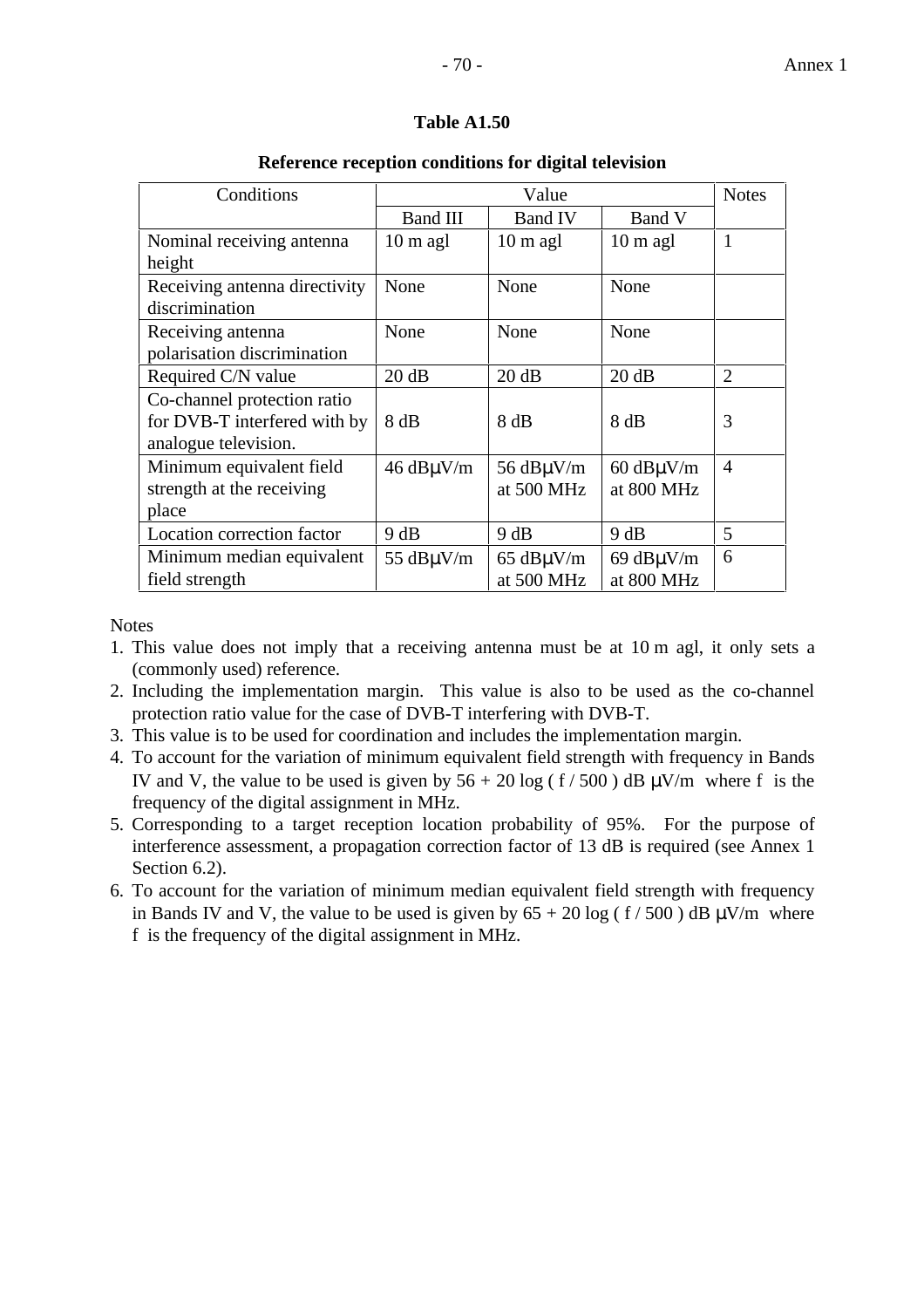#### **Table A1.50**

#### Conditions | Value Value Notes Band III | Band IV | Band V Nominal receiving antenna height  $10 \text{ m }$  agl  $10 \text{ m }$  agl  $10 \text{ m }$  agl  $1$ Receiving antenna directivity discrimination None None None Receiving antenna polarisation discrimination None None None Required C/N value  $20 \text{ dB}$   $20 \text{ dB}$   $20 \text{ dB}$   $20 \text{ dB}$   $2$ Co-channel protection ratio for DVB-T interfered with by analogue television.  $8 \text{ dB}$  |  $8 \text{ dB}$  |  $8 \text{ dB}$  |  $3 \text{ dB}$ Minimum equivalent field strength at the receiving place  $46$  dB $\mu$ V/m  $\frac{1}{2}$  56 dB $\mu$ V/m at 500 MHz 60 dBµV/m at 800 MHz 4 Location correction factor  $9 \text{ dB}$  9 dB 9 dB 5 Minimum median equivalent 55 dB $\mu$ V/m 65 dB $\mu$ V/m 69 dBµV/m 6

#### **Reference reception conditions for digital television**

**Notes** 

field strength

1. This value does not imply that a receiving antenna must be at 10 m agl, it only sets a (commonly used) reference.

at 500 MHz

at 800 MHz

- 2. Including the implementation margin. This value is also to be used as the co-channel protection ratio value for the case of DVB-T interfering with DVB-T.
- 3. This value is to be used for coordination and includes the implementation margin.
- 4. To account for the variation of minimum equivalent field strength with frequency in Bands IV and V, the value to be used is given by  $56 + 20 \log (f / 500)$  dB  $\mu$ V/m where f is the frequency of the digital assignment in MHz.
- 5. Corresponding to a target reception location probability of 95%. For the purpose of interference assessment, a propagation correction factor of 13 dB is required (see Annex 1 Section 6.2).
- 6. To account for the variation of minimum median equivalent field strength with frequency in Bands IV and V, the value to be used is given by  $65 + 20 \log (f / 500)$  dB  $\mu$ V/m where f is the frequency of the digital assignment in MHz.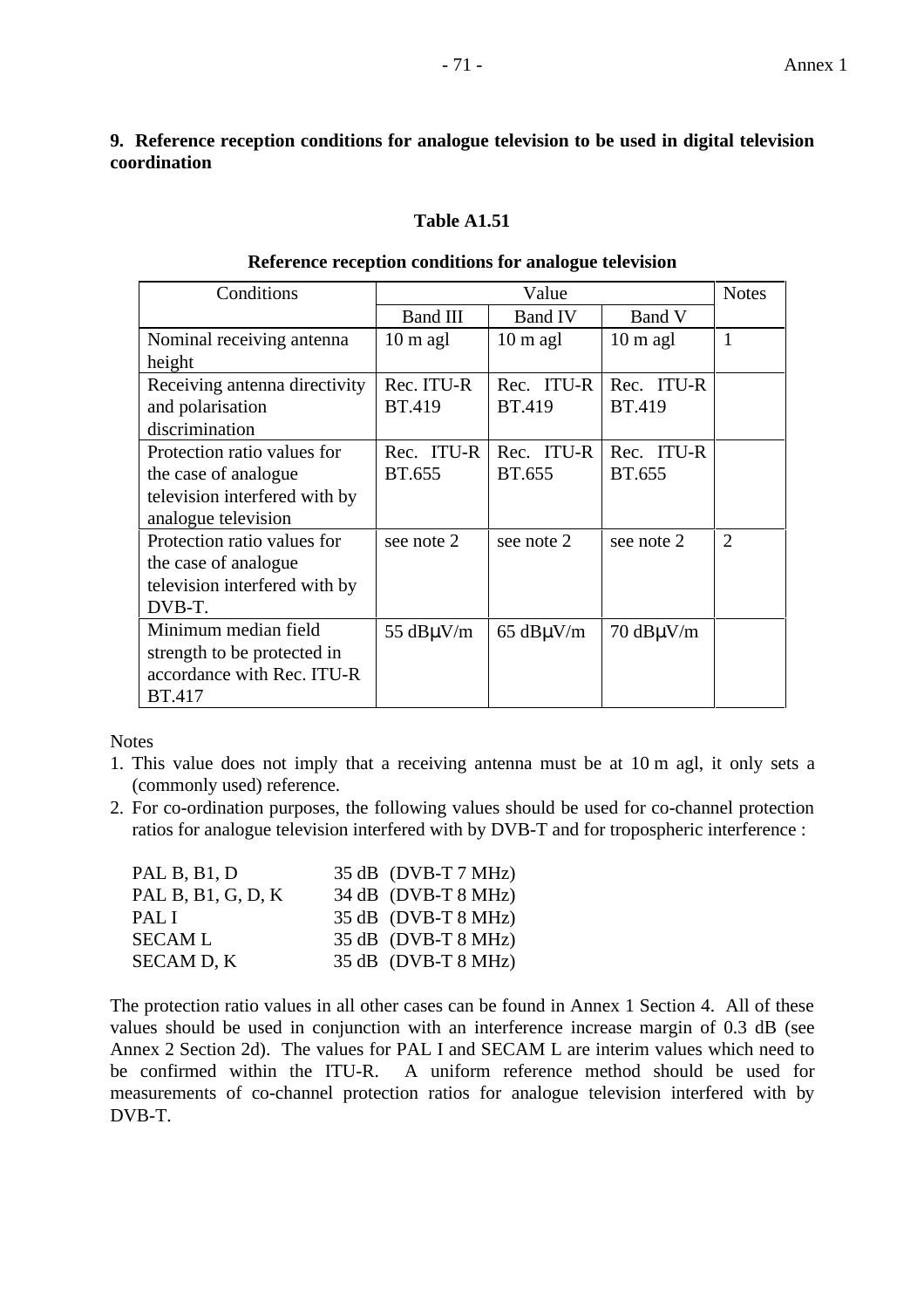### **9. Reference reception conditions for analogue television to be used in digital television coordination**

### **Table A1.51**

#### **Reference reception conditions for analogue television**

| Conditions                    |                     | <b>Notes</b>        |                                     |                |
|-------------------------------|---------------------|---------------------|-------------------------------------|----------------|
|                               | <b>Band III</b>     | <b>Band IV</b>      | Band V                              |                |
| Nominal receiving antenna     | $10 \text{ m }$ agl | $10 \text{ m }$ agl | $10 \text{ m }$ agl                 | $\mathbf{1}$   |
| height                        |                     |                     |                                     |                |
| Receiving antenna directivity | Rec. ITU-R          | Rec. ITU-R          | Rec. ITU-R                          |                |
| and polarisation              | BT.419              | <b>BT.419</b>       | <b>BT.419</b>                       |                |
| discrimination                |                     |                     |                                     |                |
| Protection ratio values for   | Rec. ITU-R          | Rec. ITU-R          | Rec. ITU-R                          |                |
| the case of analogue          | BT.655              | BT.655              | BT.655                              |                |
| television interfered with by |                     |                     |                                     |                |
| analogue television           |                     |                     |                                     |                |
| Protection ratio values for   | see note 2          | see note 2          | see note 2                          | $\overline{2}$ |
| the case of analogue          |                     |                     |                                     |                |
| television interfered with by |                     |                     |                                     |                |
| DVB-T.                        |                     |                     |                                     |                |
| Minimum median field          | 55 $dB\mu V/m$      | $65$ dB $\mu$ V/m   | $70 \text{ dB}\mu\text{V}\text{/m}$ |                |
| strength to be protected in   |                     |                     |                                     |                |
| accordance with Rec. ITU-R    |                     |                     |                                     |                |
| <b>BT.417</b>                 |                     |                     |                                     |                |

**Notes** 

- 1. This value does not imply that a receiving antenna must be at 10 m agl, it only sets a (commonly used) reference.
- 2. For co-ordination purposes, the following values should be used for co-channel protection ratios for analogue television interfered with by DVB-T and for tropospheric interference :

| PAL B, B1, D       | $35 dB$ (DVB-T 7 MHz) |
|--------------------|-----------------------|
| PAL B, B1, G, D, K | $34 dB$ (DVB-T 8 MHz) |
| PAL I              | $35 dB$ (DVB-T 8 MHz) |
| <b>SECAML</b>      | $35 dB$ (DVB-T 8 MHz) |
| SECAM D, K         | $35 dB$ (DVB-T 8 MHz) |

The protection ratio values in all other cases can be found in Annex 1 Section 4. All of these values should be used in conjunction with an interference increase margin of 0.3 dB (see Annex 2 Section 2d). The values for PAL I and SECAM L are interim values which need to be confirmed within the ITU-R. A uniform reference method should be used for measurements of co-channel protection ratios for analogue television interfered with by DVB-T.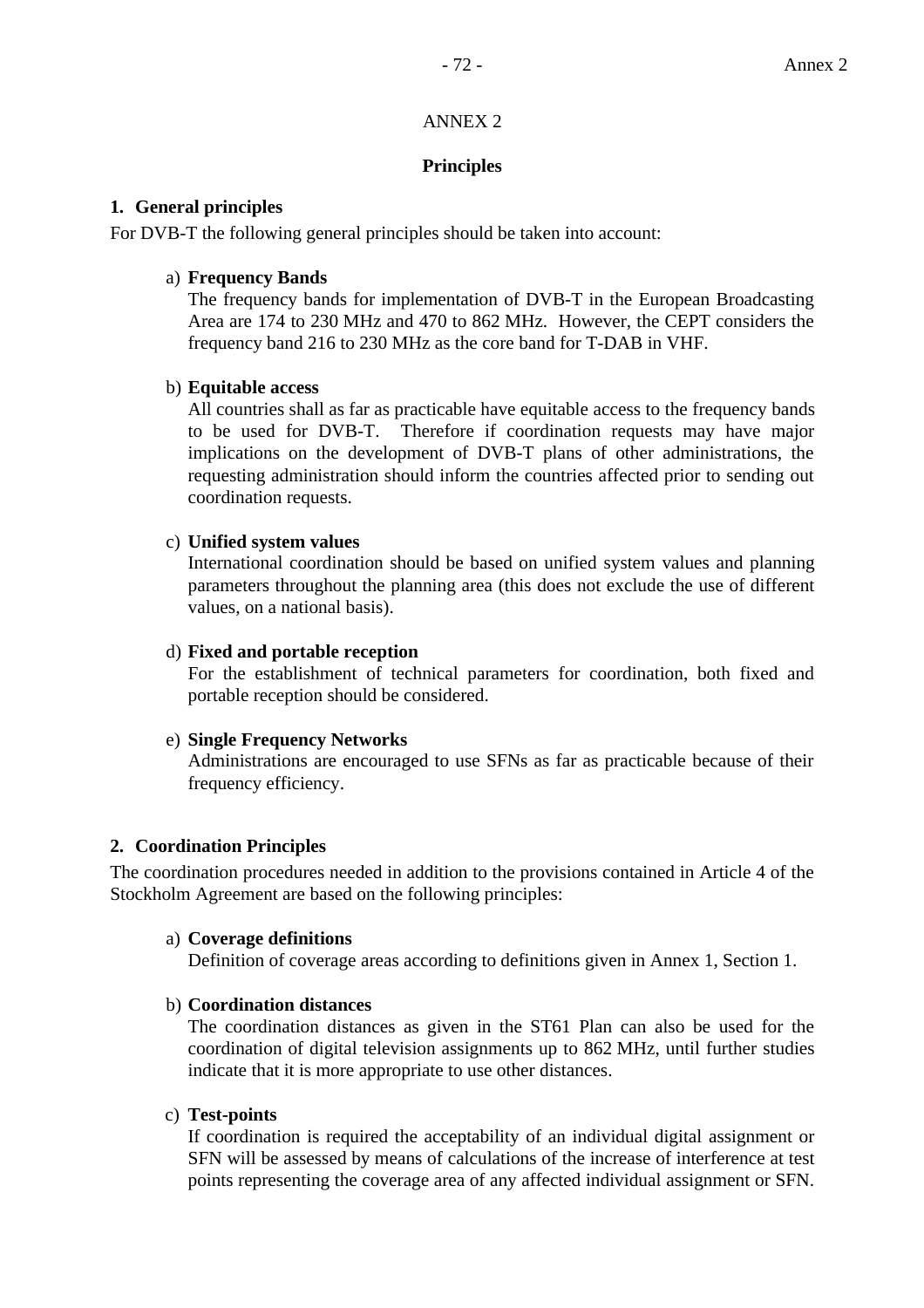### ANNEX 2

### **Principles**

### **1. General principles**

For DVB-T the following general principles should be taken into account:

### a) **Frequency Bands**

 The frequency bands for implementation of DVB-T in the European Broadcasting Area are 174 to 230 MHz and 470 to 862 MHz. However, the CEPT considers the frequency band 216 to 230 MHz as the core band for T-DAB in VHF.

### b) **Equitable access**

 All countries shall as far as practicable have equitable access to the frequency bands to be used for DVB-T. Therefore if coordination requests may have major implications on the development of DVB-T plans of other administrations, the requesting administration should inform the countries affected prior to sending out coordination requests.

### c) **Unified system values**

 International coordination should be based on unified system values and planning parameters throughout the planning area (this does not exclude the use of different values, on a national basis).

#### d) **Fixed and portable reception**

 For the establishment of technical parameters for coordination, both fixed and portable reception should be considered.

#### e) **Single Frequency Networks**

 Administrations are encouraged to use SFNs as far as practicable because of their frequency efficiency.

### **2. Coordination Principles**

The coordination procedures needed in addition to the provisions contained in Article 4 of the Stockholm Agreement are based on the following principles:

### a) **Coverage definitions**

Definition of coverage areas according to definitions given in Annex 1, Section 1.

### b) **Coordination distances**

 The coordination distances as given in the ST61 Plan can also be used for the coordination of digital television assignments up to 862 MHz, until further studies indicate that it is more appropriate to use other distances.

#### c) **Test-points**

 If coordination is required the acceptability of an individual digital assignment or SFN will be assessed by means of calculations of the increase of interference at test points representing the coverage area of any affected individual assignment or SFN.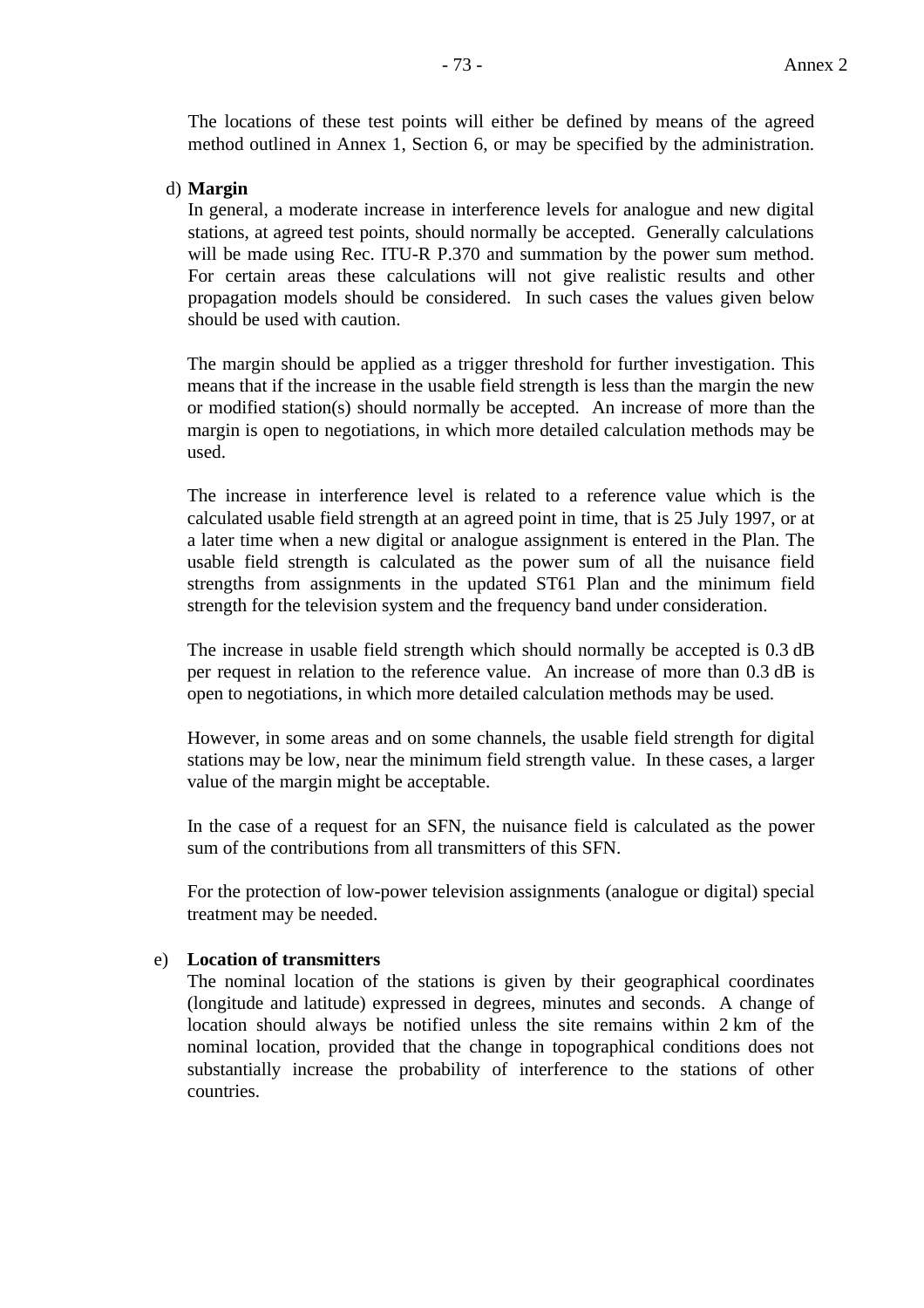The locations of these test points will either be defined by means of the agreed method outlined in Annex 1, Section 6, or may be specified by the administration.

### d) **Margin**

In general, a moderate increase in interference levels for analogue and new digital stations, at agreed test points, should normally be accepted. Generally calculations will be made using Rec. ITU-R P.370 and summation by the power sum method. For certain areas these calculations will not give realistic results and other propagation models should be considered. In such cases the values given below should be used with caution.

The margin should be applied as a trigger threshold for further investigation. This means that if the increase in the usable field strength is less than the margin the new or modified station(s) should normally be accepted. An increase of more than the margin is open to negotiations, in which more detailed calculation methods may be used.

The increase in interference level is related to a reference value which is the calculated usable field strength at an agreed point in time, that is 25 July 1997, or at a later time when a new digital or analogue assignment is entered in the Plan. The usable field strength is calculated as the power sum of all the nuisance field strengths from assignments in the updated ST61 Plan and the minimum field strength for the television system and the frequency band under consideration.

The increase in usable field strength which should normally be accepted is 0.3 dB per request in relation to the reference value. An increase of more than 0.3 dB is open to negotiations, in which more detailed calculation methods may be used.

However, in some areas and on some channels, the usable field strength for digital stations may be low, near the minimum field strength value. In these cases, a larger value of the margin might be acceptable.

In the case of a request for an SFN, the nuisance field is calculated as the power sum of the contributions from all transmitters of this SFN.

For the protection of low-power television assignments (analogue or digital) special treatment may be needed.

#### e) **Location of transmitters**

The nominal location of the stations is given by their geographical coordinates (longitude and latitude) expressed in degrees, minutes and seconds. A change of location should always be notified unless the site remains within 2 km of the nominal location, provided that the change in topographical conditions does not substantially increase the probability of interference to the stations of other countries.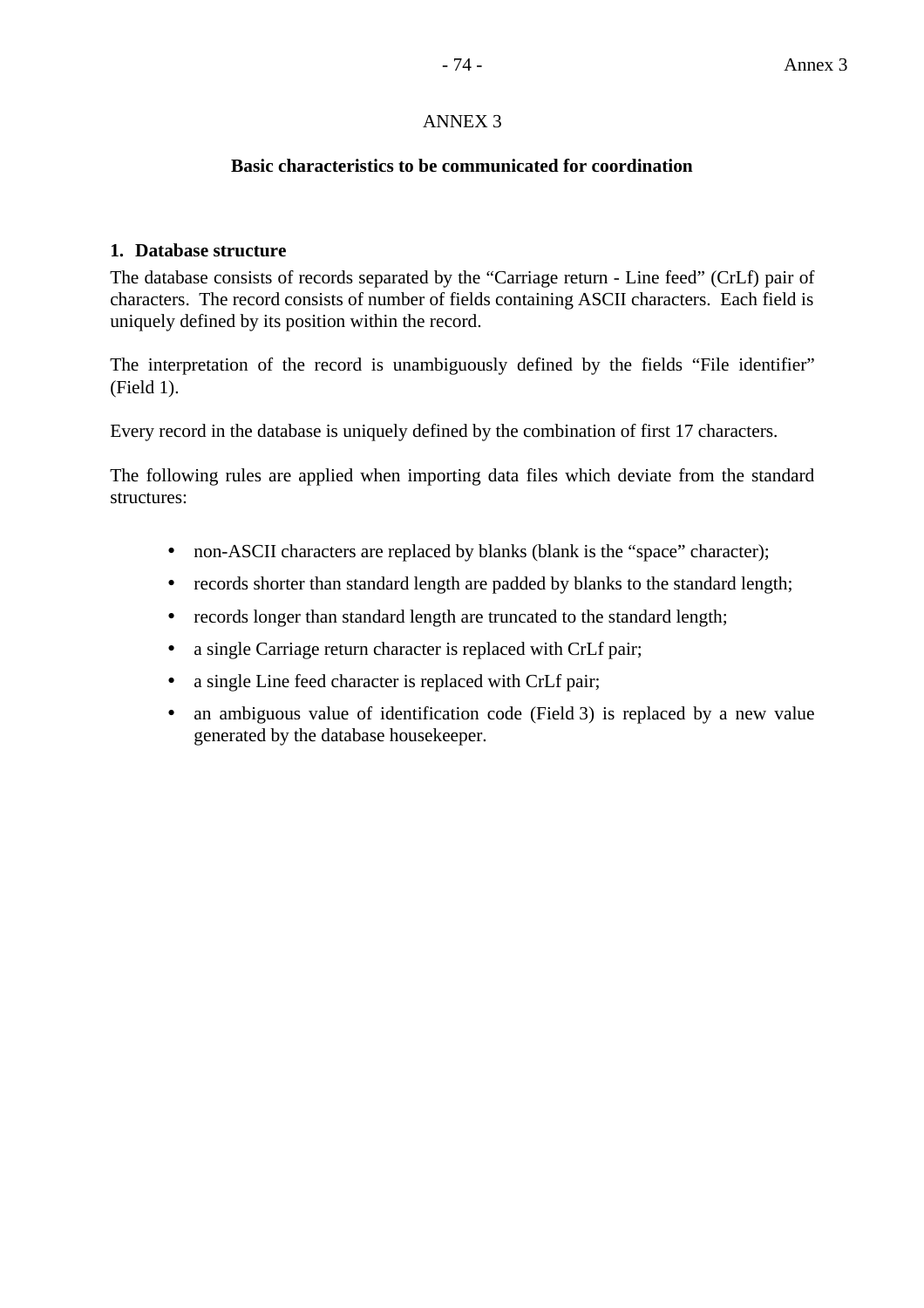### ANNEX 3

#### **Basic characteristics to be communicated for coordination**

#### **1. Database structure**

The database consists of records separated by the "Carriage return - Line feed" (CrLf) pair of characters. The record consists of number of fields containing ASCII characters. Each field is uniquely defined by its position within the record.

The interpretation of the record is unambiguously defined by the fields "File identifier" (Field 1).

Every record in the database is uniquely defined by the combination of first 17 characters.

The following rules are applied when importing data files which deviate from the standard structures:

- non-ASCII characters are replaced by blanks (blank is the "space" character);
- records shorter than standard length are padded by blanks to the standard length;
- records longer than standard length are truncated to the standard length;
- a single Carriage return character is replaced with CrLf pair;
- a single Line feed character is replaced with CrLf pair;
- an ambiguous value of identification code (Field 3) is replaced by a new value generated by the database housekeeper.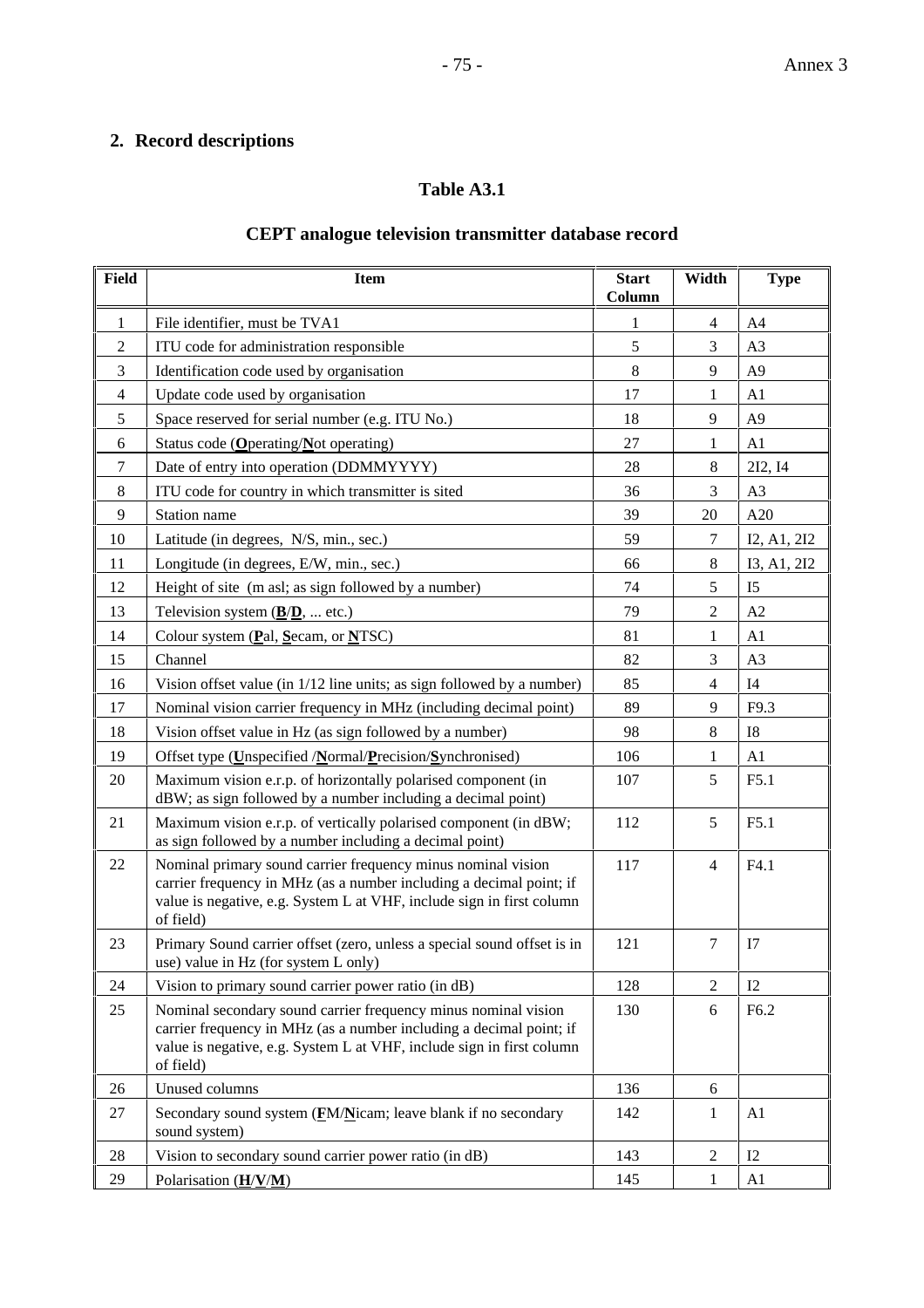## **2. Record descriptions**

### **Table A3.1**

### **CEPT analogue television transmitter database record**

| <b>Field</b>   | <b>Item</b>                                                                                                                                                                                                                 | <b>Start</b><br>Column | Width          | <b>Type</b>      |
|----------------|-----------------------------------------------------------------------------------------------------------------------------------------------------------------------------------------------------------------------------|------------------------|----------------|------------------|
| 1              | File identifier, must be TVA1                                                                                                                                                                                               | 1                      | 4              | A <sub>4</sub>   |
| $\overline{2}$ | ITU code for administration responsible                                                                                                                                                                                     | 5                      | 3              | A3               |
| 3              | Identification code used by organisation                                                                                                                                                                                    | 8                      | 9              | A <sub>9</sub>   |
| $\overline{4}$ | Update code used by organisation                                                                                                                                                                                            | 17                     | 1              | A1               |
| 5              | Space reserved for serial number (e.g. ITU No.)                                                                                                                                                                             | 18                     | 9              | A <sub>9</sub>   |
| 6              | Status code ( $Q$ perating/ $N$ ot operating)                                                                                                                                                                               | 27                     | 1              | A1               |
| $\tau$         | Date of entry into operation (DDMMYYYY)                                                                                                                                                                                     | 28                     | 8              | 2I2, 14          |
| 8              | ITU code for country in which transmitter is sited                                                                                                                                                                          | 36                     | 3              | A3               |
| 9              | Station name                                                                                                                                                                                                                | 39                     | 20             | A20              |
| 10             | Latitude (in degrees, N/S, min., sec.)                                                                                                                                                                                      | 59                     | 7              | I2, A1, 2I2      |
| 11             | Longitude (in degrees, E/W, min., sec.)                                                                                                                                                                                     | 66                     | 8              | I3, A1, 2I2      |
| 12             | Height of site (m asl; as sign followed by a number)                                                                                                                                                                        | 74                     | 5              | I <sub>5</sub>   |
| 13             | Television system $(\underline{B}/\underline{D})$ ,  etc.)                                                                                                                                                                  | 79                     | 2              | A2               |
| 14             | Colour system (Pal, Secam, or NTSC)                                                                                                                                                                                         | 81                     | 1              | A1               |
| 15             | Channel                                                                                                                                                                                                                     | 82                     | 3              | A3               |
| 16             | Vision offset value (in 1/12 line units; as sign followed by a number)                                                                                                                                                      | 85                     | $\overline{4}$ | I4               |
| 17             | Nominal vision carrier frequency in MHz (including decimal point)                                                                                                                                                           | 89                     | 9              | F9.3             |
| 18             | Vision offset value in Hz (as sign followed by a number)                                                                                                                                                                    | 98                     | 8              | <b>I8</b>        |
| 19             | Offset type (Unspecified /Normal/Precision/Synchronised)                                                                                                                                                                    | 106                    | 1              | A1               |
| 20             | Maximum vision e.r.p. of horizontally polarised component (in<br>dBW; as sign followed by a number including a decimal point)                                                                                               | 107                    | 5              | F5.1             |
| 21             | Maximum vision e.r.p. of vertically polarised component (in dBW;<br>as sign followed by a number including a decimal point)                                                                                                 | 112                    | 5              | F5.1             |
| 22             | Nominal primary sound carrier frequency minus nominal vision<br>carrier frequency in MHz (as a number including a decimal point; if<br>value is negative, e.g. System L at VHF, include sign in first column<br>of field)   | 117                    | 4              | F4.1             |
| 23             | Primary Sound carrier offset (zero, unless a special sound offset is in<br>use) value in Hz (for system L only)                                                                                                             | 121                    | $\tau$         | I7               |
| 24             | Vision to primary sound carrier power ratio (in dB)                                                                                                                                                                         | 128                    | 2              | I2               |
| 25             | Nominal secondary sound carrier frequency minus nominal vision<br>carrier frequency in MHz (as a number including a decimal point; if<br>value is negative, e.g. System L at VHF, include sign in first column<br>of field) | 130                    | 6              | F <sub>6.2</sub> |
| 26             | Unused columns                                                                                                                                                                                                              | 136                    | 6              |                  |
| 27             | Secondary sound system (FM/Nicam; leave blank if no secondary<br>sound system)                                                                                                                                              | 142                    | 1              | A1               |
| 28             | Vision to secondary sound carrier power ratio (in dB)                                                                                                                                                                       | 143                    | 2              | I2               |
| 29             | Polarisation $(\underline{H}/\underline{V}/\underline{M})$                                                                                                                                                                  | 145                    | 1              | A1               |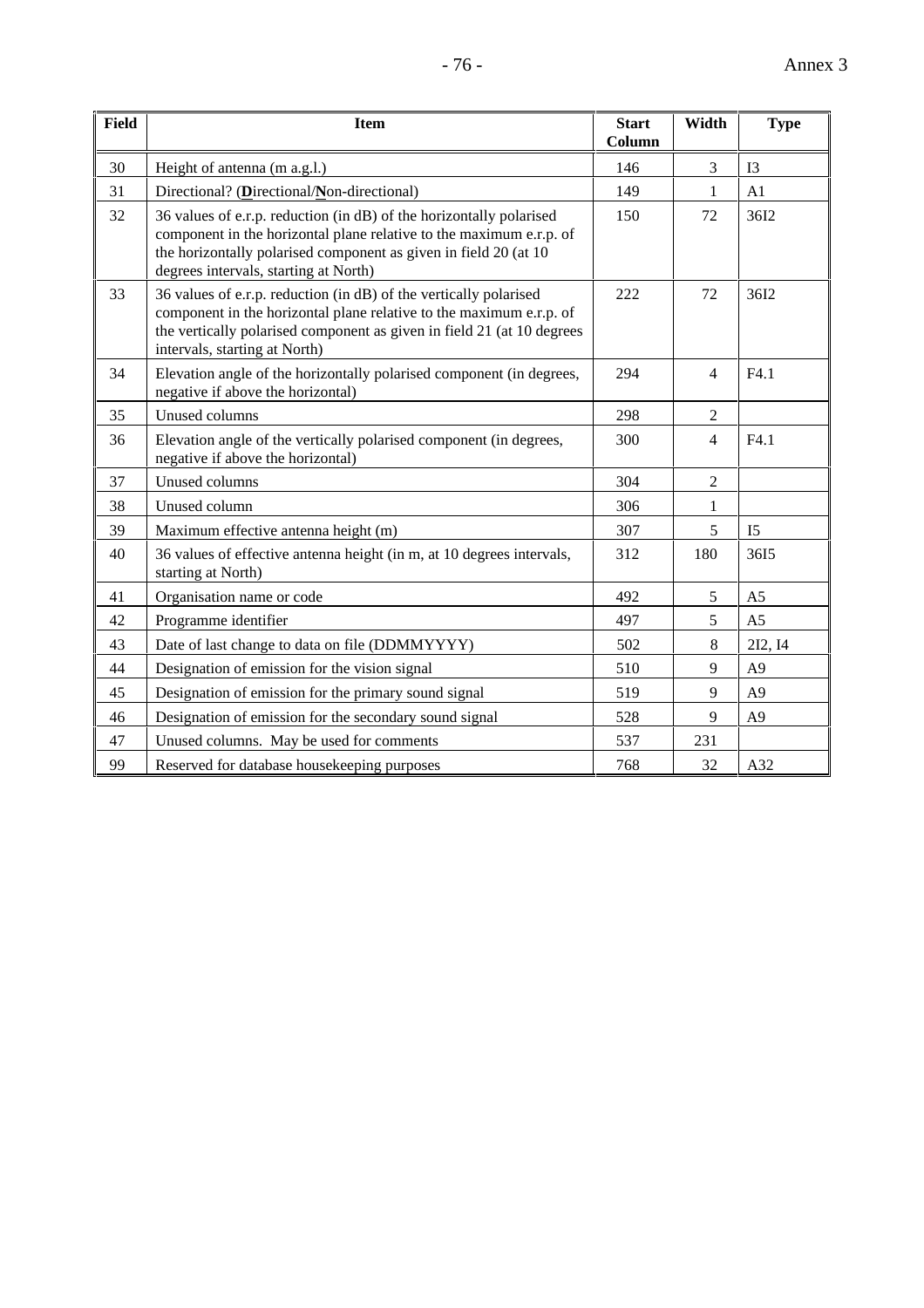| Field | <b>Item</b>                                                                                                                                                                                                                                             | <b>Start</b><br>Column | Width          | <b>Type</b>    |
|-------|---------------------------------------------------------------------------------------------------------------------------------------------------------------------------------------------------------------------------------------------------------|------------------------|----------------|----------------|
| 30    | Height of antenna (m a.g.l.)                                                                                                                                                                                                                            | 146                    | 3              | I3             |
| 31    | Directional? (Directional/Non-directional)                                                                                                                                                                                                              | 149                    | 1              | A <sub>1</sub> |
| 32    | 36 values of e.r.p. reduction (in dB) of the horizontally polarised<br>component in the horizontal plane relative to the maximum e.r.p. of<br>the horizontally polarised component as given in field 20 (at 10<br>degrees intervals, starting at North) | 150                    | 72             | 36I2           |
| 33    | 36 values of e.r.p. reduction (in dB) of the vertically polarised<br>component in the horizontal plane relative to the maximum e.r.p. of<br>the vertically polarised component as given in field 21 (at 10 degrees<br>intervals, starting at North)     | 222                    | 72             | 36I2           |
| 34    | Elevation angle of the horizontally polarised component (in degrees,<br>negative if above the horizontal)                                                                                                                                               | 294                    | $\overline{4}$ | F4.1           |
| 35    | Unused columns                                                                                                                                                                                                                                          | 298                    | $\mathfrak{D}$ |                |
| 36    | Elevation angle of the vertically polarised component (in degrees,<br>negative if above the horizontal)                                                                                                                                                 | 300                    | 4              | F4.1           |
| 37    | Unused columns                                                                                                                                                                                                                                          | 304                    | $\overline{2}$ |                |
| 38    | Unused column                                                                                                                                                                                                                                           | 306                    | 1              |                |
| 39    | Maximum effective antenna height (m)                                                                                                                                                                                                                    | 307                    | 5              | I <sub>5</sub> |
| 40    | 36 values of effective antenna height (in m, at 10 degrees intervals,<br>starting at North)                                                                                                                                                             | 312                    | 180            | 3615           |
| 41    | Organisation name or code                                                                                                                                                                                                                               | 492                    | 5              | A <sub>5</sub> |

42 Programme identifier 200 | 497 | 5 A5 43 Date of last change to data on file (DDMMYYYY) 502 8 2I2, I4 44 Designation of emission for the vision signal 510 9 A9 45 Designation of emission for the primary sound signal 519 9 A9 46 Designation of emission for the secondary sound signal 528 9 A9

47 Unused columns. May be used for comments 1537 231

99 Reserved for database housekeeping purposes 20 1 768 32 A32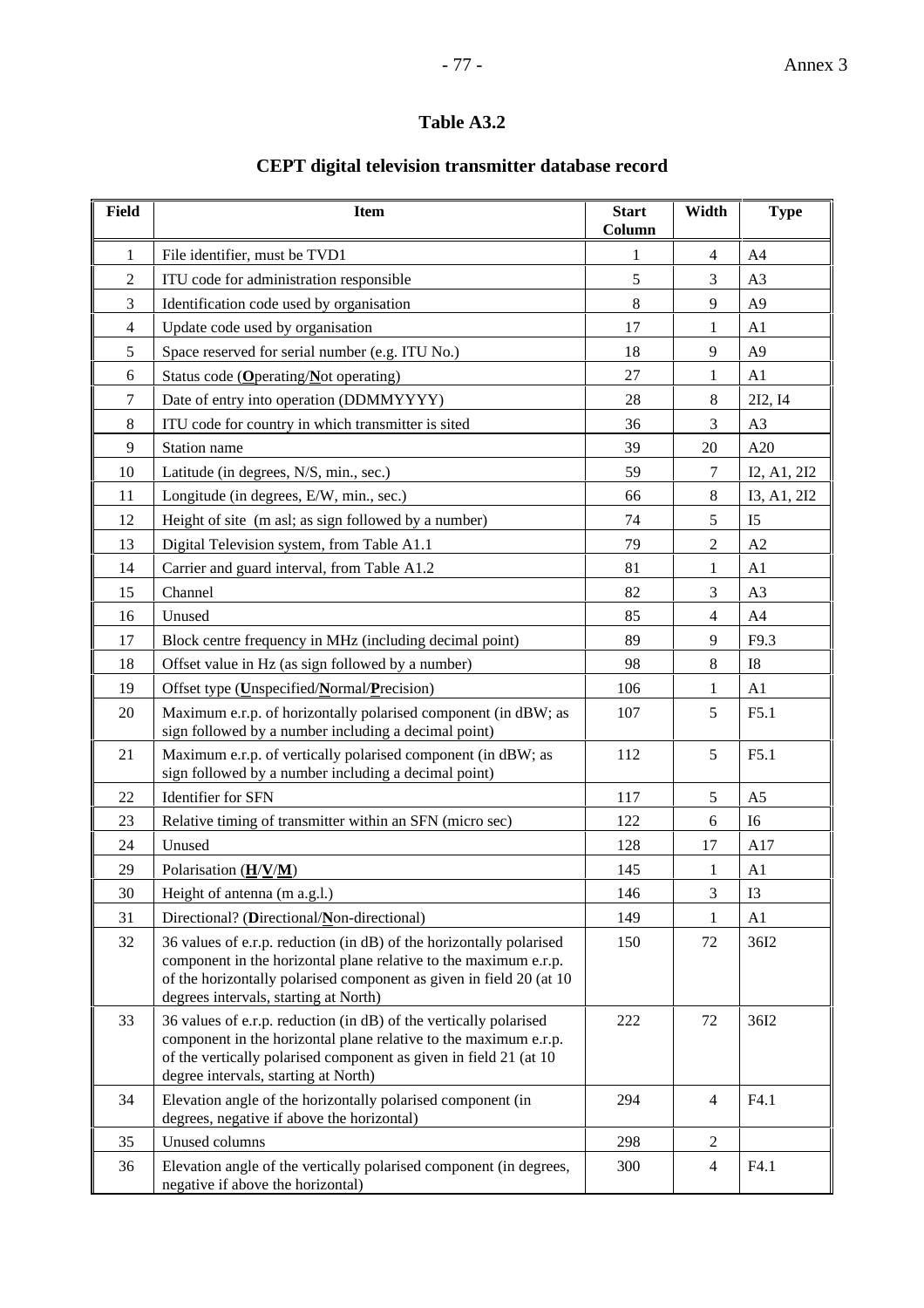### **Table A3.2**

## **CEPT digital television transmitter database record**

| <b>Field</b>   | <b>Item</b>                                                                                                                                                                                                                                             | <b>Start</b><br>Column | Width          | <b>Type</b>    |
|----------------|---------------------------------------------------------------------------------------------------------------------------------------------------------------------------------------------------------------------------------------------------------|------------------------|----------------|----------------|
| 1              | File identifier, must be TVD1                                                                                                                                                                                                                           | 1                      | $\overline{4}$ | A4             |
| $\overline{2}$ | ITU code for administration responsible                                                                                                                                                                                                                 | 5                      | 3              | A <sub>3</sub> |
| 3              | Identification code used by organisation                                                                                                                                                                                                                | 8                      | 9              | A <sub>9</sub> |
| 4              | Update code used by organisation                                                                                                                                                                                                                        | 17                     | 1              | A1             |
| 5              | Space reserved for serial number (e.g. ITU No.)                                                                                                                                                                                                         | 18                     | 9              | A <sub>9</sub> |
| 6              | Status code (Operating/Not operating)                                                                                                                                                                                                                   | 27                     | 1              | A1             |
| 7              | Date of entry into operation (DDMMYYYY)                                                                                                                                                                                                                 | 28                     | 8              | 212, 14        |
| $\,8\,$        | ITU code for country in which transmitter is sited                                                                                                                                                                                                      | 36                     | 3              | A3             |
| 9              | Station name                                                                                                                                                                                                                                            | 39                     | 20             | A20            |
| 10             | Latitude (in degrees, N/S, min., sec.)                                                                                                                                                                                                                  | 59                     | $\tau$         | I2, A1, 2I2    |
| 11             | Longitude (in degrees, E/W, min., sec.)                                                                                                                                                                                                                 | 66                     | 8              | I3, A1, 2I2    |
| 12             | Height of site (m asl; as sign followed by a number)                                                                                                                                                                                                    | 74                     | 5              | I <sub>5</sub> |
| 13             | Digital Television system, from Table A1.1                                                                                                                                                                                                              | 79                     | $\overline{2}$ | A2             |
| 14             | Carrier and guard interval, from Table A1.2                                                                                                                                                                                                             | 81                     | 1              | A <sub>1</sub> |
| 15             | Channel                                                                                                                                                                                                                                                 | 82                     | 3              | A3             |
| 16             | Unused                                                                                                                                                                                                                                                  | 85                     | $\overline{4}$ | A4             |
| 17             | Block centre frequency in MHz (including decimal point)                                                                                                                                                                                                 | 89                     | 9              | F9.3           |
| 18             | Offset value in Hz (as sign followed by a number)                                                                                                                                                                                                       | 98                     | $\,8\,$        | I8             |
| 19             | Offset type (Unspecified/Normal/Precision)                                                                                                                                                                                                              | 106                    | $\mathbf 1$    | A1             |
| 20             | Maximum e.r.p. of horizontally polarised component (in dBW; as<br>sign followed by a number including a decimal point)                                                                                                                                  | 107                    | 5              | F5.1           |
| 21             | Maximum e.r.p. of vertically polarised component (in dBW; as<br>sign followed by a number including a decimal point)                                                                                                                                    | 112                    | 5              | F5.1           |
| 22             | Identifier for SFN                                                                                                                                                                                                                                      | 117                    | 5              | A <sub>5</sub> |
| 23             | Relative timing of transmitter within an SFN (micro sec)                                                                                                                                                                                                | 122                    | 6              | I <sub>6</sub> |
| 24             | Unused                                                                                                                                                                                                                                                  | 128                    | 17             | A17            |
| 29             | Polarisation (H/V/M)                                                                                                                                                                                                                                    | 145                    | 1              | A <sub>1</sub> |
| 30             | Height of antenna (m a.g.l.)                                                                                                                                                                                                                            | 146                    | 3              | I3             |
| 31             | Directional? (Directional/Non-directional)                                                                                                                                                                                                              | 149                    | 1              | A1             |
| 32             | 36 values of e.r.p. reduction (in dB) of the horizontally polarised<br>component in the horizontal plane relative to the maximum e.r.p.<br>of the horizontally polarised component as given in field 20 (at 10<br>degrees intervals, starting at North) | 150                    | 72             | 36I2           |
| 33             | 36 values of e.r.p. reduction (in dB) of the vertically polarised<br>component in the horizontal plane relative to the maximum e.r.p.<br>of the vertically polarised component as given in field 21 (at 10<br>degree intervals, starting at North)      | 222                    | 72             | 36I2           |
| 34             | Elevation angle of the horizontally polarised component (in<br>degrees, negative if above the horizontal)                                                                                                                                               | 294                    | $\overline{4}$ | F4.1           |
| 35             | Unused columns                                                                                                                                                                                                                                          | 298                    | $\overline{c}$ |                |
| 36             | Elevation angle of the vertically polarised component (in degrees,<br>negative if above the horizontal)                                                                                                                                                 | 300                    | $\overline{4}$ | F4.1           |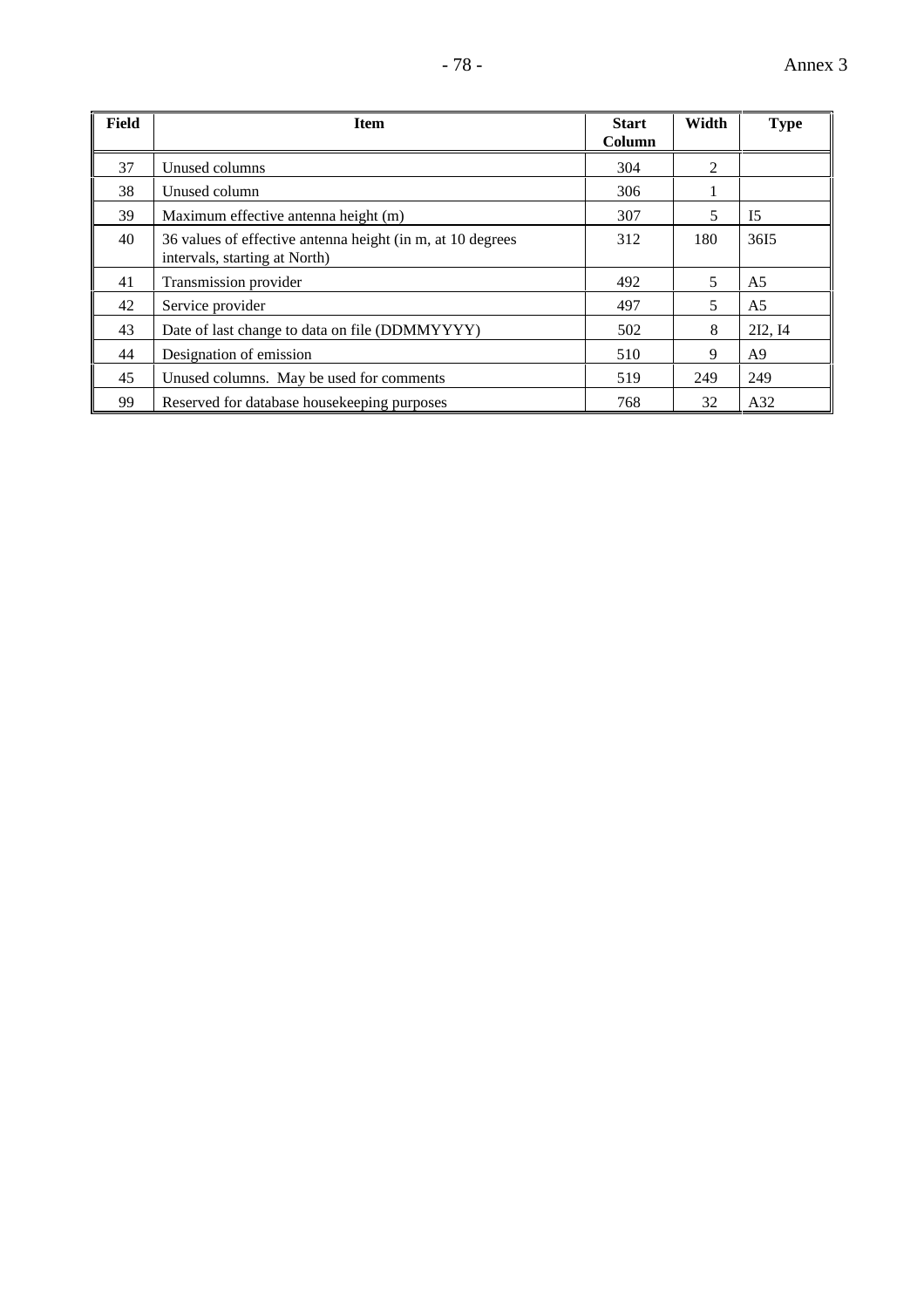| <b>Field</b> | <b>Item</b>                                                                                 | <b>Start</b> | Width | <b>Type</b>    |
|--------------|---------------------------------------------------------------------------------------------|--------------|-------|----------------|
|              |                                                                                             | Column       |       |                |
| 37           | Unused columns                                                                              | 304          | 2     |                |
| 38           | Unused column                                                                               | 306          |       |                |
| 39           | Maximum effective antenna height (m)                                                        | 307          | 5     | I <sub>5</sub> |
| 40           | 36 values of effective antenna height (in m, at 10 degrees<br>intervals, starting at North) | 312          | 180   | 3615           |
| 41           | Transmission provider                                                                       | 492          | 5     | A5             |
| 42           | Service provider                                                                            | 497          | 5     | A5             |
| 43           | Date of last change to data on file (DDMMYYYY)                                              | 502          | 8     | 2I2, 14        |
| 44           | Designation of emission                                                                     | 510          | 9     | A9             |
| 45           | Unused columns. May be used for comments                                                    | 519          | 249   | 249            |
| 99           | Reserved for database housekeeping purposes                                                 | 768          | 32    | A32            |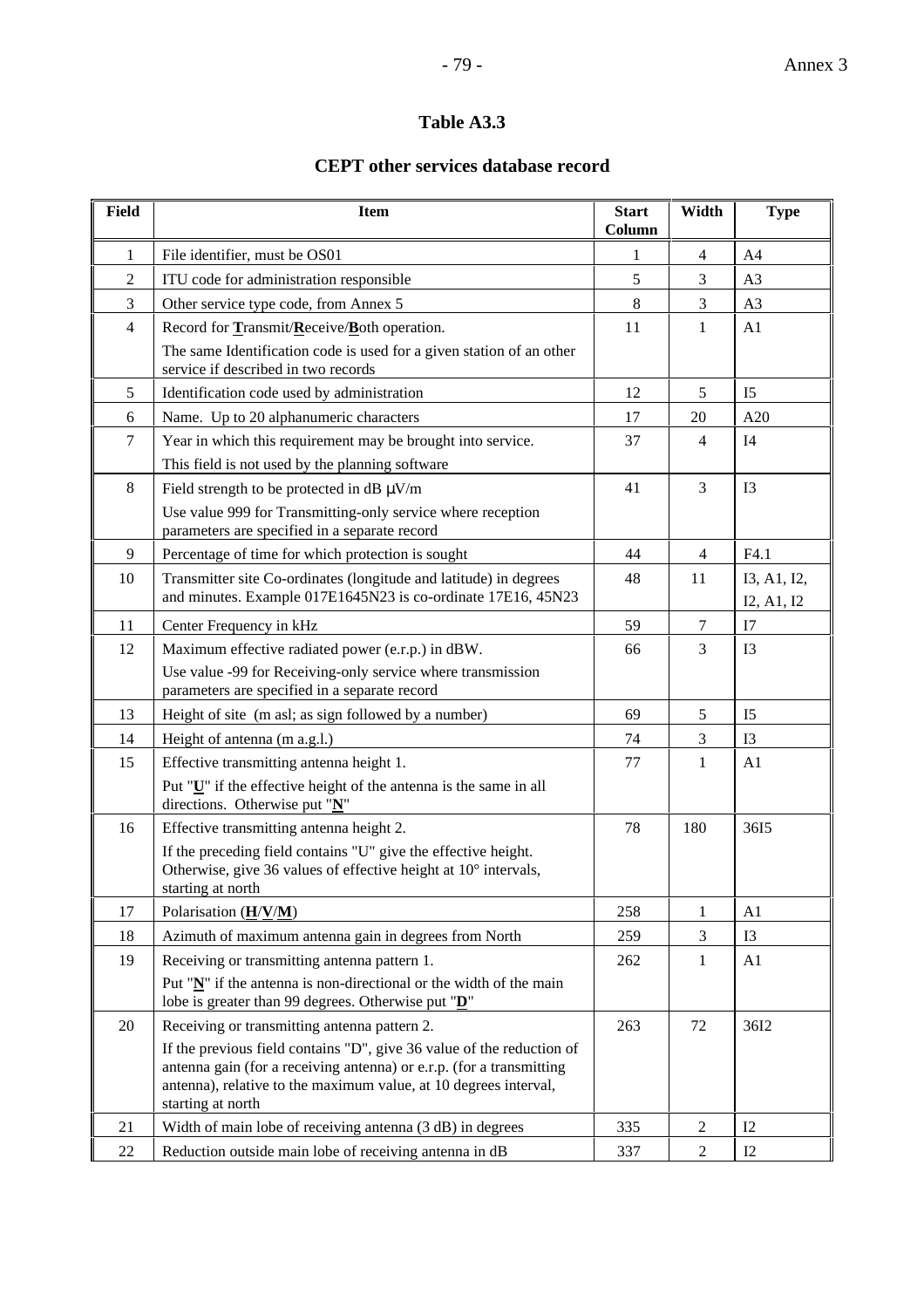### **Table A3.3**

### **CEPT other services database record**

| <b>Field</b>   | <b>Item</b>                                                                                                                                                                                                                            | <b>Start</b><br>Column | Width          | <b>Type</b>               |
|----------------|----------------------------------------------------------------------------------------------------------------------------------------------------------------------------------------------------------------------------------------|------------------------|----------------|---------------------------|
| $\mathbf{1}$   | File identifier, must be OS01                                                                                                                                                                                                          | 1                      | 4              | A4                        |
| $\overline{2}$ | ITU code for administration responsible                                                                                                                                                                                                | 5                      | 3              | A <sub>3</sub>            |
| $\mathfrak{Z}$ | Other service type code, from Annex 5                                                                                                                                                                                                  | 8                      | 3              | A <sub>3</sub>            |
| $\overline{4}$ | Record for Transmit/Receive/Both operation.                                                                                                                                                                                            | 11                     | 1              | A <sub>1</sub>            |
|                | The same Identification code is used for a given station of an other<br>service if described in two records                                                                                                                            |                        |                |                           |
| 5              | Identification code used by administration                                                                                                                                                                                             | 12                     | 5              | I <sub>5</sub>            |
| 6              | Name. Up to 20 alphanumeric characters                                                                                                                                                                                                 | 17                     | 20             | A20                       |
| $\tau$         | Year in which this requirement may be brought into service.<br>This field is not used by the planning software                                                                                                                         | 37                     | $\overline{4}$ | I <sub>4</sub>            |
| $8\,$          | Field strength to be protected in dB $\mu$ V/m<br>Use value 999 for Transmitting-only service where reception<br>parameters are specified in a separate record                                                                         | 41                     | $\overline{3}$ | I3                        |
| 9              | Percentage of time for which protection is sought                                                                                                                                                                                      | 44                     | $\overline{4}$ | F4.1                      |
| 10             | Transmitter site Co-ordinates (longitude and latitude) in degrees<br>and minutes. Example 017E1645N23 is co-ordinate 17E16, 45N23                                                                                                      | 48                     | 11             | I3, A1, I2,<br>I2, A1, I2 |
| 11             | Center Frequency in kHz                                                                                                                                                                                                                | 59                     | $\tau$         | I7                        |
| 12             | Maximum effective radiated power (e.r.p.) in dBW.<br>Use value -99 for Receiving-only service where transmission<br>parameters are specified in a separate record                                                                      | 66                     | 3              | I <sub>3</sub>            |
| 13             | Height of site (m asl; as sign followed by a number)                                                                                                                                                                                   | 69                     | 5              | I <sub>5</sub>            |
| 14             | Height of antenna (m a.g.l.)                                                                                                                                                                                                           | 74                     | $\mathfrak{Z}$ | I3                        |
| 15             | Effective transmitting antenna height 1.                                                                                                                                                                                               | 77                     | $\mathbf{1}$   | A1                        |
|                | Put "U" if the effective height of the antenna is the same in all<br>directions. Otherwise put " $N$ "                                                                                                                                 |                        |                |                           |
| 16             | Effective transmitting antenna height 2.                                                                                                                                                                                               | 78                     | 180            | 3615                      |
|                | If the preceding field contains "U" give the effective height.<br>Otherwise, give 36 values of effective height at 10° intervals,<br>starting at north                                                                                 |                        |                |                           |
| 17             | Polarisation $(\underline{H}/\underline{V}/\underline{M})$                                                                                                                                                                             | 258                    | $\mathbf{1}$   | A1                        |
| 18             | Azimuth of maximum antenna gain in degrees from North                                                                                                                                                                                  | 259                    | 3              | I3                        |
| 19             | Receiving or transmitting antenna pattern 1.                                                                                                                                                                                           | 262                    | $\mathbf{1}$   | A1                        |
|                | Put " $N$ " if the antenna is non-directional or the width of the main<br>lobe is greater than 99 degrees. Otherwise put " $\underline{\mathbf{D}}$ "                                                                                  |                        |                |                           |
| 20             | Receiving or transmitting antenna pattern 2.                                                                                                                                                                                           | 263                    | 72             | 36I2                      |
|                | If the previous field contains "D", give 36 value of the reduction of<br>antenna gain (for a receiving antenna) or e.r.p. (for a transmitting<br>antenna), relative to the maximum value, at 10 degrees interval,<br>starting at north |                        |                |                           |
| 21             | Width of main lobe of receiving antenna (3 dB) in degrees                                                                                                                                                                              | 335                    | $\overline{2}$ | I2                        |
| 22             | Reduction outside main lobe of receiving antenna in dB                                                                                                                                                                                 | 337                    | $\overline{2}$ | I2                        |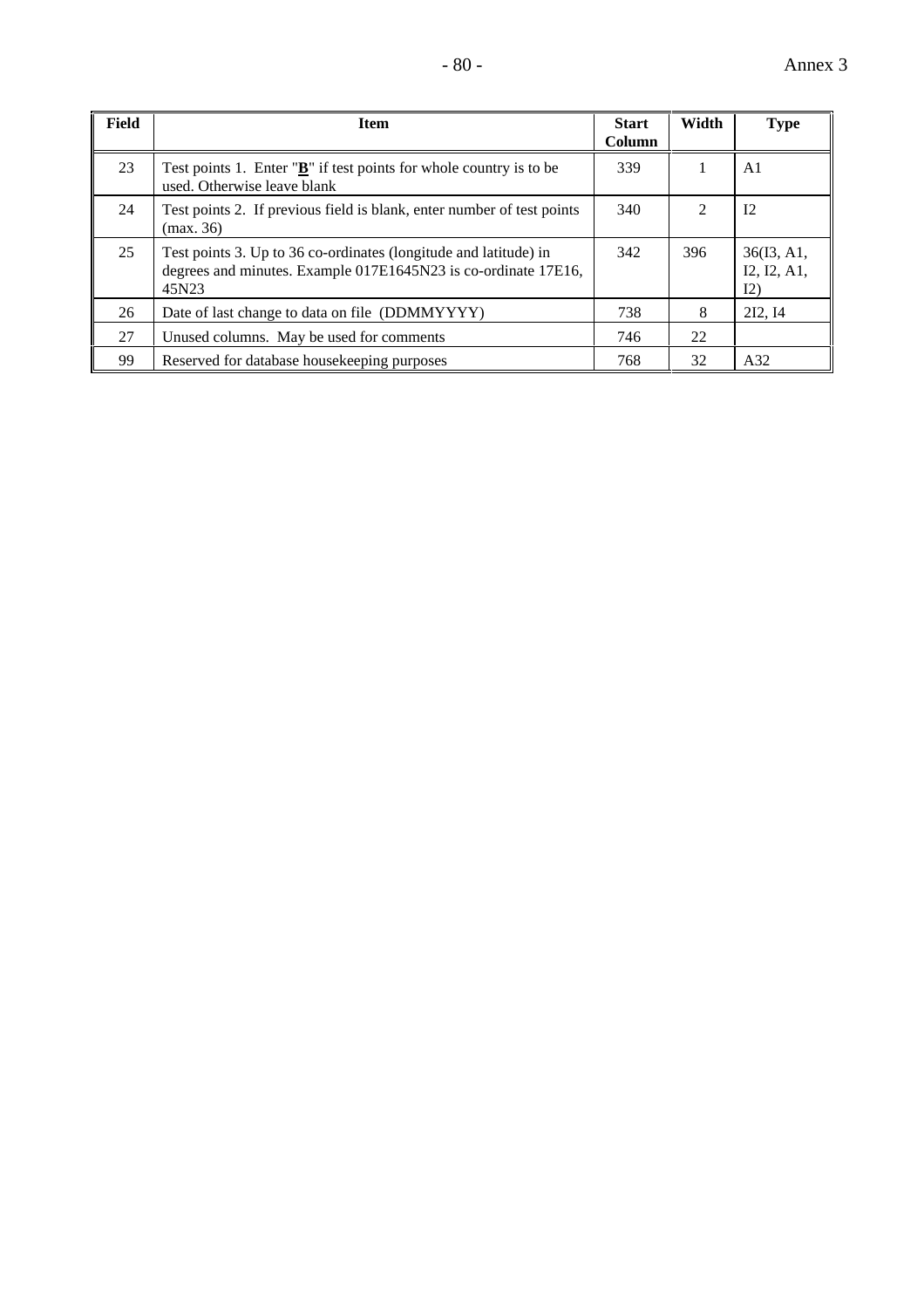| <b>Field</b> | <b>Item</b>                                                                                                                                 | <b>Start</b><br><b>Column</b> | Width                       | <b>Type</b>                      |
|--------------|---------------------------------------------------------------------------------------------------------------------------------------------|-------------------------------|-----------------------------|----------------------------------|
| 23           | Test points 1. Enter " $\underline{\mathbf{B}}$ " if test points for whole country is to be<br>used. Otherwise leave blank                  | 339                           |                             | A1                               |
| 24           | Test points 2. If previous field is blank, enter number of test points<br>(max. 36)                                                         | 340                           | $\mathcal{D}_{\mathcal{L}}$ | 12                               |
| 25           | Test points 3. Up to 36 co-ordinates (longitude and latitude) in<br>degrees and minutes. Example 017E1645N23 is co-ordinate 17E16,<br>45N23 | 342                           | 396                         | 36(13, A1,<br>I2, I2, A1,<br>I2) |
| 26           | Date of last change to data on file (DDMMYYYY)                                                                                              | 738                           | 8                           | 212.14                           |
| 27           | Unused columns. May be used for comments                                                                                                    | 746                           | 22                          |                                  |
| 99           | Reserved for database house keeping purposes                                                                                                | 768                           | 32                          | A32                              |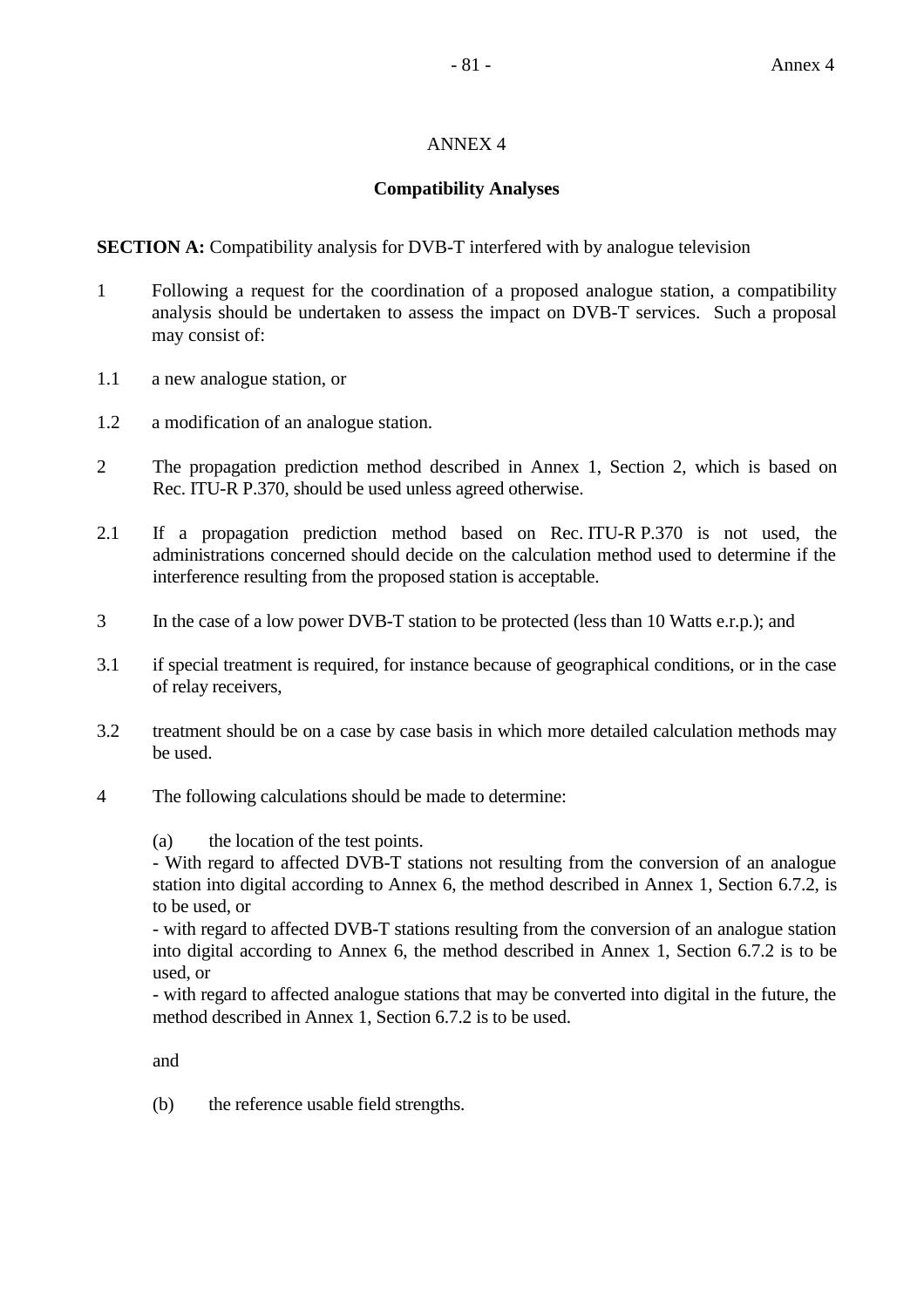### ANNEX 4

### **Compatibility Analyses**

**SECTION A:** Compatibility analysis for DVB-T interfered with by analogue television

- 1 Following a request for the coordination of a proposed analogue station, a compatibility analysis should be undertaken to assess the impact on DVB-T services. Such a proposal may consist of:
- 1.1 a new analogue station, or
- 1.2 a modification of an analogue station.
- 2 The propagation prediction method described in Annex 1, Section 2, which is based on Rec. ITU-R P.370, should be used unless agreed otherwise.
- 2.1 If a propagation prediction method based on Rec. ITU-R P.370 is not used, the administrations concerned should decide on the calculation method used to determine if the interference resulting from the proposed station is acceptable.
- 3 In the case of a low power DVB-T station to be protected (less than 10 Watts e.r.p.); and
- 3.1 if special treatment is required, for instance because of geographical conditions, or in the case of relay receivers,
- 3.2 treatment should be on a case by case basis in which more detailed calculation methods may be used.
- 4 The following calculations should be made to determine:

(a) the location of the test points.

- With regard to affected DVB-T stations not resulting from the conversion of an analogue station into digital according to Annex 6, the method described in Annex 1, Section 6.7.2, is to be used, or

- with regard to affected DVB-T stations resulting from the conversion of an analogue station into digital according to Annex 6, the method described in Annex 1, Section 6.7.2 is to be used, or

- with regard to affected analogue stations that may be converted into digital in the future, the method described in Annex 1, Section 6.7.2 is to be used.

and

(b) the reference usable field strengths.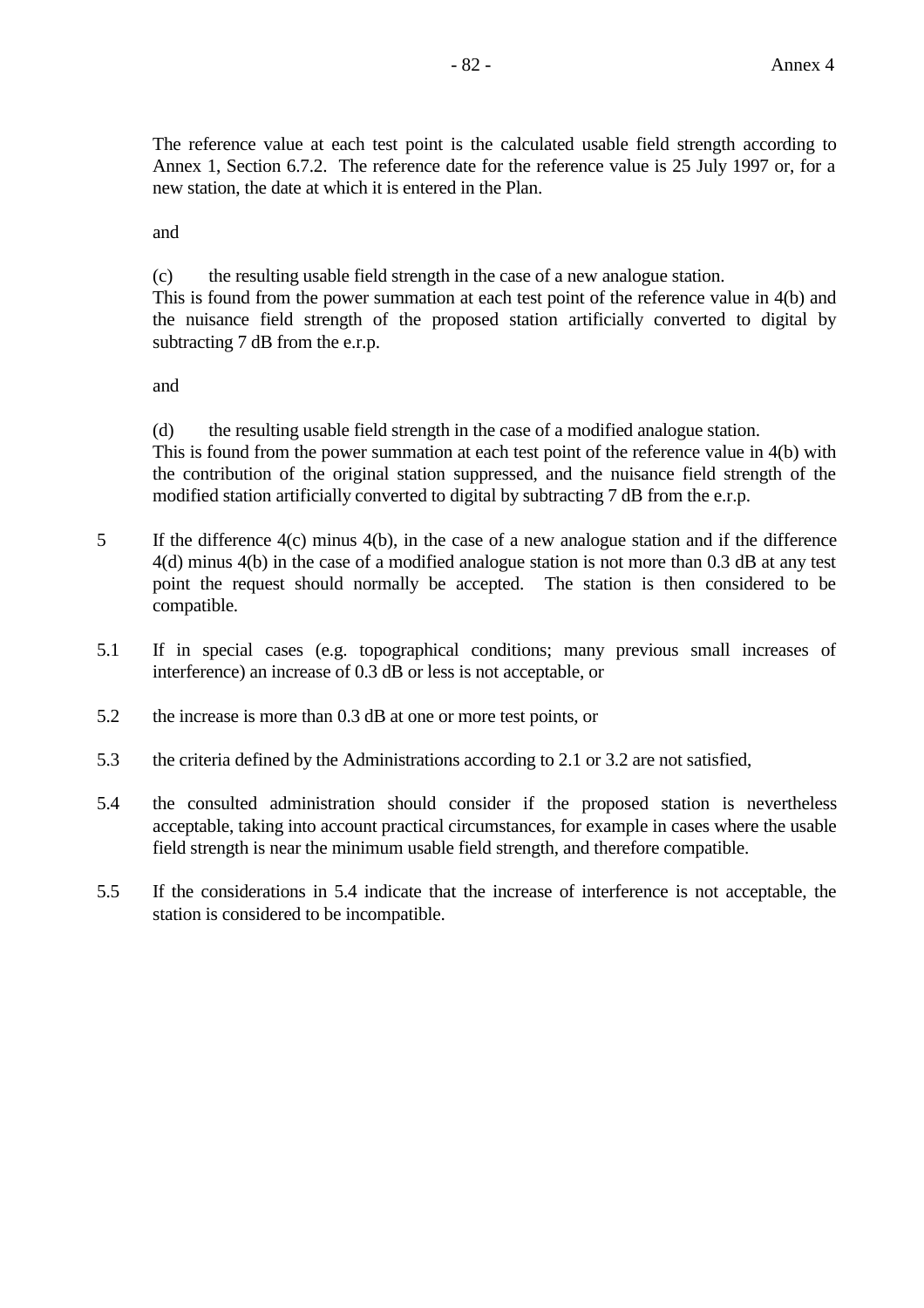The reference value at each test point is the calculated usable field strength according to Annex 1, Section 6.7.2. The reference date for the reference value is 25 July 1997 or, for a new station, the date at which it is entered in the Plan.

and

(c) the resulting usable field strength in the case of a new analogue station.

This is found from the power summation at each test point of the reference value in 4(b) and the nuisance field strength of the proposed station artificially converted to digital by subtracting 7 dB from the e.r.p.

and

(d) the resulting usable field strength in the case of a modified analogue station. This is found from the power summation at each test point of the reference value in 4(b) with the contribution of the original station suppressed, and the nuisance field strength of the modified station artificially converted to digital by subtracting 7 dB from the e.r.p.

- 5 If the difference 4(c) minus 4(b), in the case of a new analogue station and if the difference 4(d) minus 4(b) in the case of a modified analogue station is not more than 0.3 dB at any test point the request should normally be accepted. The station is then considered to be compatible.
- 5.1 If in special cases (e.g. topographical conditions; many previous small increases of interference) an increase of 0.3 dB or less is not acceptable, or
- 5.2 the increase is more than 0.3 dB at one or more test points, or
- 5.3 the criteria defined by the Administrations according to 2.1 or 3.2 are not satisfied,
- 5.4 the consulted administration should consider if the proposed station is nevertheless acceptable, taking into account practical circumstances, for example in cases where the usable field strength is near the minimum usable field strength, and therefore compatible.
- 5.5 If the considerations in 5.4 indicate that the increase of interference is not acceptable, the station is considered to be incompatible.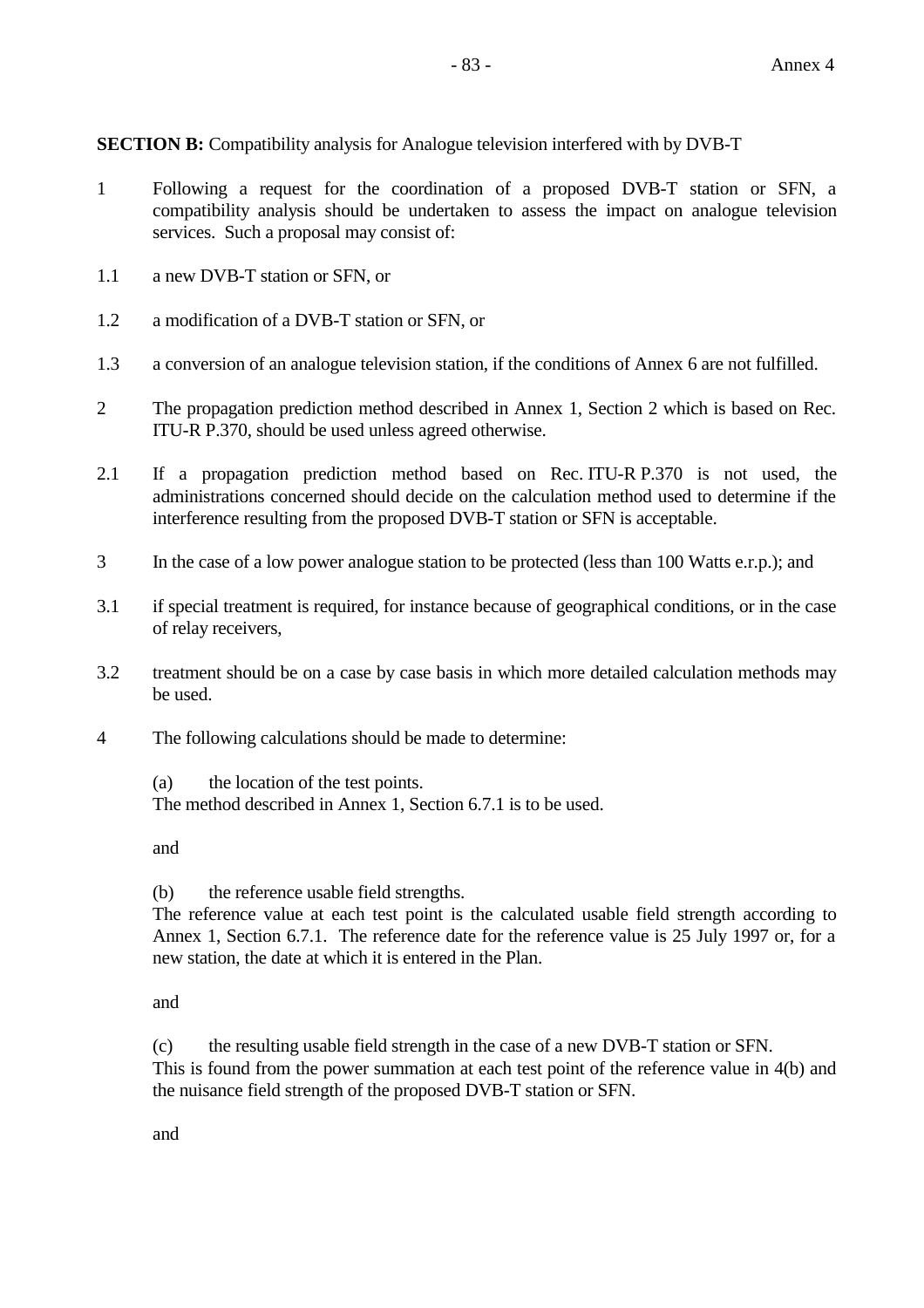**SECTION B:** Compatibility analysis for Analogue television interfered with by DVB-T

- 1 Following a request for the coordination of a proposed DVB-T station or SFN, a compatibility analysis should be undertaken to assess the impact on analogue television services. Such a proposal may consist of:
- 1.1 a new DVB-T station or SFN, or
- 1.2 a modification of a DVB-T station or SFN, or
- 1.3 a conversion of an analogue television station, if the conditions of Annex 6 are not fulfilled.
- 2 The propagation prediction method described in Annex 1, Section 2 which is based on Rec. ITU-R P.370, should be used unless agreed otherwise.
- 2.1 If a propagation prediction method based on Rec. ITU-R P.370 is not used, the administrations concerned should decide on the calculation method used to determine if the interference resulting from the proposed DVB-T station or SFN is acceptable.
- 3 In the case of a low power analogue station to be protected (less than 100 Watts e.r.p.); and
- 3.1 if special treatment is required, for instance because of geographical conditions, or in the case of relay receivers,
- 3.2 treatment should be on a case by case basis in which more detailed calculation methods may be used.
- 4 The following calculations should be made to determine:

(a) the location of the test points. The method described in Annex 1, Section 6.7.1 is to be used.

and

(b) the reference usable field strengths.

The reference value at each test point is the calculated usable field strength according to Annex 1, Section 6.7.1. The reference date for the reference value is 25 July 1997 or, for a new station, the date at which it is entered in the Plan.

and

(c) the resulting usable field strength in the case of a new DVB-T station or SFN. This is found from the power summation at each test point of the reference value in 4(b) and the nuisance field strength of the proposed DVB-T station or SFN.

and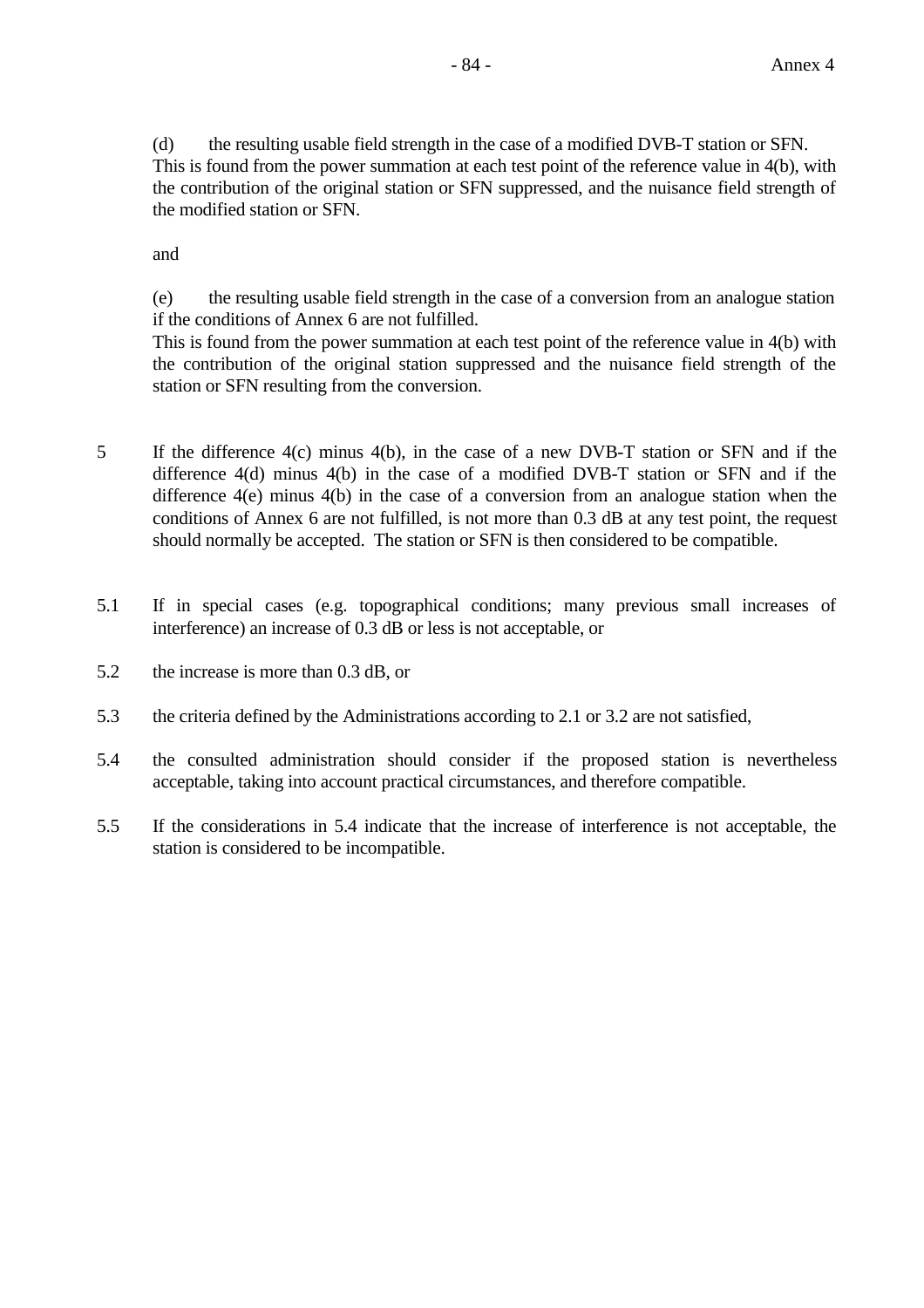(d) the resulting usable field strength in the case of a modified DVB-T station or SFN. This is found from the power summation at each test point of the reference value in 4(b), with the contribution of the original station or SFN suppressed, and the nuisance field strength of the modified station or SFN.

and

(e) the resulting usable field strength in the case of a conversion from an analogue station if the conditions of Annex 6 are not fulfilled.

This is found from the power summation at each test point of the reference value in 4(b) with the contribution of the original station suppressed and the nuisance field strength of the station or SFN resulting from the conversion.

- 5 If the difference 4(c) minus 4(b), in the case of a new DVB-T station or SFN and if the difference 4(d) minus 4(b) in the case of a modified DVB-T station or SFN and if the difference 4(e) minus 4(b) in the case of a conversion from an analogue station when the conditions of Annex 6 are not fulfilled, is not more than 0.3 dB at any test point, the request should normally be accepted. The station or SFN is then considered to be compatible.
- 5.1 If in special cases (e.g. topographical conditions; many previous small increases of interference) an increase of 0.3 dB or less is not acceptable, or
- 5.2 the increase is more than 0.3 dB, or
- 5.3 the criteria defined by the Administrations according to 2.1 or 3.2 are not satisfied,
- 5.4 the consulted administration should consider if the proposed station is nevertheless acceptable, taking into account practical circumstances, and therefore compatible.
- 5.5 If the considerations in 5.4 indicate that the increase of interference is not acceptable, the station is considered to be incompatible.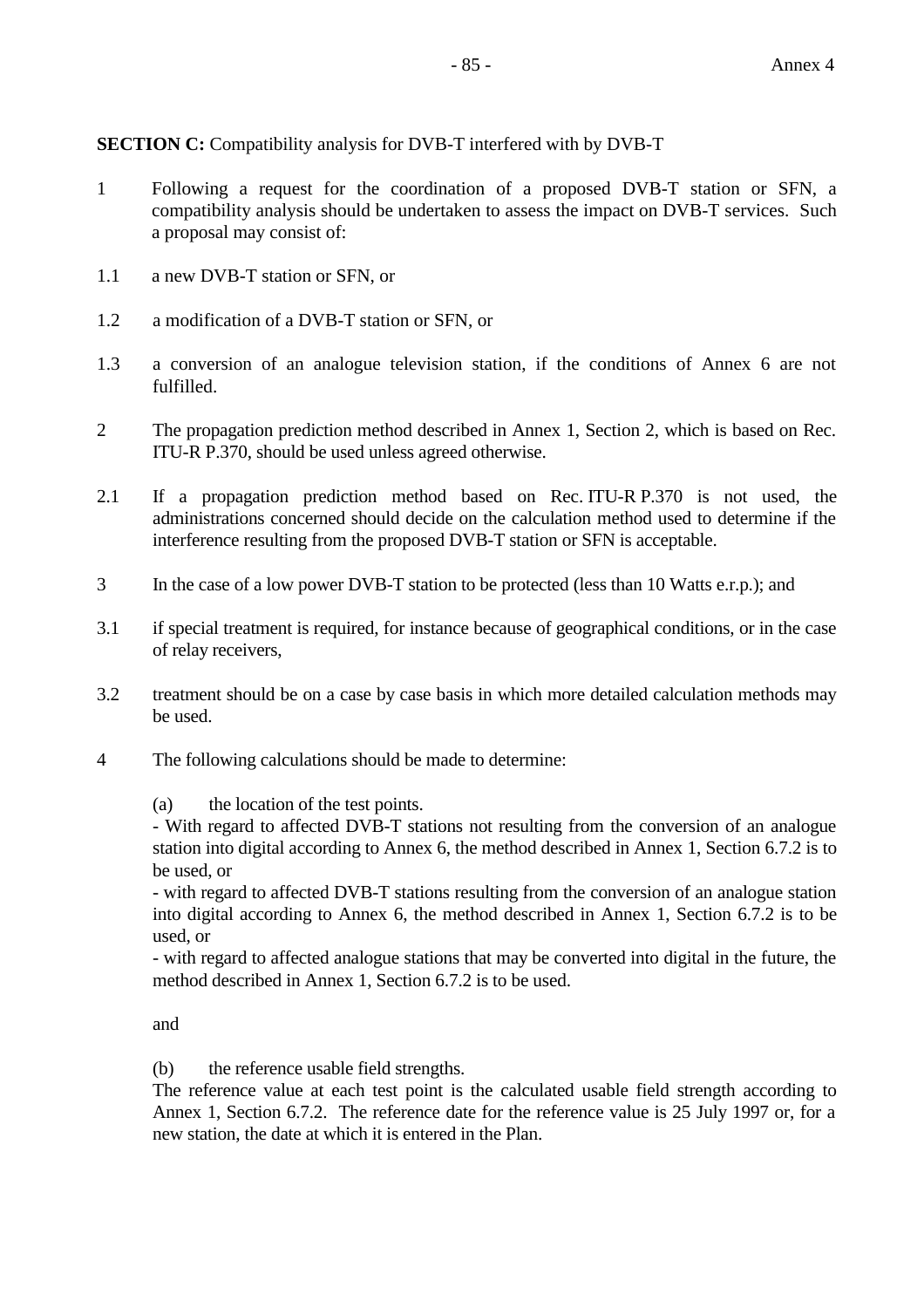**SECTION C:** Compatibility analysis for DVB-T interfered with by DVB-T

- 1 Following a request for the coordination of a proposed DVB-T station or SFN, a compatibility analysis should be undertaken to assess the impact on DVB-T services. Such a proposal may consist of:
- 1.1 a new DVB-T station or SFN, or
- 1.2 a modification of a DVB-T station or SFN, or
- 1.3 a conversion of an analogue television station, if the conditions of Annex 6 are not fulfilled.
- 2 The propagation prediction method described in Annex 1, Section 2, which is based on Rec. ITU-R P.370, should be used unless agreed otherwise.
- 2.1 If a propagation prediction method based on Rec. ITU-R P.370 is not used, the administrations concerned should decide on the calculation method used to determine if the interference resulting from the proposed DVB-T station or SFN is acceptable.
- 3 In the case of a low power DVB-T station to be protected (less than 10 Watts e.r.p.); and
- 3.1 if special treatment is required, for instance because of geographical conditions, or in the case of relay receivers,
- 3.2 treatment should be on a case by case basis in which more detailed calculation methods may be used.
- 4 The following calculations should be made to determine:

(a) the location of the test points.

- With regard to affected DVB-T stations not resulting from the conversion of an analogue station into digital according to Annex 6, the method described in Annex 1, Section 6.7.2 is to be used, or

- with regard to affected DVB-T stations resulting from the conversion of an analogue station into digital according to Annex 6, the method described in Annex 1, Section 6.7.2 is to be used, or

- with regard to affected analogue stations that may be converted into digital in the future, the method described in Annex 1, Section 6.7.2 is to be used.

and

(b) the reference usable field strengths.

The reference value at each test point is the calculated usable field strength according to Annex 1, Section 6.7.2. The reference date for the reference value is 25 July 1997 or, for a new station, the date at which it is entered in the Plan.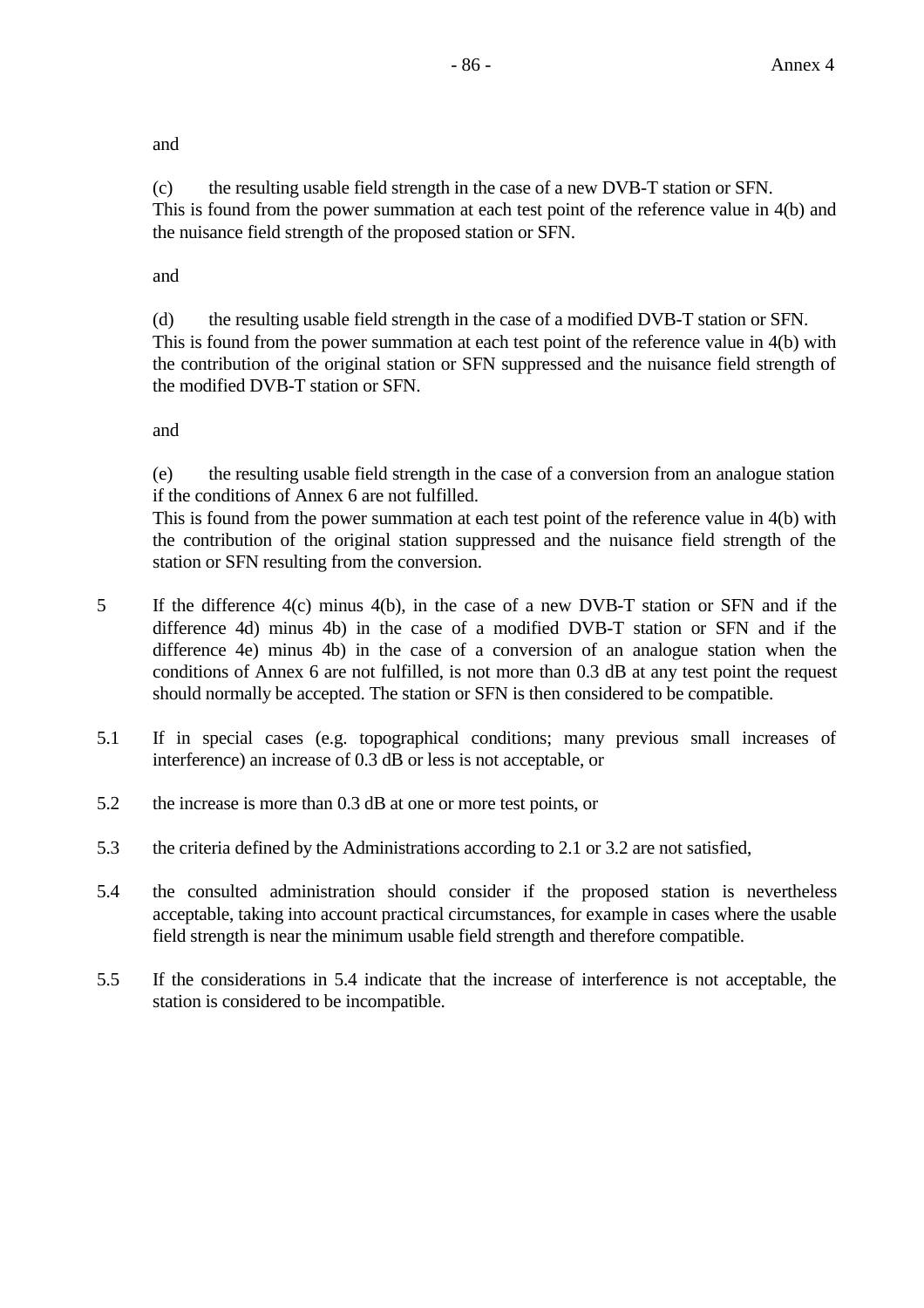and

(c) the resulting usable field strength in the case of a new DVB-T station or SFN. This is found from the power summation at each test point of the reference value in 4(b) and the nuisance field strength of the proposed station or SFN.

and

(d) the resulting usable field strength in the case of a modified DVB-T station or SFN. This is found from the power summation at each test point of the reference value in 4(b) with the contribution of the original station or SFN suppressed and the nuisance field strength of the modified DVB-T station or SFN.

and

(e) the resulting usable field strength in the case of a conversion from an analogue station if the conditions of Annex 6 are not fulfilled.

This is found from the power summation at each test point of the reference value in 4(b) with the contribution of the original station suppressed and the nuisance field strength of the station or SFN resulting from the conversion.

- 5 If the difference 4(c) minus 4(b), in the case of a new DVB-T station or SFN and if the difference 4d) minus 4b) in the case of a modified DVB-T station or SFN and if the difference 4e) minus 4b) in the case of a conversion of an analogue station when the conditions of Annex 6 are not fulfilled, is not more than 0.3 dB at any test point the request should normally be accepted. The station or SFN is then considered to be compatible.
- 5.1 If in special cases (e.g. topographical conditions; many previous small increases of interference) an increase of 0.3 dB or less is not acceptable, or
- 5.2 the increase is more than 0.3 dB at one or more test points, or
- 5.3 the criteria defined by the Administrations according to 2.1 or 3.2 are not satisfied,
- 5.4 the consulted administration should consider if the proposed station is nevertheless acceptable, taking into account practical circumstances, for example in cases where the usable field strength is near the minimum usable field strength and therefore compatible.
- 5.5 If the considerations in 5.4 indicate that the increase of interference is not acceptable, the station is considered to be incompatible.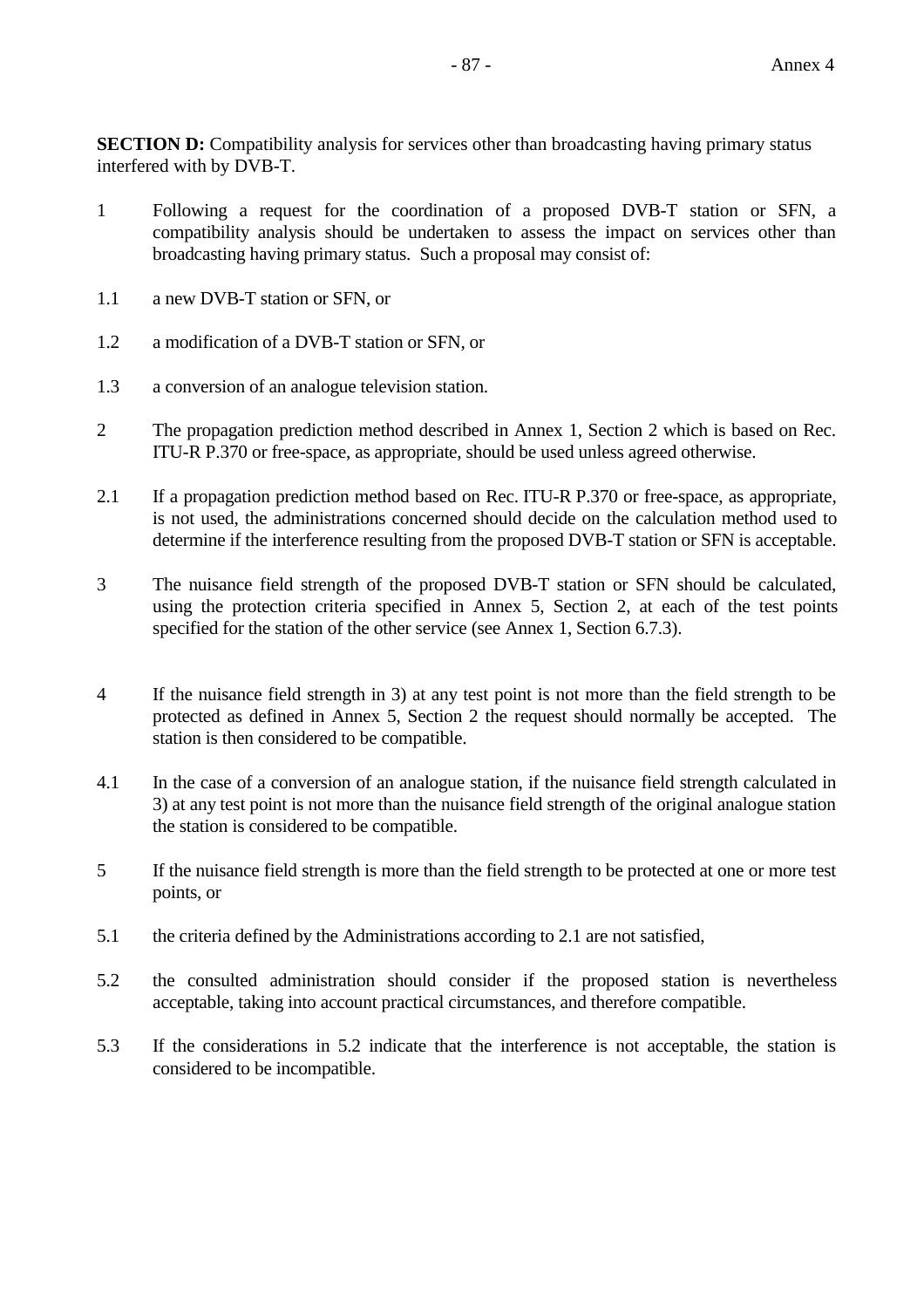**SECTION D:** Compatibility analysis for services other than broadcasting having primary status interfered with by DVB-T.

- 1 Following a request for the coordination of a proposed DVB-T station or SFN, a compatibility analysis should be undertaken to assess the impact on services other than broadcasting having primary status. Such a proposal may consist of:
- 1.1 a new DVB-T station or SFN, or
- 1.2 a modification of a DVB-T station or SFN, or
- 1.3 a conversion of an analogue television station.
- 2 The propagation prediction method described in Annex 1, Section 2 which is based on Rec. ITU-R P.370 or free-space, as appropriate, should be used unless agreed otherwise.
- 2.1 If a propagation prediction method based on Rec. ITU-R P.370 or free-space, as appropriate, is not used, the administrations concerned should decide on the calculation method used to determine if the interference resulting from the proposed DVB-T station or SFN is acceptable.
- 3 The nuisance field strength of the proposed DVB-T station or SFN should be calculated, using the protection criteria specified in Annex 5, Section 2, at each of the test points specified for the station of the other service (see Annex 1, Section 6.7.3).
- 4 If the nuisance field strength in 3) at any test point is not more than the field strength to be protected as defined in Annex 5, Section 2 the request should normally be accepted. The station is then considered to be compatible.
- 4.1 In the case of a conversion of an analogue station, if the nuisance field strength calculated in 3) at any test point is not more than the nuisance field strength of the original analogue station the station is considered to be compatible.
- 5 If the nuisance field strength is more than the field strength to be protected at one or more test points, or
- 5.1 the criteria defined by the Administrations according to 2.1 are not satisfied,
- 5.2 the consulted administration should consider if the proposed station is nevertheless acceptable, taking into account practical circumstances, and therefore compatible.
- 5.3 If the considerations in 5.2 indicate that the interference is not acceptable, the station is considered to be incompatible.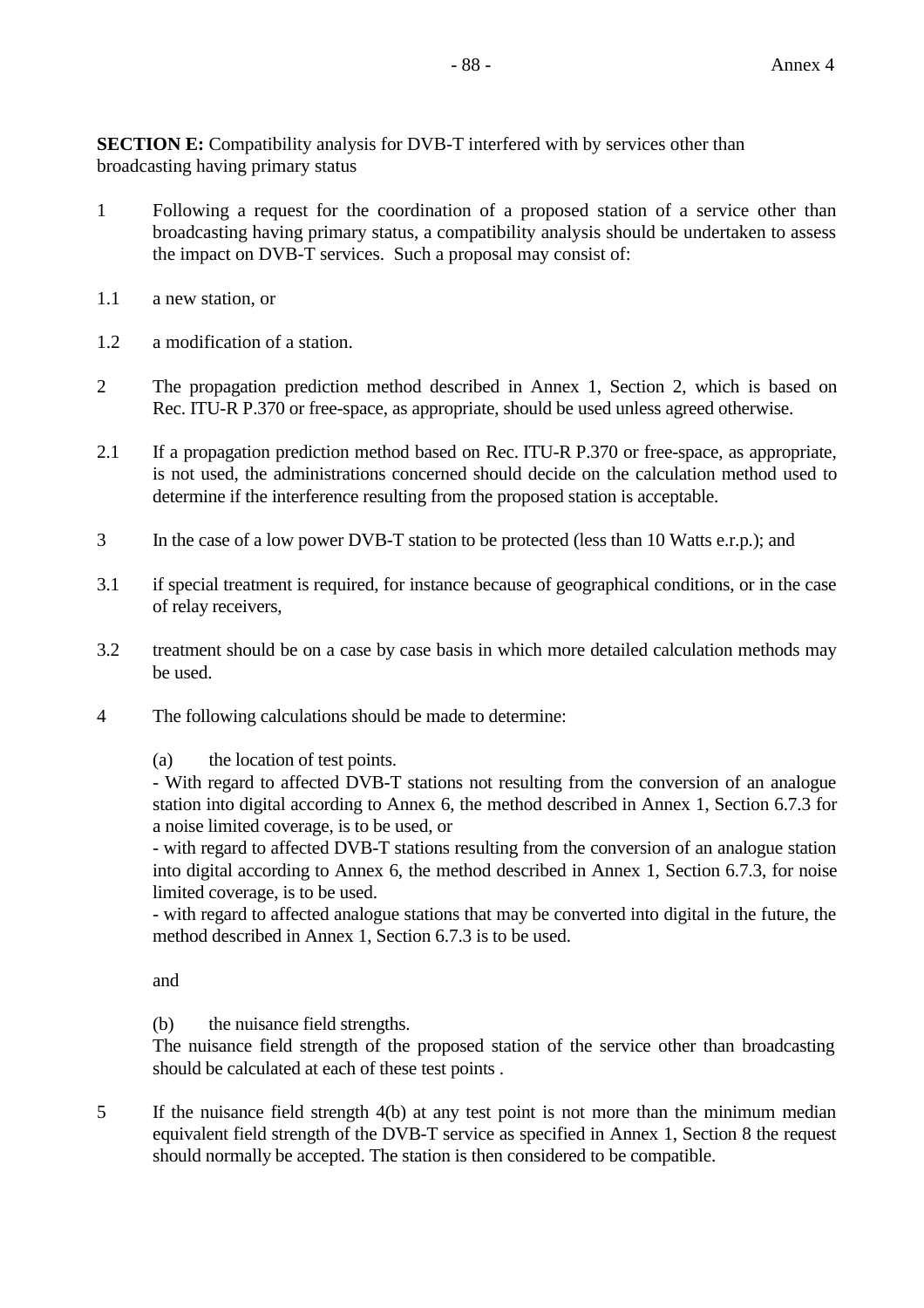**SECTION E:** Compatibility analysis for DVB-T interfered with by services other than broadcasting having primary status

- 1 Following a request for the coordination of a proposed station of a service other than broadcasting having primary status, a compatibility analysis should be undertaken to assess the impact on DVB-T services. Such a proposal may consist of:
- 1.1 a new station, or
- 1.2 a modification of a station.
- 2 The propagation prediction method described in Annex 1, Section 2, which is based on Rec. ITU-R P.370 or free-space, as appropriate, should be used unless agreed otherwise.
- 2.1 If a propagation prediction method based on Rec. ITU-R P.370 or free-space, as appropriate, is not used, the administrations concerned should decide on the calculation method used to determine if the interference resulting from the proposed station is acceptable.
- 3 In the case of a low power DVB-T station to be protected (less than 10 Watts e.r.p.); and
- 3.1 if special treatment is required, for instance because of geographical conditions, or in the case of relay receivers,
- 3.2 treatment should be on a case by case basis in which more detailed calculation methods may be used.
- 4 The following calculations should be made to determine:

(a) the location of test points.

- With regard to affected DVB-T stations not resulting from the conversion of an analogue station into digital according to Annex 6, the method described in Annex 1, Section 6.7.3 for a noise limited coverage, is to be used, or

- with regard to affected DVB-T stations resulting from the conversion of an analogue station into digital according to Annex 6, the method described in Annex 1, Section 6.7.3, for noise limited coverage, is to be used.

- with regard to affected analogue stations that may be converted into digital in the future, the method described in Annex 1, Section 6.7.3 is to be used.

and

(b) the nuisance field strengths.

The nuisance field strength of the proposed station of the service other than broadcasting should be calculated at each of these test points .

5 If the nuisance field strength 4(b) at any test point is not more than the minimum median equivalent field strength of the DVB-T service as specified in Annex 1, Section 8 the request should normally be accepted. The station is then considered to be compatible.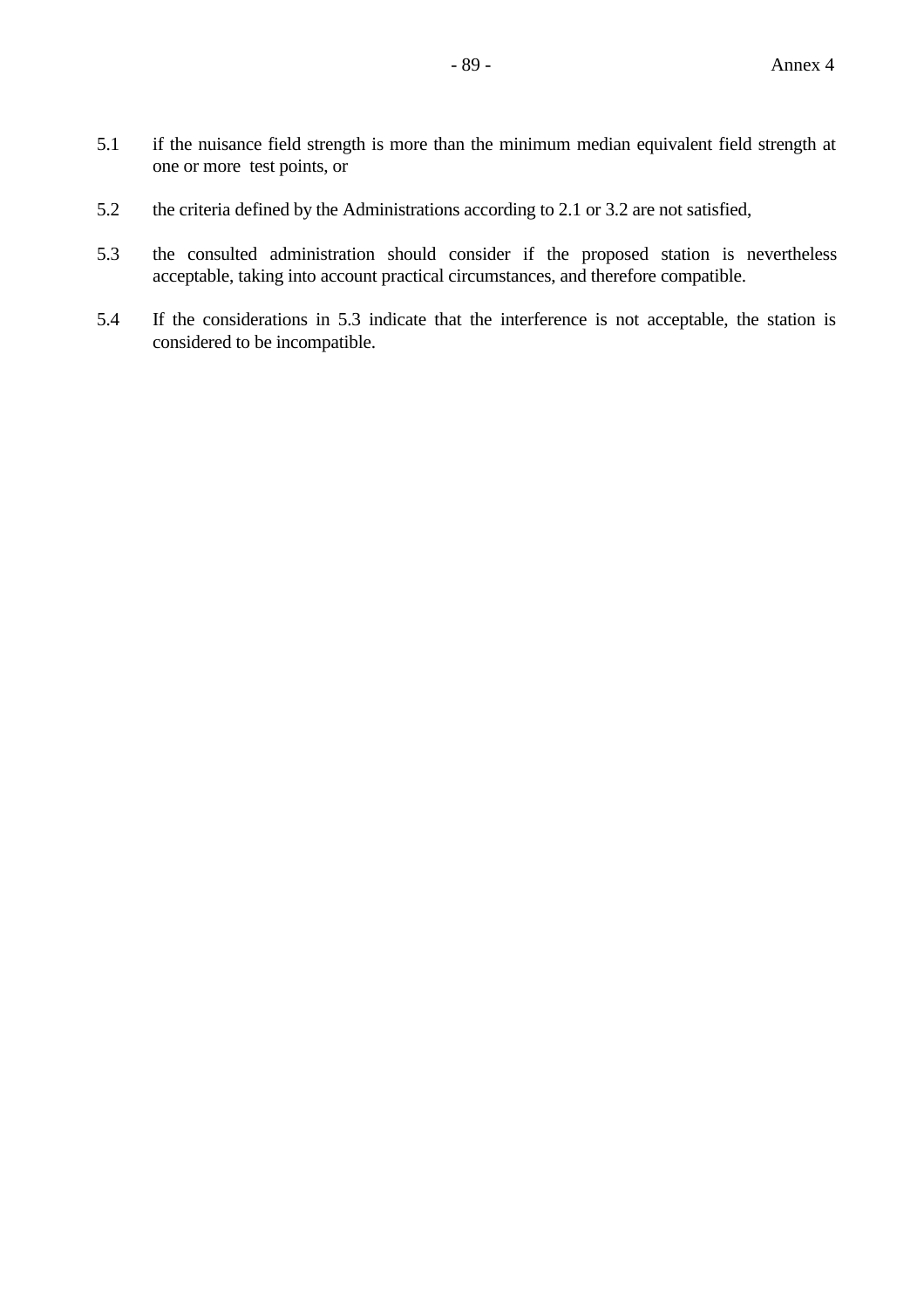- 5.1 if the nuisance field strength is more than the minimum median equivalent field strength at one or more test points, or
- 5.2 the criteria defined by the Administrations according to 2.1 or 3.2 are not satisfied,
- 5.3 the consulted administration should consider if the proposed station is nevertheless acceptable, taking into account practical circumstances, and therefore compatible.
- 5.4 If the considerations in 5.3 indicate that the interference is not acceptable, the station is considered to be incompatible.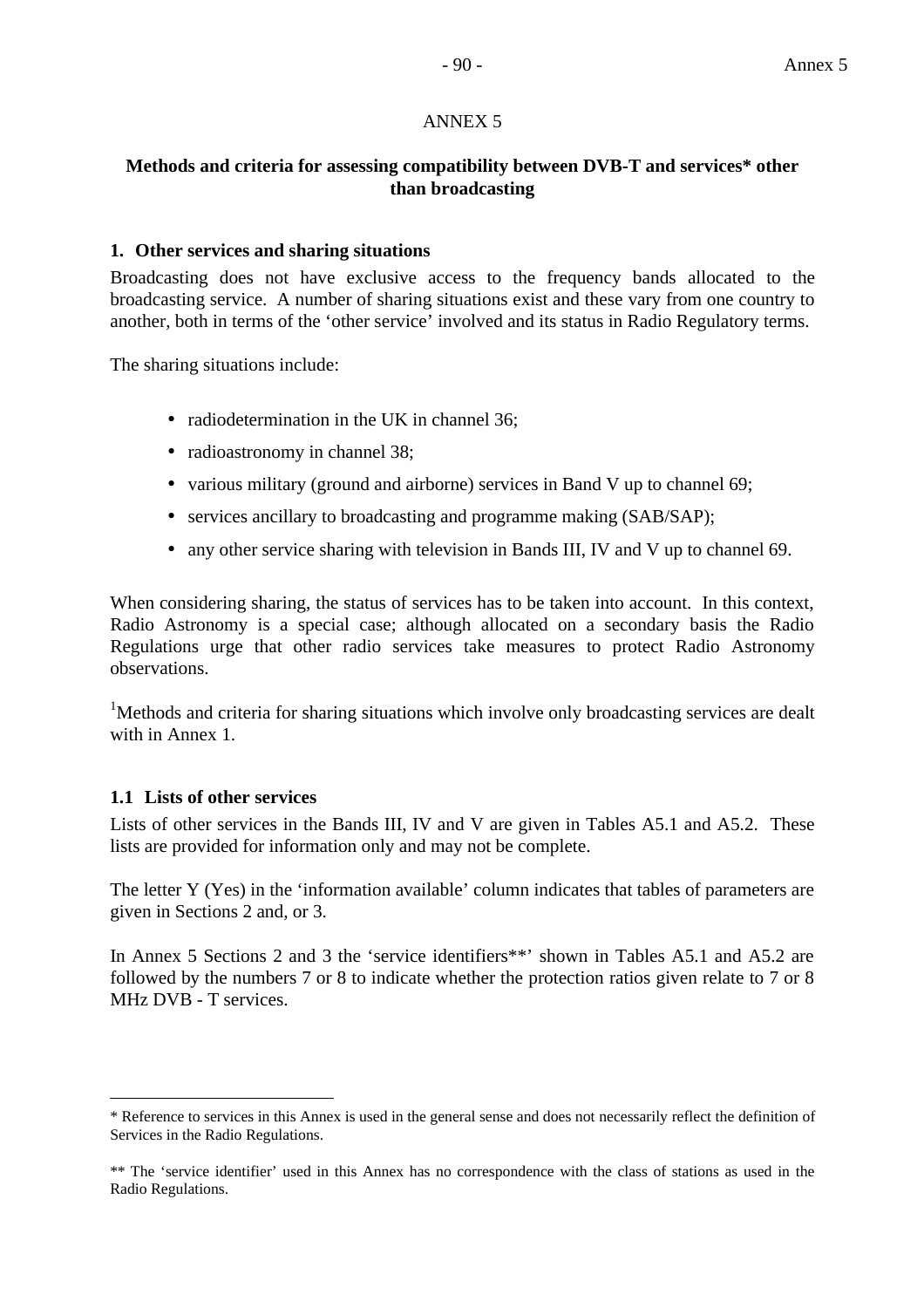### ANNEX 5

### **Methods and criteria for assessing compatibility between DVB-T and services\* other than broadcasting**

### **1. Other services and sharing situations**

Broadcasting does not have exclusive access to the frequency bands allocated to the broadcasting service. A number of sharing situations exist and these vary from one country to another, both in terms of the 'other service' involved and its status in Radio Regulatory terms.

The sharing situations include:

- radiodetermination in the UK in channel 36;
- radioastronomy in channel 38;
- various military (ground and airborne) services in Band V up to channel 69;
- services ancillary to broadcasting and programme making (SAB/SAP);
- any other service sharing with television in Bands III, IV and V up to channel 69.

When considering sharing, the status of services has to be taken into account. In this context, Radio Astronomy is a special case; although allocated on a secondary basis the Radio Regulations urge that other radio services take measures to protect Radio Astronomy observations.

<sup>1</sup>Methods and criteria for sharing situations which involve only broadcasting services are dealt with in Annex 1.

### **1.1 Lists of other services**

 $\overline{a}$ 

Lists of other services in the Bands III, IV and V are given in Tables A5.1 and A5.2. These lists are provided for information only and may not be complete.

The letter Y (Yes) in the 'information available' column indicates that tables of parameters are given in Sections 2 and, or 3.

In Annex 5 Sections 2 and 3 the 'service identifiers\*\*' shown in Tables A5.1 and A5.2 are followed by the numbers 7 or 8 to indicate whether the protection ratios given relate to 7 or 8 MHz DVB - T services.

<sup>\*</sup> Reference to services in this Annex is used in the general sense and does not necessarily reflect the definition of Services in the Radio Regulations.

<sup>\*\*</sup> The 'service identifier' used in this Annex has no correspondence with the class of stations as used in the Radio Regulations.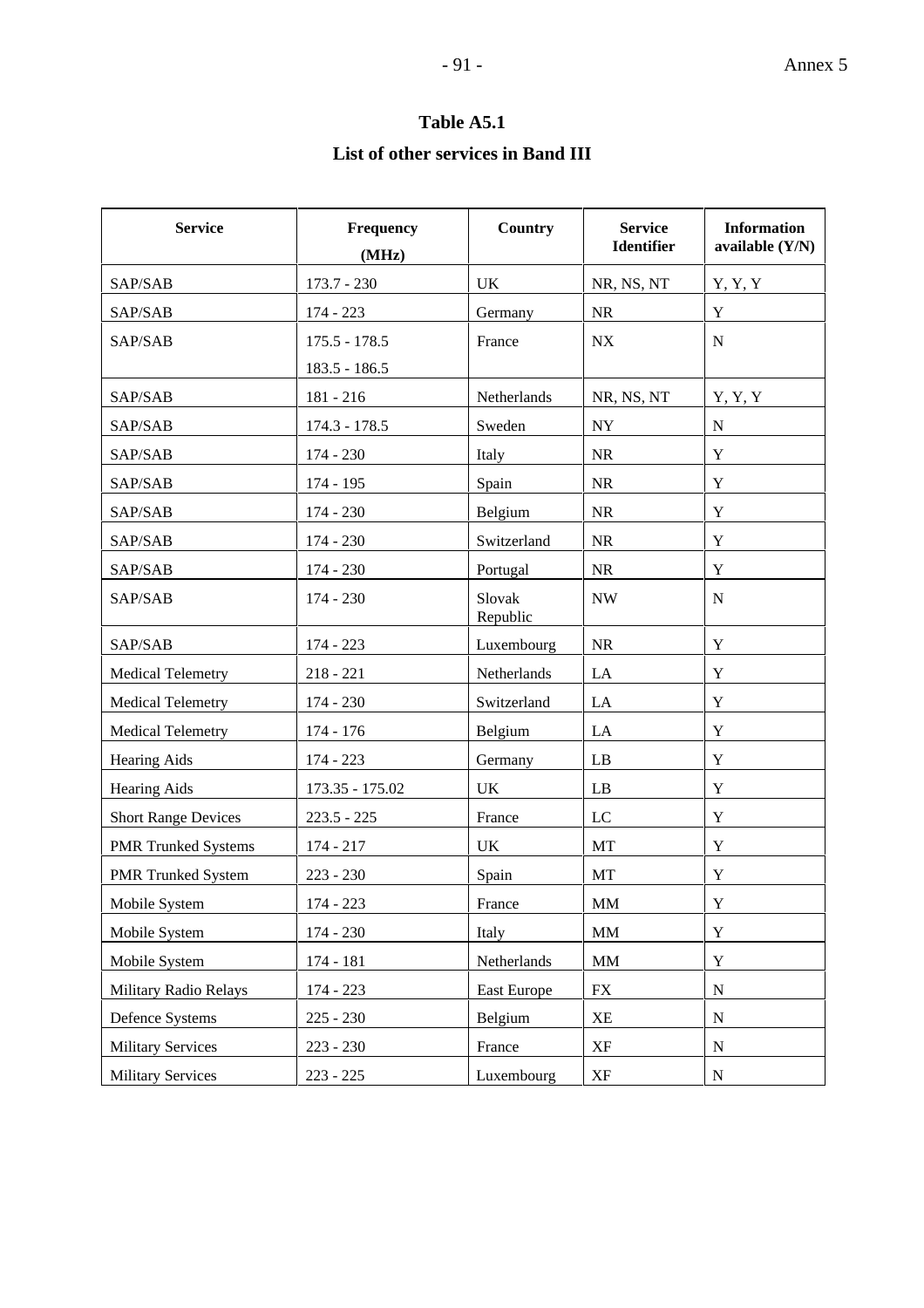### **Table A5.1**

### **List of other services in Band III**

| <b>Service</b>             | Frequency<br>(MHz) | Country            | <b>Service</b><br><b>Identifier</b> | <b>Information</b><br>available $(Y/N)$ |
|----------------------------|--------------------|--------------------|-------------------------------------|-----------------------------------------|
| SAP/SAB                    | $173.7 - 230$      | UK                 | NR, NS, NT                          | Y, Y, Y                                 |
| SAP/SAB                    | 174 - 223          | Germany            | $\rm NR$                            | $\mathbf Y$                             |
| SAP/SAB                    | $175.5 - 178.5$    | France             | NX                                  | ${\bf N}$                               |
|                            | $183.5 - 186.5$    |                    |                                     |                                         |
| SAP/SAB                    | 181 - 216          | Netherlands        | NR, NS, NT                          | Y, Y, Y                                 |
| SAP/SAB                    | $174.3 - 178.5$    | Sweden             | ${\rm NY}$                          | ${\bf N}$                               |
| SAP/SAB                    | 174 - 230          | Italy              | <b>NR</b>                           | $\mathbf Y$                             |
| SAP/SAB                    | 174 - 195          | Spain              | $\rm NR$                            | $\mathbf Y$                             |
| SAP/SAB                    | $174 - 230$        | Belgium            | <b>NR</b>                           | $\mathbf Y$                             |
| SAP/SAB                    | 174 - 230          | Switzerland        | $\rm NR$                            | $\mathbf Y$                             |
| SAP/SAB                    | 174 - 230          | Portugal           | <b>NR</b>                           | Y                                       |
| SAP/SAB                    | 174 - 230          | Slovak<br>Republic | <b>NW</b>                           | $\mathbf N$                             |
| SAP/SAB                    | $174 - 223$        | Luxembourg         | <b>NR</b>                           | Y                                       |
| <b>Medical Telemetry</b>   | $218 - 221$        | Netherlands        | LA                                  | Y                                       |
| <b>Medical Telemetry</b>   | 174 - 230          | Switzerland        | LA                                  | Y                                       |
| <b>Medical Telemetry</b>   | 174 - 176          | Belgium            | LA                                  | $\mathbf Y$                             |
| Hearing Aids               | 174 - 223          | Germany            | LB                                  | Y                                       |
| <b>Hearing Aids</b>        | 173.35 - 175.02    | UK                 | LB                                  | Y                                       |
| <b>Short Range Devices</b> | $223.5 - 225$      | France             | LC                                  | $\mathbf Y$                             |
| <b>PMR Trunked Systems</b> | $174 - 217$        | UK                 | MT                                  | $\mathbf Y$                             |
| <b>PMR</b> Trunked System  | $223 - 230$        | Spain              | MT                                  | Y                                       |
| Mobile System              | 174 - 223          | France             | $\mathbf{M}\mathbf{M}$              | $\mathbf Y$                             |
| Mobile System              | $174 - 230$        | Italy              | $\text{MM}{}$                       | $\mathbf Y$                             |
| Mobile System              | 174 - 181          | Netherlands        | $\text{MM}{}$                       | Y                                       |
| Military Radio Relays      | 174 - 223          | East Europe        | ${\rm FX}$                          | ${\bf N}$                               |
| Defence Systems            | $225 - 230$        | Belgium            | ΧE                                  | N                                       |
| <b>Military Services</b>   | $223 - 230$        | France             | XF                                  | $\mathbf N$                             |
| <b>Military Services</b>   | $223 - 225$        | Luxembourg         | XF                                  | $\mathbf N$                             |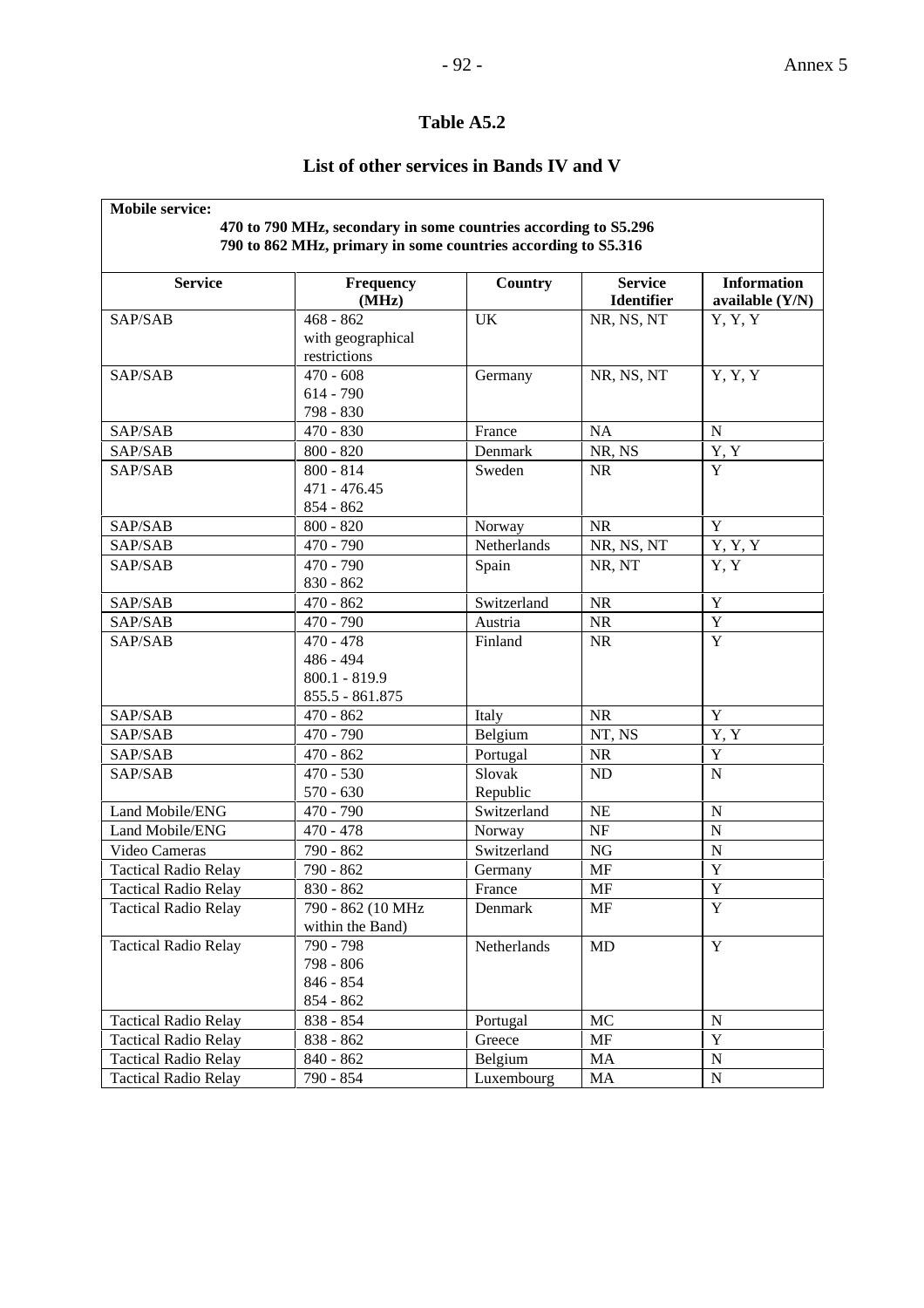### - 92 - Annex 5

### **Table A5.2**

### **List of other services in Bands IV and V**

| <b>Mobile service:</b>      | 470 to 790 MHz, secondary in some countries according to S5.296 |             |                                     |                                         |
|-----------------------------|-----------------------------------------------------------------|-------------|-------------------------------------|-----------------------------------------|
|                             | 790 to 862 MHz, primary in some countries according to S5.316   |             |                                     |                                         |
| <b>Service</b>              | Frequency<br>(MHz)                                              | Country     | <b>Service</b><br><b>Identifier</b> | <b>Information</b><br>available $(Y/N)$ |
| SAP/SAB                     | $468 - 862$                                                     | <b>UK</b>   | NR, NS, NT                          | Y, Y, Y                                 |
|                             | with geographical                                               |             |                                     |                                         |
|                             | restrictions                                                    |             |                                     |                                         |
| SAP/SAB                     | $470 - 608$                                                     | Germany     | NR, NS, NT                          | Y, Y, Y                                 |
|                             | $614 - 790$                                                     |             |                                     |                                         |
|                             | 798 - 830                                                       |             |                                     |                                         |
| SAP/SAB                     | $470 - 830$                                                     | France      | <b>NA</b>                           | $\mathbf N$                             |
| SAP/SAB                     | $800 - 820$                                                     | Denmark     | NR, NS                              | Y, Y                                    |
| SAP/SAB                     | $800 - 814$                                                     | Sweden      | <b>NR</b>                           | Y                                       |
|                             | 471 - 476.45                                                    |             |                                     |                                         |
|                             | $854 - 862$                                                     |             |                                     |                                         |
| SAP/SAB                     | $800 - 820$                                                     | Norway      | <b>NR</b>                           | $\mathbf Y$                             |
| SAP/SAB                     | $470 - 790$                                                     | Netherlands | NR, NS, NT                          | Y, Y, Y                                 |
| SAP/SAB                     | $470 - 790$                                                     | Spain       | NR, NT                              | Y, Y                                    |
|                             | $830 - 862$                                                     |             |                                     |                                         |
| SAP/SAB                     | $\frac{1}{470}$ - 862                                           | Switzerland | NR                                  | $\mathbf Y$                             |
| SAP/SAB                     | $470 - 790$                                                     | Austria     | NR                                  | $\mathbf Y$                             |
| SAP/SAB                     | $470 - 478$                                                     | Finland     | <b>NR</b>                           | $\overline{Y}$                          |
|                             | 486 - 494                                                       |             |                                     |                                         |
|                             | $800.1 - 819.9$                                                 |             |                                     |                                         |
|                             | 855.5 - 861.875                                                 |             |                                     |                                         |
| SAP/SAB                     | $470 - 862$                                                     | Italy       | <b>NR</b>                           | Y                                       |
| SAP/SAB                     | 470 - 790                                                       | Belgium     | NT, NS                              | Y, Y                                    |
| SAP/SAB                     | $470 - 862$                                                     | Portugal    | <b>NR</b>                           | $\mathbf Y$                             |
| SAP/SAB                     | $470 - 530$                                                     | Slovak      | <b>ND</b>                           | ${\bf N}$                               |
|                             | $570 - 630$                                                     | Republic    |                                     |                                         |
| Land Mobile/ENG             | 470 - 790                                                       | Switzerland | <b>NE</b>                           | ${\bf N}$                               |
| Land Mobile/ENG             | $470 - 478$                                                     | Norway      | $\rm{NF}$                           | ${\bf N}$                               |
| Video Cameras               | 790 - 862                                                       | Switzerland | NG                                  | N                                       |
| <b>Tactical Radio Relay</b> | 790 - 862                                                       | Germany     | <b>MF</b>                           | $\mathbf Y$                             |
| <b>Tactical Radio Relay</b> | 830 - 862                                                       | France      | <b>MF</b>                           | $\mathbf Y$                             |
| <b>Tactical Radio Relay</b> | 790 - 862 (10 MHz                                               | Denmark     | МF                                  | Y                                       |
|                             | within the Band)                                                |             |                                     |                                         |
| <b>Tactical Radio Relay</b> | 790 - 798                                                       | Netherlands | MD                                  | $\mathbf Y$                             |
|                             | 798 - 806                                                       |             |                                     |                                         |
|                             | 846 - 854                                                       |             |                                     |                                         |
|                             | 854 - 862                                                       |             |                                     |                                         |
| <b>Tactical Radio Relay</b> | 838 - 854                                                       | Portugal    | MC                                  | ${\bf N}$                               |
| <b>Tactical Radio Relay</b> | 838 - 862                                                       | Greece      | MF                                  | Y                                       |
| <b>Tactical Radio Relay</b> | $840 - 862$                                                     | Belgium     | MA                                  | ${\bf N}$                               |
| <b>Tactical Radio Relay</b> | 790 - 854                                                       | Luxembourg  | MA                                  | ${\bf N}$                               |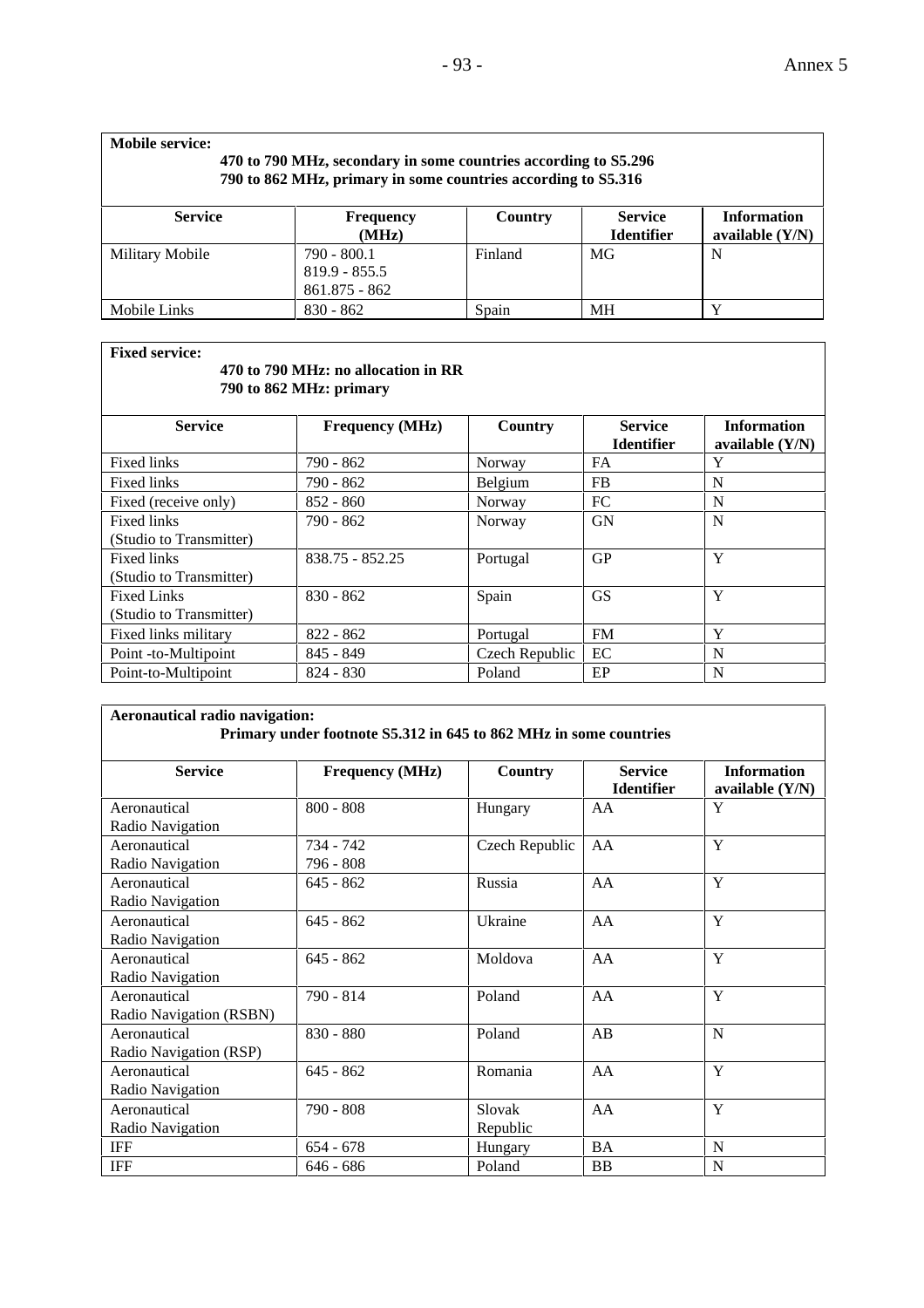| <b>Mobile service:</b><br>470 to 790 MHz, secondary in some countries according to S5.296<br>790 to 862 MHz, primary in some countries according to S5.316 |                                                     |         |                                     |                                         |  |
|------------------------------------------------------------------------------------------------------------------------------------------------------------|-----------------------------------------------------|---------|-------------------------------------|-----------------------------------------|--|
| <b>Service</b>                                                                                                                                             | <b>Frequency</b><br>(MHz)                           | Country | <b>Service</b><br><b>Identifier</b> | <b>Information</b><br>available $(Y/N)$ |  |
| Military Mobile                                                                                                                                            | $790 - 800.1$<br>$819.9 - 855.5$<br>$861.875 - 862$ | Finland | MG                                  | N                                       |  |
| Mobile Links                                                                                                                                               | $830 - 862$                                         | Spain   | <b>MH</b>                           | $\mathbf v$                             |  |

**Fixed service:**

### **470 to 790 MHz: no allocation in RR 790 to 862 MHz: primary**

| <b>Service</b>          | <b>Frequency (MHz)</b> | <b>Country</b> | <b>Service</b>    | <b>Information</b> |
|-------------------------|------------------------|----------------|-------------------|--------------------|
|                         |                        |                | <b>Identifier</b> | available $(Y/N)$  |
| Fixed links             | $790 - 862$            | Norway         | <b>FA</b>         | Y                  |
| <b>Fixed links</b>      | $790 - 862$            | Belgium        | <b>FB</b>         | N                  |
| Fixed (receive only)    | $852 - 860$            | Norway         | FC                | N                  |
| Fixed links             | 790 - 862              | Norway         | GN                | N                  |
| (Studio to Transmitter) |                        |                |                   |                    |
| Fixed links             | 838.75 - 852.25        | Portugal       | <b>GP</b>         | Y                  |
| (Studio to Transmitter) |                        |                |                   |                    |
| <b>Fixed Links</b>      | $830 - 862$            | Spain          | <b>GS</b>         | Y                  |
| (Studio to Transmitter) |                        |                |                   |                    |
| Fixed links military    | $822 - 862$            | Portugal       | <b>FM</b>         | Y                  |
| Point -to-Multipoint    | $845 - 849$            | Czech Republic | EC.               | N                  |
| Point-to-Multipoint     | $824 - 830$            | Poland         | EP                | N                  |

| Aeronautical radio navigation:                       | Primary under footnote S5.312 in 645 to 862 MHz in some countries |                    |                                     |                                         |  |  |
|------------------------------------------------------|-------------------------------------------------------------------|--------------------|-------------------------------------|-----------------------------------------|--|--|
| <b>Service</b>                                       | <b>Frequency (MHz)</b>                                            | Country            | <b>Service</b><br><b>Identifier</b> | <b>Information</b><br>available $(Y/N)$ |  |  |
| Aeronautical                                         | $800 - 808$                                                       | Hungary            | AA                                  | Y                                       |  |  |
| Radio Navigation<br>Aeronautical<br>Radio Navigation | 734 - 742<br>796 - 808                                            | Czech Republic     | AA                                  | Y                                       |  |  |
| Aeronautical<br>Radio Navigation                     | $645 - 862$                                                       | Russia             | AA                                  | Y                                       |  |  |
| Aeronautical<br>Radio Navigation                     | $645 - 862$                                                       | Ukraine            | AA                                  | Y                                       |  |  |
| Aeronautical<br>Radio Navigation                     | $645 - 862$                                                       | Moldova            | AA                                  | Y                                       |  |  |
| Aeronautical<br>Radio Navigation (RSBN)              | 790 - 814                                                         | Poland             | AA                                  | Y                                       |  |  |
| Aeronautical<br>Radio Navigation (RSP)               | $830 - 880$                                                       | Poland             | AB                                  | $\mathbf N$                             |  |  |
| Aeronautical<br>Radio Navigation                     | $645 - 862$                                                       | Romania            | AA                                  | Y                                       |  |  |
| Aeronautical<br>Radio Navigation                     | 790 - 808                                                         | Slovak<br>Republic | AA                                  | Y                                       |  |  |
| <b>IFF</b>                                           | $654 - 678$                                                       | Hungary            | <b>BA</b>                           | N                                       |  |  |
| <b>IFF</b>                                           | $646 - 686$                                                       | Poland             | <b>BB</b>                           | N                                       |  |  |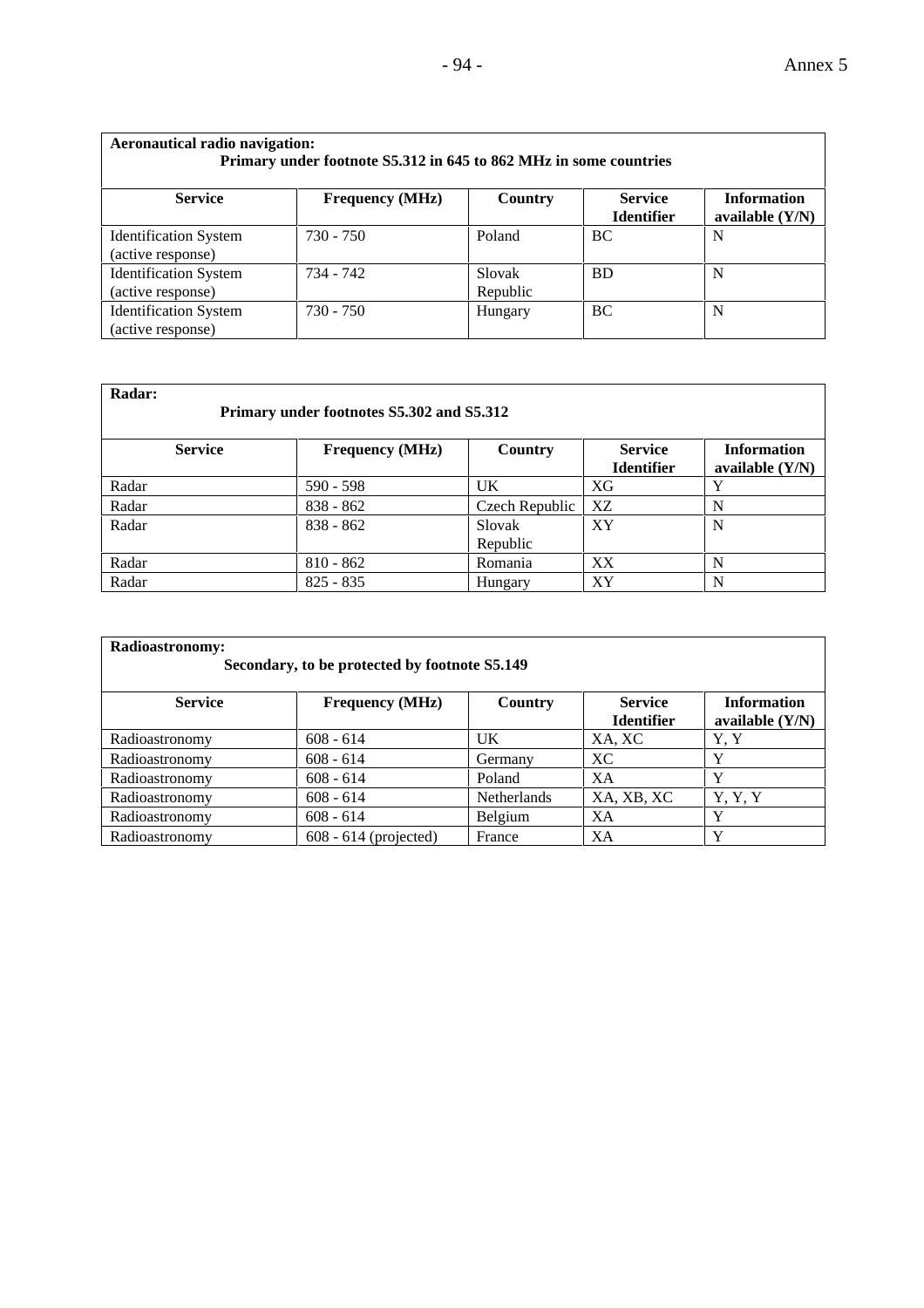| <b>Aeronautical radio navigation:</b><br>Primary under footnote S5.312 in 645 to 862 MHz in some countries |                        |                    |                                     |                                         |  |  |  |  |  |  |  |
|------------------------------------------------------------------------------------------------------------|------------------------|--------------------|-------------------------------------|-----------------------------------------|--|--|--|--|--|--|--|
| <b>Service</b>                                                                                             | <b>Frequency</b> (MHz) | Country            | <b>Service</b><br><b>Identifier</b> | <b>Information</b><br>available $(Y/N)$ |  |  |  |  |  |  |  |
| <b>Identification System</b><br>(active response)                                                          | $730 - 750$            | Poland             | BC                                  | N                                       |  |  |  |  |  |  |  |
| <b>Identification System</b><br>(active response)                                                          | 734 - 742              | Slovak<br>Republic | <b>BD</b>                           | N                                       |  |  |  |  |  |  |  |
| <b>Identification System</b><br>(active response)                                                          | $730 - 750$            | Hungary            | BC.                                 | N                                       |  |  |  |  |  |  |  |

| Radar:<br>Primary under footnotes S5.302 and S5.312 |                        |                    |                                     |                                         |  |  |  |  |  |  |  |
|-----------------------------------------------------|------------------------|--------------------|-------------------------------------|-----------------------------------------|--|--|--|--|--|--|--|
| <b>Service</b>                                      | <b>Frequency (MHz)</b> | Country            | <b>Service</b><br><b>Identifier</b> | <b>Information</b><br>available $(Y/N)$ |  |  |  |  |  |  |  |
| Radar                                               | $590 - 598$            | UK                 | XG                                  | $\bf{v}$                                |  |  |  |  |  |  |  |
| Radar                                               | $838 - 862$            | Czech Republic     | XZ                                  | N                                       |  |  |  |  |  |  |  |
| Radar                                               | $838 - 862$            | Slovak<br>Republic | <b>XY</b>                           | N                                       |  |  |  |  |  |  |  |
| Radar                                               | $810 - 862$            | Romania            | XX                                  | N                                       |  |  |  |  |  |  |  |
| Radar                                               | $825 - 835$            | Hungary            | <b>XY</b>                           | N                                       |  |  |  |  |  |  |  |

| Radioastronomy:<br>Secondary, to be protected by footnote S5.149 |                         |                |                                     |                                         |  |  |  |  |  |  |  |
|------------------------------------------------------------------|-------------------------|----------------|-------------------------------------|-----------------------------------------|--|--|--|--|--|--|--|
| <b>Service</b>                                                   | <b>Frequency</b> (MHz)  | <b>Country</b> | <b>Service</b><br><b>Identifier</b> | <b>Information</b><br>available $(Y/N)$ |  |  |  |  |  |  |  |
| Radioastronomy                                                   | $608 - 614$             | UK             | XA, XC                              | Y, Y                                    |  |  |  |  |  |  |  |
| Radioastronomy                                                   | $608 - 614$             | Germany        | XC.                                 | v                                       |  |  |  |  |  |  |  |
| Radioastronomy                                                   | $608 - 614$             | Poland         | XA                                  | Y                                       |  |  |  |  |  |  |  |
| Radioastronomy                                                   | $608 - 614$             | Netherlands    | XA, XB, XC                          | Y, Y, Y                                 |  |  |  |  |  |  |  |
| Radioastronomy                                                   | $608 - 614$             | <b>Belgium</b> | XA                                  | Y                                       |  |  |  |  |  |  |  |
| Radioastronomy                                                   | $608 - 614$ (projected) | France         | XA                                  | Y                                       |  |  |  |  |  |  |  |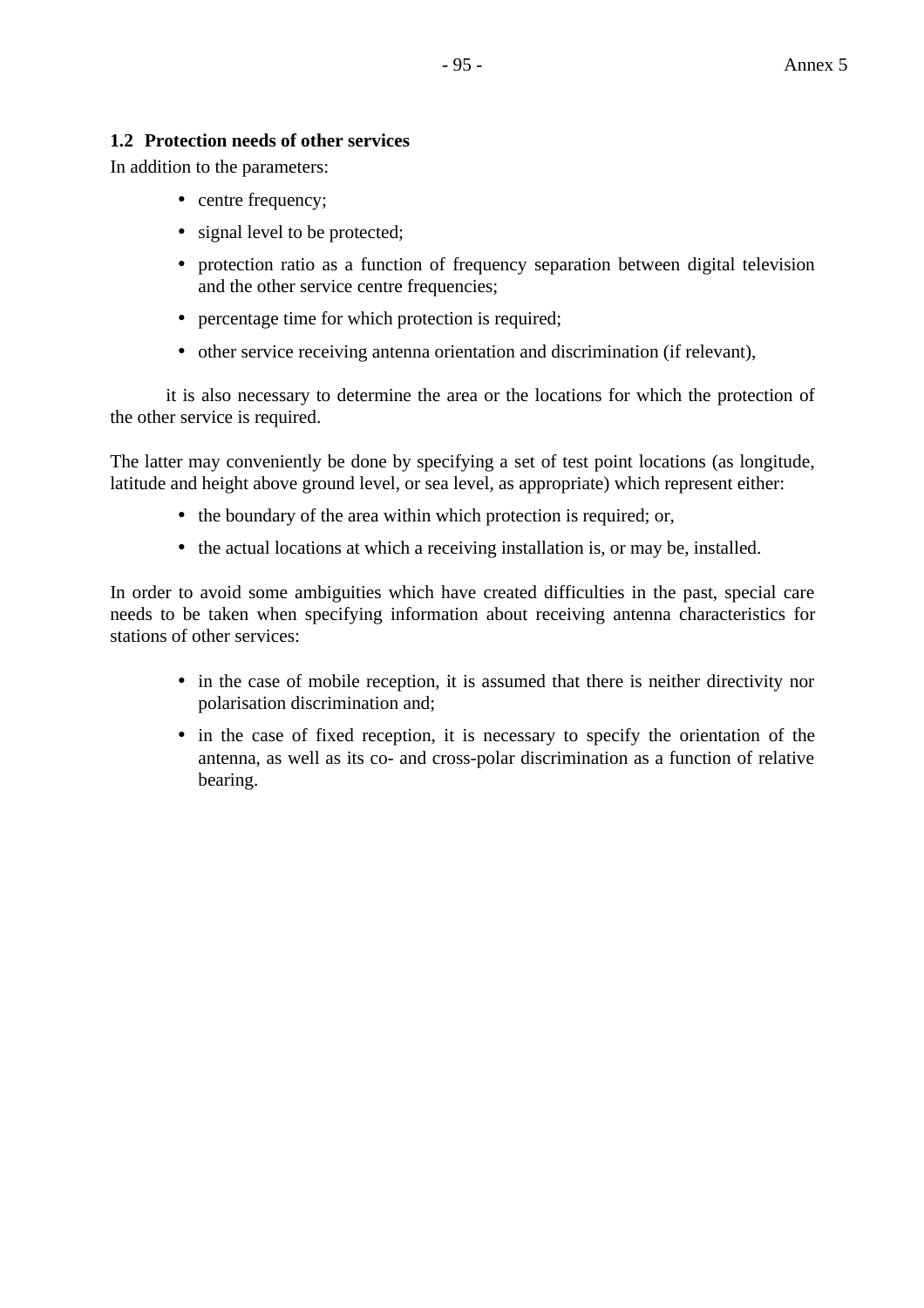### **1.2 Protection needs of other services**

In addition to the parameters:

- centre frequency;
- signal level to be protected;
- protection ratio as a function of frequency separation between digital television and the other service centre frequencies:
- percentage time for which protection is required;
- other service receiving antenna orientation and discrimination (if relevant),

it is also necessary to determine the area or the locations for which the protection of the other service is required.

The latter may conveniently be done by specifying a set of test point locations (as longitude, latitude and height above ground level, or sea level, as appropriate) which represent either:

- the boundary of the area within which protection is required; or,
- the actual locations at which a receiving installation is, or may be, installed.

In order to avoid some ambiguities which have created difficulties in the past, special care needs to be taken when specifying information about receiving antenna characteristics for stations of other services:

- in the case of mobile reception, it is assumed that there is neither directivity nor polarisation discrimination and;
- in the case of fixed reception, it is necessary to specify the orientation of the antenna, as well as its co- and cross-polar discrimination as a function of relative bearing.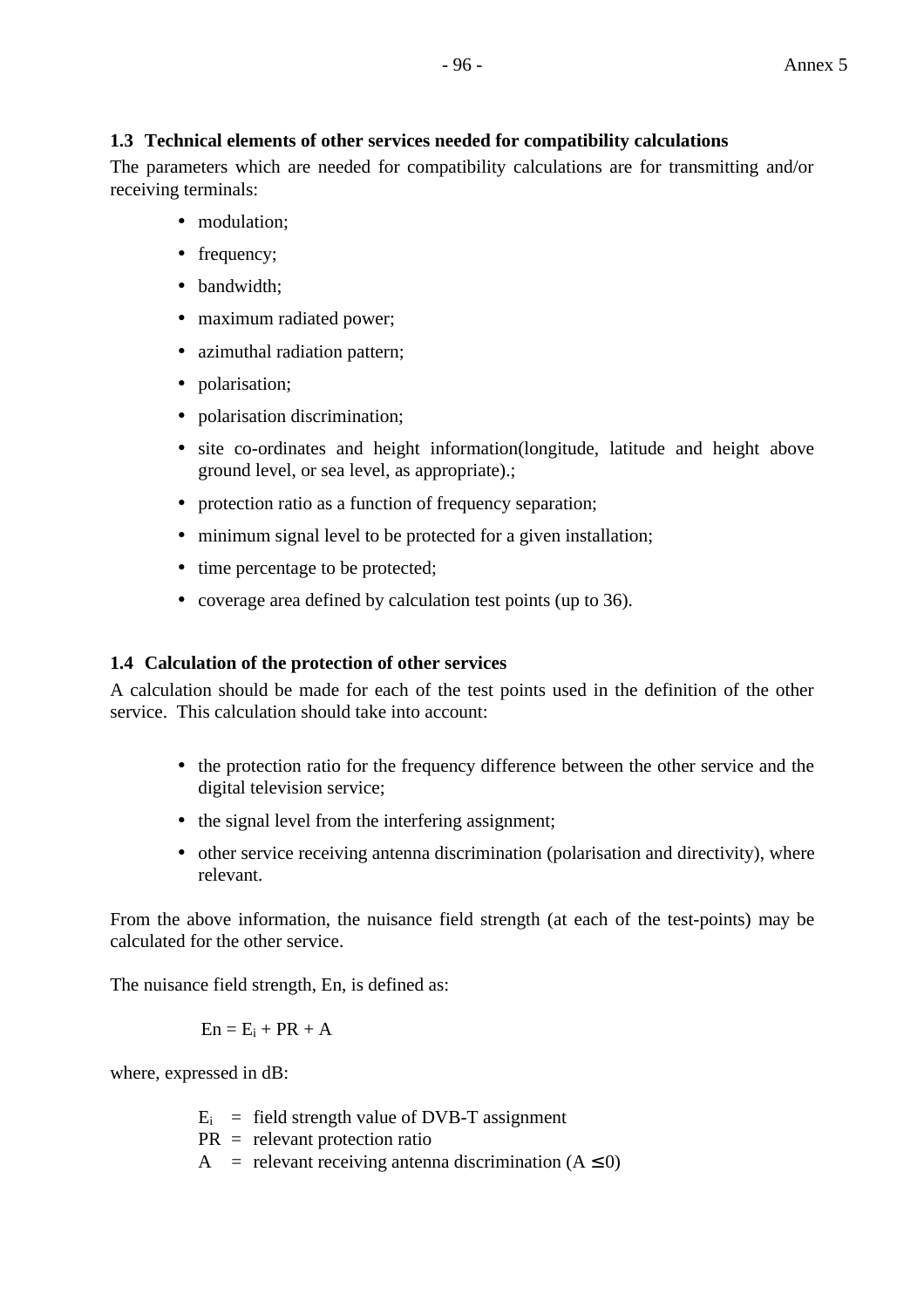### **1.3 Technical elements of other services needed for compatibility calculations**

The parameters which are needed for compatibility calculations are for transmitting and/or receiving terminals:

- modulation:
- frequency;
- bandwidth:
- maximum radiated power;
- azimuthal radiation pattern;
- polarisation;
- polarisation discrimination;
- site co-ordinates and height information(longitude, latitude and height above ground level, or sea level, as appropriate).;
- protection ratio as a function of frequency separation;
- minimum signal level to be protected for a given installation;
- time percentage to be protected;
- coverage area defined by calculation test points (up to 36).

### **1.4 Calculation of the protection of other services**

A calculation should be made for each of the test points used in the definition of the other service. This calculation should take into account:

- the protection ratio for the frequency difference between the other service and the digital television service;
- the signal level from the interfering assignment;
- other service receiving antenna discrimination (polarisation and directivity), where relevant.

From the above information, the nuisance field strength (at each of the test-points) may be calculated for the other service.

The nuisance field strength, En, is defined as:

$$
En = E_i + PR + A
$$

where, expressed in dB:

- $E_i$  = field strength value of DVB-T assignment
- PR = relevant protection ratio
- A = relevant receiving antenna discrimination  $(A \le 0)$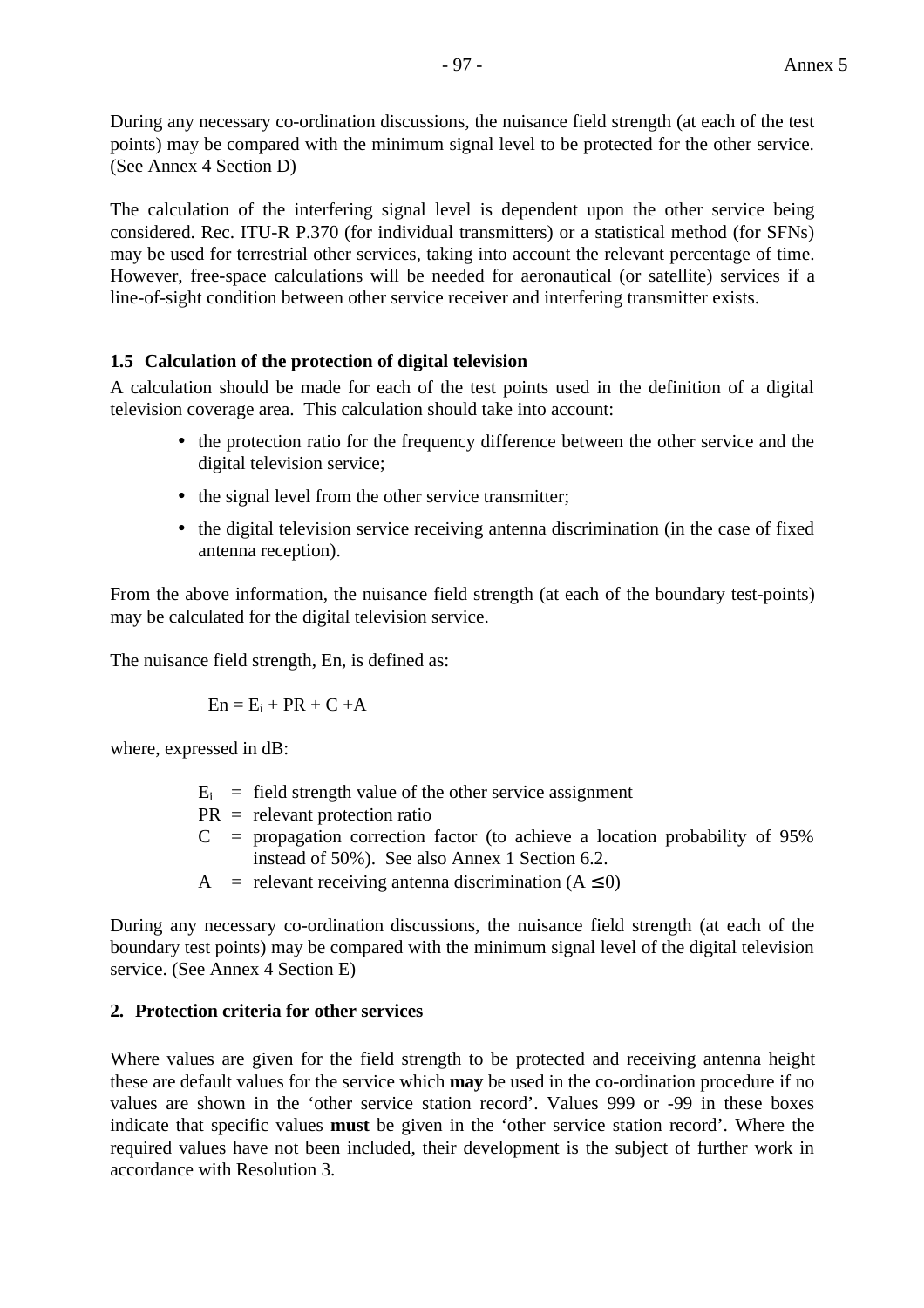During any necessary co-ordination discussions, the nuisance field strength (at each of the test points) may be compared with the minimum signal level to be protected for the other service. (See Annex 4 Section D)

The calculation of the interfering signal level is dependent upon the other service being considered. Rec. ITU-R P.370 (for individual transmitters) or a statistical method (for SFNs) may be used for terrestrial other services, taking into account the relevant percentage of time. However, free-space calculations will be needed for aeronautical (or satellite) services if a line-of-sight condition between other service receiver and interfering transmitter exists.

### **1.5 Calculation of the protection of digital television**

A calculation should be made for each of the test points used in the definition of a digital television coverage area. This calculation should take into account:

- the protection ratio for the frequency difference between the other service and the digital television service;
- the signal level from the other service transmitter;
- the digital television service receiving antenna discrimination (in the case of fixed antenna reception).

From the above information, the nuisance field strength (at each of the boundary test-points) may be calculated for the digital television service.

The nuisance field strength, En, is defined as:

$$
En = E_i + PR + C + A
$$

where, expressed in dB:

- $E_i$  = field strength value of the other service assignment
- PR = relevant protection ratio
- $C =$  propagation correction factor (to achieve a location probability of 95% instead of 50%). See also Annex 1 Section 6.2.
- A = relevant receiving antenna discrimination  $(A \le 0)$

During any necessary co-ordination discussions, the nuisance field strength (at each of the boundary test points) may be compared with the minimum signal level of the digital television service. (See Annex 4 Section E)

### **2. Protection criteria for other services**

Where values are given for the field strength to be protected and receiving antenna height these are default values for the service which **may** be used in the co-ordination procedure if no values are shown in the 'other service station record'. Values 999 or -99 in these boxes indicate that specific values **must** be given in the 'other service station record'. Where the required values have not been included, their development is the subject of further work in accordance with Resolution 3.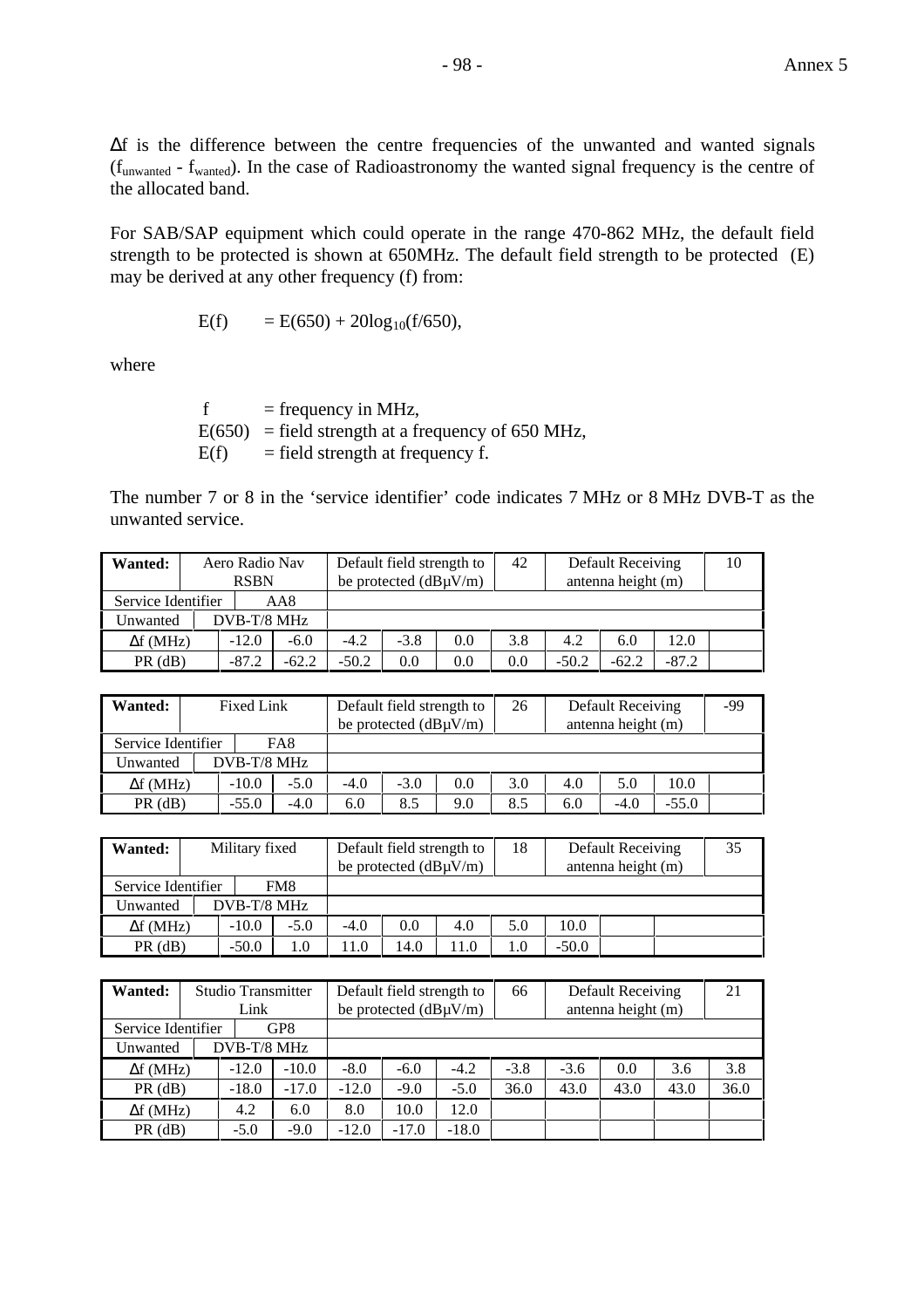∆f is the difference between the centre frequencies of the unwanted and wanted signals (funwanted - fwanted). In the case of Radioastronomy the wanted signal frequency is the centre of the allocated band.

For SAB/SAP equipment which could operate in the range 470-862 MHz, the default field strength to be protected is shown at 650MHz. The default field strength to be protected (E) may be derived at any other frequency (f) from:

$$
E(f) = E(650) + 20\log_{10}(f/650),
$$

where

 $f = frequency in MHz$ ,  $E(650)$  = field strength at a frequency of 650 MHz,  $E(f)$  = field strength at frequency f.

The number 7 or 8 in the 'service identifier' code indicates 7 MHz or 8 MHz DVB-T as the unwanted service.

| Wanted:            | Aero Radio Nav<br><b>RSBN</b> | Default field strength to<br>42<br>be protected $(dB\mu V/m)$ |         |        |     |     |         | Default Receiving<br>antenna height (m) |         | 10 |
|--------------------|-------------------------------|---------------------------------------------------------------|---------|--------|-----|-----|---------|-----------------------------------------|---------|----|
| Service Identifier |                               | AA8                                                           |         |        |     |     |         |                                         |         |    |
| Unwanted           | DVB-T/8 MHz                   |                                                               |         |        |     |     |         |                                         |         |    |
| $\Delta f$ (MHz)   | $-12.0$                       | $-6.0$                                                        | $-4.2$  | $-3.8$ | 0.0 | 3.8 | 4.2     | 6.0                                     | 12.0    |    |
| $PR$ ( $dB$ )      | $-87.2$                       | $-62.2$                                                       | $-50.2$ | 0.0    | 0.0 | 0.0 | $-50.2$ | $-62.2$                                 | $-87.2$ |    |

| Wanted:            | Fixed Link  |        |        | Default field strength to<br>be protected $(dB\mu V/m)$ |     | 26  |     | Default Receiving<br>antenna height (m) |         | -99 |
|--------------------|-------------|--------|--------|---------------------------------------------------------|-----|-----|-----|-----------------------------------------|---------|-----|
| Service Identifier |             | FA8    |        |                                                         |     |     |     |                                         |         |     |
| Unwanted           | DVB-T/8 MHz |        |        |                                                         |     |     |     |                                         |         |     |
| $\Delta f$ (MHz)   | $-10.0$     | $-5.0$ | $-4.0$ | $-3.0$                                                  | 0.0 | 3.0 | 4.0 | 5.0                                     | 10.0    |     |
| $PR$ (dB)          | $-55.0$     | $-4.0$ | 6.0    | 8.5                                                     | 9.0 | 8.5 | 6.0 | $-4.0$                                  | $-55.0$ |     |

| Wanted:            |             | Military fixed |        | Default field strength to<br>be protected $(dB\mu V/m)$ |      |     | 18  |         | Default Receiving<br>antenna height (m) | 35 |
|--------------------|-------------|----------------|--------|---------------------------------------------------------|------|-----|-----|---------|-----------------------------------------|----|
| Service Identifier |             |                | FM8    |                                                         |      |     |     |         |                                         |    |
| Unwanted           | DVB-T/8 MHz |                |        |                                                         |      |     |     |         |                                         |    |
| $\Delta f$ (MHz)   |             | $-10.0$        | $-5.0$ | $-4.0$                                                  | 0.0  | 4.0 | 5.0 | 10.0    |                                         |    |
| $PR$ ( $dB$ )      |             | $-50.0$        | 1.0    | l 1.0                                                   | 14.0 |     |     | $-50.0$ |                                         |    |

| <b>Wanted:</b>     |                                | Studio Transmitter<br>Link |         | Default field strength to<br>be protected $(dB\mu V/m)$ |         |         | 66     | Default Receiving<br>antenna height (m) |      |      | 21   |
|--------------------|--------------------------------|----------------------------|---------|---------------------------------------------------------|---------|---------|--------|-----------------------------------------|------|------|------|
| Service Identifier |                                |                            | GP8     |                                                         |         |         |        |                                         |      |      |      |
| Unwanted           |                                | DVB-T/8 MHz                |         |                                                         |         |         |        |                                         |      |      |      |
| $\Delta f$ (MHz)   |                                | $-12.0$                    | $-10.0$ | $-8.0$                                                  | $-6.0$  | $-4.2$  | $-3.8$ | $-3.6$                                  | 0.0  | 3.6  | 3.8  |
| $PR$ (dB)          | $-17.0$<br>$-18.0$             |                            |         | $-12.0$                                                 | $-9.0$  | $-5.0$  | 36.0   | 43.0                                    | 43.0 | 43.0 | 36.0 |
|                    | 4.2<br>6.0<br>$\Delta f$ (MHz) |                            |         | 8.0                                                     | 10.0    | 12.0    |        |                                         |      |      |      |
| $PR$ (dB)          |                                | $-5.0$                     | $-9.0$  | $-12.0$                                                 | $-17.0$ | $-18.0$ |        |                                         |      |      |      |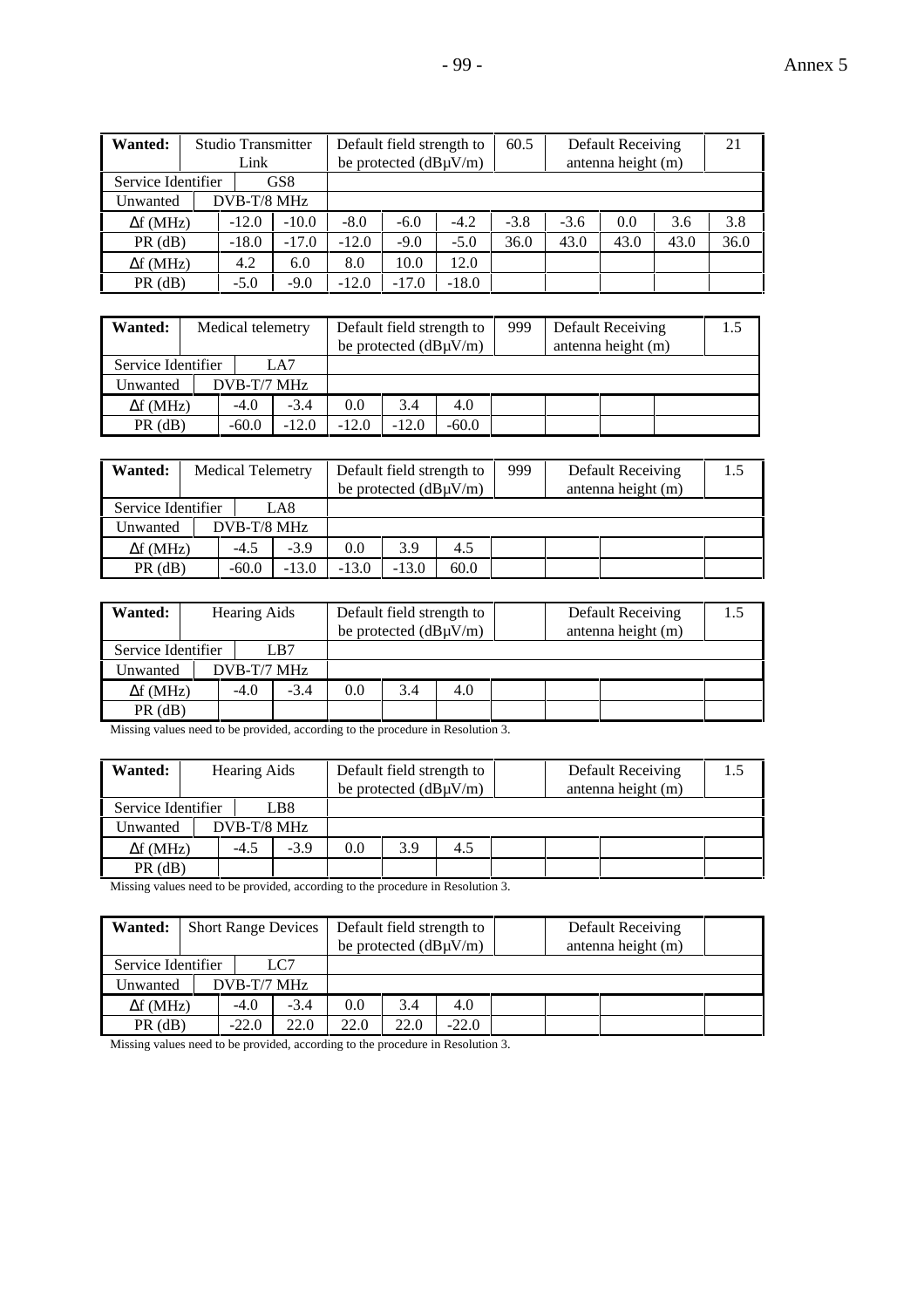| - 99 - | Annex 5<br>$\sim$ |
|--------|-------------------|
|--------|-------------------|

| Wanted:                        |                    | <b>Studio Transmitter</b><br>Link |         |         | Default field strength to<br>be protected $(dB\mu V/m)$ |         | 60.5   |        | Default Receiving<br>antenna height (m) |      | 21   |
|--------------------------------|--------------------|-----------------------------------|---------|---------|---------------------------------------------------------|---------|--------|--------|-----------------------------------------|------|------|
| Service Identifier             | GS <sub>8</sub>    |                                   |         |         |                                                         |         |        |        |                                         |      |      |
| Unwanted                       |                    | DVB-T/8 MHz                       |         |         |                                                         |         |        |        |                                         |      |      |
| $\Delta f$ (MHz)               |                    | $-12.0$                           | $-10.0$ | $-8.0$  | $-6.0$                                                  | $-4.2$  | $-3.8$ | $-3.6$ | 0.0                                     | 3.6  | 3.8  |
| $PR$ (dB)                      | $-17.0$<br>$-18.0$ |                                   |         | $-12.0$ | $-9.0$                                                  | $-5.0$  | 36.0   | 43.0   | 43.0                                    | 43.0 | 36.0 |
| 4.2<br>6.0<br>$\Delta f$ (MHz) |                    |                                   | 8.0     | 10.0    | 12.0                                                    |         |        |        |                                         |      |      |
| $PR$ (dB)                      |                    | $-5.0$                            | $-9.0$  | $-12.0$ | $-17.0$                                                 | $-18.0$ |        |        |                                         |      |      |

| <b>Wanted:</b>     | Medical telemetry |         |         | Default field strength to<br>be protected $(dB\mu V/m)$ |         | 999 | Default Receiving<br>antenna height (m) | 1.5 |
|--------------------|-------------------|---------|---------|---------------------------------------------------------|---------|-----|-----------------------------------------|-----|
| Service Identifier |                   | LA7     |         |                                                         |         |     |                                         |     |
| Unwanted           | $DVB-T/7$ MHz     |         |         |                                                         |         |     |                                         |     |
| $\Delta f$ (MHz)   | $-4.0$            | $-3.4$  | 0.0     | 3.4                                                     | 4.0     |     |                                         |     |
| $PR$ ( $dB$ )      | $-60.0$           | $-12.0$ | $-12.0$ | $-12.0$                                                 | $-60.0$ |     |                                         |     |

| <b>Wanted:</b>     | <b>Medical Telemetry</b> |         |         | Default field strength to<br>be protected $(dB\mu V/m)$ |      | 999 | Default Receiving<br>antenna height (m) | 1.5 |
|--------------------|--------------------------|---------|---------|---------------------------------------------------------|------|-----|-----------------------------------------|-----|
| Service Identifier |                          | LA8     |         |                                                         |      |     |                                         |     |
| Unwanted           | DVB-T/8 MHz              |         |         |                                                         |      |     |                                         |     |
| $\Delta f$ (MHz)   | $-4.5$                   | $-3.9$  | 0.0     | 3.9                                                     | 4.5  |     |                                         |     |
| $PR$ (dB)          | $-60.0$                  | $-13.0$ | $-13.0$ | $-13.0$                                                 | 60.0 |     |                                         |     |

| <b>Wanted:</b>     | <b>Hearing Aids</b> |        |     | Default field strength to  |     |  | Default Receiving  | 1.5 |
|--------------------|---------------------|--------|-----|----------------------------|-----|--|--------------------|-----|
|                    |                     |        |     | be protected $(dB\mu V/m)$ |     |  | antenna height (m) |     |
| Service Identifier |                     | LB7    |     |                            |     |  |                    |     |
| Unwanted           | $DVB-T/7 MHz$       |        |     |                            |     |  |                    |     |
| $\Delta f$ (MHz)   | $-4.0$              | $-3.4$ | 0.0 | 3.4                        | 4.0 |  |                    |     |
| $PR$ (dB)          |                     |        |     |                            |     |  |                    |     |

Missing values need to be provided, according to the procedure in Resolution 3.

| Wanted:            | <b>Hearing Aids</b> |        |     | Default field strength to<br>be protected $(dB\mu V/m)$ |     |  | Default Receiving<br>antenna height (m) | 1.5 |
|--------------------|---------------------|--------|-----|---------------------------------------------------------|-----|--|-----------------------------------------|-----|
| Service Identifier |                     | LB8    |     |                                                         |     |  |                                         |     |
| Unwanted           | $DVB-T/8$ MHz       |        |     |                                                         |     |  |                                         |     |
| $\Delta f$ (MHz)   | $-4.5$              | $-3.9$ | 0.0 | 3.9                                                     | 4.5 |  |                                         |     |
| $PR$ ( $dB$ )      |                     |        |     |                                                         |     |  |                                         |     |

Missing values need to be provided, according to the procedure in Resolution 3.

| Wanted:            | <b>Short Range Devices</b> |        |     | Default field strength to<br>be protected $(dB\mu V/m)$ |         |  | Default Receiving<br>antenna height (m) |  |
|--------------------|----------------------------|--------|-----|---------------------------------------------------------|---------|--|-----------------------------------------|--|
| Service Identifier |                            | LC7    |     |                                                         |         |  |                                         |  |
| Unwanted           | $DVB-T/7$ MHz              |        |     |                                                         |         |  |                                         |  |
| $\Delta f$ (MHz)   | $-4.0$                     | $-3.4$ | 0.0 | 3.4                                                     | 4.0     |  |                                         |  |
| $PR$ ( $dB$ )      | 22.0<br>$-22.0$            |        |     | 22.0                                                    | $-22.0$ |  |                                         |  |

Missing values need to be provided, according to the procedure in Resolution 3.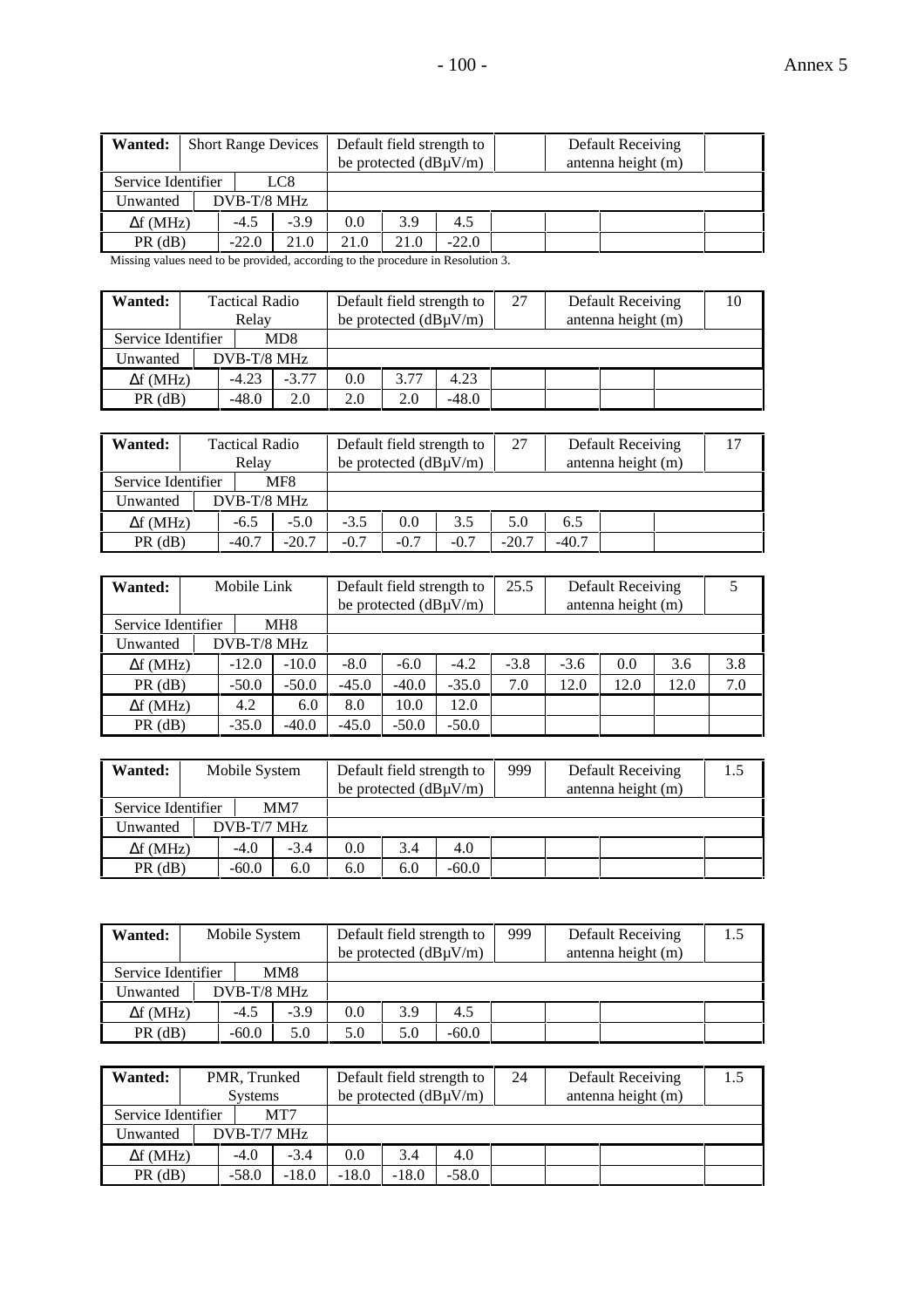| Wanted:            | <b>Short Range Devices</b> |        |      | Default field strength to<br>be protected $(dB\mu V/m)$ |         |  | Default Receiving<br>antenna height (m) |  |
|--------------------|----------------------------|--------|------|---------------------------------------------------------|---------|--|-----------------------------------------|--|
| Service Identifier |                            | LC8    |      |                                                         |         |  |                                         |  |
| Unwanted           | $DVB-T/8$ MHz              |        |      |                                                         |         |  |                                         |  |
| $\Delta f$ (MHz)   | $-4.5$                     | $-3.9$ | 0.0  | 3.9                                                     | 4.5     |  |                                         |  |
| $PR$ ( $dB$ )      | $-22.0$                    | 21.0   | 21.0 | 21.0                                                    | $-22.0$ |  |                                         |  |

Missing values need to be provided, according to the procedure in Resolution 3.

| <b>Wanted:</b>     | <b>Tactical Radio</b><br>Relay |         |     | Default field strength to<br>be protected $(dB\mu V/m)$ |         | 27 | Default Receiving<br>antenna height (m) | 10 |
|--------------------|--------------------------------|---------|-----|---------------------------------------------------------|---------|----|-----------------------------------------|----|
| Service Identifier |                                | MD8     |     |                                                         |         |    |                                         |    |
| Unwanted           | DVB-T/8 MHz                    |         |     |                                                         |         |    |                                         |    |
| $\Delta f$ (MHz)   | $-4.23$                        | $-3.77$ | 0.0 | 3.77                                                    | 4.23    |    |                                         |    |
| $PR$ (dB)          | $-48.0$                        | 2.0     | 2.0 | 2.0                                                     | $-48.0$ |    |                                         |    |

| Wanted:            | <b>Tactical Radio</b><br>Relay |         |        | Default field strength to<br>be protected $(dB\mu V/m)$ |        | 27      |         | Default Receiving<br>antenna height (m) | 17 |
|--------------------|--------------------------------|---------|--------|---------------------------------------------------------|--------|---------|---------|-----------------------------------------|----|
| Service Identifier |                                | MF8     |        |                                                         |        |         |         |                                         |    |
| Unwanted           | DVB-T/8 MHz                    |         |        |                                                         |        |         |         |                                         |    |
| $\Delta f$ (MHz)   | $-6.5$                         | $-5.0$  | $-3.5$ | 0.0                                                     | 3.5    | 5.0     | 6.5     |                                         |    |
| $PR$ ( $dB$ )      | $-40.7$                        | $-20.7$ | $-0.7$ | $-0.7$                                                  | $-0.7$ | $-20.7$ | $-40.7$ |                                         |    |

| <b>Wanted:</b>     |                    | Mobile Link        |         |         | Default field strength to<br>be protected $(dB\mu V/m)$ |         | 25.5   |        | Default Receiving<br>antenna height (m) |      |     |
|--------------------|--------------------|--------------------|---------|---------|---------------------------------------------------------|---------|--------|--------|-----------------------------------------|------|-----|
| Service Identifier |                    | MH <sub>8</sub>    |         |         |                                                         |         |        |        |                                         |      |     |
| Unwanted           |                    | DVB-T/8 MHz        |         |         |                                                         |         |        |        |                                         |      |     |
| $\Delta f$ (MHz)   |                    | $-12.0$            | $-10.0$ | $-8.0$  | $-6.0$                                                  | $-4.2$  | $-3.8$ | $-3.6$ | 0.0                                     | 3.6  | 3.8 |
| $PR$ ( $dB$ )      |                    | $-50.0$<br>$-50.0$ |         | $-45.0$ | $-40.0$                                                 | $-35.0$ | 7.0    | 12.0   | 12.0                                    | 12.0 | 7.0 |
| $\Delta f$ (MHz)   | 4.2<br>6.0         |                    | 8.0     | 10.0    | 12.0                                                    |         |        |        |                                         |      |     |
| $PR$ ( $dB$ )      | $-40.0$<br>$-35.0$ |                    |         | $-45.0$ | $-50.0$                                                 | $-50.0$ |        |        |                                         |      |     |

| Wanted:            | Mobile System |        |     | Default field strength to<br>be protected $(dB\mu V/m)$ |         | 999 | Default Receiving<br>antenna height (m) | 1.5 |
|--------------------|---------------|--------|-----|---------------------------------------------------------|---------|-----|-----------------------------------------|-----|
| Service Identifier |               | MM7    |     |                                                         |         |     |                                         |     |
| Unwanted           | $DVB-T/7$ MHz |        |     |                                                         |         |     |                                         |     |
| $\Delta f$ (MHz)   | $-4.0$        | $-3.4$ | 0.0 | 3.4                                                     | 4.0     |     |                                         |     |
| $PR$ ( $dB$ )      | $-60.0$       | 6.0    | 6.0 | 6.0                                                     | $-60.0$ |     |                                         |     |

| Wanted:            | Mobile System |        |     | Default field strength to<br>be protected $(dB\mu V/m)$ |         | 999 | Default Receiving<br>antenna height (m) |  |
|--------------------|---------------|--------|-----|---------------------------------------------------------|---------|-----|-----------------------------------------|--|
| Service Identifier |               | MM8    |     |                                                         |         |     |                                         |  |
| Unwanted           | DVB-T/8 MHz   |        |     |                                                         |         |     |                                         |  |
| $\Delta f$ (MHz)   | $-4.5$        | $-3.9$ | 0.0 | 3.9                                                     | 4.5     |     |                                         |  |
| $PR$ (dB)          | $-60.0$       | 5.0    | 5.0 | 5.0                                                     | $-60.0$ |     |                                         |  |

| Wanted:            | PMR, Trunked<br><b>Systems</b> |        |         | Default field strength to<br>be protected $(dB\mu V/m)$ |         | 24 | Default Receiving<br>antenna height (m) | 1.5 |
|--------------------|--------------------------------|--------|---------|---------------------------------------------------------|---------|----|-----------------------------------------|-----|
| Service Identifier |                                | MT7    |         |                                                         |         |    |                                         |     |
| Unwanted           | DVB-T/7 MHz                    |        |         |                                                         |         |    |                                         |     |
| $\Delta f$ (MHz)   | $-4.0$                         | $-3.4$ | 0.0     | 3.4                                                     | 4.0     |    |                                         |     |
| $PR$ ( $dB$ )      | $-18.0$<br>$-58.0$             |        | $-18.0$ | $-18.0$                                                 | $-58.0$ |    |                                         |     |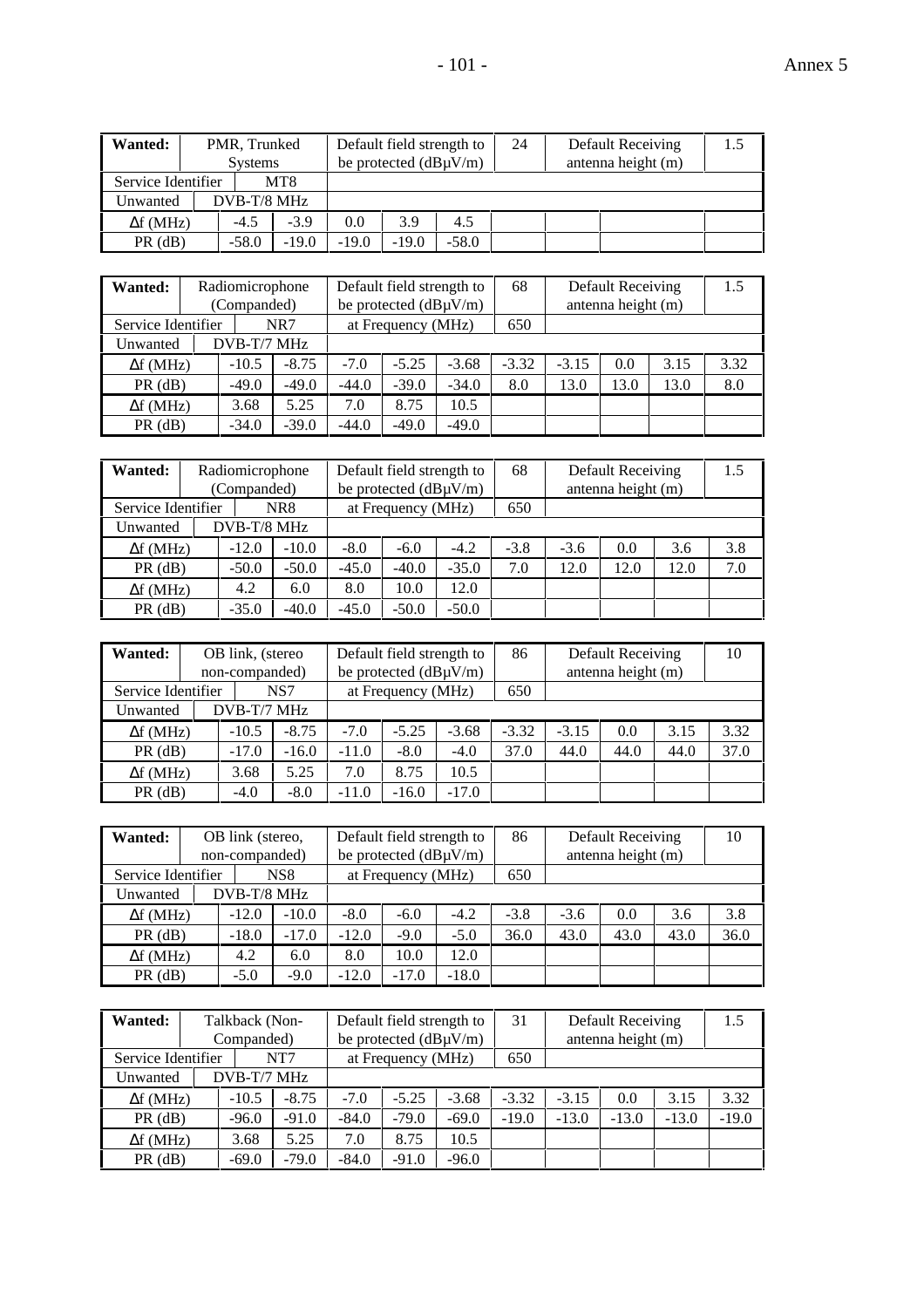| Wanted:            | PMR, Trunked<br><b>Systems</b> |                 |         | Default field strength to<br>be protected $(dB\mu V/m)$ |         | 24 | Default Receiving<br>antenna height (m) | 1.5 |
|--------------------|--------------------------------|-----------------|---------|---------------------------------------------------------|---------|----|-----------------------------------------|-----|
| Service Identifier |                                | MT <sub>8</sub> |         |                                                         |         |    |                                         |     |
| Unwanted           | DVB-T/8 MHz                    |                 |         |                                                         |         |    |                                         |     |
| $\Delta f$ (MHz)   | $-4.5$                         | $-3.9$          | 0.0     | 3.9                                                     | 4.5     |    |                                         |     |
| $PR$ ( $dB$ )      | $-19.0$<br>$-58.0$             |                 | $-19.0$ | $-19.0$                                                 | $-58.0$ |    |                                         |     |

| Wanted:            | Radiomicrophone<br>(Companded) |         |         | Default field strength to<br>be protected $(dB\mu V/m)$ |         | 68      |         | <b>Default Receiving</b><br>antenna height (m) |      | 1.5  |
|--------------------|--------------------------------|---------|---------|---------------------------------------------------------|---------|---------|---------|------------------------------------------------|------|------|
| Service Identifier |                                | NR7     |         | at Frequency (MHz)                                      |         | 650     |         |                                                |      |      |
| Unwanted           | DVB-T/7 MHz                    |         |         |                                                         |         |         |         |                                                |      |      |
| $\Delta f$ (MHz)   | $-10.5$                        | $-8.75$ | $-7.0$  | $-5.25$                                                 | $-3.68$ | $-3.32$ | $-3.15$ | 0.0                                            | 3.15 | 3.32 |
| $PR$ ( $dB$ )      | $-49.0$                        | $-49.0$ | $-44.0$ | $-39.0$                                                 | $-34.0$ | 8.0     | 13.0    | 13.0                                           | 13.0 | 8.0  |
| $\Delta f$ (MHz)   | 3.68                           | 5.25    | 7.0     | 8.75                                                    | 10.5    |         |         |                                                |      |      |
| $PR$ ( $dB$ )      | $-34.0$                        | $-39.0$ | $-44.0$ | $-49.0$                                                 | $-49.0$ |         |         |                                                |      |      |

| Wanted:            | Radiomicrophone |         |         | Default field strength to  |         | 68     |        | Default Receiving  |      | 1.5 |
|--------------------|-----------------|---------|---------|----------------------------|---------|--------|--------|--------------------|------|-----|
|                    | (Companded)     |         |         | be protected $(dB\mu V/m)$ |         |        |        | antenna height (m) |      |     |
| Service Identifier |                 | NR8     |         | at Frequency (MHz)         |         | 650    |        |                    |      |     |
| Unwanted           | DVB-T/8 MHz     |         |         |                            |         |        |        |                    |      |     |
| $\Delta f$ (MHz)   | $-12.0$         | $-10.0$ | $-8.0$  | $-6.0$                     | $-4.2$  | $-3.8$ | $-3.6$ | 0.0                | 3.6  | 3.8 |
| $PR$ ( $dB$ )      | $-50.0$         | $-50.0$ | $-45.0$ | $-40.0$                    | $-35.0$ | 7.0    | 12.0   | 12.0               | 12.0 | 7.0 |
| $\Delta f$ (MHz)   | 4.2             | 6.0     | 8.0     | 10.0                       | 12.0    |        |        |                    |      |     |
| $PR$ ( $dB$ )      | $-35.0$         | $-40.0$ | $-45.0$ | $-50.0$                    | $-50.0$ |        |        |                    |      |     |

| Wanted:            | OB link, (stereo<br>non-companded) |         |         | Default field strength to<br>be protected $(dB\mu V/m)$ |         | 86      | Default Receiving<br>antenna height (m) |      |      | 10   |
|--------------------|------------------------------------|---------|---------|---------------------------------------------------------|---------|---------|-----------------------------------------|------|------|------|
| Service Identifier |                                    | NS7     |         | at Frequency (MHz)                                      |         | 650     |                                         |      |      |      |
| Unwanted           | DVB-T/7 MHz                        |         |         |                                                         |         |         |                                         |      |      |      |
| $\Delta f$ (MHz)   | $-10.5$                            | $-8.75$ | $-7.0$  | $-5.25$                                                 | $-3.68$ | $-3.32$ | $-3.15$                                 | 0.0  | 3.15 | 3.32 |
| $PR$ (dB)          | $-17.0$                            | $-16.0$ | $-11.0$ | $-8.0$                                                  | $-4.0$  | 37.0    | 44.0                                    | 44.0 | 44.0 | 37.0 |
| $\Delta f$ (MHz)   | 3.68                               | 5.25    | 7.0     | 8.75                                                    | 10.5    |         |                                         |      |      |      |
| $PR$ ( $dB$ )      | $-4.0$                             | $-8.0$  | $-11.0$ | $-16.0$                                                 | $-17.0$ |         |                                         |      |      |      |

| Wanted:            | OB link (stereo, |                 |         | Default field strength to  |         | 86     |        | Default Receiving  |      | 10   |
|--------------------|------------------|-----------------|---------|----------------------------|---------|--------|--------|--------------------|------|------|
|                    | non-companded)   |                 |         | be protected $(dB\mu V/m)$ |         |        |        | antenna height (m) |      |      |
| Service Identifier |                  | NS <sub>8</sub> |         | at Frequency (MHz)         |         | 650    |        |                    |      |      |
| Unwanted           | DVB-T/8 MHz      |                 |         |                            |         |        |        |                    |      |      |
| $\Delta f$ (MHz)   | $-12.0$          | $-10.0$         | $-8.0$  | $-6.0$                     | $-4.2$  | $-3.8$ | $-3.6$ | 0.0                | 3.6  | 3.8  |
| $PR$ ( $dB$ )      | $-18.0$          | $-17.0$         | $-12.0$ | $-9.0$                     | $-5.0$  | 36.0   | 43.0   | 43.0               | 43.0 | 36.0 |
| $\Delta f$ (MHz)   | 4.2              | 6.0             | 8.0     | 10.0                       | 12.0    |        |        |                    |      |      |
| $PR$ ( $dB$ )      | $-5.0$           | $-9.0$          | $-12.0$ | $-17.0$                    | $-18.0$ |        |        |                    |      |      |

| Wanted:            | Talkback (Non- |         |         | Default field strength to  |         | 31      |         | <b>Default Receiving</b> |         | 1.5     |
|--------------------|----------------|---------|---------|----------------------------|---------|---------|---------|--------------------------|---------|---------|
|                    | Companded)     |         |         | be protected $(dB\mu V/m)$ |         |         |         | antenna height (m)       |         |         |
| Service Identifier |                | NT7     |         | at Frequency (MHz)         |         | 650     |         |                          |         |         |
| Unwanted           | DVB-T/7 MHz    |         |         |                            |         |         |         |                          |         |         |
| $\Delta f$ (MHz)   | $-10.5$        | $-8.75$ | $-7.0$  | $-5.25$                    | $-3.68$ | $-3.32$ | $-3.15$ | 0.0                      | 3.15    | 3.32    |
| $PR$ ( $dB$ )      | $-96.0$        | $-91.0$ | $-84.0$ | $-79.0$                    | $-69.0$ | $-19.0$ | $-13.0$ | $-13.0$                  | $-13.0$ | $-19.0$ |
| $\Delta f$ (MHz)   | 3.68           | 5.25    | 7.0     | 8.75                       | 10.5    |         |         |                          |         |         |
| $PR$ (dB)          | $-69.0$        | $-79.0$ | $-84.0$ | $-91.0$                    | $-96.0$ |         |         |                          |         |         |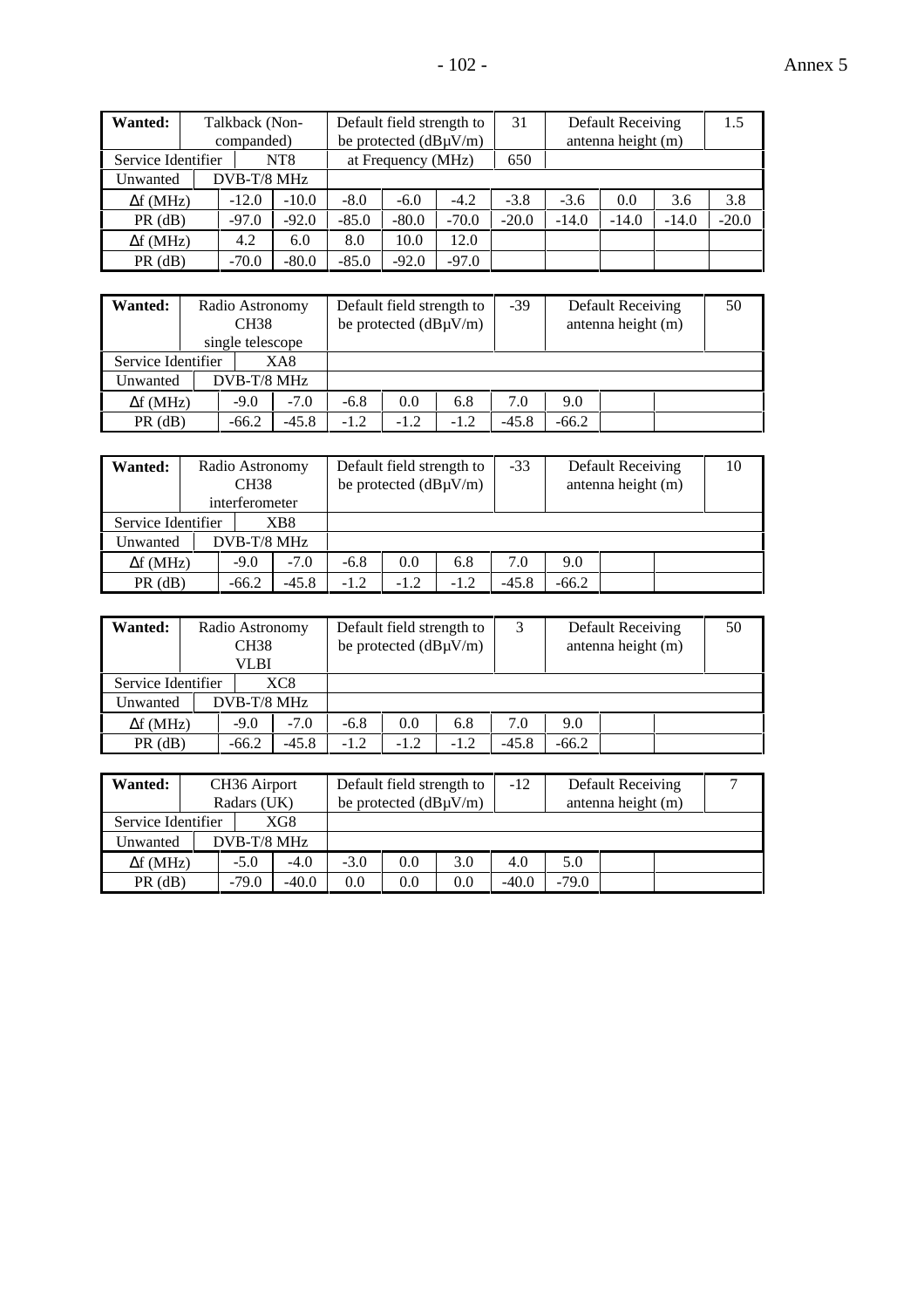| Wanted:            | Talkback (Non-<br>companded) |                 |         | Default field strength to<br>be protected $(dB\mu V/m)$ |         | 31      |         | Default Receiving<br>antenna height (m) |         | 1.5     |
|--------------------|------------------------------|-----------------|---------|---------------------------------------------------------|---------|---------|---------|-----------------------------------------|---------|---------|
| Service Identifier |                              | NT <sub>8</sub> |         | at Frequency (MHz)                                      |         | 650     |         |                                         |         |         |
| Unwanted           | DVB-T/8 MHz                  |                 |         |                                                         |         |         |         |                                         |         |         |
| $\Delta f$ (MHz)   | $-12.0$                      | $-10.0$         | $-8.0$  | $-6.0$                                                  | $-4.2$  | $-3.8$  | $-3.6$  | 0.0                                     | 3.6     | 3.8     |
| $PR$ (dB)          | $-97.0$                      | $-92.0$         | $-85.0$ | $-80.0$                                                 | $-70.0$ | $-20.0$ | $-14.0$ | $-14.0$                                 | $-14.0$ | $-20.0$ |
| $\Delta f$ (MHz)   | 4.2                          | 6.0             | 8.0     | 10.0                                                    | 12.0    |         |         |                                         |         |         |
| $PR$ ( $dB$ )      | $-70.0$                      | $-80.0$         | $-85.0$ | $-92.0$                                                 | $-97.0$ |         |         |                                         |         |         |

| Wanted:            | Radio Astronomy<br><b>CH38</b><br>single telescope |         |        | Default field strength to<br>be protected $(dB\mu V/m)$ |        | $-39$   |         | <b>Default Receiving</b><br>antenna height (m) | 50 |
|--------------------|----------------------------------------------------|---------|--------|---------------------------------------------------------|--------|---------|---------|------------------------------------------------|----|
| Service Identifier | XA8                                                |         |        |                                                         |        |         |         |                                                |    |
| Unwanted           | DVB-T/8 MHz                                        |         |        |                                                         |        |         |         |                                                |    |
| $\Delta f$ (MHz)   | $-9.0$                                             | $-7.0$  | $-6.8$ | 0.0                                                     | 6.8    | 7.0     | 9.0     |                                                |    |
| $PR$ ( $dB$ )      | $-66.2$                                            | $-45.8$ | $-1.2$ | $-1.2$                                                  | $-1.2$ | $-45.8$ | $-66.2$ |                                                |    |

| <b>Wanted:</b>     | Radio Astronomy<br>CH <sub>38</sub><br>interferometer |         |        | Default field strength to<br>be protected $(dB\mu V/m)$ |        | $-33$   |         | Default Receiving<br>antenna height (m) | 10 |
|--------------------|-------------------------------------------------------|---------|--------|---------------------------------------------------------|--------|---------|---------|-----------------------------------------|----|
| Service Identifier | XB8                                                   |         |        |                                                         |        |         |         |                                         |    |
| Unwanted           | DVB-T/8 MHz                                           |         |        |                                                         |        |         |         |                                         |    |
| $\Delta f$ (MHz)   | $-9.0$                                                | $-7.0$  | $-6.8$ | 0.0                                                     | 6.8    | 7.0     | 9.0     |                                         |    |
| $PR$ ( $dB$ )      | $-66.2$                                               | $-45.8$ | $-1.2$ | $-1.2$                                                  | $-1.2$ | $-45.8$ | $-66.2$ |                                         |    |

| Wanted:            | Radio Astronomy<br><b>CH38</b><br>VLBI |         | Default field strength to<br>be protected $(dB\mu V/m)$ |        |        |         |         | Default Receiving<br>antenna height (m) | 50 |
|--------------------|----------------------------------------|---------|---------------------------------------------------------|--------|--------|---------|---------|-----------------------------------------|----|
| Service Identifier | XC8                                    |         |                                                         |        |        |         |         |                                         |    |
| Unwanted           | $DVB-T/8$ MHz                          |         |                                                         |        |        |         |         |                                         |    |
| $\Delta f$ (MHz)   | $-9.0$                                 | $-7.0$  | $-6.8$                                                  | 0.0    | 6.8    | 7.0     | 9.0     |                                         |    |
| $PR$ ( $dB$ )      | $-66.2$                                | $-45.8$ | $-1.2$                                                  | $-1.2$ | $-1.2$ | $-45.8$ | $-66.2$ |                                         |    |

| $PR$ ( $dB$ )    |                           | $-66.2$ | $-45.8$ | $-1.2$ | $-1.2$                     | $-1.2$ | $-45.8$ | $-66.2$ |                    |  |
|------------------|---------------------------|---------|---------|--------|----------------------------|--------|---------|---------|--------------------|--|
|                  |                           |         |         |        |                            |        |         |         |                    |  |
| <b>Wanted:</b>   | CH <sub>36</sub> Airport  |         |         |        | Default field strength to  |        | $-12$   |         | Default Receiving  |  |
|                  | Radars (UK)               |         |         |        | be protected $(dB\mu V/m)$ |        |         |         | antenna height (m) |  |
|                  | XG8<br>Service Identifier |         |         |        |                            |        |         |         |                    |  |
| Unwanted         | DVB-T/8 MHz               |         |         |        |                            |        |         |         |                    |  |
| $\Delta f$ (MHz) |                           | $-5.0$  | $-4.0$  | $-3.0$ | 0.0                        | 3.0    | 4.0     | 5.0     |                    |  |
| $PR$ ( $dB$ )    |                           | $-79.0$ | $-40.0$ | 0.0    | 0.0                        | 0.0    | $-40.0$ | $-79.0$ |                    |  |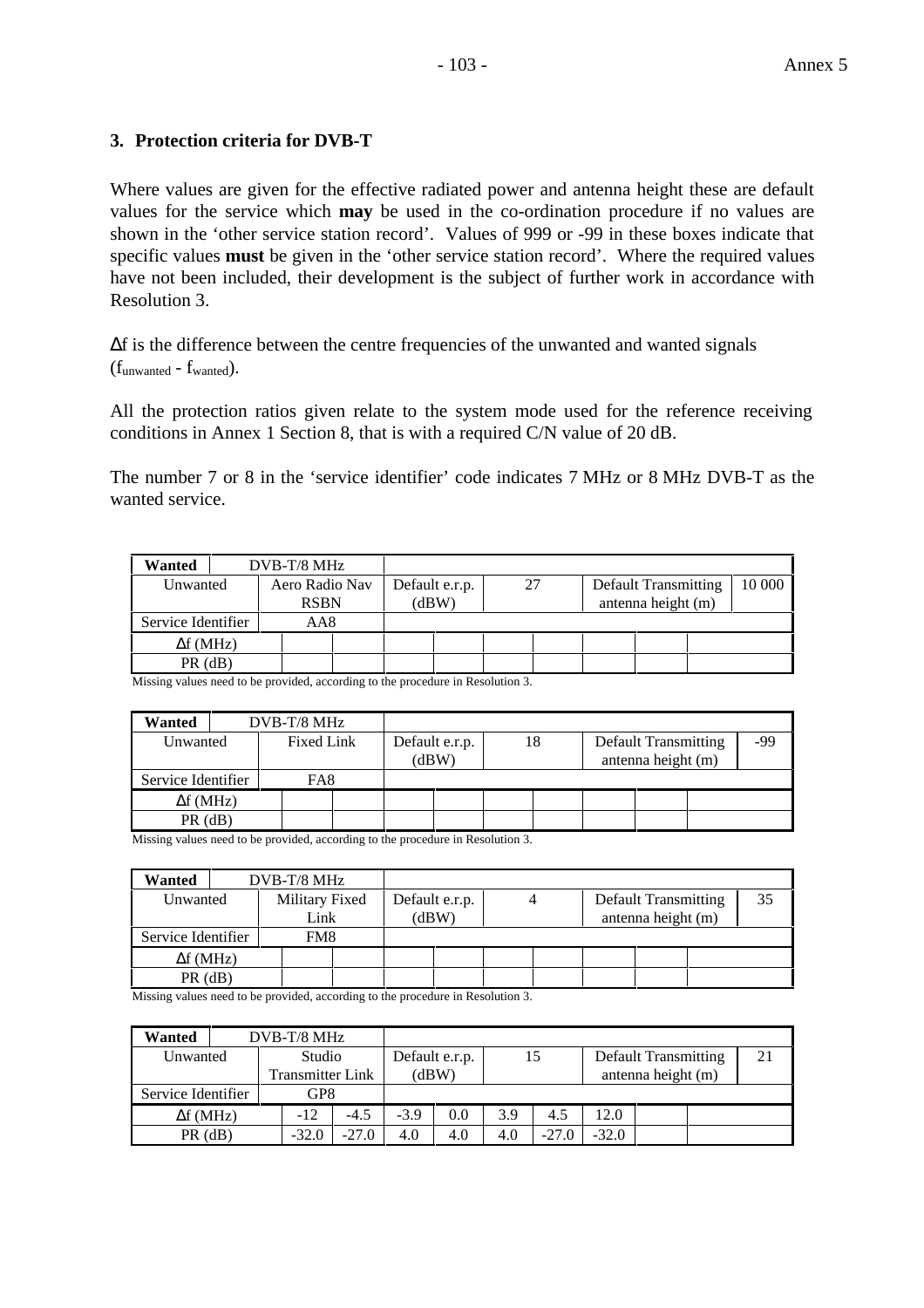### **3. Protection criteria for DVB-T**

Where values are given for the effective radiated power and antenna height these are default values for the service which **may** be used in the co-ordination procedure if no values are shown in the 'other service station record'. Values of 999 or -99 in these boxes indicate that specific values **must** be given in the 'other service station record'. Where the required values have not been included, their development is the subject of further work in accordance with Resolution 3.

∆f is the difference between the centre frequencies of the unwanted and wanted signals  $(f<sub>unwanted</sub> - f<sub>wanted</sub>).$ 

All the protection ratios given relate to the system mode used for the reference receiving conditions in Annex 1 Section 8, that is with a required C/N value of 20 dB.

The number 7 or 8 in the 'service identifier' code indicates 7 MHz or 8 MHz DVB-T as the wanted service.

| Wanted           |                    | DVB-T/8 MHz |                               |  |                         |  |    |  |                                            |  |  |
|------------------|--------------------|-------------|-------------------------------|--|-------------------------|--|----|--|--------------------------------------------|--|--|
|                  | Unwanted           |             | Aero Radio Nav<br><b>RSBN</b> |  | Default e.r.p.<br>(dBW) |  | 27 |  | Default Transmitting<br>antenna height (m) |  |  |
|                  | Service Identifier |             | AA8                           |  |                         |  |    |  |                                            |  |  |
| $\Delta f$ (MHz) |                    |             |                               |  |                         |  |    |  |                                            |  |  |
| $PR$ (dB)        |                    |             |                               |  |                         |  |    |  |                                            |  |  |

Missing values need to be provided, according to the procedure in Resolution 3.

| Wanted             |      | DVB-T/8 MHz |            |                         |  |    |                                                   |     |
|--------------------|------|-------------|------------|-------------------------|--|----|---------------------------------------------------|-----|
| Unwanted           |      |             | Fixed Link | Default e.r.p.<br>(dBW) |  | 18 | <b>Default Transmitting</b><br>antenna height (m) | -99 |
| Service Identifier |      |             | FA8        |                         |  |    |                                                   |     |
| $\Delta f$ (MHz)   |      |             |            |                         |  |    |                                                   |     |
| PR                 | (dB) |             |            |                         |  |    |                                                   |     |

Missing values need to be provided, according to the procedure in Resolution 3.

| Wanted             |  | DVB-T/8 MHz    |  |                |  |  |  |                             |  |  |    |
|--------------------|--|----------------|--|----------------|--|--|--|-----------------------------|--|--|----|
| Unwanted           |  | Military Fixed |  | Default e.r.p. |  |  |  | <b>Default Transmitting</b> |  |  | 35 |
|                    |  | Link           |  | (dBW)          |  |  |  | antenna height (m)          |  |  |    |
| Service Identifier |  | FM8            |  |                |  |  |  |                             |  |  |    |
| $\Delta f$ (MHz)   |  |                |  |                |  |  |  |                             |  |  |    |
| $PR$ (dB)          |  |                |  |                |  |  |  |                             |  |  |    |

Missing values need to be provided, according to the procedure in Resolution 3.

| Wanted             |  | $DVB-T/8 MHz$           |         |                |     |     |         |                             |  |  |    |
|--------------------|--|-------------------------|---------|----------------|-----|-----|---------|-----------------------------|--|--|----|
| Unwanted           |  | Studio                  |         | Default e.r.p. |     | 15  |         | <b>Default Transmitting</b> |  |  | 21 |
|                    |  | <b>Transmitter Link</b> |         | (dBW)          |     |     |         | antenna height (m)          |  |  |    |
| Service Identifier |  | GP8                     |         |                |     |     |         |                             |  |  |    |
| $\Delta f$ (MHz)   |  | $-12$                   | $-4.5$  | $-3.9$         | 0.0 | 3.9 | 4.5     | 12.0                        |  |  |    |
| $PR$ (dB)          |  | $-32.0$                 | $-27.0$ | 4.0            | 4.0 | 4.0 | $-27.0$ | $-32.0$                     |  |  |    |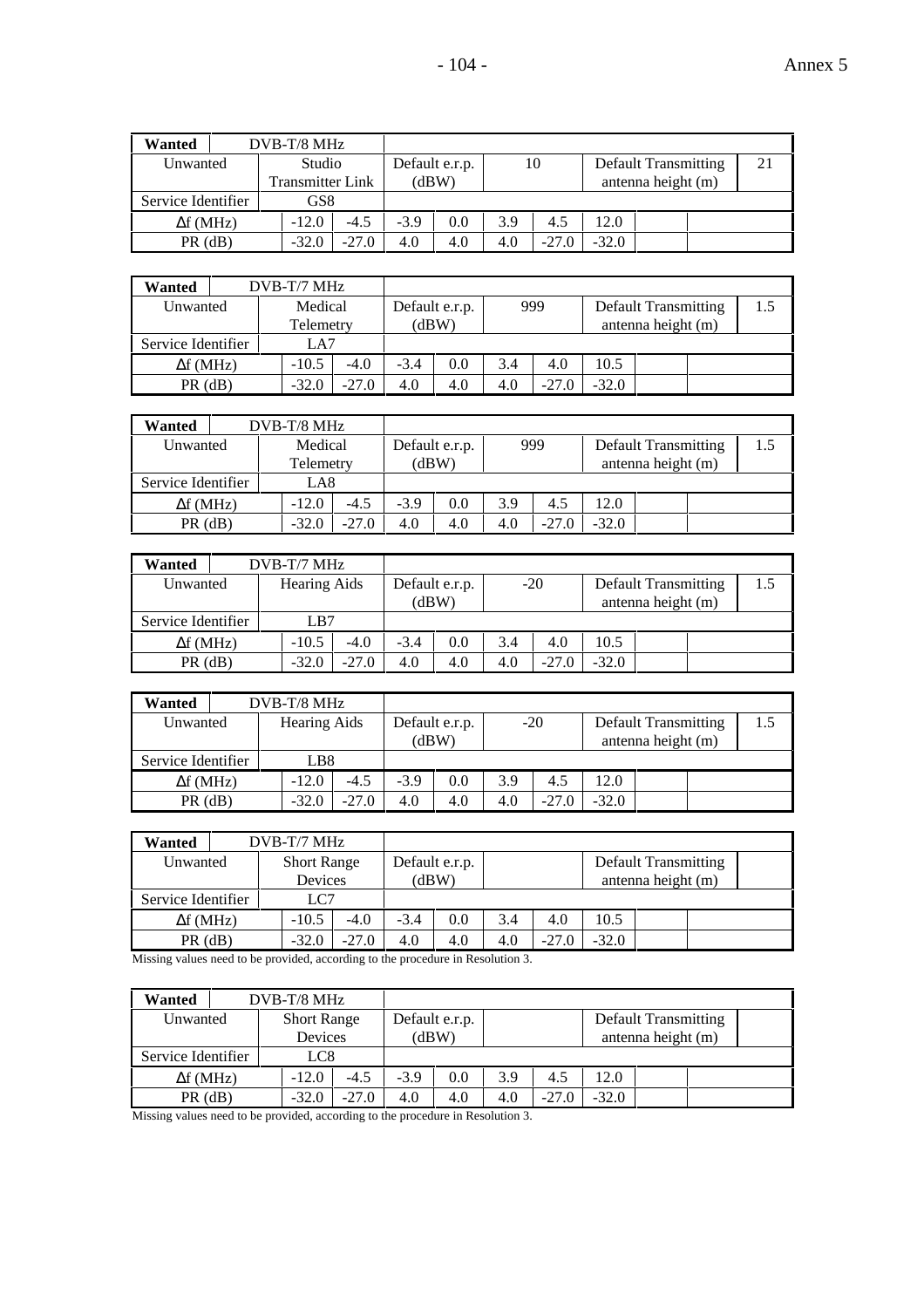| Wanted             |                            | $DVB-T/8$ MHz |         |                         |     |     |         |                                                   |    |  |
|--------------------|----------------------------|---------------|---------|-------------------------|-----|-----|---------|---------------------------------------------------|----|--|
| Unwanted           | Studio<br>Transmitter Link |               |         | Default e.r.p.<br>(dBW) |     | 10  |         | <b>Default Transmitting</b><br>antenna height (m) | 21 |  |
| Service Identifier |                            | GS8           |         |                         |     |     |         |                                                   |    |  |
| $\Delta f$ (MHz)   |                            | $-12.0$       | $-4.5$  | $-3.9$                  | 0.0 | 3.9 | 4.5     | 12.0                                              |    |  |
| $PR$ (dB)          |                            | $-32.0$       | $-27.0$ | 4.0                     | 4.0 | 4.0 | $-27.0$ | $-32.0$                                           |    |  |

| Wanted             | $DVB-T/7 MHz$ |         |        |                |     |         |         |                             |     |
|--------------------|---------------|---------|--------|----------------|-----|---------|---------|-----------------------------|-----|
| Unwanted           | Medical       |         |        | Default e.r.p. |     | 999     |         | <b>Default Transmitting</b> | 1.5 |
|                    | Telemetry     |         | (dBW)  |                |     |         |         | antenna height (m)          |     |
| Service Identifier | LA7           |         |        |                |     |         |         |                             |     |
| $\Delta f$ (MHz)   | $-10.5$       | $-4.0$  | $-3.4$ | 0.0            | 3.4 | 4.0     | 10.5    |                             |     |
| $PR$ (dB)          | $-32.0$       | $-27.0$ | 4.0    | 4.0            | 4.0 | $-27.0$ | $-32.0$ |                             |     |

| Wanted             | $DVB-T/8$ MHz |         |        |                |     |         |         |                             |     |
|--------------------|---------------|---------|--------|----------------|-----|---------|---------|-----------------------------|-----|
| Unwanted           | Medical       |         |        | Default e.r.p. |     | 999     |         | <b>Default Transmitting</b> | 1.5 |
|                    | Telemetry     |         | (dBW)  |                |     |         |         | antenna height (m)          |     |
| Service Identifier | LA8           |         |        |                |     |         |         |                             |     |
| $\Delta f$ (MHz)   | $-12.0$       | $-4.5$  | $-3.9$ | 0.0            | 3.9 | 4.5     | 12.0    |                             |     |
| $PR$ (dB)          | $-32.0$       | $-27.0$ | 4.0    | 4.0            | 4.0 | $-27.0$ | $-32.0$ |                             |     |

| Wanted             | $DVB-T/7 MHz$              |        |                         |     |     |         |         |                                                   |     |
|--------------------|----------------------------|--------|-------------------------|-----|-----|---------|---------|---------------------------------------------------|-----|
| Unwanted           | <b>Hearing Aids</b><br>LB7 |        | Default e.r.p.<br>(dBW) |     |     | $-20$   |         | <b>Default Transmitting</b><br>antenna height (m) | 1.5 |
| Service Identifier |                            |        |                         |     |     |         |         |                                                   |     |
| $\Delta f$ (MHz)   | $-10.5$                    | $-4.0$ | $-3.4$                  | 0.0 | 3.4 | 4.0     | 10.5    |                                                   |     |
| $PR$ ( $dB$ )      | $-27.0$<br>$-32.0$         |        | 4.0                     | 4.0 | 4.0 | $-27.0$ | $-32.0$ |                                                   |     |

| Wanted             | DVB-T/8 MHz  |         |        |                         |     |         |         |                                                   |     |
|--------------------|--------------|---------|--------|-------------------------|-----|---------|---------|---------------------------------------------------|-----|
| Unwanted           | Hearing Aids |         |        | Default e.r.p.<br>(dBW) |     | $-20$   |         | <b>Default Transmitting</b><br>antenna height (m) | 1.5 |
| Service Identifier | LB8.         |         |        |                         |     |         |         |                                                   |     |
| $\Delta f$ (MHz)   | $-12.0$      | $-4.5$  | $-3.9$ | 0.0                     | 3.9 | 4.5     | 12.0    |                                                   |     |
| $PR$ (dB)          | $-32.0$      | $-27.0$ | 4.0    | 4.0                     | 4.0 | $-27.0$ | $-32.0$ |                                                   |     |

| Wanted             | $DVB-T/7 MHz$                 |         |        |                |     |         |         |                                                   |  |
|--------------------|-------------------------------|---------|--------|----------------|-----|---------|---------|---------------------------------------------------|--|
| Unwanted           | <b>Short Range</b><br>Devices |         | (dBW   | Default e.r.p. |     |         |         | <b>Default Transmitting</b><br>antenna height (m) |  |
| Service Identifier | LC7                           |         |        |                |     |         |         |                                                   |  |
| $\Delta f$ (MHz)   | $-10.5$                       | $-4.0$  | $-3.4$ | 0.0            | 3.4 | 4.0     | 10.5    |                                                   |  |
| $PR$ (dB)          | $-32.0$                       | $-27.0$ | 4.0    | 4.0            | 4.0 | $-27.0$ | $-32.0$ |                                                   |  |

Missing values need to be provided, according to the procedure in Resolution 3.

| Wanted             | DVB-T/8 MHz        |         |        |                |     |                    |         |                             |  |  |
|--------------------|--------------------|---------|--------|----------------|-----|--------------------|---------|-----------------------------|--|--|
| Unwanted           | <b>Short Range</b> |         |        | Default e.r.p. |     |                    |         | <b>Default Transmitting</b> |  |  |
|                    | Devices            |         | (dBW)  |                |     | antenna height (m) |         |                             |  |  |
| Service Identifier | LC8                |         |        |                |     |                    |         |                             |  |  |
| $\Delta f$ (MHz)   | $-12.0$            | $-4.5$  | $-3.9$ | 0.0            | 3.9 | 4.5                | 12.0    |                             |  |  |
| $PR$ (dB)          | $-32.0$            | $-27.0$ | 4.0    | 4.0            | 4.0 | $-27.0$            | $-32.0$ |                             |  |  |

Missing values need to be provided, according to the procedure in Resolution 3.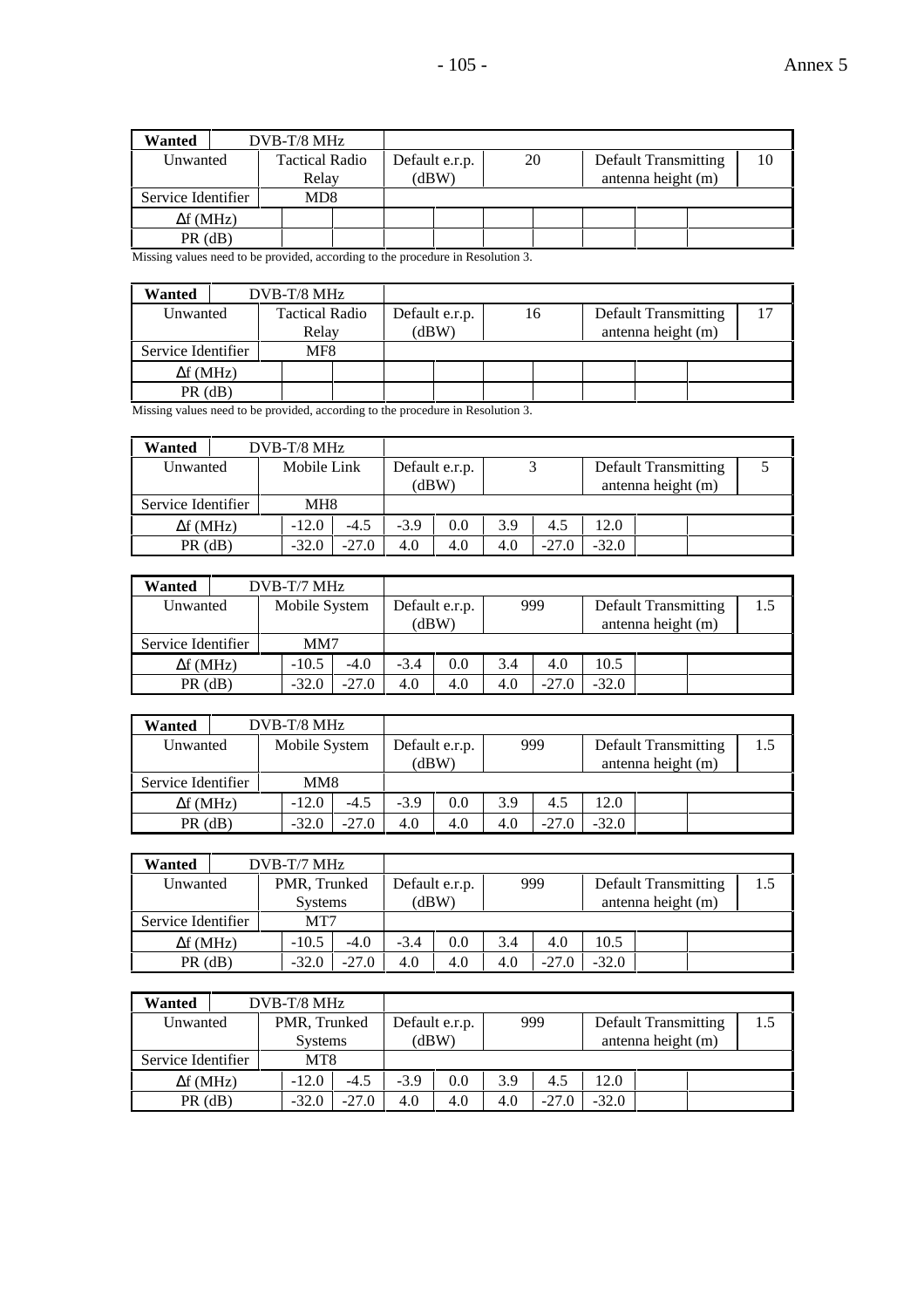| Wanted             | $DVB-T/8$ MHz         |  |                |    |                             |    |
|--------------------|-----------------------|--|----------------|----|-----------------------------|----|
| Unwanted           | <b>Tactical Radio</b> |  | Default e.r.p. | 20 | <b>Default Transmitting</b> | 10 |
|                    | Relay                 |  | (dBW)          |    | antenna height (m)          |    |
| Service Identifier | MD8                   |  |                |    |                             |    |
| $\Delta f$ (MHz)   |                       |  |                |    |                             |    |
| $PR$ (dB)          |                       |  |                |    |                             |    |

Missing values need to be provided, according to the procedure in Resolution 3.

| DVB-T/8 MHz<br><b>Tactical Radio</b><br>Relay<br>MF8 |  |  |                         |    |  |                                                   |  |
|------------------------------------------------------|--|--|-------------------------|----|--|---------------------------------------------------|--|
| Unwanted<br>Service Identifier<br>$\Delta f$ (MHz)   |  |  |                         |    |  |                                                   |  |
|                                                      |  |  |                         |    |  |                                                   |  |
| $PR$ (dB)                                            |  |  |                         |    |  |                                                   |  |
| Wanted                                               |  |  | Default e.r.p.<br>(dBW) | 16 |  | <b>Default Transmitting</b><br>antenna height (m) |  |

Missing values need to be provided, according to the procedure in Resolution 3.

| Wanted             | $DVB-T/8$ MHz   |         |        |                         |     |         |         |                                                   |  |
|--------------------|-----------------|---------|--------|-------------------------|-----|---------|---------|---------------------------------------------------|--|
| Unwanted           | Mobile Link     |         |        | Default e.r.p.<br>(dBW) |     |         |         | <b>Default Transmitting</b><br>antenna height (m) |  |
| Service Identifier | MH <sub>8</sub> |         |        |                         |     |         |         |                                                   |  |
| $\Delta f$ (MHz)   | $-12.0$         | $-4.5$  | $-3.9$ | 0.0                     | 3.9 | 4.5     | 12.0    |                                                   |  |
| $PR$ (dB)          | $-32.0$         | $-27.0$ | 4.0    | 4.0                     | 4.0 | $-27.0$ | $-32.0$ |                                                   |  |

| Wanted             |                           | $DVB-T/7 MHz$ |         |        |                |     |         |         |                             |     |
|--------------------|---------------------------|---------------|---------|--------|----------------|-----|---------|---------|-----------------------------|-----|
|                    | Mobile System<br>Unwanted |               |         |        | Default e.r.p. |     | 999     |         | <b>Default Transmitting</b> | 1.5 |
|                    |                           |               |         |        | (dBW)          |     |         |         | antenna height (m)          |     |
| Service Identifier |                           | MM7           |         |        |                |     |         |         |                             |     |
| $\Delta f$ (MHz)   |                           | $-10.5$       | $-4.0$  | $-3.4$ | 0.0            | 3.4 | 4.0     | 10.5    |                             |     |
| $PR$ (dB)          |                           | $-32.0$       | $-27.0$ | 4.0    | 4.0            | 4.0 | $-27.0$ | $-32.0$ |                             |     |

| Wanted             |                           |  | $DVB-T/8$ MHz |         |                |     |     |         |                                                   |     |  |
|--------------------|---------------------------|--|---------------|---------|----------------|-----|-----|---------|---------------------------------------------------|-----|--|
|                    | Mobile System<br>Unwanted |  |               | (dBW)   | Default e.r.p. |     | 999 |         | <b>Default Transmitting</b><br>antenna height (m) | 1.5 |  |
| Service Identifier |                           |  | MM8           |         |                |     |     |         |                                                   |     |  |
| $\Delta f$ (MHz)   |                           |  | $-12.0$       | $-4.5$  | $-3.9$         | 0.0 | 3.9 | 4.5     | 12.0                                              |     |  |
| $PR$ (dB)          |                           |  | $-32.0$       | $-27.0$ | 4.0            | 4.0 | 4.0 | $-27.0$ | $-32.0$                                           |     |  |

| Wanted             | $DVB-T/7 MHz$  |         |        |                |     |         |         |                             |     |
|--------------------|----------------|---------|--------|----------------|-----|---------|---------|-----------------------------|-----|
| Unwanted           | PMR, Trunked   |         |        | Default e.r.p. |     | 999     |         | <b>Default Transmitting</b> | 1.5 |
|                    | <b>Systems</b> |         | (dBW)  |                |     |         |         | antenna height (m)          |     |
| Service Identifier |                | MT7     |        |                |     |         |         |                             |     |
| $\Delta f$ (MHz)   | $-10.5$        | $-4.0$  | $-3.4$ | 0.0            | 3.4 | 4.0     | 10.5    |                             |     |
| $PR$ ( $dB$ )      | $-32.0$        | $-27.0$ | 4.0    | 4.0            | 4.0 | $-27.0$ | $-32.0$ |                             |     |

| Wanted             | $DVB-T/8$ MHz      |  |        |                |     |         |         |                             |     |
|--------------------|--------------------|--|--------|----------------|-----|---------|---------|-----------------------------|-----|
| Unwanted           | PMR, Trunked       |  |        | Default e.r.p. |     | 999     |         | <b>Default Transmitting</b> | 1.5 |
|                    | <b>Systems</b>     |  |        | (dBW)          |     |         |         | antenna height (m)          |     |
| Service Identifier | MT <sub>8</sub>    |  |        |                |     |         |         |                             |     |
| $\Delta f$ (MHz)   | $-4.5$<br>$-12.0$  |  | $-3.9$ | 0.0            | 3.9 | 4.5     | 12.0    |                             |     |
| $PR$ (dB)          | $-27.0$<br>$-32.0$ |  | 4.0    | 4.0            | 4.0 | $-27.0$ | $-32.0$ |                             |     |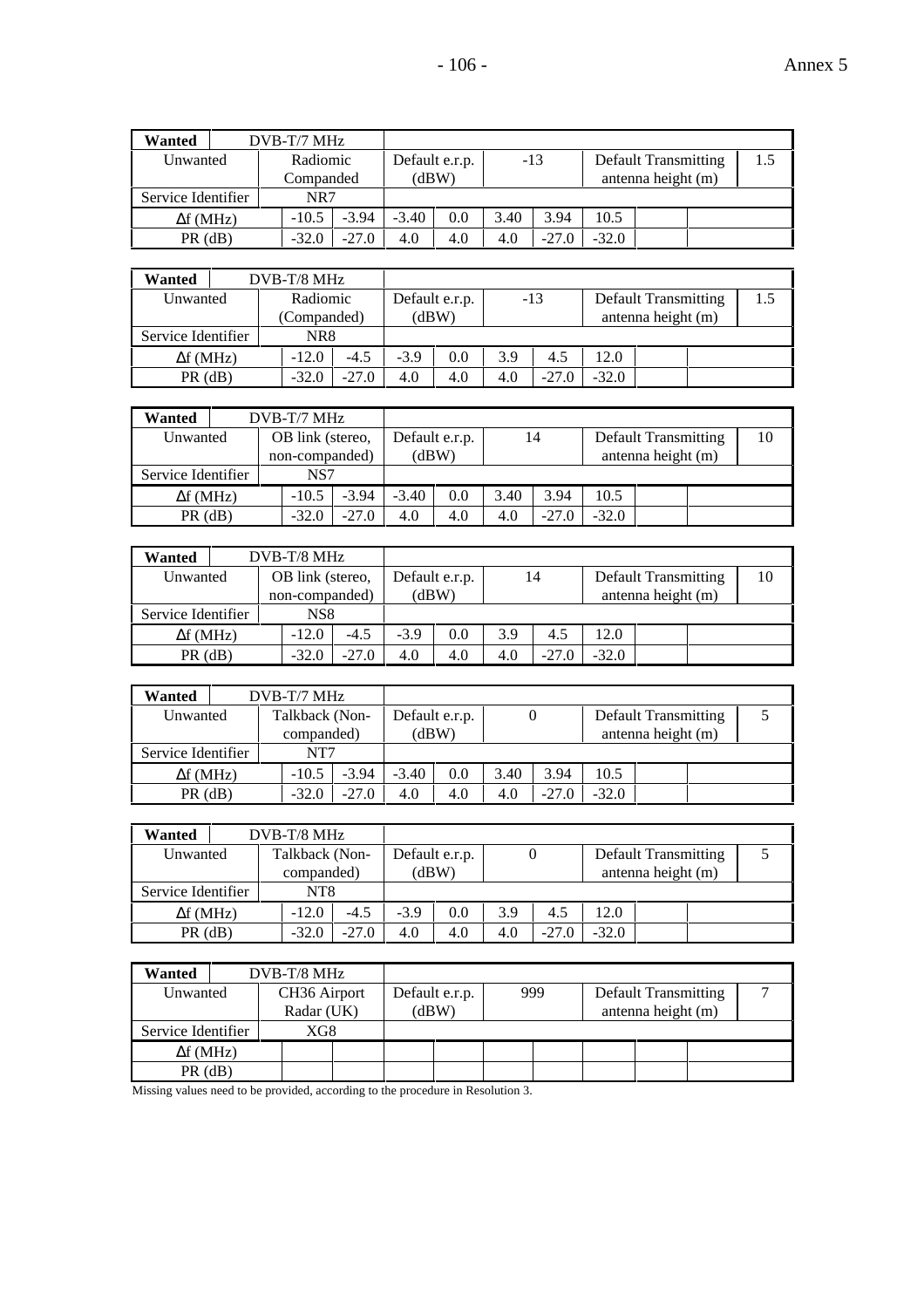| Wanted             |  | $DVB-T/7 MHz$ |         |         |                |      |         |         |                             |     |
|--------------------|--|---------------|---------|---------|----------------|------|---------|---------|-----------------------------|-----|
| Unwanted           |  | Radiomic      |         |         | Default e.r.p. |      | $-13$   |         | <b>Default Transmitting</b> | 1.5 |
|                    |  | Companded     |         | (dBW)   |                |      |         |         | antenna height (m)          |     |
| Service Identifier |  | NR7           |         |         |                |      |         |         |                             |     |
| $\Delta f$ (MHz)   |  | $-10.5$       | $-3.94$ | $-3.40$ | 0.0            | 3.40 | 3.94    | 10.5    |                             |     |
| $PR$ ( $dB$ )      |  | $-32.0$       | $-27.0$ | 4.0     | 4.0            | 4.0  | $-27.0$ | $-32.0$ |                             |     |

| Wanted             | $DVB-T/8$ MHz      |  |        |                |     |         |         |                             |     |
|--------------------|--------------------|--|--------|----------------|-----|---------|---------|-----------------------------|-----|
| Unwanted           | Radiomic           |  |        | Default e.r.p. |     | $-13$   |         | <b>Default Transmitting</b> | 1.5 |
|                    | (Companded)        |  |        | (dBW)          |     |         |         | antenna height (m)          |     |
| Service Identifier | NR8                |  |        |                |     |         |         |                             |     |
| $\Delta f$ (MHz)   | $-12.0$<br>$-4.5$  |  | $-3.9$ | 0.0            | 3.9 | 4.5     | 12.0    |                             |     |
| $PR$ (dB)          | $-27.0$<br>$-32.0$ |  | 4.0    | 4.0            | 4.0 | $-27.0$ | $-32.0$ |                             |     |

| Wanted             |                    |         | $DVB-T/7 MHz$    |                |         |                |         |         |      |                             |    |
|--------------------|--------------------|---------|------------------|----------------|---------|----------------|---------|---------|------|-----------------------------|----|
| Unwanted           |                    |         | OB link (stereo, |                |         | Default e.r.p. |         | 14      |      | <b>Default Transmitting</b> | 10 |
|                    |                    |         |                  | non-companded) | (dBW)   |                |         |         |      | antenna height (m)          |    |
| Service Identifier |                    | NS7     |                  |                |         |                |         |         |      |                             |    |
| $\Delta f$ (MHz)   |                    | $-10.5$ |                  | $-3.94$        | $-3.40$ | 0.0            | 3.40    | 3.94    | 10.5 |                             |    |
|                    | $PR$ (dB)<br>-32.0 |         | $-27.0$          | 4.0            | 4.0     | 4.0            | $-27.0$ | $-32.0$ |      |                             |    |

| Wanted             |                      | $DVB-T/8$ MHz                      |         |        |                         |     |         |         |                                                   |    |
|--------------------|----------------------|------------------------------------|---------|--------|-------------------------|-----|---------|---------|---------------------------------------------------|----|
| Unwanted           |                      | OB link (stereo,<br>non-companded) |         |        | Default e.r.p.<br>(dBW) |     | 14      |         | <b>Default Transmitting</b><br>antenna height (m) | 10 |
| Service Identifier |                      | NS8                                |         |        |                         |     |         |         |                                                   |    |
| $\Delta f$ (MHz)   |                      | $-12.0$                            | $-4.5$  | $-3.9$ | 0.0                     | 3.9 | 4.5     | 12.0    |                                                   |    |
|                    | $PR$ (dB)<br>$-32.0$ |                                    | $-27.0$ | 4.0    | 4.0                     | 4.0 | $-27.0$ | $-32.0$ |                                                   |    |

| Wanted           |                    | $DVB-T/7$ MHz      |            |         |                |      |         |         |                             |  |
|------------------|--------------------|--------------------|------------|---------|----------------|------|---------|---------|-----------------------------|--|
| Unwanted         |                    | Talkback (Non-     |            |         | Default e.r.p. |      |         |         | <b>Default Transmitting</b> |  |
|                  | Service Identifier |                    | companded) |         | (dBW)          |      |         |         | antenna height (m)          |  |
|                  |                    | NT7                |            |         |                |      |         |         |                             |  |
| $\Delta f$ (MHz) |                    | $-3.94$<br>$-10.5$ |            | $-3.40$ | 0.0            | 3.40 | 3.94    | 10.5    |                             |  |
| $PR$ (dB)        |                    | $-32.0$            | $-27.0$    | 4.0     | 4.0            | 4.0  | $-27.0$ | $-32.0$ |                             |  |

| Wanted             | $DVB-T/8$ MHz                |         |        |                         |     |         |         |                                                   |  |
|--------------------|------------------------------|---------|--------|-------------------------|-----|---------|---------|---------------------------------------------------|--|
| Unwanted           | Talkback (Non-<br>companded) |         |        | Default e.r.p.<br>(dBW) |     |         |         | <b>Default Transmitting</b><br>antenna height (m) |  |
| Service Identifier | NT8                          |         |        |                         |     |         |         |                                                   |  |
| $\Delta f$ (MHz)   | $-12.0$                      | $-4.5$  | $-3.9$ | 0.0                     | 3.9 | 4.5     | 12.0    |                                                   |  |
| $PR$ (dB)          | $-32.0$                      | $-27.0$ | 4.0    | 4.0                     | 4.0 | $-27.0$ | $-32.0$ |                                                   |  |

| Wanted                                                                      | DVB-T/8 MHz              |  |                |     |                             |  |
|-----------------------------------------------------------------------------|--------------------------|--|----------------|-----|-----------------------------|--|
| Unwanted                                                                    | CH <sub>36</sub> Airport |  | Default e.r.p. | 999 | <b>Default Transmitting</b> |  |
|                                                                             | Radar (UK)               |  | (dBW)          |     | antenna height (m)          |  |
| Service Identifier                                                          | XG8                      |  |                |     |                             |  |
| $\Delta f$ (MHz)                                                            |                          |  |                |     |                             |  |
| $PR$ (dB)                                                                   |                          |  |                |     |                             |  |
| Missing reduce need to be nucrided according to the nucedum in Decelution 2 |                          |  |                |     |                             |  |

Missing values need to be provided, according to the procedure in Resolution 3.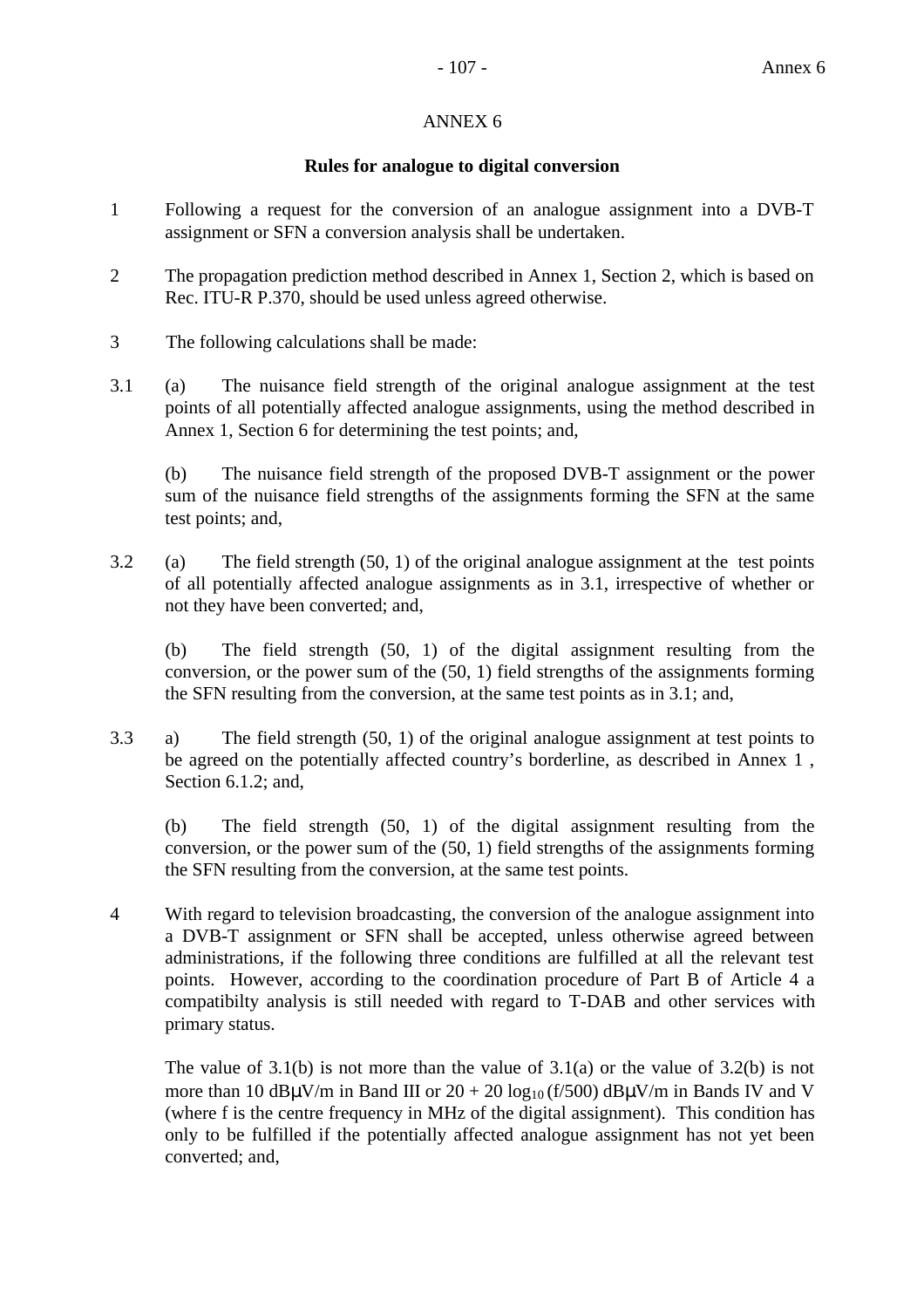## ANNEX 6

## **Rules for analogue to digital conversion**

- 1 Following a request for the conversion of an analogue assignment into a DVB-T assignment or SFN a conversion analysis shall be undertaken.
- 2 The propagation prediction method described in Annex 1, Section 2, which is based on Rec. ITU-R P.370, should be used unless agreed otherwise.
- 3 The following calculations shall be made:
- 3.1 (a) The nuisance field strength of the original analogue assignment at the test points of all potentially affected analogue assignments, using the method described in Annex 1, Section 6 for determining the test points; and,

(b) The nuisance field strength of the proposed DVB-T assignment or the power sum of the nuisance field strengths of the assignments forming the SFN at the same test points; and,

3.2 (a) The field strength (50, 1) of the original analogue assignment at the test points of all potentially affected analogue assignments as in 3.1, irrespective of whether or not they have been converted; and,

(b) The field strength (50, 1) of the digital assignment resulting from the conversion, or the power sum of the (50, 1) field strengths of the assignments forming the SFN resulting from the conversion, at the same test points as in 3.1; and,

3.3 a) The field strength (50, 1) of the original analogue assignment at test points to be agreed on the potentially affected country's borderline, as described in Annex 1 , Section 6.1.2; and,

(b) The field strength (50, 1) of the digital assignment resulting from the conversion, or the power sum of the (50, 1) field strengths of the assignments forming the SFN resulting from the conversion, at the same test points.

4 With regard to television broadcasting, the conversion of the analogue assignment into a DVB-T assignment or SFN shall be accepted, unless otherwise agreed between administrations, if the following three conditions are fulfilled at all the relevant test points. However, according to the coordination procedure of Part B of Article 4 a compatibilty analysis is still needed with regard to T-DAB and other services with primary status.

The value of  $3.1(b)$  is not more than the value of  $3.1(a)$  or the value of  $3.2(b)$  is not more than 10 dB $\mu$ V/m in Band III or 20 + 20 log<sub>10</sub> (f/500) dB $\mu$ V/m in Bands IV and V (where f is the centre frequency in MHz of the digital assignment). This condition has only to be fulfilled if the potentially affected analogue assignment has not yet been converted; and,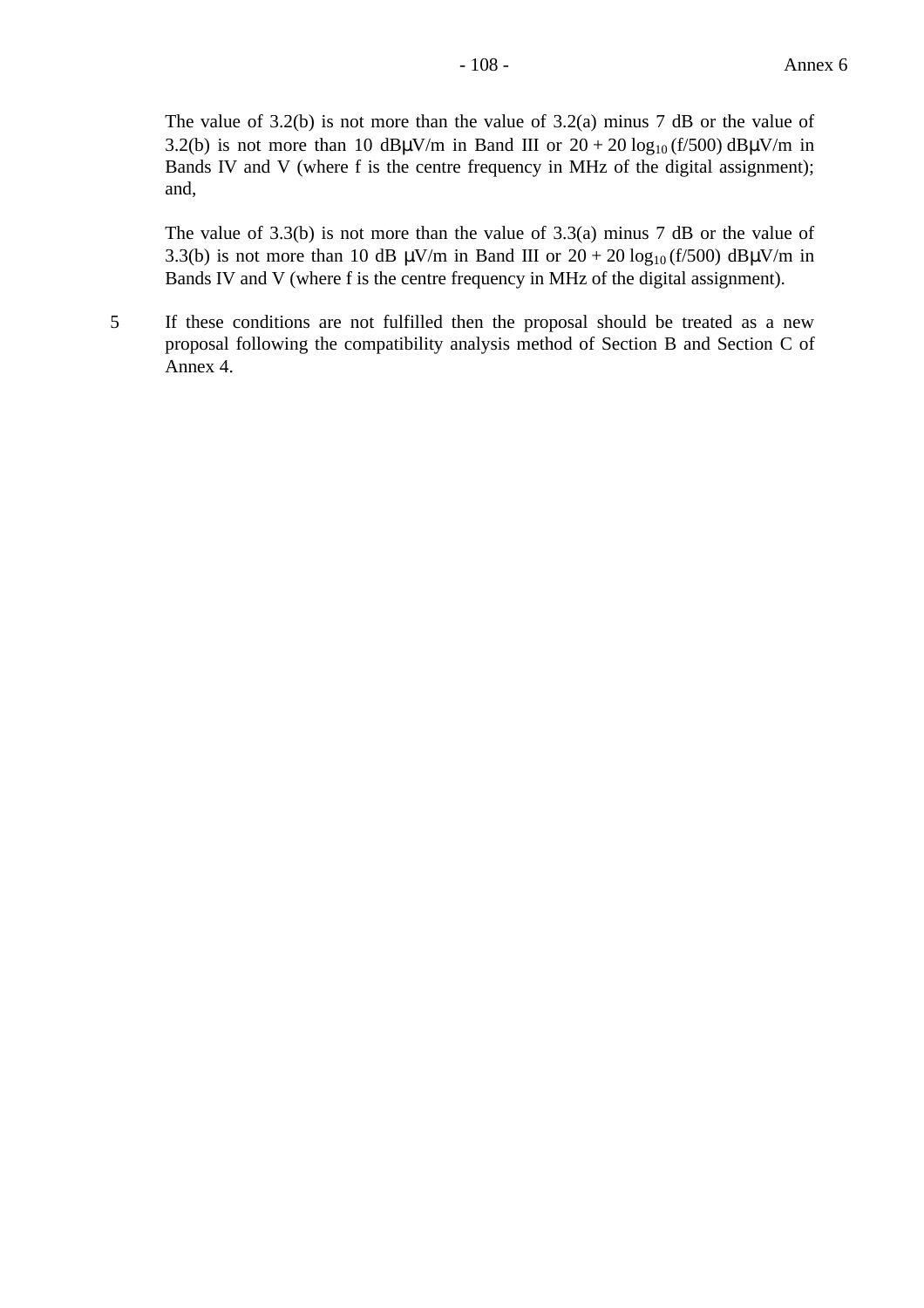The value of 3.2(b) is not more than the value of 3.2(a) minus 7 dB or the value of 3.2(b) is not more than 10 dB $\mu$ V/m in Band III or 20 + 20 log<sub>10</sub> (f/500) dB $\mu$ V/m in Bands IV and V (where f is the centre frequency in MHz of the digital assignment); and,

The value of 3.3(b) is not more than the value of 3.3(a) minus 7 dB or the value of 3.3(b) is not more than 10 dB  $\mu$ V/m in Band III or 20 + 20 log<sub>10</sub> (f/500) dB $\mu$ V/m in Bands IV and V (where f is the centre frequency in MHz of the digital assignment).

5 If these conditions are not fulfilled then the proposal should be treated as a new proposal following the compatibility analysis method of Section B and Section C of Annex 4.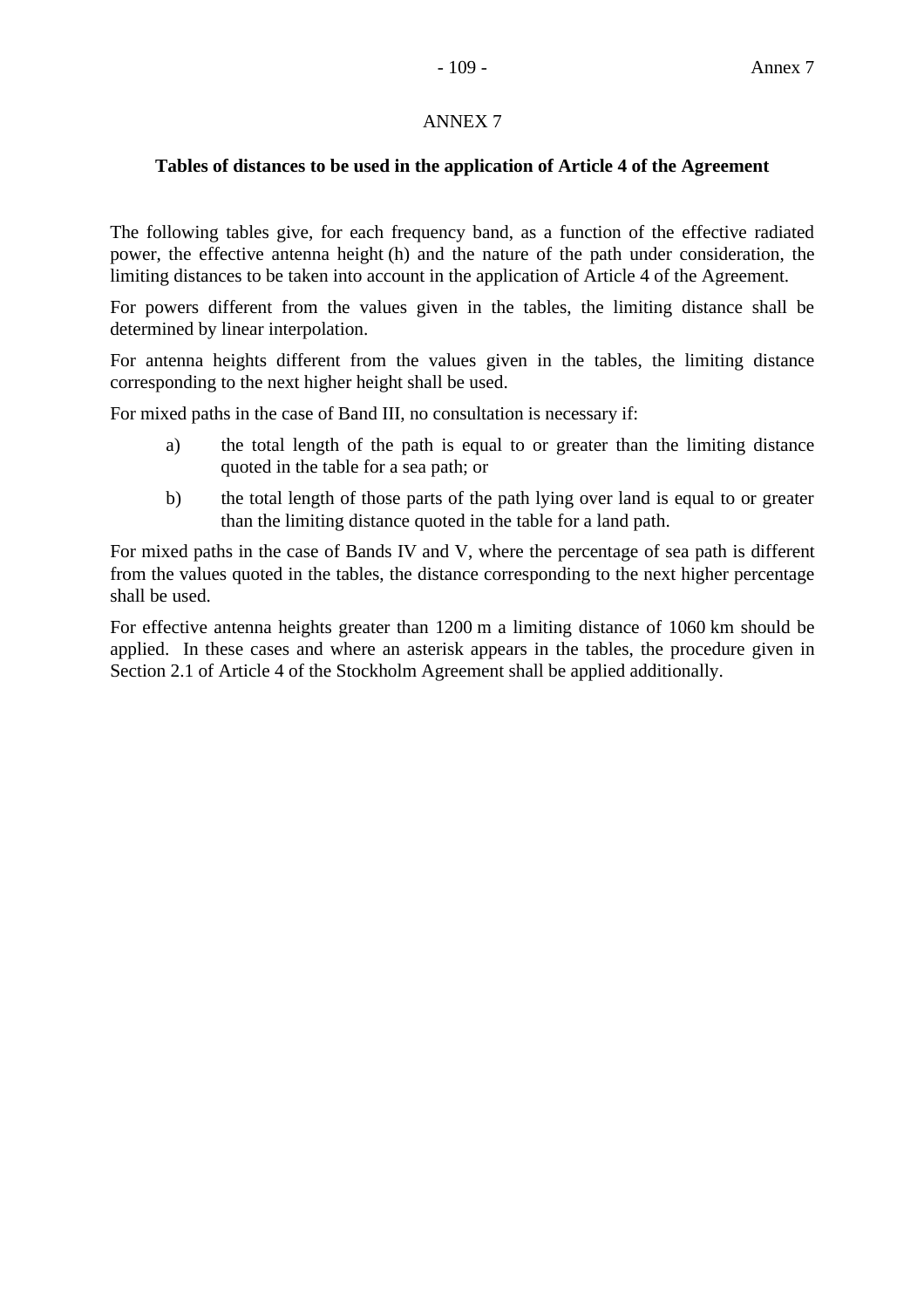## ANNEX 7

## **Tables of distances to be used in the application of Article 4 of the Agreement**

The following tables give, for each frequency band, as a function of the effective radiated power, the effective antenna height (h) and the nature of the path under consideration, the limiting distances to be taken into account in the application of Article 4 of the Agreement.

For powers different from the values given in the tables, the limiting distance shall be determined by linear interpolation.

For antenna heights different from the values given in the tables, the limiting distance corresponding to the next higher height shall be used.

For mixed paths in the case of Band III, no consultation is necessary if:

- a) the total length of the path is equal to or greater than the limiting distance quoted in the table for a sea path; or
- b) the total length of those parts of the path lying over land is equal to or greater than the limiting distance quoted in the table for a land path.

For mixed paths in the case of Bands IV and V, where the percentage of sea path is different from the values quoted in the tables, the distance corresponding to the next higher percentage shall be used.

For effective antenna heights greater than 1200 m a limiting distance of 1060 km should be applied. In these cases and where an asterisk appears in the tables, the procedure given in Section 2.1 of Article 4 of the Stockholm Agreement shall be applied additionally.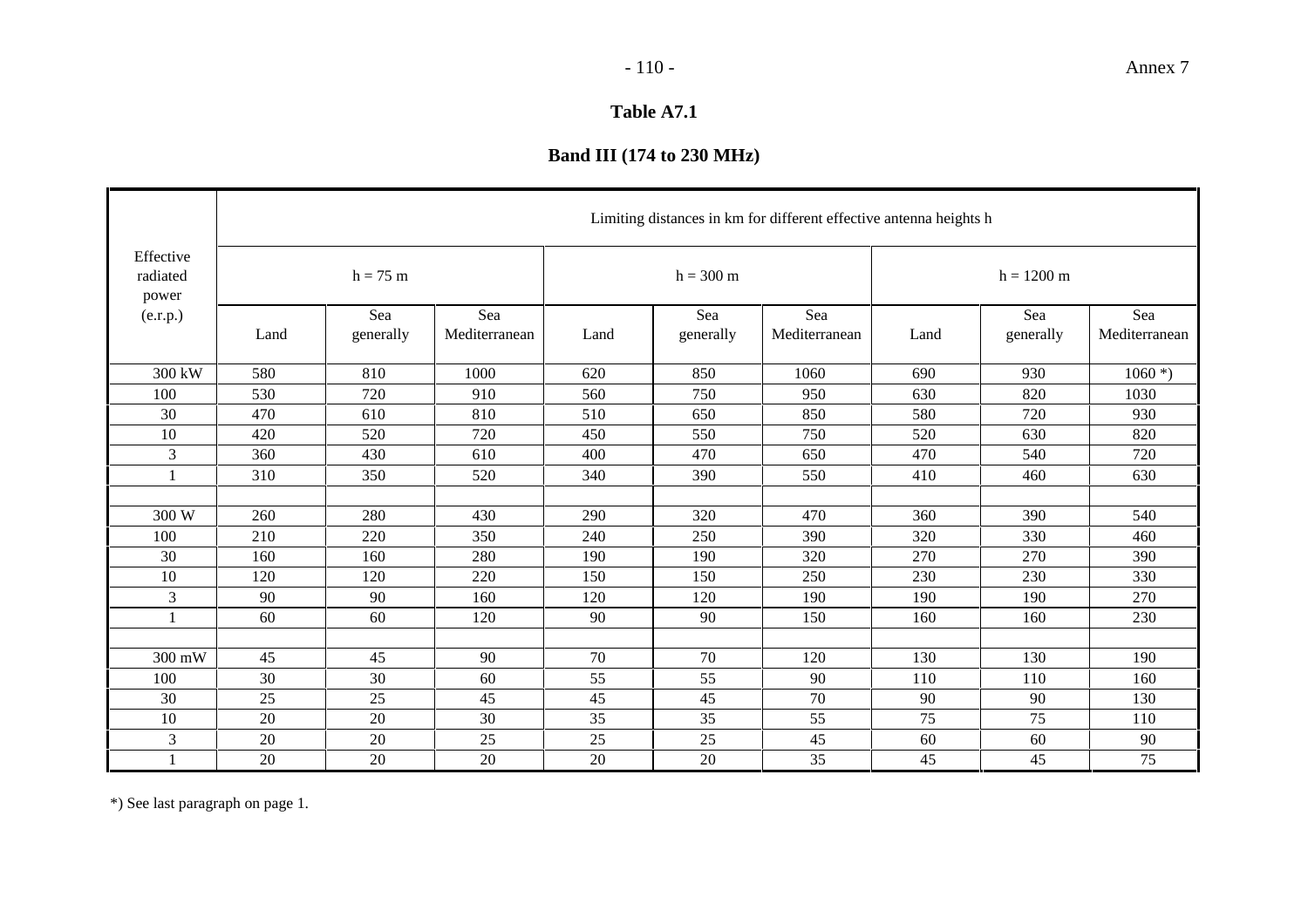# **Band III (174 to 230 MHz)**

|                                | Limiting distances in km for different effective antenna heights h |                  |                      |      |                     |                      |      |                      |                      |  |  |  |  |  |
|--------------------------------|--------------------------------------------------------------------|------------------|----------------------|------|---------------------|----------------------|------|----------------------|----------------------|--|--|--|--|--|
| Effective<br>radiated<br>power |                                                                    | $h = 75$ m       |                      |      | $h = 300 \text{ m}$ |                      |      | $h = 1200 \text{ m}$ |                      |  |  |  |  |  |
| (e.r.p.)                       | Land                                                               | Sea<br>generally | Sea<br>Mediterranean | Land | Sea<br>generally    | Sea<br>Mediterranean | Land | Sea<br>generally     | Sea<br>Mediterranean |  |  |  |  |  |
| 300 kW                         | 580                                                                | 810              | 1000                 | 620  | 850                 | 1060                 | 690  | 930                  | $1060$ *)            |  |  |  |  |  |
| 100                            | 530                                                                | 720              | 910                  | 560  | 750                 | 950                  | 630  | 820                  | 1030                 |  |  |  |  |  |
| 30                             | 470                                                                | 610              | 810                  | 510  | 650                 | 850                  | 580  | 720                  | 930                  |  |  |  |  |  |
| 10                             | 420                                                                | 520              | 720                  | 450  | 550                 | 750                  | 520  | 630                  | 820                  |  |  |  |  |  |
| 3                              | 360                                                                | 430              | 610                  | 400  | 470                 | 650                  | 470  | 540                  | 720                  |  |  |  |  |  |
| $\mathbf{1}$                   | 310                                                                | 350              | 520                  | 340  | 390                 | 550                  | 410  | 460                  | 630                  |  |  |  |  |  |
|                                |                                                                    |                  |                      |      |                     |                      |      |                      |                      |  |  |  |  |  |
| 300 W                          | 260                                                                | 280              | 430                  | 290  | 320                 | 470                  | 360  | 390                  | 540                  |  |  |  |  |  |
| 100                            | 210                                                                | 220              | 350                  | 240  | 250                 | 390                  | 320  | 330                  | 460                  |  |  |  |  |  |
| 30                             | 160                                                                | 160              | 280                  | 190  | 190                 | 320                  | 270  | 270                  | 390                  |  |  |  |  |  |
| 10                             | 120                                                                | 120              | 220                  | 150  | 150                 | 250                  | 230  | 230                  | 330                  |  |  |  |  |  |
| 3                              | 90                                                                 | 90               | 160                  | 120  | 120                 | 190                  | 190  | 190                  | 270                  |  |  |  |  |  |
| $\mathbf{1}$                   | 60                                                                 | 60               | 120                  | 90   | 90                  | 150                  | 160  | 160                  | 230                  |  |  |  |  |  |
|                                |                                                                    |                  |                      |      |                     |                      |      |                      |                      |  |  |  |  |  |
| 300 mW                         | 45                                                                 | 45               | 90                   | 70   | 70                  | 120                  | 130  | 130                  | 190                  |  |  |  |  |  |
| 100                            | 30                                                                 | 30               | 60                   | 55   | 55                  | 90                   | 110  | 110                  | 160                  |  |  |  |  |  |
| 30                             | 25                                                                 | 25               | 45                   | 45   | 45                  | 70                   | 90   | 90                   | 130                  |  |  |  |  |  |
| 10                             | 20                                                                 | 20               | 30                   | 35   | 35                  | 55                   | 75   | 75                   | 110                  |  |  |  |  |  |
| 3                              | 20                                                                 | 20               | 25                   | 25   | 25                  | 45                   | 60   | 60                   | 90                   |  |  |  |  |  |
| 1                              | 20                                                                 | 20               | 20                   | 20   | 20                  | 35                   | 45   | 45                   | 75                   |  |  |  |  |  |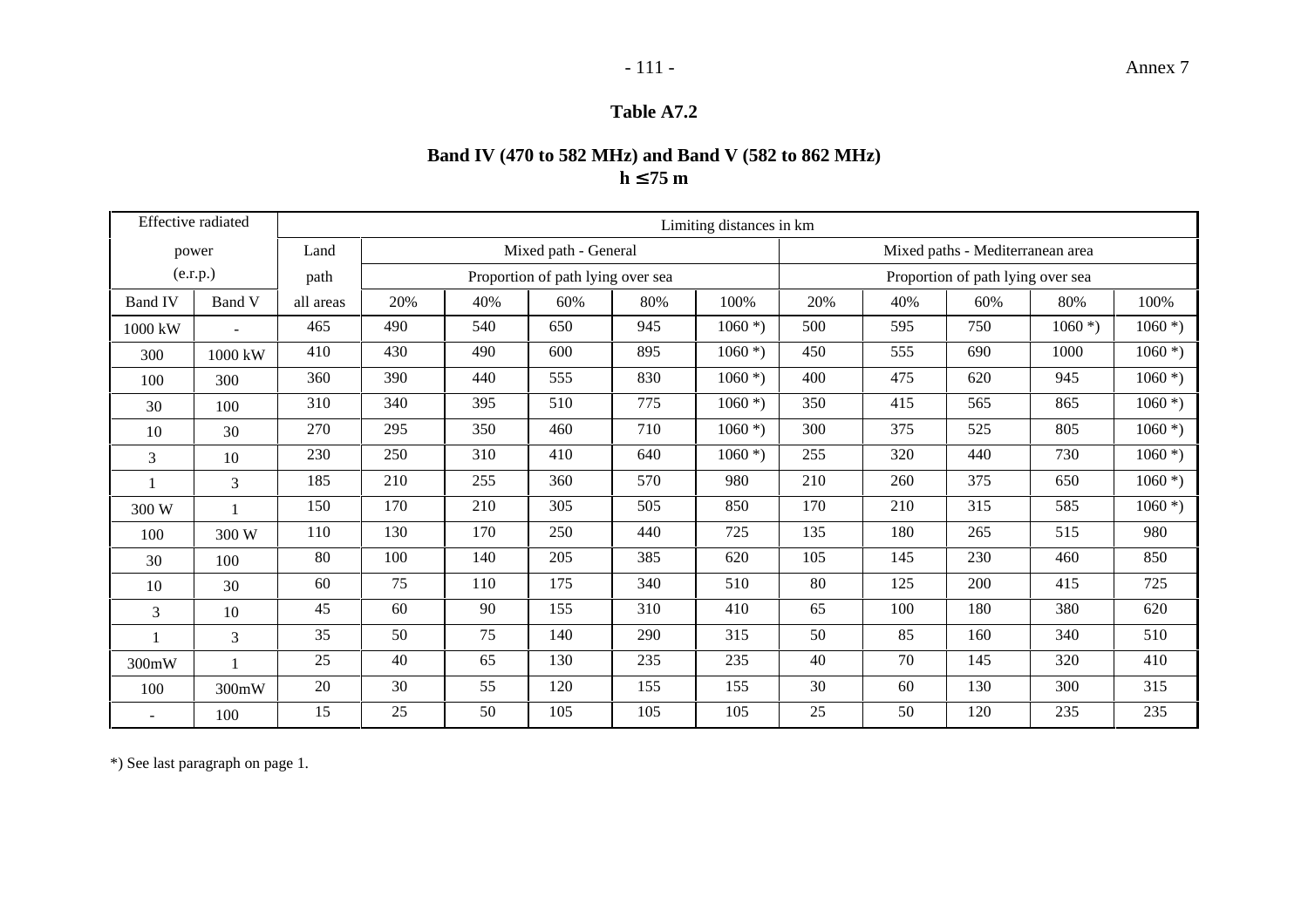## **Band IV (470 to 582 MHz) and Band V (582 to 862 MHz) h**  ≤ **75 m**

|                | Effective radiated |           |     |     |                                   |     | Limiting distances in km |     |     |                                   |           |           |
|----------------|--------------------|-----------|-----|-----|-----------------------------------|-----|--------------------------|-----|-----|-----------------------------------|-----------|-----------|
|                | power              | Land      |     |     | Mixed path - General              |     |                          |     |     | Mixed paths - Mediterranean area  |           |           |
|                | (e.r.p.)           | path      |     |     | Proportion of path lying over sea |     |                          |     |     | Proportion of path lying over sea |           |           |
| <b>Band IV</b> | Band V             | all areas | 20% | 40% | 60%                               | 80% | 100%                     | 20% | 40% | 60%                               | 80%       | 100%      |
| 1000 kW        |                    | 465       | 490 | 540 | 650                               | 945 | $1060$ *)                | 500 | 595 | 750                               | $1060$ *) | $1060$ *) |
| 300            | 1000 kW            | 410       | 430 | 490 | 600                               | 895 | $1060$ *)                | 450 | 555 | 690                               | 1000      | $1060$ *) |
| 100            | 300                | 360       | 390 | 440 | 555                               | 830 | $1060$ <sup>*</sup> )    | 400 | 475 | 620                               | 945       | $1060$ *) |
| 30             | 100                | 310       | 340 | 395 | 510                               | 775 | $1060$ *)                | 350 | 415 | 565                               | 865       | $1060$ *) |
| 10             | 30                 | 270       | 295 | 350 | 460                               | 710 | $1060$ <sup>*</sup> )    | 300 | 375 | 525                               | 805       | $1060$ *) |
| $\mathfrak{Z}$ | 10                 | 230       | 250 | 310 | 410                               | 640 | $1060$ *)                | 255 | 320 | 440                               | 730       | $1060$ *) |
|                | 3                  | 185       | 210 | 255 | 360                               | 570 | 980                      | 210 | 260 | 375                               | 650       | $1060$ *) |
| 300 W          | $\mathbf{1}$       | 150       | 170 | 210 | 305                               | 505 | 850                      | 170 | 210 | 315                               | 585       | $1060$ *) |
| 100            | 300 W              | 110       | 130 | 170 | 250                               | 440 | 725                      | 135 | 180 | 265                               | 515       | 980       |
| 30             | 100                | 80        | 100 | 140 | 205                               | 385 | 620                      | 105 | 145 | 230                               | 460       | 850       |
| 10             | 30                 | 60        | 75  | 110 | 175                               | 340 | 510                      | 80  | 125 | 200                               | 415       | 725       |
| 3              | 10                 | 45        | 60  | 90  | 155                               | 310 | 410                      | 65  | 100 | 180                               | 380       | 620       |
|                | 3                  | 35        | 50  | 75  | 140                               | 290 | 315                      | 50  | 85  | 160                               | 340       | 510       |
| 300mW          | $\mathbf{1}$       | 25        | 40  | 65  | 130                               | 235 | 235                      | 40  | 70  | 145                               | 320       | 410       |
| 100            | 300mW              | 20        | 30  | 55  | 120                               | 155 | 155                      | 30  | 60  | 130                               | 300       | 315       |
|                | 100                | 15        | 25  | 50  | 105                               | 105 | 105                      | 25  | 50  | 120                               | 235       | 235       |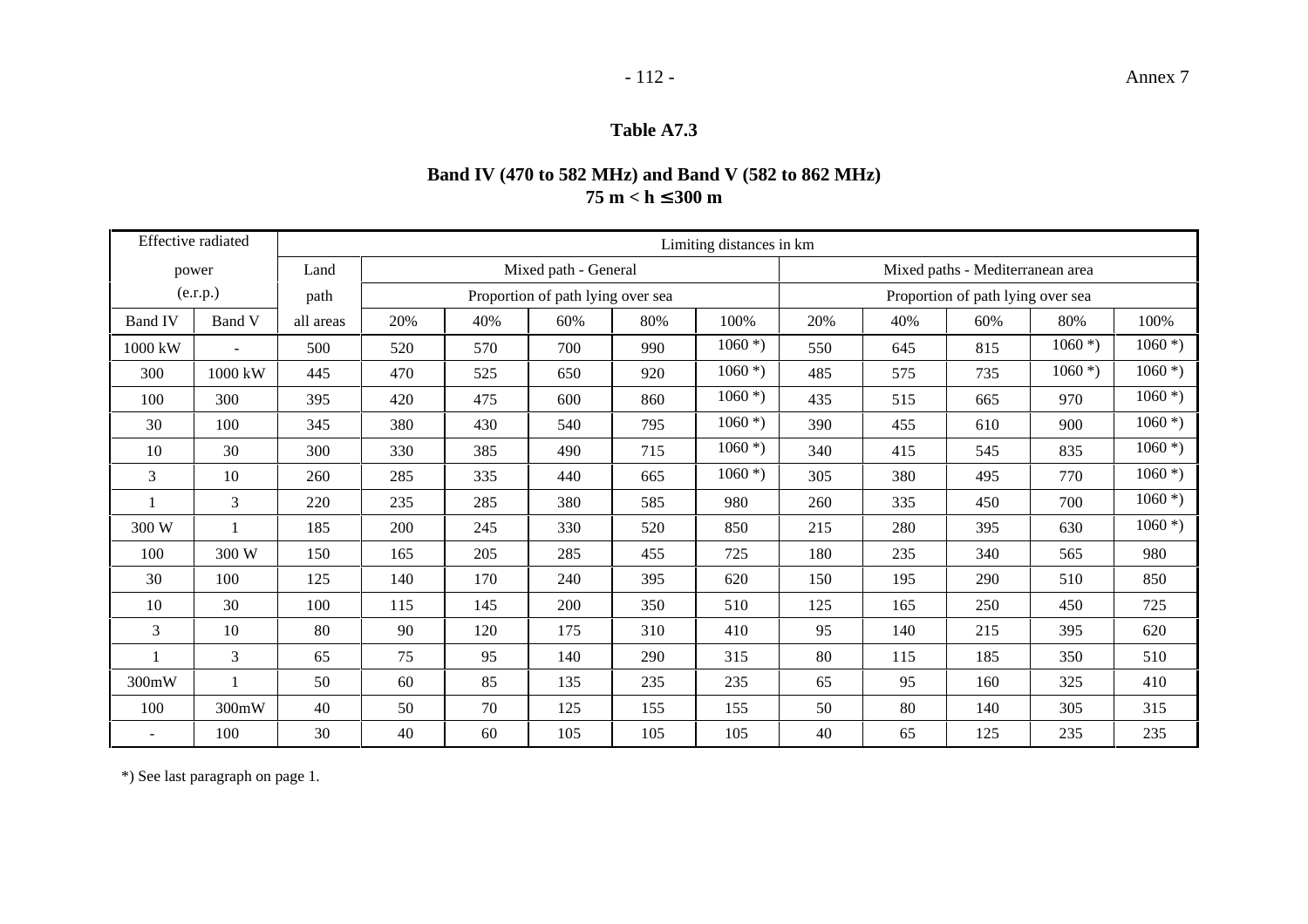## **Band IV (470 to 582 MHz) and Band V (582 to 862 MHz) 75 m < h**  ≤ **300 m**

|                | Effective radiated |           |     |     |                                   |     | Limiting distances in km |     |     |                                   |           |                       |
|----------------|--------------------|-----------|-----|-----|-----------------------------------|-----|--------------------------|-----|-----|-----------------------------------|-----------|-----------------------|
|                | power              | Land      |     |     | Mixed path - General              |     |                          |     |     | Mixed paths - Mediterranean area  |           |                       |
|                | (e.r.p.)           | path      |     |     | Proportion of path lying over sea |     |                          |     |     | Proportion of path lying over sea |           |                       |
| <b>Band IV</b> | Band V             | all areas | 20% | 40% | 60%                               | 80% | 100%                     | 20% | 40% | 60%                               | 80%       | 100%                  |
| 1000 kW        |                    | 500       | 520 | 570 | 700                               | 990 | $1060$ *)                | 550 | 645 | 815                               | $1060$ *) | $1060$ *)             |
| 300            | 1000 kW            | 445       | 470 | 525 | 650                               | 920 | $1060$ *)                | 485 | 575 | 735                               | $1060$ *) | $1060$ *)             |
| 100            | 300                | 395       | 420 | 475 | 600                               | 860 | $1060$ *)                | 435 | 515 | 665                               | 970       | $1060$ *)             |
| 30             | 100                | 345       | 380 | 430 | 540                               | 795 | $1060$ *)                | 390 | 455 | 610                               | 900       | $1060$ *)             |
| 10             | 30                 | 300       | 330 | 385 | 490                               | 715 | $1060$ <sup>*</sup> )    | 340 | 415 | 545                               | 835       | $1060$ *)             |
| $\overline{3}$ | 10                 | 260       | 285 | 335 | 440                               | 665 | $1060$ *)                | 305 | 380 | 495                               | 770       | $1060$ <sup>*</sup> ) |
|                | 3                  | 220       | 235 | 285 | 380                               | 585 | 980                      | 260 | 335 | 450                               | 700       | $1060$ *)             |
| 300 W          |                    | 185       | 200 | 245 | 330                               | 520 | 850                      | 215 | 280 | 395                               | 630       | $1060$ *)             |
| 100            | 300 W              | 150       | 165 | 205 | 285                               | 455 | 725                      | 180 | 235 | 340                               | 565       | 980                   |
| 30             | 100                | 125       | 140 | 170 | 240                               | 395 | 620                      | 150 | 195 | 290                               | 510       | 850                   |
| 10             | 30                 | 100       | 115 | 145 | 200                               | 350 | 510                      | 125 | 165 | 250                               | 450       | 725                   |
| 3              | 10                 | 80        | 90  | 120 | 175                               | 310 | 410                      | 95  | 140 | 215                               | 395       | 620                   |
|                | 3                  | 65        | 75  | 95  | 140                               | 290 | 315                      | 80  | 115 | 185                               | 350       | 510                   |
| 300mW          |                    | 50        | 60  | 85  | 135                               | 235 | 235                      | 65  | 95  | 160                               | 325       | 410                   |
| 100            | 300mW              | 40        | 50  | 70  | 125                               | 155 | 155                      | 50  | 80  | 140                               | 305       | 315                   |
|                | 100                | 30        | 40  | 60  | 105                               | 105 | 105                      | 40  | 65  | 125                               | 235       | 235                   |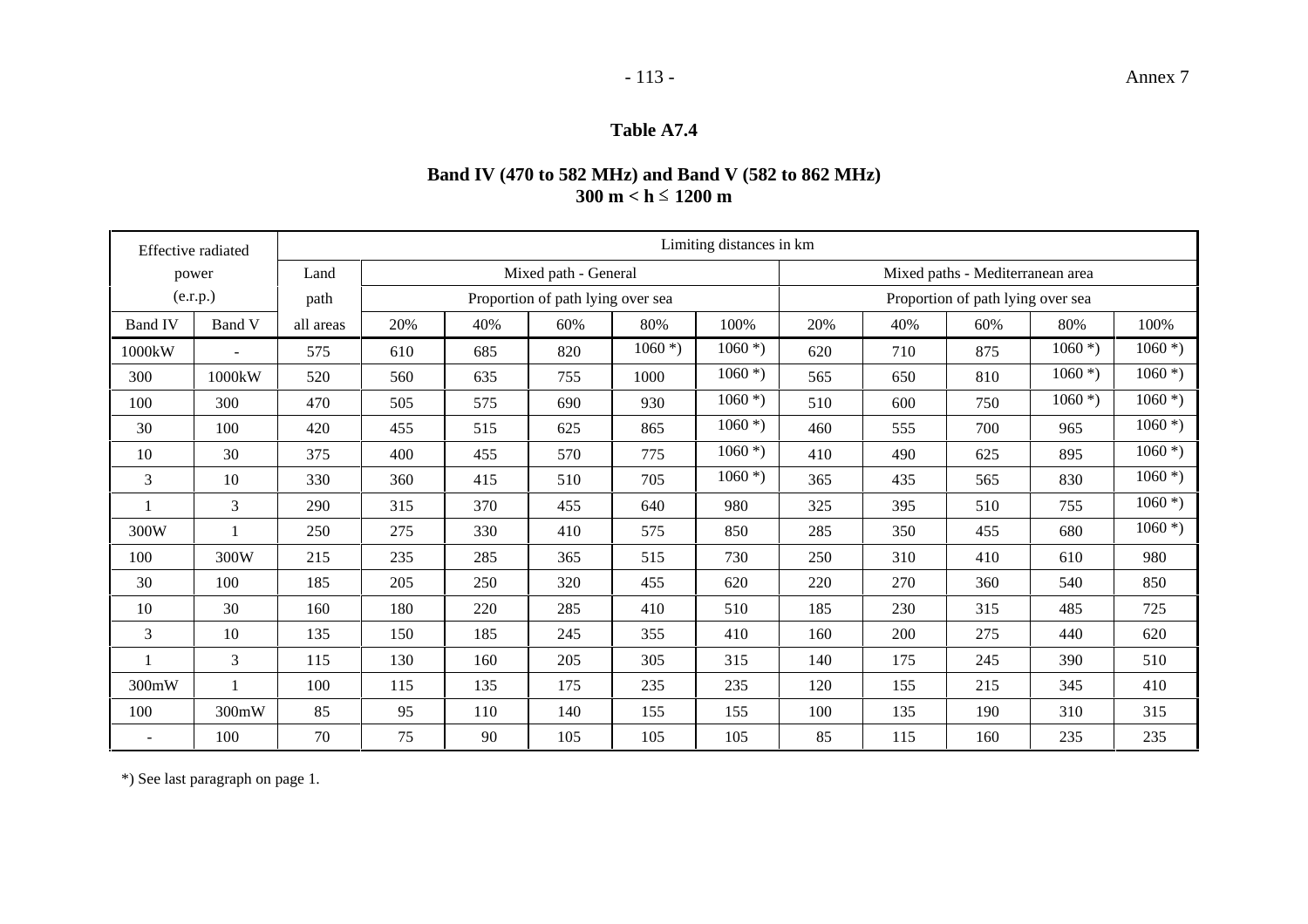## **Band IV (470 to 582 MHz) and Band V (582 to 862 MHz) 300 m < h**  ó **1200 m**

| Effective radiated       |        | Limiting distances in km |                                   |     |     |                                   |                                  |     |     |     |           |                       |
|--------------------------|--------|--------------------------|-----------------------------------|-----|-----|-----------------------------------|----------------------------------|-----|-----|-----|-----------|-----------------------|
| power                    |        | Land                     | Mixed path - General              |     |     |                                   | Mixed paths - Mediterranean area |     |     |     |           |                       |
| (e.r.p.)                 |        | path                     | Proportion of path lying over sea |     |     | Proportion of path lying over sea |                                  |     |     |     |           |                       |
| <b>Band IV</b>           | Band V | all areas                | 20%                               | 40% | 60% | 80%                               | 100%                             | 20% | 40% | 60% | 80%       | 100%                  |
| 1000kW                   | $\sim$ | 575                      | 610                               | 685 | 820 | $1060$ <sup>*</sup> )             | $1060$ *)                        | 620 | 710 | 875 | $1060$ *) | $1060$ *)             |
| 300                      | 1000kW | 520                      | 560                               | 635 | 755 | 1000                              | $1060$ *)                        | 565 | 650 | 810 | $1060$ *) | $1060$ *)             |
| 100                      | 300    | 470                      | 505                               | 575 | 690 | 930                               | $1060$ *)                        | 510 | 600 | 750 | $1060$ *) | $1060$ *)             |
| 30                       | 100    | 420                      | 455                               | 515 | 625 | 865                               | $1060$ *)                        | 460 | 555 | 700 | 965       | $1060$ *)             |
| 10                       | 30     | 375                      | 400                               | 455 | 570 | 775                               | $1060$ *)                        | 410 | 490 | 625 | 895       | $1060$ *)             |
| 3                        | 10     | 330                      | 360                               | 415 | 510 | 705                               | $1060$ *)                        | 365 | 435 | 565 | 830       | $1060$ *)             |
|                          | 3      | 290                      | 315                               | 370 | 455 | 640                               | 980                              | 325 | 395 | 510 | 755       | $1060$ *)             |
| 300W                     |        | 250                      | 275                               | 330 | 410 | 575                               | 850                              | 285 | 350 | 455 | 680       | $1060$ <sup>*</sup> ) |
| 100                      | 300W   | 215                      | 235                               | 285 | 365 | 515                               | 730                              | 250 | 310 | 410 | 610       | 980                   |
| 30                       | 100    | 185                      | 205                               | 250 | 320 | 455                               | 620                              | 220 | 270 | 360 | 540       | 850                   |
| 10                       | 30     | 160                      | 180                               | 220 | 285 | 410                               | 510                              | 185 | 230 | 315 | 485       | 725                   |
| 3                        | 10     | 135                      | 150                               | 185 | 245 | 355                               | 410                              | 160 | 200 | 275 | 440       | 620                   |
|                          | 3      | 115                      | 130                               | 160 | 205 | 305                               | 315                              | 140 | 175 | 245 | 390       | 510                   |
| 300mW                    |        | 100                      | 115                               | 135 | 175 | 235                               | 235                              | 120 | 155 | 215 | 345       | 410                   |
| 100                      | 300mW  | 85                       | 95                                | 110 | 140 | 155                               | 155                              | 100 | 135 | 190 | 310       | 315                   |
| $\overline{\phantom{a}}$ | 100    | 70                       | 75                                | 90  | 105 | 105                               | 105                              | 85  | 115 | 160 | 235       | 235                   |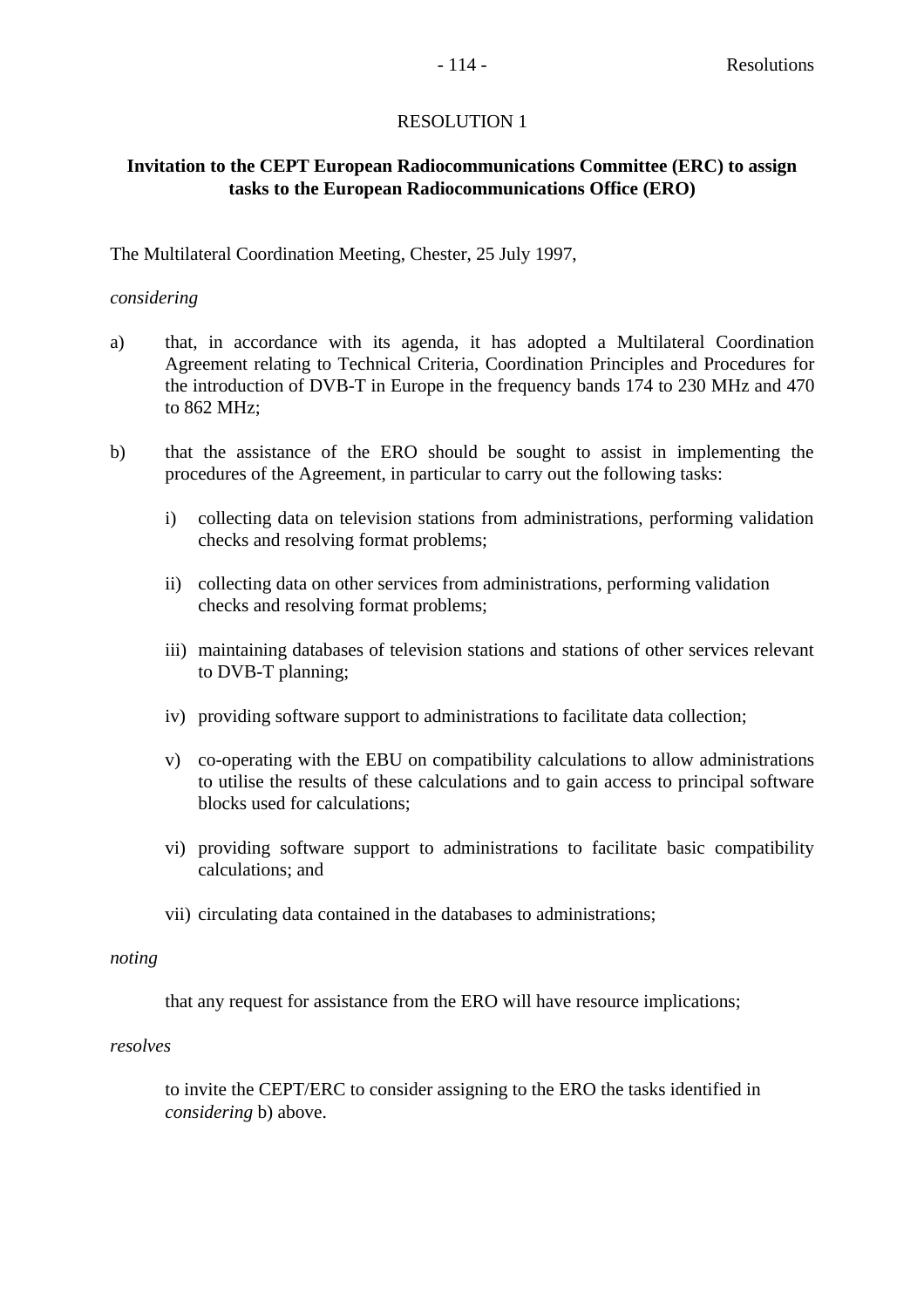## **Invitation to the CEPT European Radiocommunications Committee (ERC) to assign tasks to the European Radiocommunications Office (ERO)**

The Multilateral Coordination Meeting, Chester, 25 July 1997,

## *considering*

- a) that, in accordance with its agenda, it has adopted a Multilateral Coordination Agreement relating to Technical Criteria, Coordination Principles and Procedures for the introduction of DVB-T in Europe in the frequency bands 174 to 230 MHz and 470 to 862 MHz;
- b) that the assistance of the ERO should be sought to assist in implementing the procedures of the Agreement, in particular to carry out the following tasks:
	- i) collecting data on television stations from administrations, performing validation checks and resolving format problems;
	- ii) collecting data on other services from administrations, performing validation checks and resolving format problems;
	- iii) maintaining databases of television stations and stations of other services relevant to DVB-T planning;
	- iv) providing software support to administrations to facilitate data collection;
	- v) co-operating with the EBU on compatibility calculations to allow administrations to utilise the results of these calculations and to gain access to principal software blocks used for calculations;
	- vi) providing software support to administrations to facilitate basic compatibility calculations; and
	- vii) circulating data contained in the databases to administrations;

## *noting*

that any request for assistance from the ERO will have resource implications;

## *resolves*

to invite the CEPT/ERC to consider assigning to the ERO the tasks identified in *considering* b) above.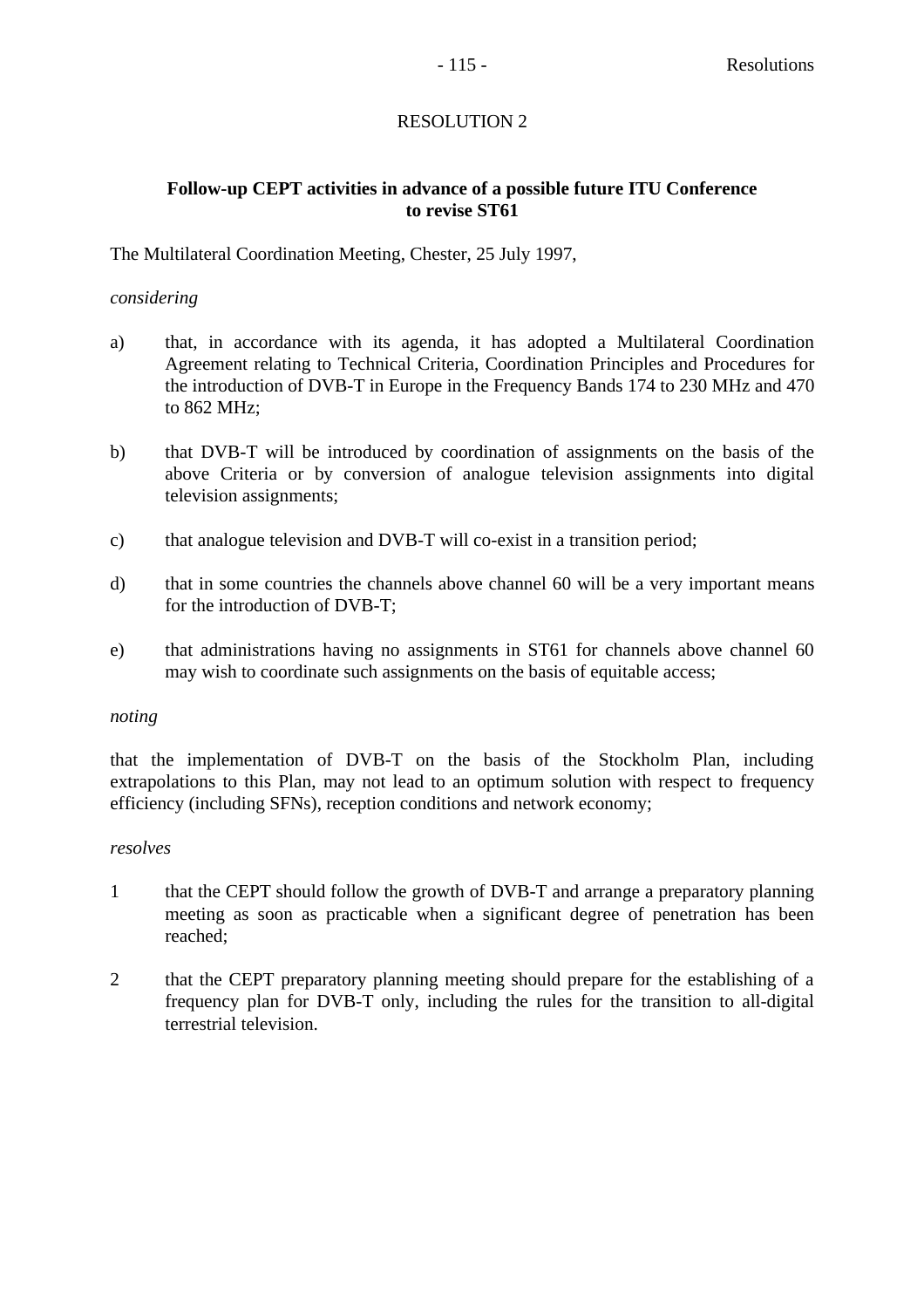## **Follow-up CEPT activities in advance of a possible future ITU Conference to revise ST61**

The Multilateral Coordination Meeting, Chester, 25 July 1997,

## *considering*

- a) that, in accordance with its agenda, it has adopted a Multilateral Coordination Agreement relating to Technical Criteria, Coordination Principles and Procedures for the introduction of DVB-T in Europe in the Frequency Bands 174 to 230 MHz and 470 to 862 MHz;
- b) that DVB-T will be introduced by coordination of assignments on the basis of the above Criteria or by conversion of analogue television assignments into digital television assignments;
- c) that analogue television and DVB-T will co-exist in a transition period;
- d) that in some countries the channels above channel 60 will be a very important means for the introduction of DVB-T;
- e) that administrations having no assignments in ST61 for channels above channel 60 may wish to coordinate such assignments on the basis of equitable access;

#### *noting*

that the implementation of DVB-T on the basis of the Stockholm Plan, including extrapolations to this Plan, may not lead to an optimum solution with respect to frequency efficiency (including SFNs), reception conditions and network economy;

## *resolves*

- 1 that the CEPT should follow the growth of DVB-T and arrange a preparatory planning meeting as soon as practicable when a significant degree of penetration has been reached;
- 2 that the CEPT preparatory planning meeting should prepare for the establishing of a frequency plan for DVB-T only, including the rules for the transition to all-digital terrestrial television.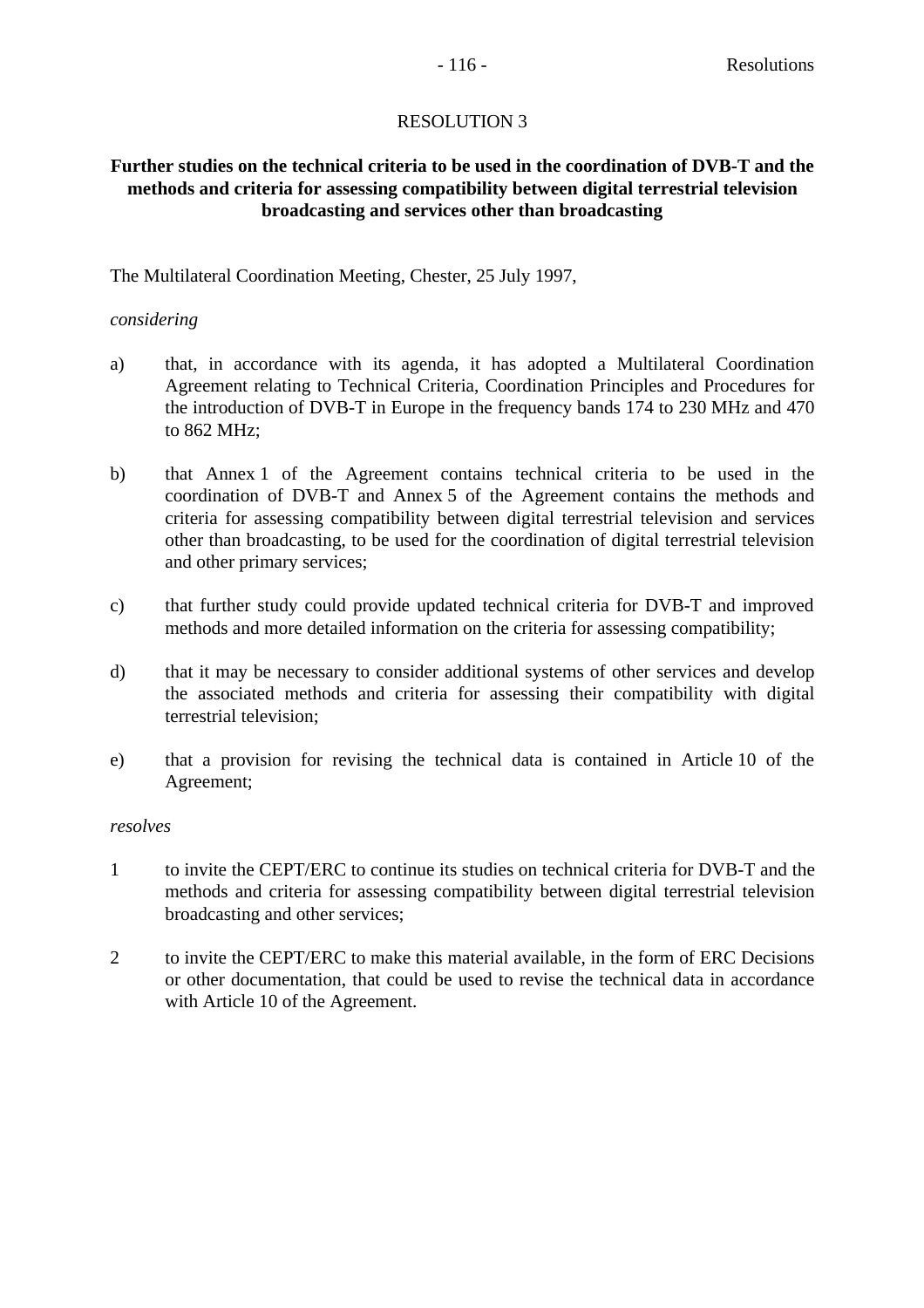## **Further studies on the technical criteria to be used in the coordination of DVB-T and the methods and criteria for assessing compatibility between digital terrestrial television broadcasting and services other than broadcasting**

The Multilateral Coordination Meeting, Chester, 25 July 1997,

## *considering*

- a) that, in accordance with its agenda, it has adopted a Multilateral Coordination Agreement relating to Technical Criteria, Coordination Principles and Procedures for the introduction of DVB-T in Europe in the frequency bands 174 to 230 MHz and 470 to 862 MHz;
- b) that Annex 1 of the Agreement contains technical criteria to be used in the coordination of DVB-T and Annex 5 of the Agreement contains the methods and criteria for assessing compatibility between digital terrestrial television and services other than broadcasting, to be used for the coordination of digital terrestrial television and other primary services;
- c) that further study could provide updated technical criteria for DVB-T and improved methods and more detailed information on the criteria for assessing compatibility;
- d) that it may be necessary to consider additional systems of other services and develop the associated methods and criteria for assessing their compatibility with digital terrestrial television;
- e) that a provision for revising the technical data is contained in Article 10 of the Agreement;

## *resolves*

- 1 to invite the CEPT/ERC to continue its studies on technical criteria for DVB-T and the methods and criteria for assessing compatibility between digital terrestrial television broadcasting and other services;
- 2 to invite the CEPT/ERC to make this material available, in the form of ERC Decisions or other documentation, that could be used to revise the technical data in accordance with Article 10 of the Agreement.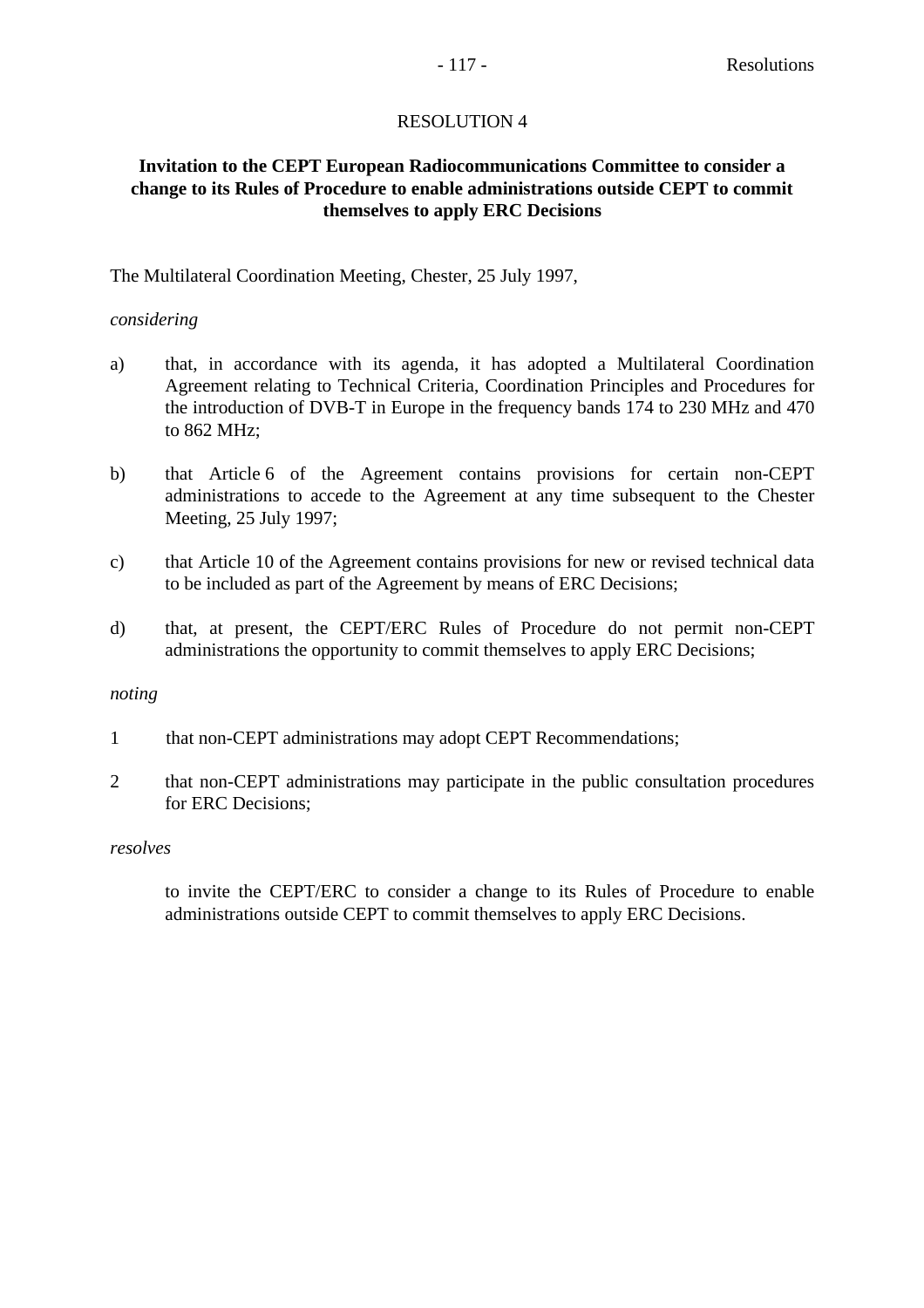## **Invitation to the CEPT European Radiocommunications Committee to consider a change to its Rules of Procedure to enable administrations outside CEPT to commit themselves to apply ERC Decisions**

## The Multilateral Coordination Meeting, Chester, 25 July 1997,

## *considering*

- a) that, in accordance with its agenda, it has adopted a Multilateral Coordination Agreement relating to Technical Criteria, Coordination Principles and Procedures for the introduction of DVB-T in Europe in the frequency bands 174 to 230 MHz and 470 to 862 MHz;
- b) that Article 6 of the Agreement contains provisions for certain non-CEPT administrations to accede to the Agreement at any time subsequent to the Chester Meeting, 25 July 1997;
- c) that Article 10 of the Agreement contains provisions for new or revised technical data to be included as part of the Agreement by means of ERC Decisions;
- d) that, at present, the CEPT/ERC Rules of Procedure do not permit non-CEPT administrations the opportunity to commit themselves to apply ERC Decisions;

#### *noting*

- 1 that non-CEPT administrations may adopt CEPT Recommendations;
- 2 that non-CEPT administrations may participate in the public consultation procedures for ERC Decisions;

## *resolves*

to invite the CEPT/ERC to consider a change to its Rules of Procedure to enable administrations outside CEPT to commit themselves to apply ERC Decisions.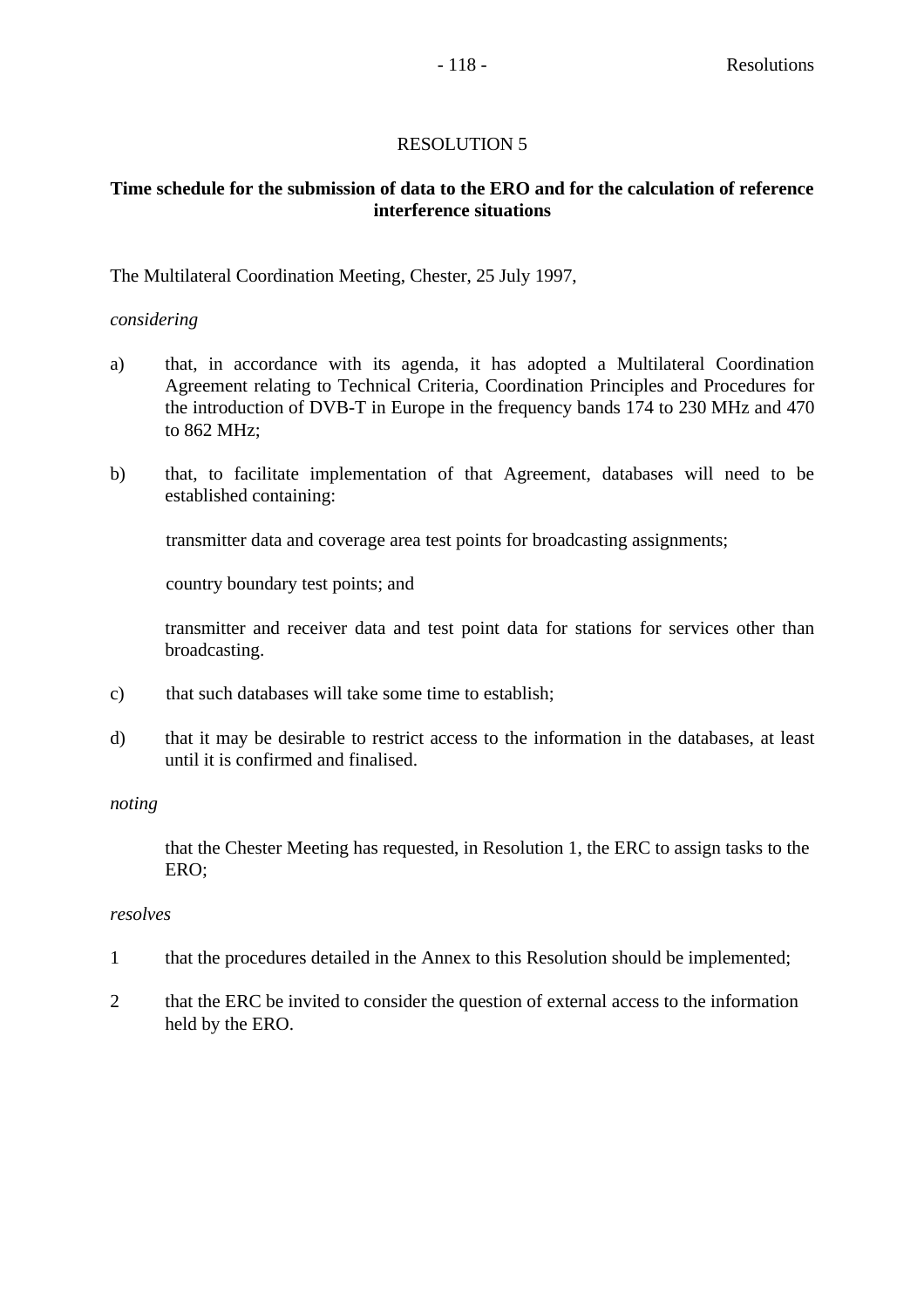## **Time schedule for the submission of data to the ERO and for the calculation of reference interference situations**

## The Multilateral Coordination Meeting, Chester, 25 July 1997,

## *considering*

- a) that, in accordance with its agenda, it has adopted a Multilateral Coordination Agreement relating to Technical Criteria, Coordination Principles and Procedures for the introduction of DVB-T in Europe in the frequency bands 174 to 230 MHz and 470 to 862 MHz;
- b) that, to facilitate implementation of that Agreement, databases will need to be established containing:

transmitter data and coverage area test points for broadcasting assignments;

country boundary test points; and

transmitter and receiver data and test point data for stations for services other than broadcasting.

- c) that such databases will take some time to establish;
- d) that it may be desirable to restrict access to the information in the databases, at least until it is confirmed and finalised.

#### *noting*

that the Chester Meeting has requested, in Resolution 1, the ERC to assign tasks to the ERO;

### *resolves*

- 1 that the procedures detailed in the Annex to this Resolution should be implemented;
- 2 that the ERC be invited to consider the question of external access to the information held by the ERO.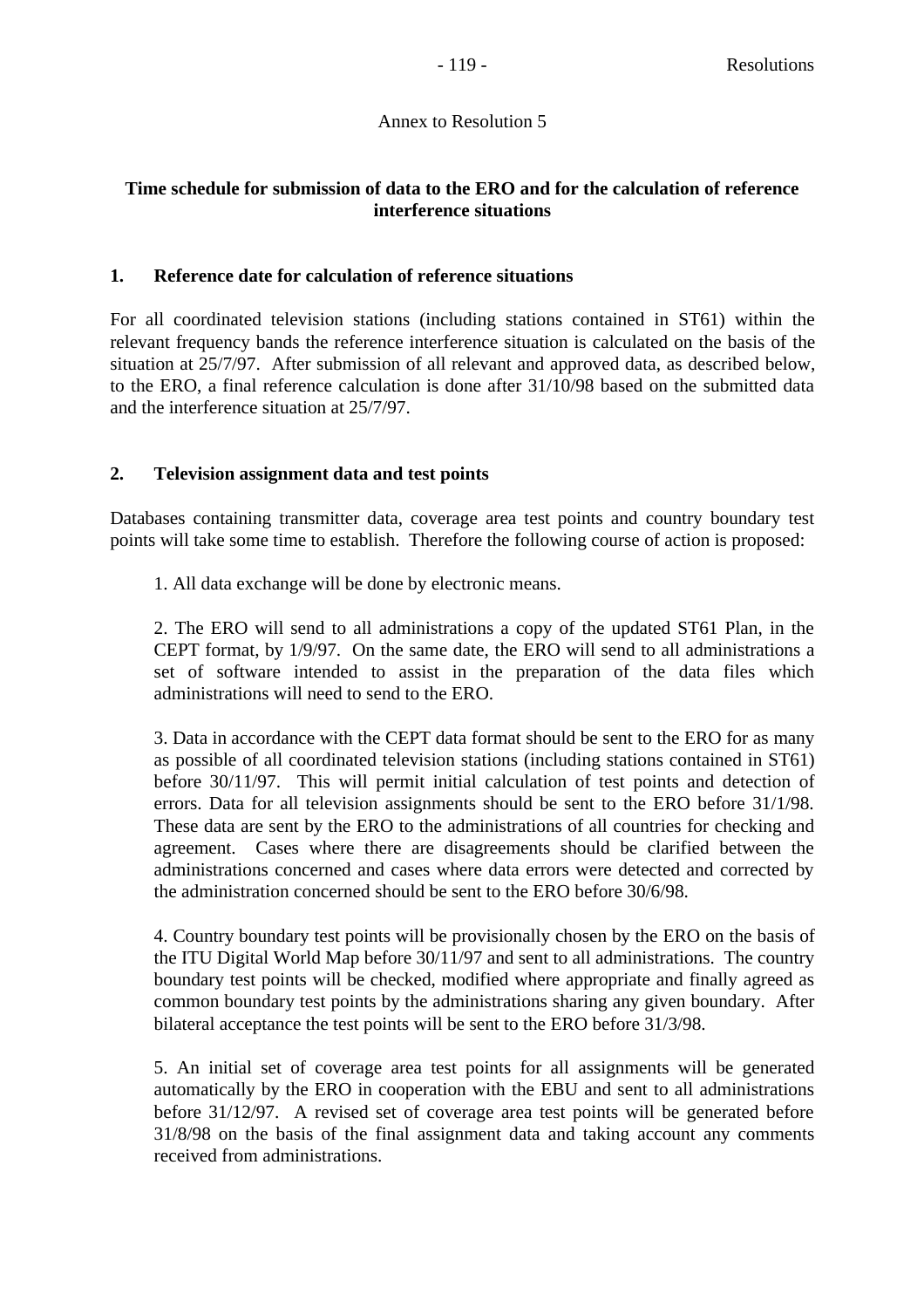## Annex to Resolution 5

## **Time schedule for submission of data to the ERO and for the calculation of reference interference situations**

## **1. Reference date for calculation of reference situations**

For all coordinated television stations (including stations contained in ST61) within the relevant frequency bands the reference interference situation is calculated on the basis of the situation at 25/7/97. After submission of all relevant and approved data, as described below, to the ERO, a final reference calculation is done after 31/10/98 based on the submitted data and the interference situation at 25/7/97.

## **2. Television assignment data and test points**

Databases containing transmitter data, coverage area test points and country boundary test points will take some time to establish. Therefore the following course of action is proposed:

1. All data exchange will be done by electronic means.

2. The ERO will send to all administrations a copy of the updated ST61 Plan, in the CEPT format, by 1/9/97. On the same date, the ERO will send to all administrations a set of software intended to assist in the preparation of the data files which administrations will need to send to the ERO.

3. Data in accordance with the CEPT data format should be sent to the ERO for as many as possible of all coordinated television stations (including stations contained in ST61) before 30/11/97. This will permit initial calculation of test points and detection of errors. Data for all television assignments should be sent to the ERO before 31/1/98. These data are sent by the ERO to the administrations of all countries for checking and agreement. Cases where there are disagreements should be clarified between the administrations concerned and cases where data errors were detected and corrected by the administration concerned should be sent to the ERO before 30/6/98.

4. Country boundary test points will be provisionally chosen by the ERO on the basis of the ITU Digital World Map before 30/11/97 and sent to all administrations. The country boundary test points will be checked, modified where appropriate and finally agreed as common boundary test points by the administrations sharing any given boundary. After bilateral acceptance the test points will be sent to the ERO before 31/3/98.

5. An initial set of coverage area test points for all assignments will be generated automatically by the ERO in cooperation with the EBU and sent to all administrations before 31/12/97. A revised set of coverage area test points will be generated before 31/8/98 on the basis of the final assignment data and taking account any comments received from administrations.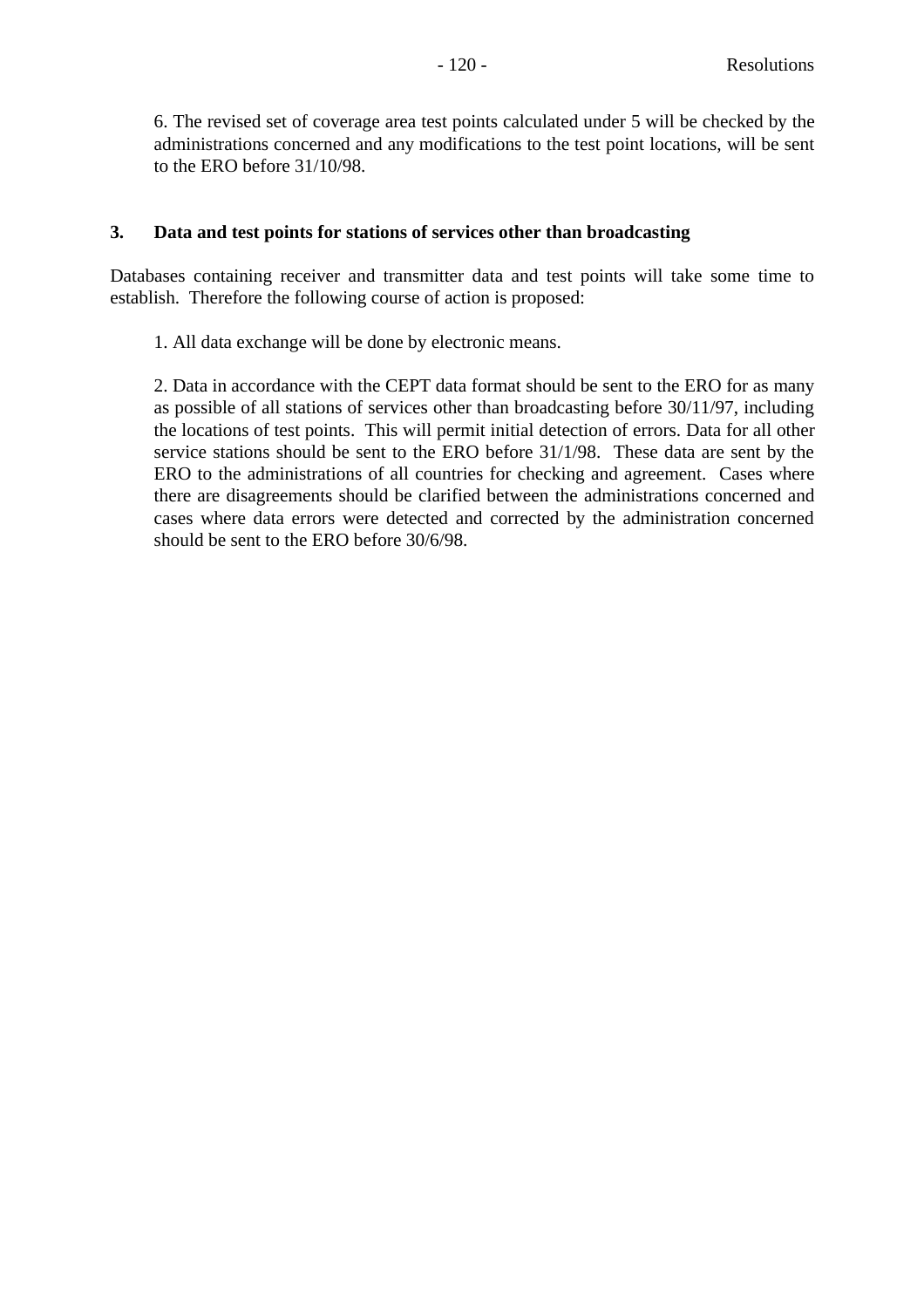6. The revised set of coverage area test points calculated under 5 will be checked by the administrations concerned and any modifications to the test point locations, will be sent to the ERO before 31/10/98.

## **3. Data and test points for stations of services other than broadcasting**

Databases containing receiver and transmitter data and test points will take some time to establish. Therefore the following course of action is proposed:

1. All data exchange will be done by electronic means.

2. Data in accordance with the CEPT data format should be sent to the ERO for as many as possible of all stations of services other than broadcasting before 30/11/97, including the locations of test points. This will permit initial detection of errors. Data for all other service stations should be sent to the ERO before 31/1/98. These data are sent by the ERO to the administrations of all countries for checking and agreement. Cases where there are disagreements should be clarified between the administrations concerned and cases where data errors were detected and corrected by the administration concerned should be sent to the ERO before 30/6/98.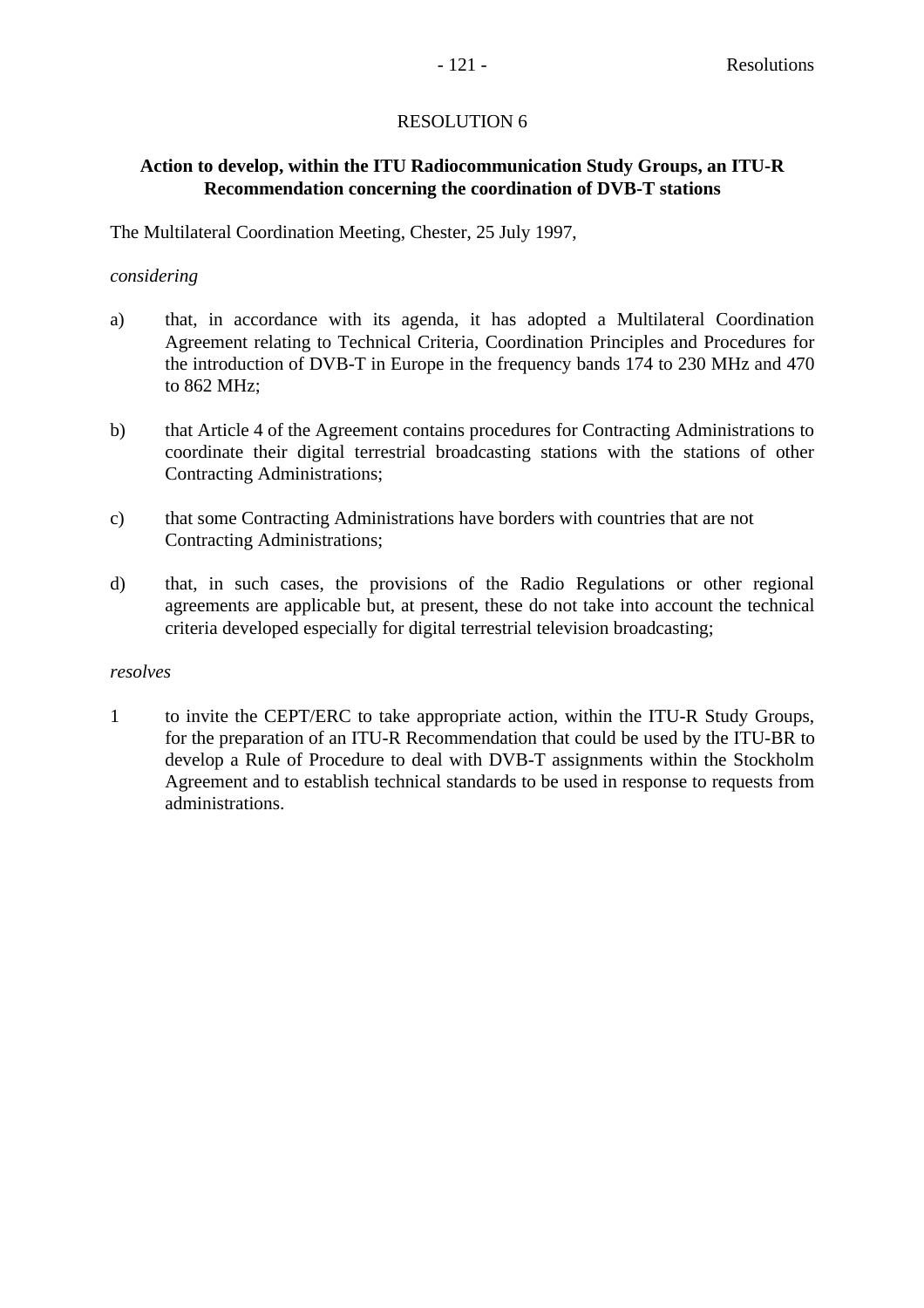## **Action to develop, within the ITU Radiocommunication Study Groups, an ITU-R Recommendation concerning the coordination of DVB-T stations**

The Multilateral Coordination Meeting, Chester, 25 July 1997,

## *considering*

- a) that, in accordance with its agenda, it has adopted a Multilateral Coordination Agreement relating to Technical Criteria, Coordination Principles and Procedures for the introduction of DVB-T in Europe in the frequency bands 174 to 230 MHz and 470 to 862 MHz;
- b) that Article 4 of the Agreement contains procedures for Contracting Administrations to coordinate their digital terrestrial broadcasting stations with the stations of other Contracting Administrations;
- c) that some Contracting Administrations have borders with countries that are not Contracting Administrations;
- d) that, in such cases, the provisions of the Radio Regulations or other regional agreements are applicable but, at present, these do not take into account the technical criteria developed especially for digital terrestrial television broadcasting;

## *resolves*

1 to invite the CEPT/ERC to take appropriate action, within the ITU-R Study Groups, for the preparation of an ITU-R Recommendation that could be used by the ITU-BR to develop a Rule of Procedure to deal with DVB-T assignments within the Stockholm Agreement and to establish technical standards to be used in response to requests from administrations.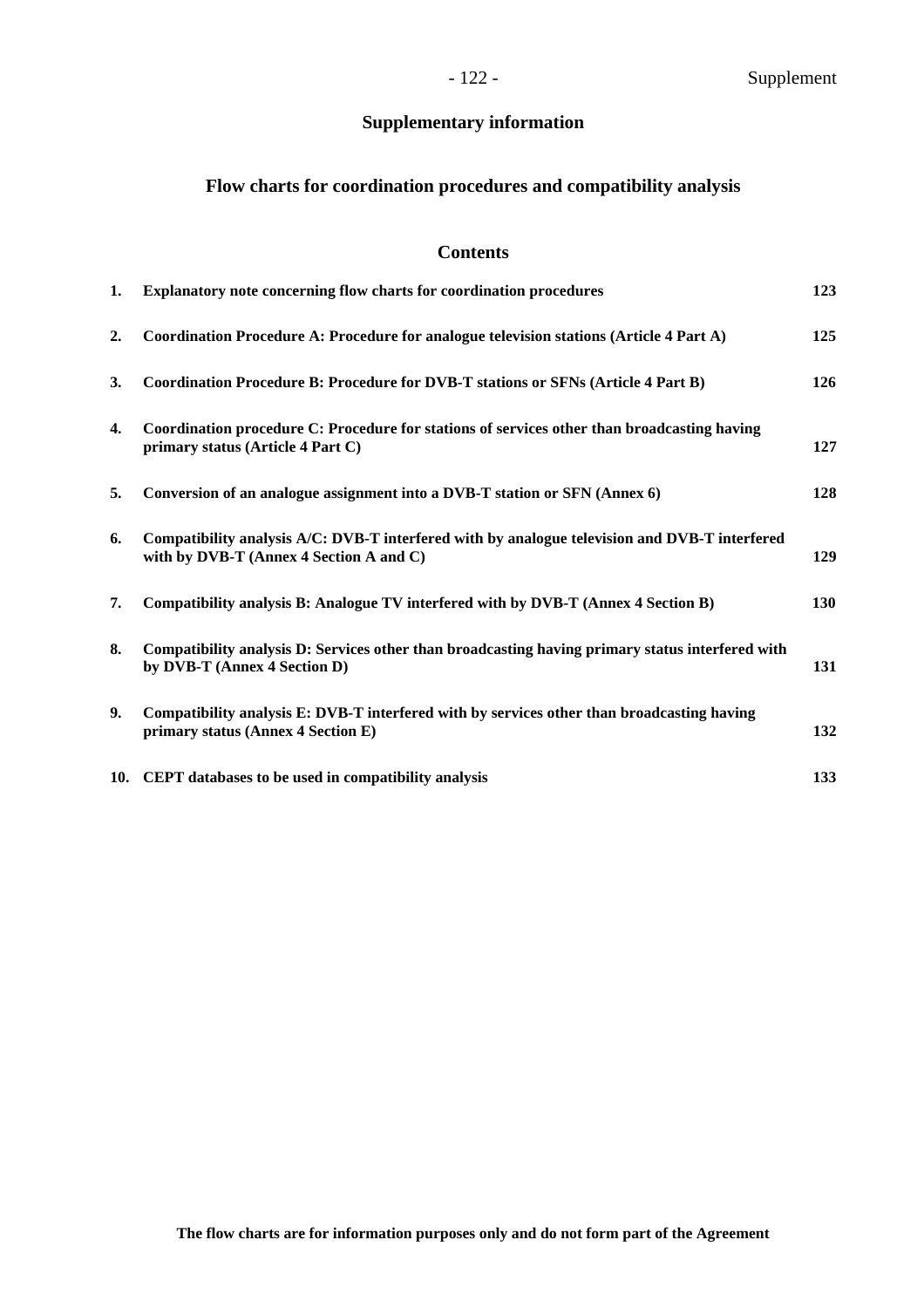# **Supplementary information**

## **Flow charts for coordination procedures and compatibility analysis**

## **Contents**

| 1. | Explanatory note concerning flow charts for coordination procedures                                                                      | 123        |
|----|------------------------------------------------------------------------------------------------------------------------------------------|------------|
| 2. | Coordination Procedure A: Procedure for analogue television stations (Article 4 Part A)                                                  | 125        |
| 3. | Coordination Procedure B: Procedure for DVB-T stations or SFNs (Article 4 Part B)                                                        | 126        |
| 4. | Coordination procedure C: Procedure for stations of services other than broadcasting having<br>primary status (Article 4 Part C)         | 127        |
| 5. | Conversion of an analogue assignment into a DVB-T station or SFN (Annex 6)                                                               | 128        |
| 6. | Compatibility analysis A/C: DVB-T interfered with by analogue television and DVB-T interfered<br>with by DVB-T (Annex 4 Section A and C) | 129        |
| 7. | Compatibility analysis B: Analogue TV interfered with by DVB-T (Annex 4 Section B)                                                       | <b>130</b> |
| 8. | Compatibility analysis D: Services other than broadcasting having primary status interfered with<br>by DVB-T (Annex 4 Section D)         | 131        |
| 9. | Compatibility analysis E: DVB-T interfered with by services other than broadcasting having<br>primary status (Annex 4 Section E)         | 132        |
|    | 10. CEPT databases to be used in compatibility analysis                                                                                  | 133        |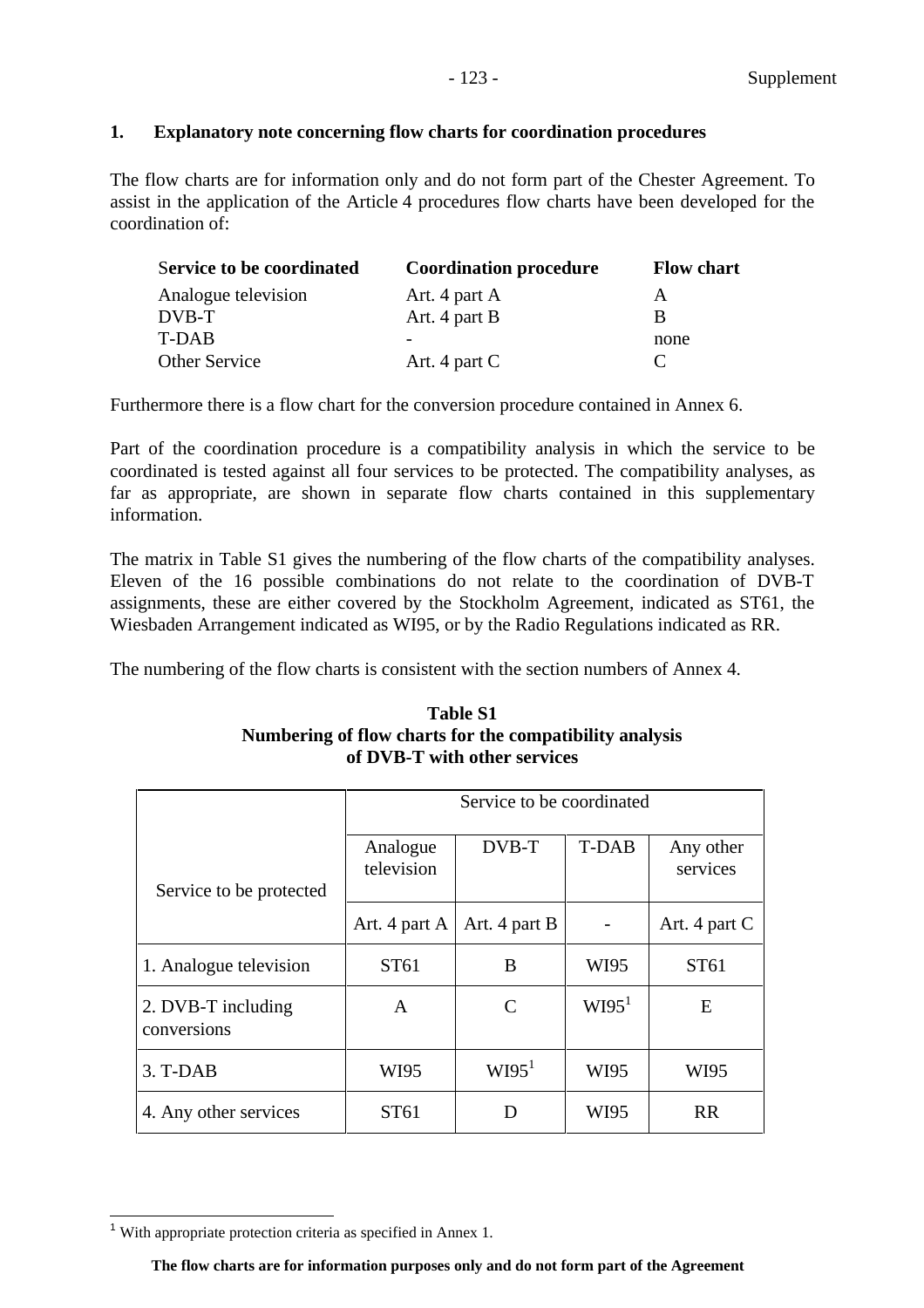## **1. Explanatory note concerning flow charts for coordination procedures**

The flow charts are for information only and do not form part of the Chester Agreement. To assist in the application of the Article 4 procedures flow charts have been developed for the coordination of:

| <b>Service to be coordinated</b> | <b>Coordination procedure</b> | <b>Flow chart</b> |
|----------------------------------|-------------------------------|-------------------|
| Analogue television              | Art. 4 part A                 | А                 |
| DVB-T                            | Art. 4 part B                 | B                 |
| T-DAB                            |                               | none              |
| Other Service                    | Art. 4 part $C$               |                   |

Furthermore there is a flow chart for the conversion procedure contained in Annex 6.

Part of the coordination procedure is a compatibility analysis in which the service to be coordinated is tested against all four services to be protected. The compatibility analyses, as far as appropriate, are shown in separate flow charts contained in this supplementary information.

The matrix in Table S1 gives the numbering of the flow charts of the compatibility analyses. Eleven of the 16 possible combinations do not relate to the coordination of DVB-T assignments, these are either covered by the Stockholm Agreement, indicated as ST61, the Wiesbaden Arrangement indicated as WI95, or by the Radio Regulations indicated as RR.

The numbering of the flow charts is consistent with the section numbers of Annex 4.

## **Table S1 Numbering of flow charts for the compatibility analysis of DVB-T with other services**

|                                   | Service to be coordinated |                   |                   |                       |  |  |
|-----------------------------------|---------------------------|-------------------|-------------------|-----------------------|--|--|
| Service to be protected           | Analogue<br>television    | DVB-T             | <b>T-DAB</b>      | Any other<br>services |  |  |
|                                   | Art. 4 part A             | Art. 4 part B     |                   | Art. 4 part C         |  |  |
| 1. Analogue television            | ST61                      | B                 | WI95              | ST <sub>61</sub>      |  |  |
| 2. DVB-T including<br>conversions | A                         | C                 | WI95 <sup>1</sup> | E                     |  |  |
| 3. T-DAB                          | WI95                      | W195 <sup>1</sup> | WI95              | WI95                  |  |  |
| 4. Any other services             | ST61                      | Ð                 | WI95              | <b>RR</b>             |  |  |

 $1$  With appropriate protection criteria as specified in Annex 1.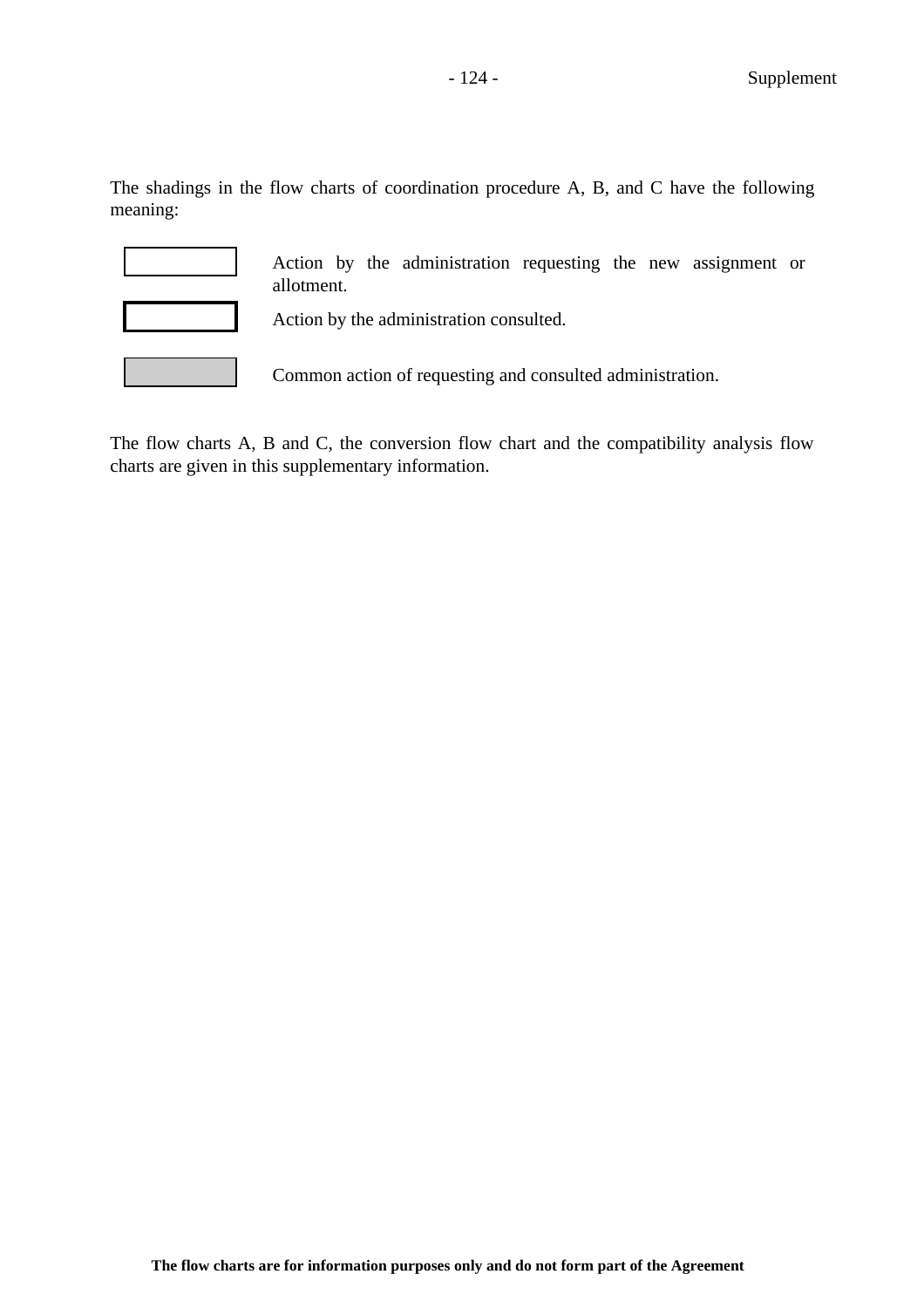The shadings in the flow charts of coordination procedure A, B, and C have the following meaning:

Action by the administration requesting the new assignment or allotment.

Action by the administration consulted.

Common action of requesting and consulted administration.

The flow charts A, B and C, the conversion flow chart and the compatibility analysis flow charts are given in this supplementary information.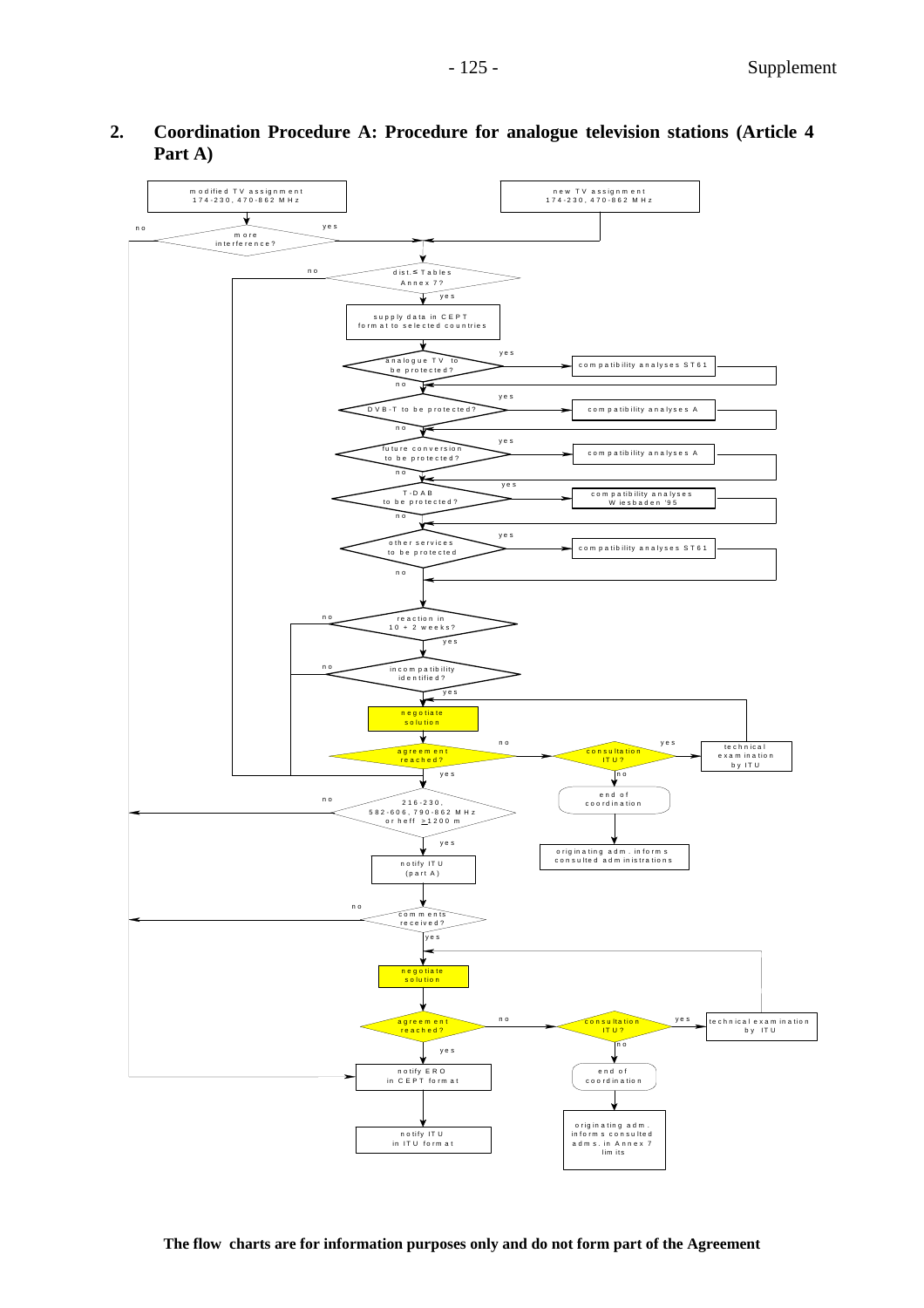

## **2. Coordination Procedure A: Procedure for analogue television stations (Article 4 Part A)**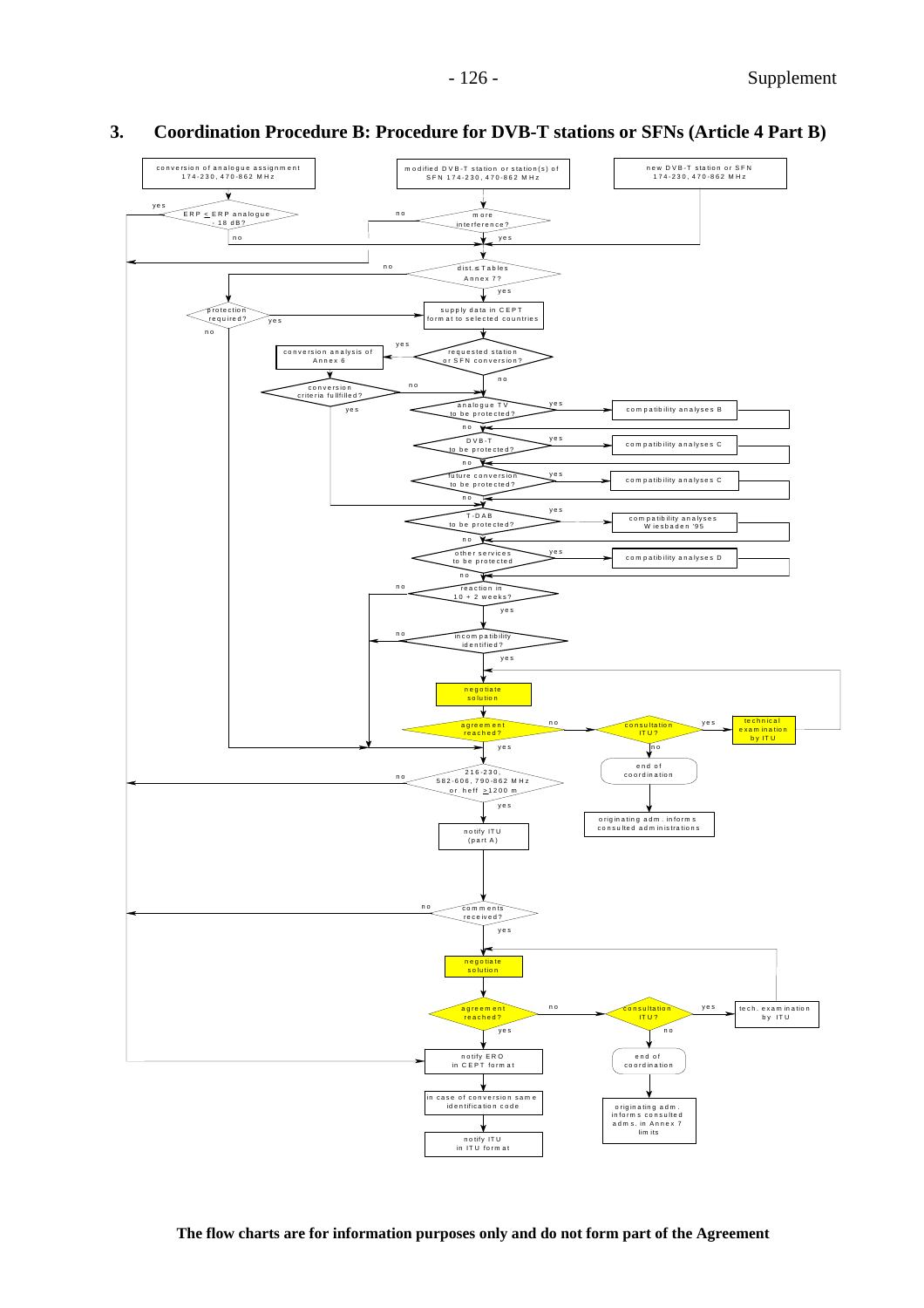

## **3. Coordination Procedure B: Procedure for DVB-T stations or SFNs (Article 4 Part B)**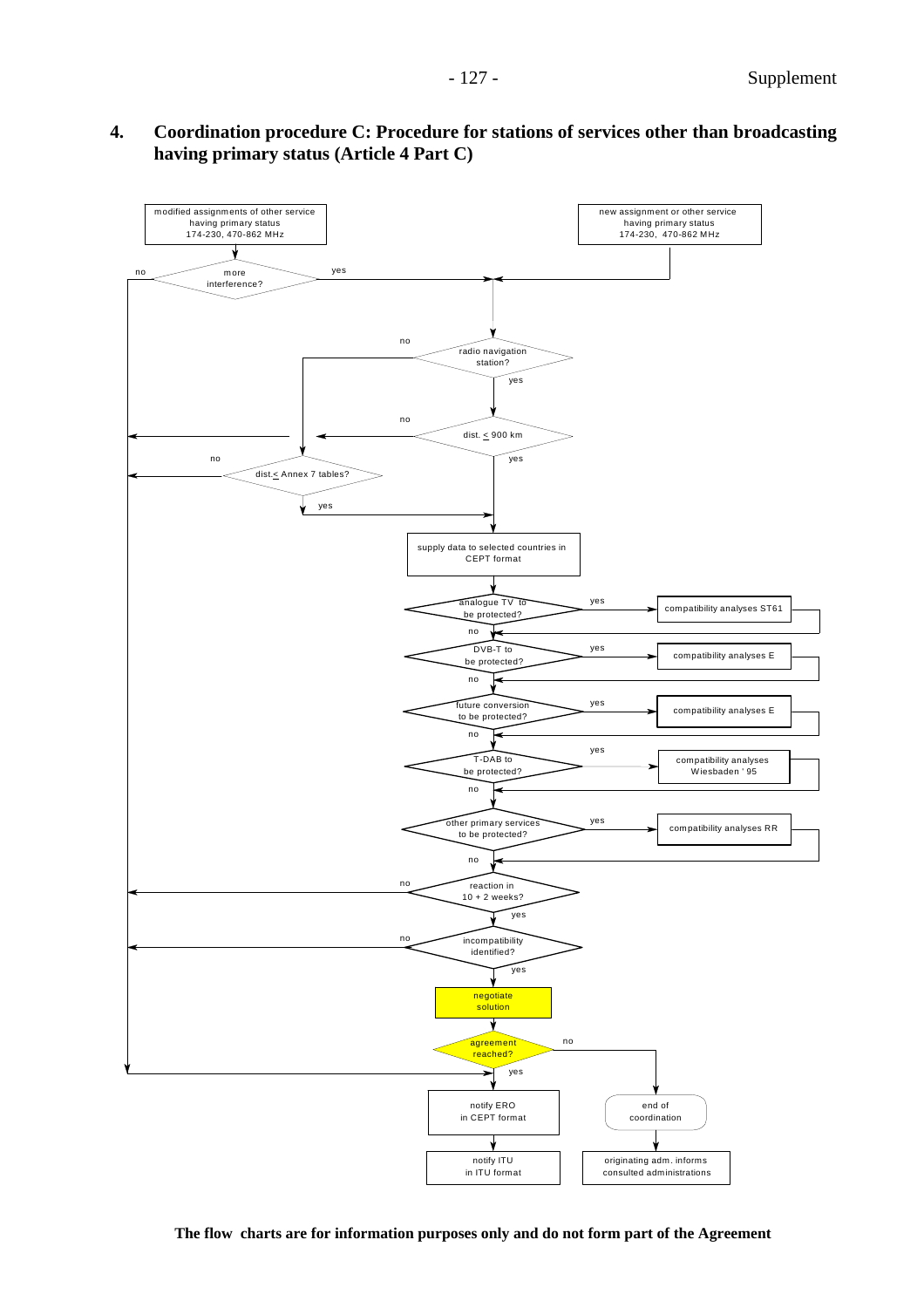

**The flow charts are for information purposes only and do not form part of the Agreement**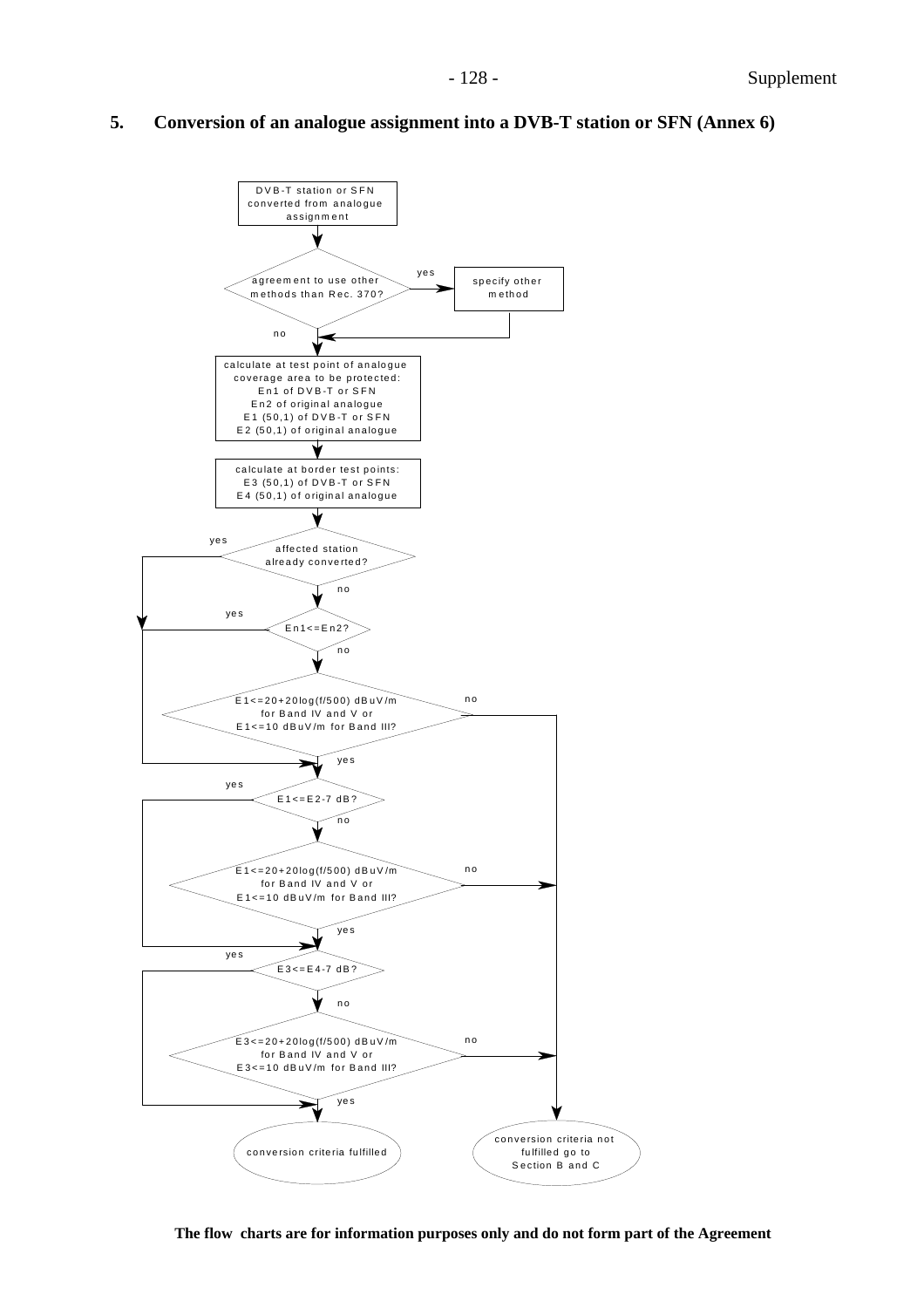## **5. Conversion of an analogue assignment into a DVB-T station or SFN (Annex 6)**



**The flow charts are for information purposes only and do not form part of the Agreement**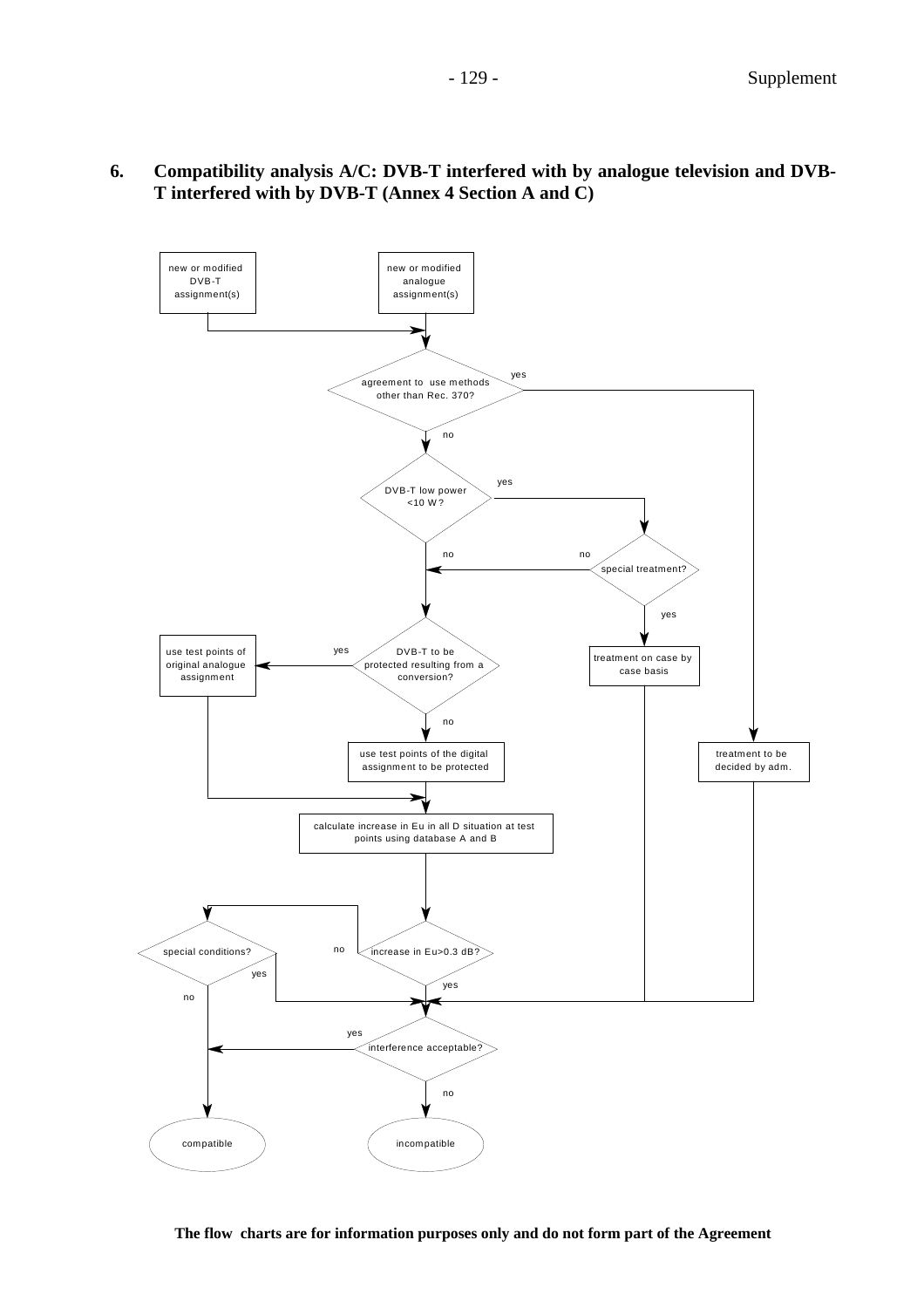

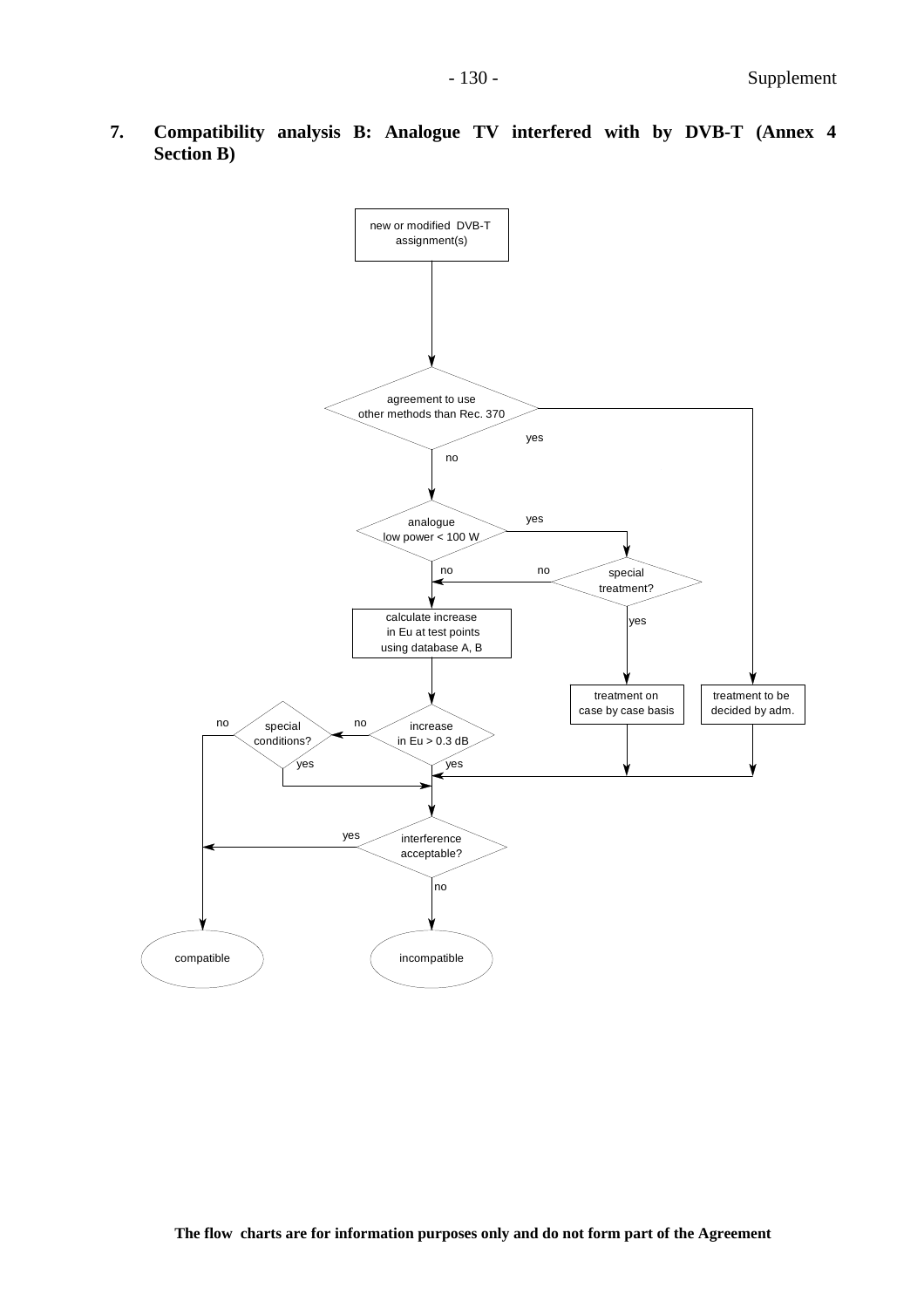

**7. Compatibility analysis B: Analogue TV interfered with by DVB-T (Annex 4 Section B)**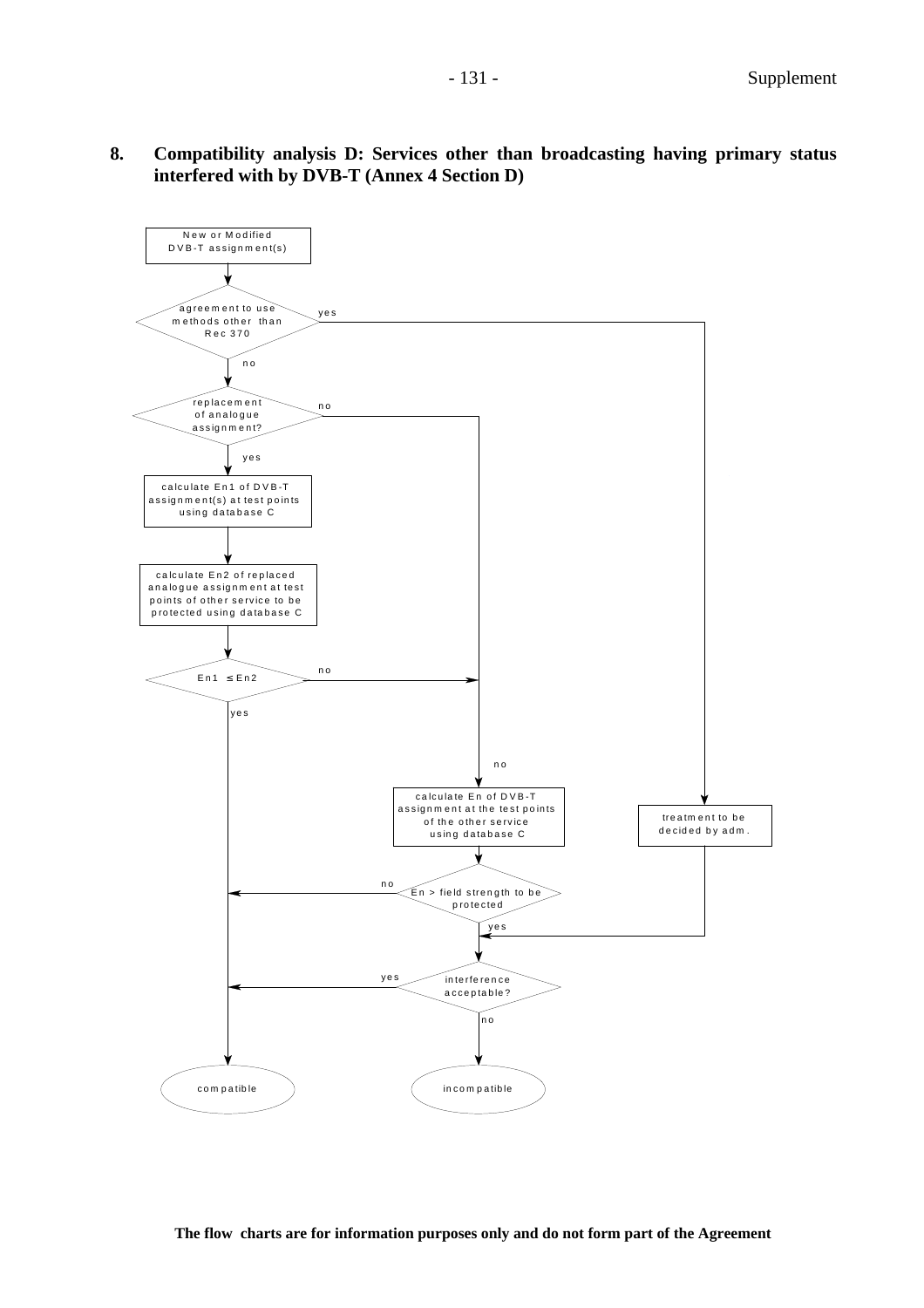**8. Compatibility analysis D: Services other than broadcasting having primary status interfered with by DVB-T (Annex 4 Section D)**

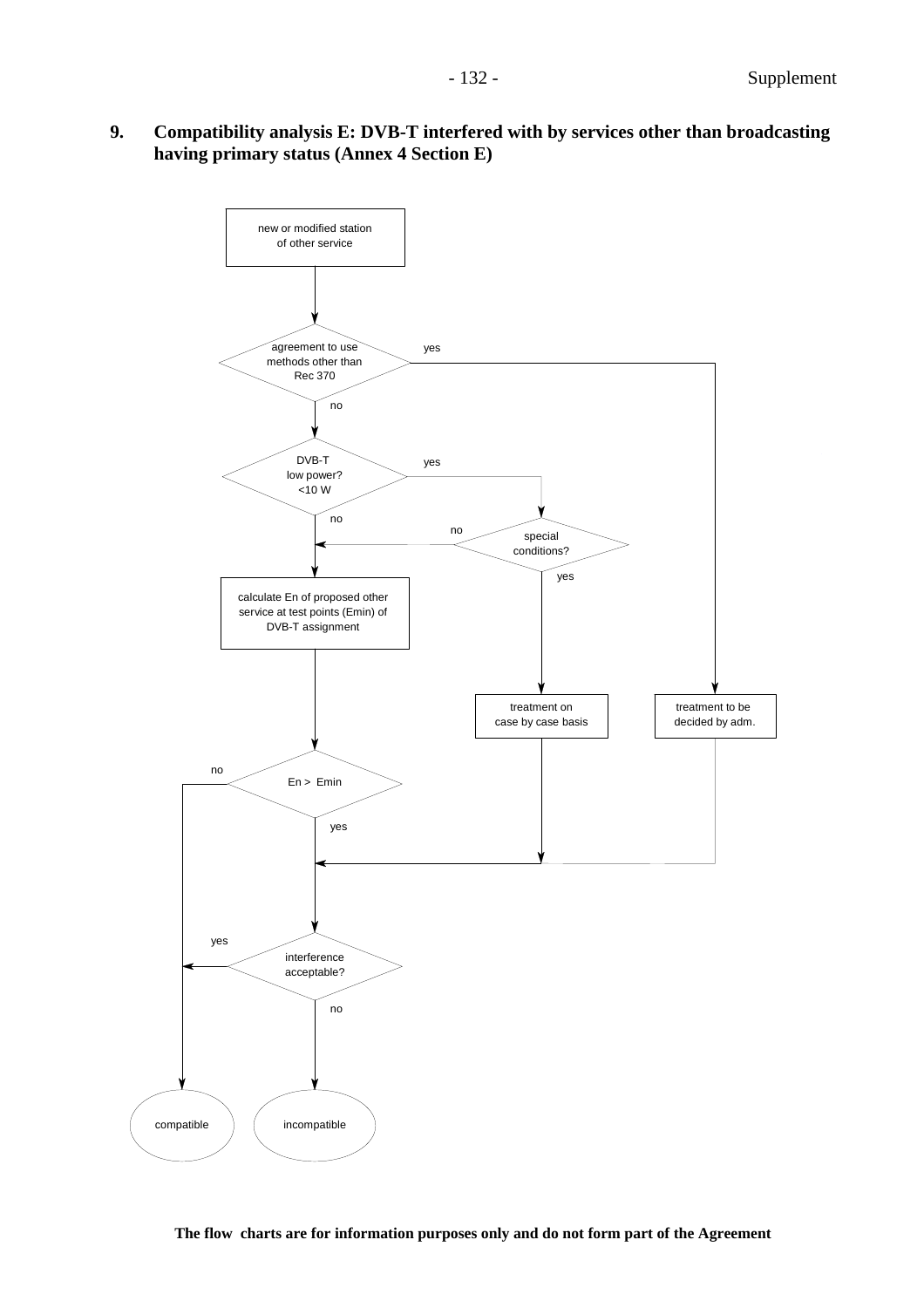**9. Compatibility analysis E: DVB-T interfered with by services other than broadcasting having primary status (Annex 4 Section E)**